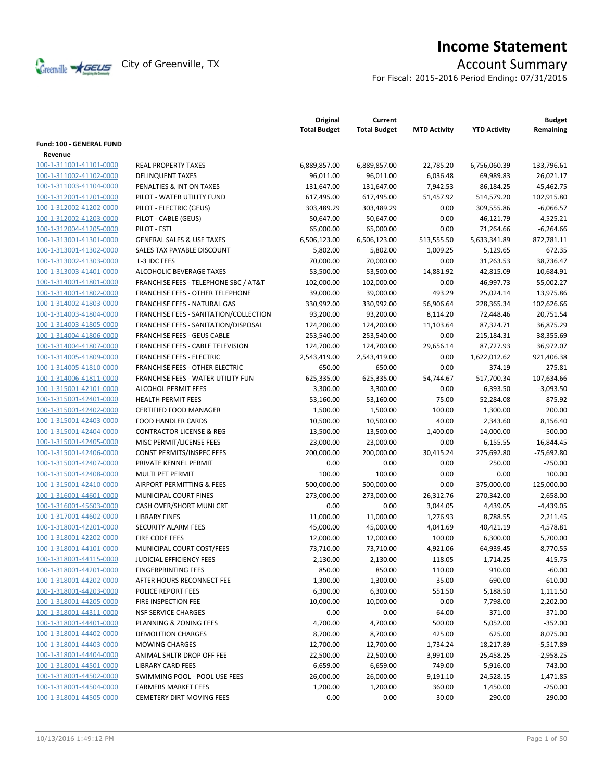

# **Income Statement**

For Fiscal: 2015-2016 Period Ending: 07/31/2016

|                                                    |                                         | Original<br><b>Total Budget</b> | Current<br><b>Total Budget</b> | <b>MTD Activity</b> | <b>YTD Activity</b>      | <b>Budget</b><br>Remaining |
|----------------------------------------------------|-----------------------------------------|---------------------------------|--------------------------------|---------------------|--------------------------|----------------------------|
| <b>Fund: 100 - GENERAL FUND</b>                    |                                         |                                 |                                |                     |                          |                            |
| Revenue                                            |                                         |                                 |                                |                     |                          |                            |
| 100-1-311001-41101-0000                            | <b>REAL PROPERTY TAXES</b>              | 6,889,857.00                    | 6,889,857.00                   | 22,785.20           | 6,756,060.39             | 133,796.61                 |
| 100-1-311002-41102-0000                            | <b>DELINQUENT TAXES</b>                 | 96,011.00                       | 96,011.00                      | 6,036.48            | 69,989.83                | 26,021.17                  |
| 100-1-311003-41104-0000                            | PENALTIES & INT ON TAXES                | 131,647.00                      | 131,647.00                     | 7,942.53            | 86,184.25                | 45,462.75                  |
| 100-1-312001-41201-0000                            | PILOT - WATER UTILITY FUND              | 617,495.00                      | 617,495.00                     | 51,457.92           | 514,579.20               | 102,915.80                 |
| 100-1-312002-41202-0000                            | PILOT - ELECTRIC (GEUS)                 | 303,489.29                      | 303,489.29                     | 0.00                | 309,555.86               | $-6,066.57$                |
| 100-1-312002-41203-0000                            | PILOT - CABLE (GEUS)                    | 50,647.00                       | 50,647.00                      | 0.00                | 46,121.79                | 4,525.21                   |
| 100-1-312004-41205-0000                            | PILOT - FSTI                            | 65,000.00                       | 65,000.00                      | 0.00                | 71,264.66                | $-6,264.66$                |
| 100-1-313001-41301-0000                            | <b>GENERAL SALES &amp; USE TAXES</b>    | 6,506,123.00                    | 6,506,123.00                   | 513,555.50          | 5,633,341.89             | 872,781.11                 |
| 100-1-313001-41302-0000                            | SALES TAX PAYABLE DISCOUNT              | 5,802.00                        | 5,802.00                       | 1,009.25            | 5,129.65                 | 672.35                     |
| 100-1-313002-41303-0000                            | L-3 IDC FEES                            | 70,000.00                       | 70,000.00                      | 0.00                | 31,263.53                | 38,736.47                  |
| 100-1-313003-41401-0000                            | ALCOHOLIC BEVERAGE TAXES                | 53,500.00                       | 53,500.00                      | 14,881.92           | 42,815.09                | 10,684.91                  |
| 100-1-314001-41801-0000                            | FRANCHISE FEES - TELEPHONE SBC / AT&T   | 102,000.00                      | 102,000.00                     | 0.00                | 46,997.73                | 55,002.27                  |
| 100-1-314001-41802-0000                            | <b>FRANCHISE FEES - OTHER TELEPHONE</b> | 39,000.00                       | 39,000.00                      | 493.29              | 25,024.14                | 13,975.86                  |
| 100-1-314002-41803-0000                            | FRANCHISE FEES - NATURAL GAS            | 330,992.00                      | 330,992.00                     | 56,906.64           | 228,365.34               | 102,626.66                 |
| 100-1-314003-41804-0000                            | FRANCHISE FEES - SANITATION/COLLECTION  | 93,200.00                       | 93,200.00                      | 8,114.20            | 72,448.46                | 20,751.54                  |
| 100-1-314003-41805-0000                            | FRANCHISE FEES - SANITATION/DISPOSAL    | 124,200.00                      | 124,200.00                     | 11,103.64           | 87,324.71                | 36,875.29                  |
| 100-1-314004-41806-0000                            | <b>FRANCHISE FEES - GEUS CABLE</b>      | 253,540.00                      | 253,540.00                     | 0.00                | 215,184.31               | 38,355.69                  |
| 100-1-314004-41807-0000                            | FRANCHISE FEES - CABLE TELEVISION       | 124,700.00                      | 124,700.00                     | 29,656.14           | 87,727.93                | 36,972.07                  |
| 100-1-314005-41809-0000                            | <b>FRANCHISE FEES - ELECTRIC</b>        | 2,543,419.00                    | 2,543,419.00                   | 0.00                | 1,622,012.62             | 921,406.38                 |
| 100-1-314005-41810-0000                            | <b>FRANCHISE FEES - OTHER ELECTRIC</b>  | 650.00                          | 650.00                         | 0.00                | 374.19                   | 275.81                     |
| 100-1-314006-41811-0000                            | FRANCHISE FEES - WATER UTILITY FUN      | 625,335.00                      | 625,335.00                     | 54,744.67           | 517,700.34               | 107,634.66                 |
| 100-1-315001-42101-0000                            | <b>ALCOHOL PERMIT FEES</b>              | 3,300.00                        | 3,300.00                       | 0.00                | 6,393.50                 | $-3,093.50$                |
| 100-1-315001-42401-0000                            | <b>HEALTH PERMIT FEES</b>               | 53,160.00                       | 53,160.00                      | 75.00               | 52,284.08                | 875.92                     |
| 100-1-315001-42402-0000                            | <b>CERTIFIED FOOD MANAGER</b>           | 1,500.00                        | 1,500.00                       | 100.00              | 1,300.00                 | 200.00                     |
| 100-1-315001-42403-0000                            | <b>FOOD HANDLER CARDS</b>               | 10,500.00                       | 10,500.00                      | 40.00               | 2,343.60                 | 8,156.40                   |
| 100-1-315001-42404-0000                            | <b>CONTRACTOR LICENSE &amp; REG</b>     | 13,500.00                       | 13,500.00                      | 1,400.00            | 14,000.00                | $-500.00$                  |
| 100-1-315001-42405-0000                            | MISC PERMIT/LICENSE FEES                | 23,000.00                       | 23,000.00                      | 0.00                | 6,155.55                 | 16,844.45                  |
| 100-1-315001-42406-0000                            | CONST PERMITS/INSPEC FEES               | 200,000.00                      | 200,000.00                     | 30,415.24           | 275,692.80               | $-75,692.80$               |
| 100-1-315001-42407-0000                            | PRIVATE KENNEL PERMIT                   | 0.00                            | 0.00                           | 0.00                | 250.00                   | $-250.00$                  |
|                                                    | MULTI PET PERMIT                        | 100.00                          |                                | 0.00                | 0.00                     | 100.00                     |
| 100-1-315001-42408-0000<br>100-1-315001-42410-0000 |                                         |                                 | 100.00                         |                     |                          |                            |
| 100-1-316001-44601-0000                            | AIRPORT PERMITTING & FEES               | 500,000.00                      | 500,000.00                     | 0.00                | 375,000.00<br>270,342.00 | 125,000.00<br>2,658.00     |
|                                                    | MUNICIPAL COURT FINES                   | 273,000.00                      | 273,000.00                     | 26,312.76           |                          |                            |
| 100-1-316001-45603-0000                            | CASH OVER/SHORT MUNI CRT                | 0.00                            | 0.00                           | 3,044.05            | 4,439.05                 | $-4,439.05$                |
| 100-1-317001-44602-0000                            | <b>LIBRARY FINES</b>                    | 11,000.00                       | 11,000.00                      | 1,276.93            | 8,788.55                 | 2,211.45                   |
| 100-1-318001-42201-0000                            | SECURITY ALARM FEES                     | 45,000.00                       | 45,000.00                      | 4,041.69            | 40,421.19                | 4,578.81                   |
| 100-1-318001-42202-0000                            | <b>FIRE CODE FEES</b>                   | 12,000.00                       | 12,000.00                      | 100.00              | 6,300.00                 | 5,700.00                   |
| 100-1-318001-44101-0000                            | MUNICIPAL COURT COST/FEES               | 73,710.00                       | 73,710.00                      | 4,921.06            | 64,939.45                | 8,770.55                   |
| 100-1-318001-44115-0000                            | <b>JUDICIAL EFFICIENCY FEES</b>         | 2,130.00                        | 2,130.00                       | 118.05              | 1,714.25                 | 415.75                     |
| 100-1-318001-44201-0000                            | <b>FINGERPRINTING FEES</b>              | 850.00                          | 850.00                         | 110.00              | 910.00                   | $-60.00$                   |
| 100-1-318001-44202-0000                            | AFTER HOURS RECONNECT FEE               | 1,300.00                        | 1,300.00                       | 35.00               | 690.00                   | 610.00                     |
| 100-1-318001-44203-0000                            | POLICE REPORT FEES                      | 6,300.00                        | 6,300.00                       | 551.50              | 5,188.50                 | 1,111.50                   |
| 100-1-318001-44205-0000                            | FIRE INSPECTION FEE                     | 10,000.00                       | 10,000.00                      | 0.00                | 7,798.00                 | 2,202.00                   |
| 100-1-318001-44311-0000                            | <b>NSF SERVICE CHARGES</b>              | 0.00                            | 0.00                           | 64.00               | 371.00                   | $-371.00$                  |
| 100-1-318001-44401-0000                            | PLANNING & ZONING FEES                  | 4,700.00                        | 4,700.00                       | 500.00              | 5,052.00                 | $-352.00$                  |
| 100-1-318001-44402-0000                            | DEMOLITION CHARGES                      | 8,700.00                        | 8,700.00                       | 425.00              | 625.00                   | 8,075.00                   |
| 100-1-318001-44403-0000                            | <b>MOWING CHARGES</b>                   | 12,700.00                       | 12,700.00                      | 1,734.24            | 18,217.89                | $-5,517.89$                |
| 100-1-318001-44404-0000                            | ANIMAL SHLTR DROP OFF FEE               | 22,500.00                       | 22,500.00                      | 3,991.00            | 25,458.25                | $-2,958.25$                |
| 100-1-318001-44501-0000                            | LIBRARY CARD FEES                       | 6,659.00                        | 6,659.00                       | 749.00              | 5,916.00                 | 743.00                     |
| 100-1-318001-44502-0000                            | SWIMMING POOL - POOL USE FEES           | 26,000.00                       | 26,000.00                      | 9,191.10            | 24,528.15                | 1,471.85                   |
| 100-1-318001-44504-0000                            | <b>FARMERS MARKET FEES</b>              | 1,200.00                        | 1,200.00                       | 360.00              | 1,450.00                 | $-250.00$                  |
| 100-1-318001-44505-0000                            | <b>CEMETERY DIRT MOVING FEES</b>        | 0.00                            | 0.00                           | 30.00               | 290.00                   | $-290.00$                  |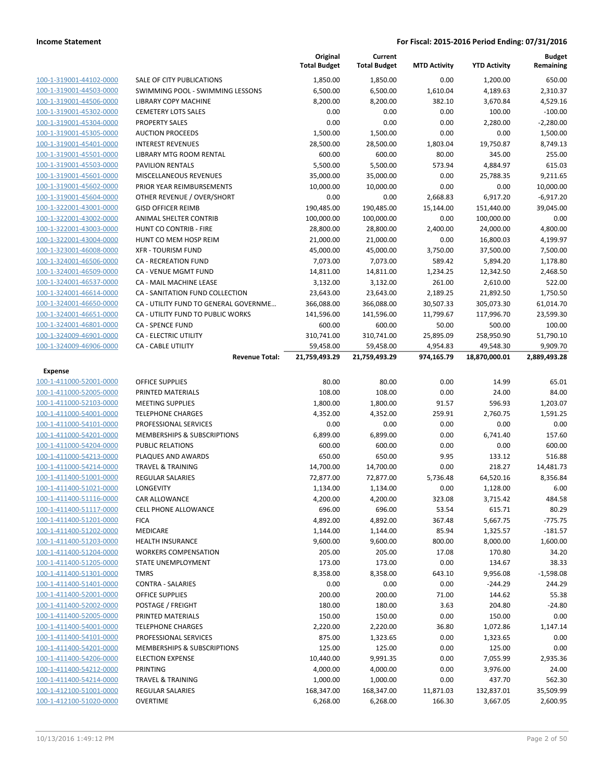|                                                    |                                                    | Original<br><b>Total Budget</b> | Current<br><b>Total Budget</b> | <b>MTD Activity</b> | <b>YTD Activity</b>    | <b>Budget</b><br>Remaining |
|----------------------------------------------------|----------------------------------------------------|---------------------------------|--------------------------------|---------------------|------------------------|----------------------------|
| 100-1-319001-44102-0000                            | SALE OF CITY PUBLICATIONS                          | 1,850.00                        | 1,850.00                       | 0.00                | 1,200.00               | 650.00                     |
| 100-1-319001-44503-0000                            | SWIMMING POOL - SWIMMING LESSONS                   | 6,500.00                        | 6,500.00                       | 1,610.04            | 4,189.63               | 2,310.37                   |
| 100-1-319001-44506-0000                            | LIBRARY COPY MACHINE                               | 8,200.00                        | 8,200.00                       | 382.10              | 3,670.84               | 4,529.16                   |
| 100-1-319001-45302-0000                            | <b>CEMETERY LOTS SALES</b>                         | 0.00                            | 0.00                           | 0.00                | 100.00                 | $-100.00$                  |
| 100-1-319001-45304-0000                            | <b>PROPERTY SALES</b>                              | 0.00                            | 0.00                           | 0.00                | 2,280.00               | $-2,280.00$                |
| 100-1-319001-45305-0000                            | <b>AUCTION PROCEEDS</b>                            | 1,500.00                        | 1,500.00                       | 0.00                | 0.00                   | 1,500.00                   |
| 100-1-319001-45401-0000                            | <b>INTEREST REVENUES</b>                           | 28,500.00                       | 28,500.00                      | 1,803.04            | 19,750.87              | 8,749.13                   |
| 100-1-319001-45501-0000                            | <b>LIBRARY MTG ROOM RENTAL</b>                     | 600.00                          | 600.00                         | 80.00               | 345.00                 | 255.00                     |
| 100-1-319001-45503-0000                            | <b>PAVILION RENTALS</b>                            | 5,500.00                        | 5,500.00                       | 573.94              | 4,884.97               | 615.03                     |
| 100-1-319001-45601-0000                            | MISCELLANEOUS REVENUES                             | 35,000.00                       | 35,000.00                      | 0.00                | 25,788.35              | 9,211.65                   |
| 100-1-319001-45602-0000                            | PRIOR YEAR REIMBURSEMENTS                          | 10,000.00                       | 10,000.00                      | 0.00                | 0.00                   | 10,000.00                  |
| 100-1-319001-45604-0000                            | OTHER REVENUE / OVER/SHORT                         | 0.00                            | 0.00                           | 2,668.83            | 6,917.20               | $-6,917.20$                |
| 100-1-322001-43001-0000                            | <b>GISD OFFICER REIMB</b>                          | 190,485.00                      | 190,485.00                     | 15,144.00           | 151,440.00             | 39,045.00                  |
| 100-1-322001-43002-0000                            | ANIMAL SHELTER CONTRIB                             | 100,000.00                      | 100,000.00                     | 0.00                | 100,000.00             | 0.00                       |
| 100-1-322001-43003-0000                            | HUNT CO CONTRIB - FIRE                             | 28,800.00                       | 28,800.00                      | 2,400.00            | 24,000.00              | 4,800.00                   |
| 100-1-322001-43004-0000                            | HUNT CO MEM HOSP REIM                              | 21,000.00                       | 21,000.00                      | 0.00                | 16,800.03              | 4,199.97                   |
| 100-1-323001-46008-0000                            | <b>XFR - TOURISM FUND</b>                          | 45,000.00                       | 45,000.00                      | 3,750.00            | 37,500.00              | 7,500.00                   |
| 100-1-324001-46506-0000                            | <b>CA - RECREATION FUND</b>                        | 7,073.00                        | 7,073.00                       | 589.42              | 5,894.20               | 1,178.80                   |
| 100-1-324001-46509-0000                            | <b>CA - VENUE MGMT FUND</b>                        | 14,811.00                       | 14,811.00                      | 1,234.25            | 12,342.50              | 2,468.50                   |
| 100-1-324001-46537-0000                            | <b>CA - MAIL MACHINE LEASE</b>                     | 3,132.00                        | 3,132.00                       | 261.00              | 2,610.00               | 522.00                     |
| 100-1-324001-46614-0000                            | CA - SANITATION FUND COLLECTION                    | 23,643.00                       | 23,643.00                      | 2,189.25            | 21,892.50              | 1,750.50                   |
| 100-1-324001-46650-0000                            | CA - UTILITY FUND TO GENERAL GOVERNME              | 366,088.00                      | 366,088.00                     | 30,507.33           | 305,073.30             | 61,014.70                  |
| 100-1-324001-46651-0000                            | CA - UTILITY FUND TO PUBLIC WORKS                  | 141,596.00                      | 141,596.00                     | 11,799.67           | 117,996.70             | 23,599.30                  |
| 100-1-324001-46801-0000                            | <b>CA - SPENCE FUND</b>                            | 600.00                          | 600.00                         | 50.00               | 500.00                 | 100.00                     |
| 100-1-324009-46901-0000                            | CA - ELECTRIC UTILITY                              | 310,741.00                      | 310,741.00                     | 25,895.09           | 258,950.90             | 51,790.10                  |
| 100-1-324009-46906-0000                            | <b>CA - CABLE UTILITY</b>                          | 59,458.00                       | 59,458.00                      | 4,954.83            | 49,548.30              | 9,909.70                   |
|                                                    | <b>Revenue Total:</b>                              | 21,759,493.29                   | 21,759,493.29                  | 974,165.79          | 18,870,000.01          | 2,889,493.28               |
| Expense                                            |                                                    |                                 |                                |                     |                        |                            |
| 100-1-411000-52001-0000                            | <b>OFFICE SUPPLIES</b>                             | 80.00                           | 80.00                          | 0.00                | 14.99                  | 65.01                      |
| 100-1-411000-52005-0000                            | PRINTED MATERIALS                                  | 108.00                          | 108.00                         | 0.00                | 24.00                  | 84.00                      |
| 100-1-411000-52103-0000                            | <b>MEETING SUPPLIES</b>                            | 1,800.00                        | 1,800.00                       | 91.57               | 596.93                 | 1,203.07                   |
| 100-1-411000-54001-0000                            | <b>TELEPHONE CHARGES</b>                           | 4,352.00                        | 4,352.00                       | 259.91              | 2,760.75               | 1,591.25                   |
| 100-1-411000-54101-0000                            | PROFESSIONAL SERVICES                              | 0.00                            | 0.00                           | 0.00                | 0.00                   | 0.00                       |
| 100-1-411000-54201-0000                            | MEMBERSHIPS & SUBSCRIPTIONS                        | 6,899.00                        | 6,899.00                       | 0.00                | 6,741.40               | 157.60                     |
| 100-1-411000-54204-0000                            | PUBLIC RELATIONS                                   | 600.00                          | 600.00                         | 0.00                | 0.00<br>133.12         | 600.00                     |
| 100-1-411000-54213-0000<br>100-1-411000-54214-0000 | PLAQUES AND AWARDS<br><b>TRAVEL &amp; TRAINING</b> | 650.00                          | 650.00                         | 9.95                |                        | 516.88                     |
| 100-1-411400-51001-0000                            |                                                    | 14,700.00<br>72,877.00          | 14,700.00<br>72,877.00         | 0.00<br>5,736.48    | 218.27                 | 14,481.73<br>8,356.84      |
| 100-1-411400-51021-0000                            | REGULAR SALARIES<br><b>LONGEVITY</b>               | 1,134.00                        | 1,134.00                       | 0.00                | 64,520.16<br>1,128.00  | 6.00                       |
| 100-1-411400-51116-0000                            | CAR ALLOWANCE                                      | 4,200.00                        | 4,200.00                       |                     | 3,715.42               | 484.58                     |
| 100-1-411400-51117-0000                            | <b>CELL PHONE ALLOWANCE</b>                        | 696.00                          | 696.00                         | 323.08<br>53.54     | 615.71                 | 80.29                      |
| 100-1-411400-51201-0000                            | <b>FICA</b>                                        | 4,892.00                        | 4,892.00                       | 367.48              | 5,667.75               | $-775.75$                  |
| 100-1-411400-51202-0000                            | MEDICARE                                           | 1,144.00                        | 1,144.00                       | 85.94               | 1,325.57               | $-181.57$                  |
| 100-1-411400-51203-0000                            | <b>HEALTH INSURANCE</b>                            | 9,600.00                        | 9,600.00                       | 800.00              | 8,000.00               | 1,600.00                   |
| 100-1-411400-51204-0000                            | <b>WORKERS COMPENSATION</b>                        | 205.00                          | 205.00                         | 17.08               | 170.80                 | 34.20                      |
| 100-1-411400-51205-0000                            | <b>STATE UNEMPLOYMENT</b>                          | 173.00                          | 173.00                         | 0.00                | 134.67                 | 38.33                      |
| 100-1-411400-51301-0000                            | <b>TMRS</b>                                        |                                 |                                | 643.10              | 9,956.08               | $-1,598.08$                |
|                                                    |                                                    |                                 |                                |                     |                        |                            |
|                                                    |                                                    | 8,358.00                        | 8,358.00                       |                     |                        |                            |
| 100-1-411400-51401-0000                            | <b>CONTRA - SALARIES</b>                           | 0.00                            | 0.00                           | 0.00                | $-244.29$              | 244.29                     |
| 100-1-411400-52001-0000                            | <b>OFFICE SUPPLIES</b>                             | 200.00                          | 200.00                         | 71.00               | 144.62                 | 55.38                      |
| 100-1-411400-52002-0000                            | POSTAGE / FREIGHT                                  | 180.00                          | 180.00                         | 3.63                | 204.80                 | $-24.80$                   |
| 100-1-411400-52005-0000                            | PRINTED MATERIALS                                  | 150.00                          | 150.00                         | 0.00                | 150.00                 | 0.00                       |
| 100-1-411400-54001-0000                            | <b>TELEPHONE CHARGES</b>                           | 2,220.00                        | 2,220.00                       | 36.80               | 1,072.86               | 1,147.14                   |
| 100-1-411400-54101-0000                            | PROFESSIONAL SERVICES                              | 875.00                          | 1,323.65                       | 0.00                | 1,323.65               | 0.00                       |
| 100-1-411400-54201-0000                            | MEMBERSHIPS & SUBSCRIPTIONS                        | 125.00                          | 125.00                         | 0.00                | 125.00                 | 0.00                       |
| 100-1-411400-54206-0000                            | <b>ELECTION EXPENSE</b>                            | 10,440.00                       | 9,991.35                       | 0.00                | 7,055.99               | 2,935.36                   |
| 100-1-411400-54212-0000                            | PRINTING                                           | 4,000.00                        | 4,000.00                       | 0.00                | 3,976.00               | 24.00                      |
| 100-1-411400-54214-0000                            | <b>TRAVEL &amp; TRAINING</b>                       | 1,000.00                        | 1,000.00                       | 0.00                | 437.70                 | 562.30                     |
| 100-1-412100-51001-0000<br>100-1-412100-51020-0000 | <b>REGULAR SALARIES</b><br><b>OVERTIME</b>         | 168,347.00<br>6,268.00          | 168,347.00<br>6,268.00         | 11,871.03<br>166.30 | 132,837.01<br>3,667.05 | 35,509.99<br>2,600.95      |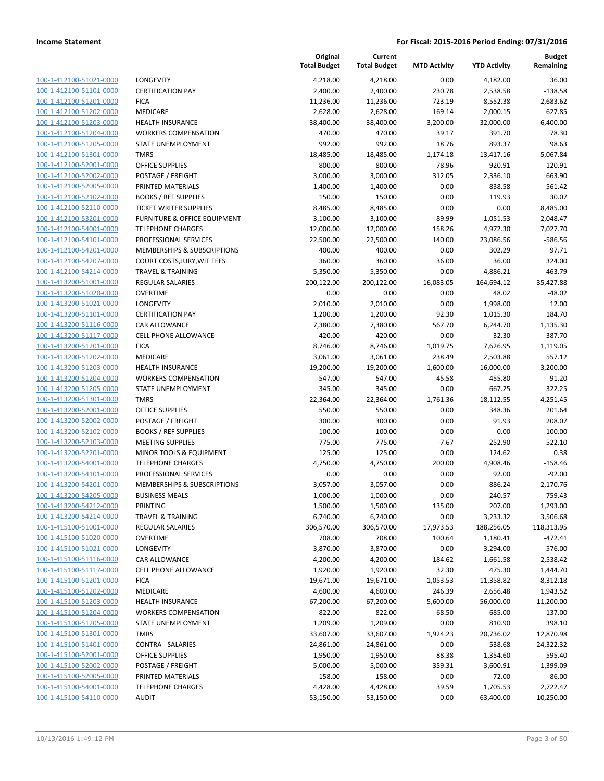| 100-1-412100-51021-0000        |
|--------------------------------|
| 100-1-412100-51101-0000        |
| 100-1-412100-51201-0000        |
| 100-1-412100-51202-0000        |
| 100-1-412100-51203-0000        |
| 100-1-412100-51204-0000        |
| 100-1-412100-51205-0000        |
| 100-1-412100-51301-0000        |
| 100-1-412100-52001-0000        |
| 100-1-412100-52002-0000        |
| 100-1-412100-52005-0000        |
| 100-1-412100-52102-0000        |
| 100-1-412100-52110-0000        |
| 100-1-412100-53201-0000        |
| 100-1-412100-54001-0000        |
| 100-1-412100-54101-0000        |
| 100-1-412100-54201-0000        |
| 100-1-412100-54207-0000        |
| 100-1-412100-54214-0000        |
| 100-1-413200-51001-0000        |
| 100-1-413200-51020-0000        |
| 100-1-413200-51021-0000        |
|                                |
| 100-1-413200-51101-0000        |
| 100-1-413200-51116-0000        |
| 100-1-413200-51117-0000        |
| 100-1-413200-51201-0000        |
| 100-1-413200-51202-0000        |
| 100-1-413200-51203-0000        |
| 100-1-413200-51204-0000        |
| 100-1-413200-51205-0000        |
| 100-1-413200-51301-0000        |
| 100-1-413200-52001-0000        |
| 100-1-413200-52002-0000        |
| 100-1-413200-52102-0000        |
| 100-1-413200-52103-0000        |
| 100-1-413200-52201-0000        |
| 100-1-413200-54001-0000        |
| 100-1-413200-54101-0000        |
| 100-1-413200-54201-0000        |
| 100-1-413200-54205-0000        |
| 100-1-413200-54212-0000        |
| <u>100-1-413200-54214-0000</u> |
| <u>100-1-415100-51001-0000</u> |
| 100-1-415100-51020-0000        |
| 100-1-415100-51021-0000        |
| <u>100-1-415100-51116-0000</u> |
| 100-1-415100-51117-0000        |
| <u>100-1-415100-51201-0000</u> |
| <u>100-1-415100-51202-0000</u> |
| 100-1-415100-51203-0000        |
| <u>100-1-415100-51204-0000</u> |
| 100-1-415100-51205-0000        |
| <u>100-1-415100-51301-0000</u> |
| 100-1-415100-51401-0000        |
|                                |
| 100-1-415100-52001-0000        |
| <u>100-1-415100-52002-0000</u> |
| 100-1-415100-52005-0000        |
| <u>100-1-415100-54001-0000</u> |
| 100-1-415100-54110-0000        |

|                                                    |                                            | Original<br><b>Total Budget</b> | Current<br><b>Total Budget</b> | <b>MTD Activity</b> | <b>YTD Activity</b>   | Budget<br>Remaining   |
|----------------------------------------------------|--------------------------------------------|---------------------------------|--------------------------------|---------------------|-----------------------|-----------------------|
| 100-1-412100-51021-0000                            | LONGEVITY                                  | 4,218.00                        | 4,218.00                       | 0.00                | 4,182.00              | 36.00                 |
| 100-1-412100-51101-0000                            | <b>CERTIFICATION PAY</b>                   | 2,400.00                        | 2,400.00                       | 230.78              | 2,538.58              | $-138.58$             |
| 100-1-412100-51201-0000                            | <b>FICA</b>                                | 11,236.00                       | 11,236.00                      | 723.19              | 8,552.38              | 2,683.62              |
| 100-1-412100-51202-0000                            | MEDICARE                                   | 2,628.00                        | 2,628.00                       | 169.14              | 2,000.15              | 627.85                |
| 100-1-412100-51203-0000                            | <b>HEALTH INSURANCE</b>                    | 38,400.00                       | 38,400.00                      | 3,200.00            | 32,000.00             | 6,400.00              |
| 100-1-412100-51204-0000                            | <b>WORKERS COMPENSATION</b>                | 470.00                          | 470.00                         | 39.17               | 391.70                | 78.30                 |
| 100-1-412100-51205-0000                            | STATE UNEMPLOYMENT                         | 992.00                          | 992.00                         | 18.76               | 893.37                | 98.63                 |
| 100-1-412100-51301-0000                            | <b>TMRS</b>                                | 18,485.00                       | 18,485.00                      | 1,174.18            | 13,417.16             | 5,067.84              |
| 100-1-412100-52001-0000                            | <b>OFFICE SUPPLIES</b>                     | 800.00                          | 800.00                         | 78.96               | 920.91                | $-120.91$             |
| 100-1-412100-52002-0000                            | <b>POSTAGE / FREIGHT</b>                   | 3,000.00                        | 3,000.00                       | 312.05              | 2,336.10              | 663.90                |
| 100-1-412100-52005-0000                            | PRINTED MATERIALS                          | 1,400.00                        | 1,400.00                       | 0.00                | 838.58                | 561.42                |
| 100-1-412100-52102-0000                            | <b>BOOKS / REF SUPPLIES</b>                | 150.00                          | 150.00                         | 0.00                | 119.93                | 30.07                 |
| 100-1-412100-52110-0000                            | <b>TICKET WRITER SUPPLIES</b>              | 8,485.00                        | 8,485.00                       | 0.00                | 0.00                  | 8,485.00              |
| 100-1-412100-53201-0000                            | FURNITURE & OFFICE EQUIPMENT               | 3,100.00                        | 3,100.00                       | 89.99               | 1,051.53              | 2,048.47              |
| 100-1-412100-54001-0000                            | <b>TELEPHONE CHARGES</b>                   | 12,000.00                       | 12,000.00                      | 158.26              | 4,972.30              | 7,027.70              |
| 100-1-412100-54101-0000                            | PROFESSIONAL SERVICES                      | 22,500.00                       | 22,500.00                      | 140.00              | 23,086.56             | $-586.56$             |
| 100-1-412100-54201-0000                            | MEMBERSHIPS & SUBSCRIPTIONS                | 400.00                          | 400.00                         | 0.00                | 302.29                | 97.71                 |
| 100-1-412100-54207-0000                            | COURT COSTS, JURY, WIT FEES                | 360.00                          | 360.00                         | 36.00               | 36.00                 | 324.00                |
| 100-1-412100-54214-0000                            | <b>TRAVEL &amp; TRAINING</b>               | 5,350.00<br>200,122.00          | 5,350.00                       | 0.00                | 4,886.21              | 463.79                |
| 100-1-413200-51001-0000                            | <b>REGULAR SALARIES</b><br><b>OVERTIME</b> |                                 | 200,122.00                     | 16,083.05           | 164,694.12            | 35,427.88<br>$-48.02$ |
| 100-1-413200-51020-0000<br>100-1-413200-51021-0000 | LONGEVITY                                  | 0.00<br>2,010.00                | 0.00<br>2,010.00               | 0.00<br>0.00        | 48.02<br>1,998.00     | 12.00                 |
| 100-1-413200-51101-0000                            | <b>CERTIFICATION PAY</b>                   | 1,200.00                        | 1,200.00                       | 92.30               | 1,015.30              | 184.70                |
| 100-1-413200-51116-0000                            | <b>CAR ALLOWANCE</b>                       | 7,380.00                        | 7,380.00                       | 567.70              | 6,244.70              | 1,135.30              |
| 100-1-413200-51117-0000                            | <b>CELL PHONE ALLOWANCE</b>                | 420.00                          | 420.00                         | 0.00                | 32.30                 | 387.70                |
| 100-1-413200-51201-0000                            | <b>FICA</b>                                | 8,746.00                        | 8,746.00                       | 1,019.75            | 7,626.95              | 1,119.05              |
| 100-1-413200-51202-0000                            | MEDICARE                                   | 3,061.00                        | 3,061.00                       | 238.49              | 2,503.88              | 557.12                |
| 100-1-413200-51203-0000                            | <b>HEALTH INSURANCE</b>                    | 19,200.00                       | 19,200.00                      | 1,600.00            | 16,000.00             | 3,200.00              |
| 100-1-413200-51204-0000                            | <b>WORKERS COMPENSATION</b>                | 547.00                          | 547.00                         | 45.58               | 455.80                | 91.20                 |
| 100-1-413200-51205-0000                            | STATE UNEMPLOYMENT                         | 345.00                          | 345.00                         | 0.00                | 667.25                | $-322.25$             |
| 100-1-413200-51301-0000                            | <b>TMRS</b>                                | 22,364.00                       | 22,364.00                      | 1,761.36            | 18,112.55             | 4,251.45              |
| 100-1-413200-52001-0000                            | <b>OFFICE SUPPLIES</b>                     | 550.00                          | 550.00                         | 0.00                | 348.36                | 201.64                |
| 100-1-413200-52002-0000                            | POSTAGE / FREIGHT                          | 300.00                          | 300.00                         | 0.00                | 91.93                 | 208.07                |
| 100-1-413200-52102-0000                            | <b>BOOKS / REF SUPPLIES</b>                | 100.00                          | 100.00                         | 0.00                | 0.00                  | 100.00                |
| 100-1-413200-52103-0000                            | <b>MEETING SUPPLIES</b>                    | 775.00                          | 775.00                         | $-7.67$             | 252.90                | 522.10                |
| 100-1-413200-52201-0000                            | MINOR TOOLS & EQUIPMENT                    | 125.00                          | 125.00                         | 0.00                | 124.62                | 0.38                  |
| 100-1-413200-54001-0000                            | <b>TELEPHONE CHARGES</b>                   | 4,750.00                        | 4,750.00                       | 200.00              | 4,908.46              | $-158.46$             |
| 100-1-413200-54101-0000                            | PROFESSIONAL SERVICES                      | 0.00                            | 0.00                           | 0.00                | 92.00                 | $-92.00$              |
| 100-1-413200-54201-0000                            | MEMBERSHIPS & SUBSCRIPTIONS                | 3,057.00                        | 3,057.00                       | 0.00                | 886.24                | 2,170.76              |
| 100-1-413200-54205-0000                            | <b>BUSINESS MEALS</b>                      | 1,000.00                        | 1,000.00                       | 0.00                | 240.57                | 759.43                |
| 100-1-413200-54212-0000                            | PRINTING                                   | 1,500.00                        | 1,500.00                       | 135.00              | 207.00                | 1,293.00              |
| 100-1-413200-54214-0000                            | <b>TRAVEL &amp; TRAINING</b>               | 6,740.00                        | 6,740.00                       | 0.00                | 3,233.32              | 3,506.68              |
| 100-1-415100-51001-0000                            | REGULAR SALARIES                           | 306,570.00                      | 306,570.00                     | 17,973.53           | 188,256.05            | 118,313.95            |
| 100-1-415100-51020-0000                            | <b>OVERTIME</b>                            | 708.00                          | 708.00                         | 100.64              | 1,180.41              | $-472.41$             |
| 100-1-415100-51021-0000                            | LONGEVITY                                  | 3,870.00                        | 3,870.00                       | 0.00                | 3,294.00              | 576.00                |
| 100-1-415100-51116-0000                            | CAR ALLOWANCE                              | 4,200.00                        | 4,200.00                       | 184.62              | 1,661.58              | 2,538.42              |
| 100-1-415100-51117-0000                            | CELL PHONE ALLOWANCE                       | 1,920.00                        | 1,920.00                       | 32.30               | 475.30                | 1,444.70              |
| 100-1-415100-51201-0000<br>100-1-415100-51202-0000 | <b>FICA</b>                                | 19,671.00<br>4,600.00           | 19,671.00                      | 1,053.53            | 11,358.82             | 8,312.18              |
| 100-1-415100-51203-0000                            | MEDICARE<br><b>HEALTH INSURANCE</b>        | 67,200.00                       | 4,600.00<br>67,200.00          | 246.39<br>5,600.00  | 2,656.48<br>56,000.00 | 1,943.52<br>11,200.00 |
| 100-1-415100-51204-0000                            | <b>WORKERS COMPENSATION</b>                | 822.00                          | 822.00                         | 68.50               | 685.00                | 137.00                |
| 100-1-415100-51205-0000                            | STATE UNEMPLOYMENT                         | 1,209.00                        | 1,209.00                       | 0.00                | 810.90                | 398.10                |
| 100-1-415100-51301-0000                            | <b>TMRS</b>                                | 33,607.00                       | 33,607.00                      | 1,924.23            | 20,736.02             | 12,870.98             |
| 100-1-415100-51401-0000                            | <b>CONTRA - SALARIES</b>                   | $-24,861.00$                    | $-24,861.00$                   | 0.00                | $-538.68$             | $-24,322.32$          |
| 100-1-415100-52001-0000                            | OFFICE SUPPLIES                            | 1,950.00                        | 1,950.00                       | 88.38               | 1,354.60              | 595.40                |
| 100-1-415100-52002-0000                            | POSTAGE / FREIGHT                          | 5,000.00                        | 5,000.00                       | 359.31              | 3,600.91              | 1,399.09              |
| 100-1-415100-52005-0000                            | PRINTED MATERIALS                          | 158.00                          | 158.00                         | 0.00                | 72.00                 | 86.00                 |
| 100-1-415100-54001-0000                            | <b>TELEPHONE CHARGES</b>                   | 4,428.00                        | 4,428.00                       | 39.59               | 1,705.53              | 2,722.47              |
| 100-1-415100-54110-0000                            | <b>AUDIT</b>                               | 53,150.00                       | 53,150.00                      | 0.00                | 63,400.00             | $-10,250.00$          |
|                                                    |                                            |                                 |                                |                     |                       |                       |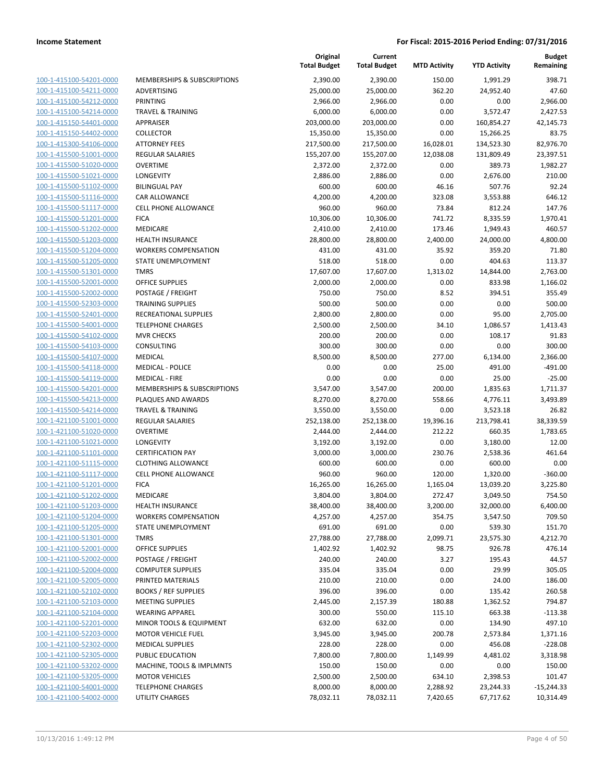| 100-1-415100-54201-0000        |
|--------------------------------|
| 100-1-415100-54211-0000        |
| 100-1-415100-54212-0000        |
| 100-1-415100-54214-0000        |
|                                |
| 100-1-415150-54401-0000        |
| 100-1-415150-54402-0000        |
| 100-1-415300-54106-0000        |
| <u>100-1-415500-51001-0000</u> |
| 100-1-415500-51020-0000        |
| 100-1-415500-51021-0000        |
| 100-1-415500-51102-0000        |
| 100-1-415500-51116-0000        |
|                                |
| <u>100-1-415500-51117-0000</u> |
| 100-1-415500-51201-0000        |
| 100-1-415500-51202-0000        |
| 100-1-415500-51203-0000        |
| 100-1-415500-51204-0000        |
| 100-1-415500-51205-0000        |
| 100-1-415500-51301-0000        |
| 100-1-415500-52001-0000        |
| 100-1-415500-52002-0000        |
|                                |
| 100-1-415500-52303-0000        |
| <u>100-1-415500-52401-0000</u> |
| 100-1-415500-54001-0000        |
| 100-1-415500-54102-0000        |
| 100-1-415500-54103-0000        |
| 100-1-415500-54107-0000        |
| 100-1-415500-54118-0000        |
| 100-1-415500-54119-0000        |
|                                |
| 100-1-415500-54201-0000        |
| 100-1-415500-54213-0000        |
| 100-1-415500-54214-0000        |
| <u>100-1-421100-51001-0000</u> |
| 100-1-421100-51020-0000        |
| 100-1-421100-51021-0000        |
| 100-1-421100-51101-0000        |
| 100-1-421100-51115-0000        |
|                                |
| 100-1-421100-51117-0000        |
| 100-1-421100-51201-0000        |
| 100-1-421100-51202-0000        |
| 100-1-421100-51203-0000        |
| 100-1-421100-51204-0000        |
| 100-1-421100-51205-0000        |
| 100-1-421100-51301-0000        |
| 100-1-421100-52001-0000        |
| 100-1-421100-52002-0000        |
| 100-1-421100-52004-0000        |
|                                |
| <u>100-1-421100-52005-0000</u> |
| <u>100-1-421100-52102-0000</u> |
| 100-1-421100-52103-0000        |
| 100-1-421100-52104-0000        |
| 100-1-421100-52201-0000        |
| 100-1-421100-52203-0000        |
| <u>100-1-421100-52302-0000</u> |
| 100-1-421100-52305-0000        |
|                                |
| 100-1-421100-53202-0000        |
| 100-1-421100-53205-0000        |
| <u>100-1-421100-54001-0000</u> |
| <u>100-1-421100-54002-0000</u> |
|                                |

|                         |                              | Original<br><b>Total Budget</b> | Current<br><b>Total Budget</b> | <b>MTD Activity</b> | <b>YTD Activity</b> | <b>Budget</b><br>Remaining |
|-------------------------|------------------------------|---------------------------------|--------------------------------|---------------------|---------------------|----------------------------|
| 100-1-415100-54201-0000 | MEMBERSHIPS & SUBSCRIPTIONS  | 2,390.00                        | 2,390.00                       | 150.00              | 1,991.29            | 398.71                     |
| 100-1-415100-54211-0000 | ADVERTISING                  | 25,000.00                       | 25,000.00                      | 362.20              | 24,952.40           | 47.60                      |
| 100-1-415100-54212-0000 | PRINTING                     | 2,966.00                        | 2,966.00                       | 0.00                | 0.00                | 2,966.00                   |
| 100-1-415100-54214-0000 | <b>TRAVEL &amp; TRAINING</b> | 6,000.00                        | 6,000.00                       | 0.00                | 3,572.47            | 2,427.53                   |
| 100-1-415150-54401-0000 | APPRAISER                    | 203,000.00                      | 203,000.00                     | 0.00                | 160,854.27          | 42,145.73                  |
| 100-1-415150-54402-0000 | <b>COLLECTOR</b>             | 15,350.00                       | 15,350.00                      | 0.00                | 15,266.25           | 83.75                      |
| 100-1-415300-54106-0000 | <b>ATTORNEY FEES</b>         | 217,500.00                      | 217,500.00                     | 16,028.01           | 134,523.30          | 82,976.70                  |
| 100-1-415500-51001-0000 | <b>REGULAR SALARIES</b>      | 155,207.00                      | 155,207.00                     | 12,038.08           | 131,809.49          | 23,397.51                  |
| 100-1-415500-51020-0000 | <b>OVERTIME</b>              | 2,372.00                        | 2,372.00                       | 0.00                | 389.73              | 1,982.27                   |
| 100-1-415500-51021-0000 | LONGEVITY                    | 2,886.00                        | 2,886.00                       | 0.00                | 2,676.00            | 210.00                     |
| 100-1-415500-51102-0000 | <b>BILINGUAL PAY</b>         | 600.00                          | 600.00                         | 46.16               | 507.76              | 92.24                      |
| 100-1-415500-51116-0000 | <b>CAR ALLOWANCE</b>         | 4,200.00                        | 4,200.00                       | 323.08              | 3,553.88            | 646.12                     |
| 100-1-415500-51117-0000 | <b>CELL PHONE ALLOWANCE</b>  | 960.00                          | 960.00                         | 73.84               | 812.24              | 147.76                     |
| 100-1-415500-51201-0000 | <b>FICA</b>                  | 10,306.00                       | 10,306.00                      | 741.72              | 8,335.59            | 1,970.41                   |
| 100-1-415500-51202-0000 | MEDICARE                     | 2,410.00                        | 2,410.00                       | 173.46              | 1,949.43            | 460.57                     |
| 100-1-415500-51203-0000 | <b>HEALTH INSURANCE</b>      | 28,800.00                       | 28,800.00                      | 2,400.00            | 24,000.00           | 4,800.00                   |
| 100-1-415500-51204-0000 | <b>WORKERS COMPENSATION</b>  | 431.00                          | 431.00                         | 35.92               | 359.20              | 71.80                      |
| 100-1-415500-51205-0000 | STATE UNEMPLOYMENT           | 518.00                          | 518.00                         | 0.00                | 404.63              | 113.37                     |
| 100-1-415500-51301-0000 | <b>TMRS</b>                  | 17,607.00                       | 17,607.00                      | 1,313.02            | 14,844.00           | 2,763.00                   |
| 100-1-415500-52001-0000 | <b>OFFICE SUPPLIES</b>       | 2,000.00                        | 2,000.00                       | 0.00                | 833.98              | 1,166.02                   |
| 100-1-415500-52002-0000 | POSTAGE / FREIGHT            | 750.00                          | 750.00                         | 8.52                | 394.51              | 355.49                     |
| 100-1-415500-52303-0000 | <b>TRAINING SUPPLIES</b>     | 500.00                          | 500.00                         | 0.00                | 0.00                | 500.00                     |
| 100-1-415500-52401-0000 | RECREATIONAL SUPPLIES        | 2,800.00                        | 2,800.00                       | 0.00                | 95.00               | 2,705.00                   |
| 100-1-415500-54001-0000 | <b>TELEPHONE CHARGES</b>     | 2,500.00                        | 2,500.00                       | 34.10               | 1,086.57            | 1,413.43                   |
| 100-1-415500-54102-0000 | <b>MVR CHECKS</b>            | 200.00                          | 200.00                         | 0.00                | 108.17              | 91.83                      |
| 100-1-415500-54103-0000 | CONSULTING                   | 300.00                          | 300.00                         | 0.00                | 0.00                | 300.00                     |
| 100-1-415500-54107-0000 | <b>MEDICAL</b>               | 8,500.00                        | 8,500.00                       | 277.00              | 6,134.00            | 2,366.00                   |
| 100-1-415500-54118-0000 | <b>MEDICAL - POLICE</b>      | 0.00                            | 0.00                           | 25.00               | 491.00              | $-491.00$                  |
| 100-1-415500-54119-0000 | <b>MEDICAL - FIRE</b>        | 0.00                            | 0.00                           | 0.00                | 25.00               | $-25.00$                   |
| 100-1-415500-54201-0000 | MEMBERSHIPS & SUBSCRIPTIONS  | 3,547.00                        | 3,547.00                       | 200.00              | 1,835.63            | 1,711.37                   |
| 100-1-415500-54213-0000 | PLAQUES AND AWARDS           | 8,270.00                        | 8,270.00                       | 558.66              | 4,776.11            | 3,493.89                   |
| 100-1-415500-54214-0000 | <b>TRAVEL &amp; TRAINING</b> | 3,550.00                        | 3,550.00                       | 0.00                | 3,523.18            | 26.82                      |
| 100-1-421100-51001-0000 | <b>REGULAR SALARIES</b>      | 252,138.00                      | 252,138.00                     | 19,396.16           | 213,798.41          | 38,339.59                  |
| 100-1-421100-51020-0000 | <b>OVERTIME</b>              | 2,444.00                        | 2,444.00                       | 212.22              | 660.35              | 1,783.65                   |
| 100-1-421100-51021-0000 | LONGEVITY                    | 3,192.00                        | 3,192.00                       | 0.00                | 3,180.00            | 12.00                      |
| 100-1-421100-51101-0000 | <b>CERTIFICATION PAY</b>     | 3,000.00                        | 3,000.00                       | 230.76              | 2,538.36            | 461.64                     |
| 100-1-421100-51115-0000 | <b>CLOTHING ALLOWANCE</b>    | 600.00                          | 600.00                         | 0.00                | 600.00              | 0.00                       |
| 100-1-421100-51117-0000 | <b>CELL PHONE ALLOWANCE</b>  | 960.00                          | 960.00                         | 120.00              | 1,320.00            | $-360.00$                  |
| 100-1-421100-51201-0000 | <b>FICA</b>                  | 16,265.00                       | 16,265.00                      | 1,165.04            | 13,039.20           | 3,225.80                   |
| 100-1-421100-51202-0000 | MEDICARE                     | 3,804.00                        | 3,804.00                       | 272.47              | 3,049.50            | 754.50                     |
| 100-1-421100-51203-0000 | <b>HEALTH INSURANCE</b>      | 38,400.00                       | 38,400.00                      | 3,200.00            | 32,000.00           | 6,400.00                   |
| 100-1-421100-51204-0000 | <b>WORKERS COMPENSATION</b>  | 4,257.00                        | 4,257.00                       | 354.75              | 3,547.50            | 709.50                     |
| 100-1-421100-51205-0000 | STATE UNEMPLOYMENT           | 691.00                          | 691.00                         | 0.00                | 539.30              | 151.70                     |
| 100-1-421100-51301-0000 | <b>TMRS</b>                  | 27,788.00                       | 27,788.00                      | 2,099.71            | 23,575.30           | 4,212.70                   |
| 100-1-421100-52001-0000 | <b>OFFICE SUPPLIES</b>       | 1,402.92                        | 1,402.92                       | 98.75               | 926.78              | 476.14                     |
| 100-1-421100-52002-0000 | POSTAGE / FREIGHT            | 240.00                          | 240.00                         | 3.27                | 195.43              | 44.57                      |
| 100-1-421100-52004-0000 | <b>COMPUTER SUPPLIES</b>     | 335.04                          | 335.04                         | 0.00                | 29.99               | 305.05                     |
| 100-1-421100-52005-0000 | PRINTED MATERIALS            | 210.00                          | 210.00                         | 0.00                | 24.00               | 186.00                     |
| 100-1-421100-52102-0000 | <b>BOOKS / REF SUPPLIES</b>  | 396.00                          | 396.00                         | 0.00                | 135.42              | 260.58                     |
| 100-1-421100-52103-0000 | <b>MEETING SUPPLIES</b>      | 2,445.00                        | 2,157.39                       | 180.88              | 1,362.52            | 794.87                     |
| 100-1-421100-52104-0000 | <b>WEARING APPAREL</b>       | 300.00                          | 550.00                         | 115.10              | 663.38              | $-113.38$                  |
| 100-1-421100-52201-0000 | MINOR TOOLS & EQUIPMENT      | 632.00                          | 632.00                         | 0.00                | 134.90              | 497.10                     |
| 100-1-421100-52203-0000 | <b>MOTOR VEHICLE FUEL</b>    | 3,945.00                        | 3,945.00                       | 200.78              | 2,573.84            | 1,371.16                   |
| 100-1-421100-52302-0000 | <b>MEDICAL SUPPLIES</b>      | 228.00                          | 228.00                         | 0.00                | 456.08              | $-228.08$                  |
| 100-1-421100-52305-0000 | PUBLIC EDUCATION             | 7,800.00                        | 7,800.00                       | 1,149.99            | 4,481.02            | 3,318.98                   |
| 100-1-421100-53202-0000 | MACHINE, TOOLS & IMPLMNTS    | 150.00                          | 150.00                         | 0.00                | 0.00                | 150.00                     |
| 100-1-421100-53205-0000 | <b>MOTOR VEHICLES</b>        | 2,500.00                        | 2,500.00                       | 634.10              | 2,398.53            | 101.47                     |
| 100-1-421100-54001-0000 | <b>TELEPHONE CHARGES</b>     | 8,000.00                        | 8,000.00                       | 2,288.92            | 23,244.33           | $-15,244.33$               |
| 100-1-421100-54002-0000 | UTILITY CHARGES              | 78,032.11                       | 78,032.11                      | 7,420.65            | 67,717.62           | 10,314.49                  |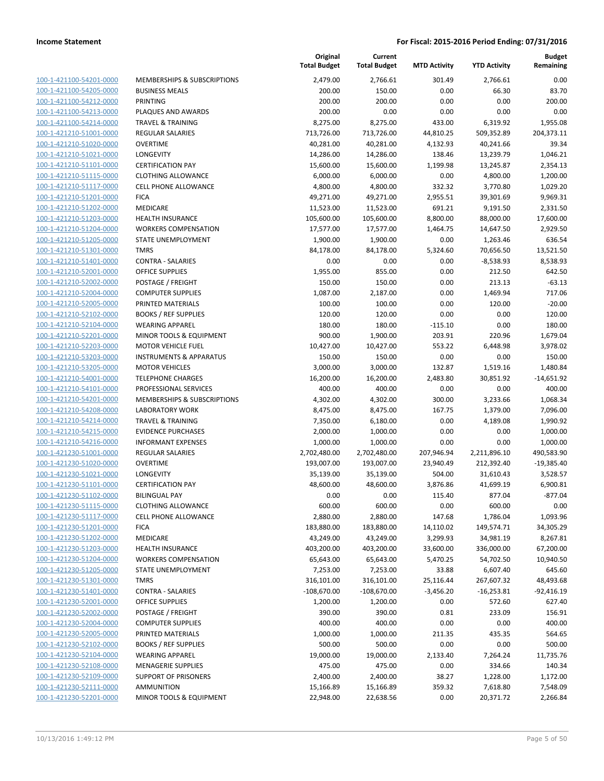| 100-1-421100-54201-0000        |
|--------------------------------|
| 100-1-421100-54205-0000        |
| 100-1-421100-54212-0000        |
| 100-1-421100-54213-0000        |
| 100-1-421100-54214-0000        |
|                                |
| 100-1-421210-51001-0000        |
| 100-1-421210-51020-0000        |
| 100-1-421210-51021-0000        |
| 100-1-421210-51101-0000        |
| 100-1-421210-51115-0000        |
| 100-1-421210-51117-0000        |
| 100-1-421210-51201-0000        |
| 100-1-421210-51202-0000        |
| 100-1-421210-51203-0000        |
|                                |
| 100-1-421210-51204-0000        |
| 100-1-421210-51205-0000        |
| 100-1-421210-51301-0000        |
| 100-1-421210-51401-0000        |
| 100-1-421210-52001-0000        |
| 100-1-421210-52002-0000        |
| 100-1-421210-52004-0000        |
| 100-1-421210-52005-0000        |
| 100-1-421210-52102-0000        |
| 100-1-421210-52104-0000        |
|                                |
| 100-1-421210-52201-0000        |
| 100-1-421210-52203-0000        |
| 100-1-421210-53203-0000        |
| 100-1-421210-53205-0000        |
| 100-1-421210-54001-0000        |
| 100-1-421210-54101-0000        |
| 100-1-421210-54201-0000        |
| 100-1-421210-54208-0000        |
| 100-1-421210-54214-0000        |
| 100-1-421210-54215-0000        |
| 100-1-421210-54216-0000        |
| 100-1-421230-51001-0000        |
|                                |
| 100-1-421230-51020-0000        |
| 100-1-421230-51021-0000        |
| 100-1-421230-51101-0000        |
| 100-1-421230-51102-0000        |
| 100-1-421230-51115-0000        |
| 100-1-421230-51117-0000        |
| <u>100-1-421230-51201-0000</u> |
| <u>100-1-421230-51202-0000</u> |
| 100-1-421230-51203-0000        |
| 100-1-421230-51204-0000        |
|                                |
| <u>100-1-421230-51205-0000</u> |
| <u>100-1-421230-51301-0000</u> |
| 100-1-421230-51401-0000        |
| 100-1-421230-52001-0000        |
| 100-1-421230-52002-0000        |
| <u>100-1-421230-52004-0000</u> |
| <u>100-1-421230-52005-0000</u> |
| <u>100-1-421230-52102-0000</u> |
| 100-1-421230-52104-0000        |
| 100-1-421230-52108-0000        |
|                                |
| <u>100-1-421230-52109-0000</u> |
| <u>100-1-421230-52111-0000</u> |
| 100-1-421230-52201-0000        |

|                                                    |                                                   | Original<br><b>Total Budget</b> | Current<br><b>Total Budget</b> | <b>MTD Activity</b> | <b>YTD Activity</b>   | <b>Budget</b><br>Remaining |
|----------------------------------------------------|---------------------------------------------------|---------------------------------|--------------------------------|---------------------|-----------------------|----------------------------|
| 100-1-421100-54201-0000                            | MEMBERSHIPS & SUBSCRIPTIONS                       | 2,479.00                        | 2,766.61                       | 301.49              | 2,766.61              | 0.00                       |
| 100-1-421100-54205-0000                            | <b>BUSINESS MEALS</b>                             | 200.00                          | 150.00                         | 0.00                | 66.30                 | 83.70                      |
| 100-1-421100-54212-0000                            | <b>PRINTING</b>                                   | 200.00                          | 200.00                         | 0.00                | 0.00                  | 200.00                     |
| 100-1-421100-54213-0000                            | PLAQUES AND AWARDS                                | 200.00                          | 0.00                           | 0.00                | 0.00                  | 0.00                       |
| 100-1-421100-54214-0000                            | <b>TRAVEL &amp; TRAINING</b>                      | 8,275.00                        | 8,275.00                       | 433.00              | 6,319.92              | 1,955.08                   |
| 100-1-421210-51001-0000                            | <b>REGULAR SALARIES</b>                           | 713,726.00                      | 713,726.00                     | 44,810.25           | 509,352.89            | 204,373.11                 |
| 100-1-421210-51020-0000                            | <b>OVERTIME</b>                                   | 40,281.00                       | 40,281.00                      | 4,132.93            | 40,241.66             | 39.34                      |
| 100-1-421210-51021-0000                            | <b>LONGEVITY</b>                                  | 14,286.00                       | 14,286.00                      | 138.46              | 13,239.79             | 1,046.21                   |
| 100-1-421210-51101-0000                            | <b>CERTIFICATION PAY</b>                          | 15,600.00                       | 15,600.00                      | 1,199.98            | 13,245.87             | 2,354.13                   |
| 100-1-421210-51115-0000                            | <b>CLOTHING ALLOWANCE</b>                         | 6,000.00                        | 6,000.00                       | 0.00                | 4,800.00              | 1,200.00                   |
| 100-1-421210-51117-0000                            | <b>CELL PHONE ALLOWANCE</b>                       | 4,800.00                        | 4,800.00                       | 332.32              | 3,770.80              | 1,029.20                   |
| 100-1-421210-51201-0000<br>100-1-421210-51202-0000 | <b>FICA</b><br><b>MEDICARE</b>                    | 49,271.00                       | 49,271.00                      | 2,955.51<br>691.21  | 39,301.69             | 9,969.31                   |
| 100-1-421210-51203-0000                            | HEALTH INSURANCE                                  | 11,523.00<br>105,600.00         | 11,523.00<br>105,600.00        | 8,800.00            | 9,191.50<br>88,000.00 | 2,331.50<br>17,600.00      |
| 100-1-421210-51204-0000                            | <b>WORKERS COMPENSATION</b>                       | 17,577.00                       | 17,577.00                      | 1,464.75            | 14,647.50             | 2,929.50                   |
| 100-1-421210-51205-0000                            | STATE UNEMPLOYMENT                                | 1,900.00                        | 1,900.00                       | 0.00                | 1,263.46              | 636.54                     |
| 100-1-421210-51301-0000                            | <b>TMRS</b>                                       | 84,178.00                       | 84,178.00                      | 5,324.60            | 70,656.50             | 13,521.50                  |
| 100-1-421210-51401-0000                            | <b>CONTRA - SALARIES</b>                          | 0.00                            | 0.00                           | 0.00                | $-8,538.93$           | 8,538.93                   |
| 100-1-421210-52001-0000                            | OFFICE SUPPLIES                                   | 1,955.00                        | 855.00                         | 0.00                | 212.50                | 642.50                     |
| 100-1-421210-52002-0000                            | POSTAGE / FREIGHT                                 | 150.00                          | 150.00                         | 0.00                | 213.13                | $-63.13$                   |
| 100-1-421210-52004-0000                            | <b>COMPUTER SUPPLIES</b>                          | 1,087.00                        | 2,187.00                       | 0.00                | 1,469.94              | 717.06                     |
| 100-1-421210-52005-0000                            | PRINTED MATERIALS                                 | 100.00                          | 100.00                         | 0.00                | 120.00                | $-20.00$                   |
| 100-1-421210-52102-0000                            | <b>BOOKS / REF SUPPLIES</b>                       | 120.00                          | 120.00                         | 0.00                | 0.00                  | 120.00                     |
| 100-1-421210-52104-0000                            | <b>WEARING APPAREL</b>                            | 180.00                          | 180.00                         | $-115.10$           | 0.00                  | 180.00                     |
| 100-1-421210-52201-0000                            | MINOR TOOLS & EQUIPMENT                           | 900.00                          | 1,900.00                       | 203.91              | 220.96                | 1,679.04                   |
| 100-1-421210-52203-0000                            | <b>MOTOR VEHICLE FUEL</b>                         | 10,427.00                       | 10,427.00                      | 553.22              | 6,448.98              | 3,978.02                   |
| 100-1-421210-53203-0000                            | <b>INSTRUMENTS &amp; APPARATUS</b>                | 150.00                          | 150.00                         | 0.00                | 0.00                  | 150.00                     |
| 100-1-421210-53205-0000                            | <b>MOTOR VEHICLES</b>                             | 3,000.00                        | 3,000.00                       | 132.87              | 1,519.16              | 1,480.84                   |
| 100-1-421210-54001-0000                            | <b>TELEPHONE CHARGES</b>                          | 16,200.00                       | 16,200.00                      | 2,483.80            | 30,851.92             | $-14,651.92$               |
| 100-1-421210-54101-0000                            | PROFESSIONAL SERVICES                             | 400.00                          | 400.00                         | 0.00                | 0.00                  | 400.00                     |
| 100-1-421210-54201-0000                            | MEMBERSHIPS & SUBSCRIPTIONS                       | 4,302.00                        | 4,302.00                       | 300.00              | 3,233.66              | 1,068.34                   |
| 100-1-421210-54208-0000                            | <b>LABORATORY WORK</b>                            | 8,475.00                        | 8,475.00                       | 167.75              | 1,379.00              | 7,096.00                   |
| 100-1-421210-54214-0000                            | <b>TRAVEL &amp; TRAINING</b>                      | 7,350.00                        | 6,180.00                       | 0.00                | 4,189.08              | 1,990.92                   |
| 100-1-421210-54215-0000                            | <b>EVIDENCE PURCHASES</b>                         | 2,000.00                        | 1,000.00                       | 0.00                | 0.00                  | 1,000.00                   |
| 100-1-421210-54216-0000                            | <b>INFORMANT EXPENSES</b>                         | 1,000.00                        | 1,000.00                       | 0.00                | 0.00                  | 1,000.00                   |
| 100-1-421230-51001-0000                            | <b>REGULAR SALARIES</b>                           | 2,702,480.00                    | 2,702,480.00                   | 207,946.94          | 2,211,896.10          | 490,583.90                 |
| 100-1-421230-51020-0000                            | <b>OVERTIME</b>                                   | 193,007.00                      | 193,007.00                     | 23,940.49           | 212,392.40            | $-19,385.40$               |
| 100-1-421230-51021-0000                            | <b>LONGEVITY</b>                                  | 35,139.00                       | 35,139.00                      | 504.00              | 31,610.43             | 3,528.57                   |
| 100-1-421230-51101-0000                            | <b>CERTIFICATION PAY</b>                          | 48,600.00                       | 48,600.00                      | 3,876.86<br>115.40  | 41,699.19             | 6,900.81<br>$-877.04$      |
| 100-1-421230-51102-0000<br>100-1-421230-51115-0000 | <b>BILINGUAL PAY</b><br><b>CLOTHING ALLOWANCE</b> | 0.00<br>600.00                  | 0.00<br>600.00                 | 0.00                | 877.04<br>600.00      | 0.00                       |
| 100-1-421230-51117-0000                            | <b>CELL PHONE ALLOWANCE</b>                       | 2,880.00                        | 2,880.00                       | 147.68              | 1,786.04              | 1,093.96                   |
| 100-1-421230-51201-0000                            | <b>FICA</b>                                       | 183,880.00                      | 183,880.00                     | 14,110.02           | 149,574.71            | 34,305.29                  |
| 100-1-421230-51202-0000                            | MEDICARE                                          | 43,249.00                       | 43,249.00                      | 3,299.93            | 34,981.19             | 8,267.81                   |
| 100-1-421230-51203-0000                            | HEALTH INSURANCE                                  | 403,200.00                      | 403,200.00                     | 33,600.00           | 336,000.00            | 67,200.00                  |
| 100-1-421230-51204-0000                            | <b>WORKERS COMPENSATION</b>                       | 65,643.00                       | 65,643.00                      | 5,470.25            | 54,702.50             | 10,940.50                  |
| 100-1-421230-51205-0000                            | STATE UNEMPLOYMENT                                | 7,253.00                        | 7,253.00                       | 33.88               | 6,607.40              | 645.60                     |
| 100-1-421230-51301-0000                            | <b>TMRS</b>                                       | 316,101.00                      | 316,101.00                     | 25,116.44           | 267,607.32            | 48,493.68                  |
| 100-1-421230-51401-0000                            | <b>CONTRA - SALARIES</b>                          | $-108,670.00$                   | $-108,670.00$                  | $-3,456.20$         | $-16,253.81$          | $-92,416.19$               |
| 100-1-421230-52001-0000                            | OFFICE SUPPLIES                                   | 1,200.00                        | 1,200.00                       | 0.00                | 572.60                | 627.40                     |
| 100-1-421230-52002-0000                            | POSTAGE / FREIGHT                                 | 390.00                          | 390.00                         | 0.81                | 233.09                | 156.91                     |
| 100-1-421230-52004-0000                            | <b>COMPUTER SUPPLIES</b>                          | 400.00                          | 400.00                         | 0.00                | 0.00                  | 400.00                     |
| 100-1-421230-52005-0000                            | PRINTED MATERIALS                                 | 1,000.00                        | 1,000.00                       | 211.35              | 435.35                | 564.65                     |
| 100-1-421230-52102-0000                            | <b>BOOKS / REF SUPPLIES</b>                       | 500.00                          | 500.00                         | 0.00                | 0.00                  | 500.00                     |
| 100-1-421230-52104-0000                            | <b>WEARING APPAREL</b>                            | 19,000.00                       | 19,000.00                      | 2,133.40            | 7,264.24              | 11,735.76                  |
| 100-1-421230-52108-0000                            | <b>MENAGERIE SUPPLIES</b>                         | 475.00                          | 475.00                         | 0.00                | 334.66                | 140.34                     |
| 100-1-421230-52109-0000                            | <b>SUPPORT OF PRISONERS</b>                       | 2,400.00                        | 2,400.00                       | 38.27               | 1,228.00              | 1,172.00                   |
| 100-1-421230-52111-0000                            | <b>AMMUNITION</b>                                 | 15,166.89                       | 15,166.89                      | 359.32              | 7,618.80              | 7,548.09                   |
| 100-1-421230-52201-0000                            | MINOR TOOLS & EQUIPMENT                           | 22,948.00                       | 22,638.56                      | 0.00                | 20,371.72             | 2,266.84                   |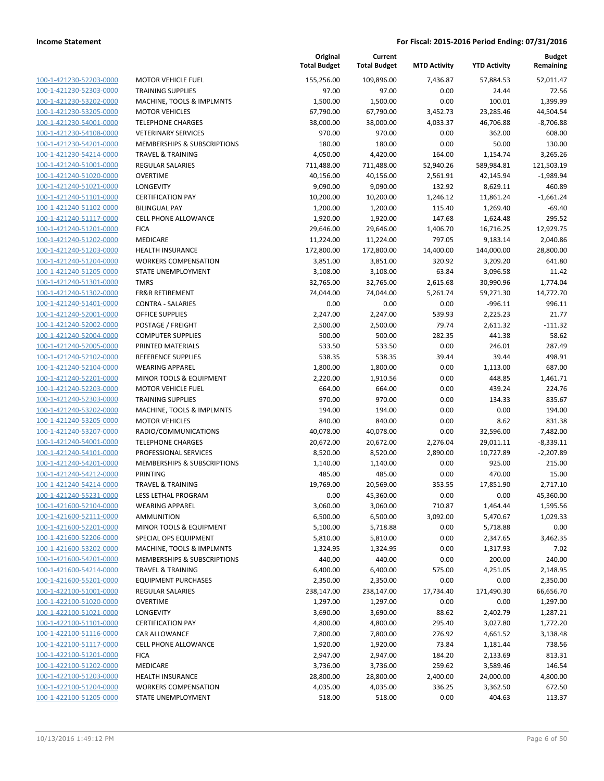|                                                    |                                                  | Original<br><b>Total Budget</b> | Current<br><b>Total Budget</b> | <b>MTD Activity</b> | <b>YTD Activity</b>    | <b>Budget</b><br>Remaining |
|----------------------------------------------------|--------------------------------------------------|---------------------------------|--------------------------------|---------------------|------------------------|----------------------------|
| 100-1-421230-52203-0000                            | <b>MOTOR VEHICLE FUEL</b>                        | 155,256.00                      | 109,896.00                     | 7,436.87            | 57,884.53              | 52.011.47                  |
| 100-1-421230-52303-0000                            | <b>TRAINING SUPPLIES</b>                         | 97.00                           | 97.00                          | 0.00                | 24.44                  | 72.56                      |
| 100-1-421230-53202-0000                            | MACHINE, TOOLS & IMPLMNTS                        | 1,500.00                        | 1,500.00                       | 0.00                | 100.01                 | 1,399.99                   |
| 100-1-421230-53205-0000                            | <b>MOTOR VEHICLES</b>                            | 67,790.00                       | 67,790.00                      | 3,452.73            | 23,285.46              | 44,504.54                  |
| 100-1-421230-54001-0000                            | <b>TELEPHONE CHARGES</b>                         | 38,000.00                       | 38,000.00                      | 4,033.37            | 46,706.88              | $-8,706.88$                |
| 100-1-421230-54108-0000                            | <b>VETERINARY SERVICES</b>                       | 970.00                          | 970.00                         | 0.00                | 362.00                 | 608.00                     |
| 100-1-421230-54201-0000                            | MEMBERSHIPS & SUBSCRIPTIONS                      | 180.00                          | 180.00                         | 0.00                | 50.00                  | 130.00                     |
| 100-1-421230-54214-0000                            | <b>TRAVEL &amp; TRAINING</b>                     | 4,050.00                        | 4,420.00                       | 164.00              | 1,154.74               | 3,265.26                   |
| 100-1-421240-51001-0000                            | <b>REGULAR SALARIES</b>                          | 711,488.00                      | 711,488.00                     | 52,940.26           | 589,984.81             | 121,503.19                 |
| 100-1-421240-51020-0000                            | <b>OVERTIME</b>                                  | 40,156.00                       | 40,156.00                      | 2,561.91            | 42,145.94              | $-1,989.94$                |
| 100-1-421240-51021-0000                            | <b>LONGEVITY</b>                                 | 9,090.00                        | 9,090.00                       | 132.92              | 8,629.11               | 460.89                     |
| 100-1-421240-51101-0000                            | <b>CERTIFICATION PAY</b>                         | 10,200.00                       | 10,200.00                      | 1,246.12            | 11,861.24              | $-1,661.24$                |
| 100-1-421240-51102-0000                            | <b>BILINGUAL PAY</b>                             | 1,200.00                        | 1,200.00                       | 115.40              | 1,269.40               | $-69.40$                   |
| 100-1-421240-51117-0000                            | <b>CELL PHONE ALLOWANCE</b>                      | 1,920.00                        | 1,920.00                       | 147.68              | 1,624.48               | 295.52                     |
| 100-1-421240-51201-0000                            | <b>FICA</b>                                      | 29,646.00                       | 29,646.00                      | 1,406.70            | 16,716.25              | 12,929.75                  |
| 100-1-421240-51202-0000                            | MEDICARE                                         | 11,224.00                       | 11,224.00                      | 797.05              | 9,183.14               | 2,040.86                   |
| 100-1-421240-51203-0000                            | <b>HEALTH INSURANCE</b>                          | 172,800.00                      | 172,800.00                     | 14,400.00           | 144,000.00             | 28,800.00                  |
| 100-1-421240-51204-0000                            | <b>WORKERS COMPENSATION</b>                      | 3,851.00                        | 3,851.00                       | 320.92              | 3,209.20               | 641.80                     |
| 100-1-421240-51205-0000                            | <b>STATE UNEMPLOYMENT</b>                        | 3,108.00                        | 3,108.00                       | 63.84               | 3,096.58               | 11.42                      |
| 100-1-421240-51301-0000                            | <b>TMRS</b>                                      | 32,765.00                       | 32,765.00                      | 2,615.68            | 30,990.96              | 1,774.04                   |
| 100-1-421240-51302-0000                            | <b>FR&amp;R RETIREMENT</b>                       | 74,044.00                       | 74,044.00                      | 5,261.74            | 59,271.30              | 14,772.70                  |
| 100-1-421240-51401-0000                            | <b>CONTRA - SALARIES</b>                         | 0.00                            | 0.00                           | 0.00                | $-996.11$              | 996.11                     |
| 100-1-421240-52001-0000                            | <b>OFFICE SUPPLIES</b>                           | 2,247.00                        | 2,247.00                       | 539.93              | 2,225.23               | 21.77                      |
| 100-1-421240-52002-0000                            | POSTAGE / FREIGHT                                | 2,500.00                        | 2,500.00                       | 79.74               | 2,611.32               | $-111.32$                  |
| 100-1-421240-52004-0000                            | <b>COMPUTER SUPPLIES</b>                         | 500.00                          | 500.00                         | 282.35              | 441.38                 | 58.62                      |
| 100-1-421240-52005-0000                            | PRINTED MATERIALS                                | 533.50                          | 533.50                         | 0.00                | 246.01                 | 287.49                     |
| 100-1-421240-52102-0000                            | <b>REFERENCE SUPPLIES</b>                        | 538.35                          | 538.35                         | 39.44               | 39.44                  | 498.91                     |
| 100-1-421240-52104-0000                            | <b>WEARING APPAREL</b>                           | 1,800.00                        | 1,800.00                       | 0.00                | 1,113.00               | 687.00                     |
| 100-1-421240-52201-0000                            | MINOR TOOLS & EQUIPMENT                          | 2,220.00                        | 1,910.56                       | 0.00                | 448.85                 | 1,461.71                   |
| 100-1-421240-52203-0000                            | <b>MOTOR VEHICLE FUEL</b>                        | 664.00                          | 664.00                         | 0.00                | 439.24                 | 224.76                     |
| 100-1-421240-52303-0000                            | <b>TRAINING SUPPLIES</b>                         | 970.00                          | 970.00                         | 0.00                | 134.33                 | 835.67                     |
| 100-1-421240-53202-0000                            | MACHINE, TOOLS & IMPLMNTS                        | 194.00                          | 194.00                         | 0.00                | 0.00                   | 194.00                     |
| 100-1-421240-53205-0000<br>100-1-421240-53207-0000 | <b>MOTOR VEHICLES</b>                            | 840.00                          | 840.00                         | 0.00                | 8.62                   | 831.38                     |
| 100-1-421240-54001-0000                            | RADIO/COMMUNICATIONS<br><b>TELEPHONE CHARGES</b> | 40,078.00                       | 40,078.00<br>20,672.00         | 0.00<br>2,276.04    | 32,596.00              | 7,482.00                   |
| 100-1-421240-54101-0000                            | PROFESSIONAL SERVICES                            | 20,672.00<br>8,520.00           |                                | 2,890.00            | 29,011.11<br>10,727.89 | $-8,339.11$<br>$-2,207.89$ |
| 100-1-421240-54201-0000                            | MEMBERSHIPS & SUBSCRIPTIONS                      | 1,140.00                        | 8,520.00<br>1,140.00           | 0.00                | 925.00                 | 215.00                     |
| 100-1-421240-54212-0000                            | <b>PRINTING</b>                                  | 485.00                          | 485.00                         | 0.00                | 470.00                 | 15.00                      |
| 100-1-421240-54214-0000                            | <b>TRAVEL &amp; TRAINING</b>                     | 19,769.00                       | 20,569.00                      | 353.55              | 17,851.90              | 2,717.10                   |
| 100-1-421240-55231-0000                            | LESS LETHAL PROGRAM                              | 0.00                            | 45,360.00                      | 0.00                | 0.00                   | 45,360.00                  |
| 100-1-421600-52104-0000                            | <b>WEARING APPAREL</b>                           | 3,060.00                        | 3,060.00                       | 710.87              | 1,464.44               | 1,595.56                   |
| 100-1-421600-52111-0000                            | <b>AMMUNITION</b>                                | 6,500.00                        | 6,500.00                       | 3,092.00            | 5,470.67               | 1,029.33                   |
| 100-1-421600-52201-0000                            | MINOR TOOLS & EQUIPMENT                          | 5,100.00                        | 5,718.88                       | 0.00                | 5,718.88               | 0.00                       |
| 100-1-421600-52206-0000                            | SPECIAL OPS EQUIPMENT                            | 5,810.00                        | 5,810.00                       | 0.00                | 2,347.65               | 3,462.35                   |
| 100-1-421600-53202-0000                            | MACHINE, TOOLS & IMPLMNTS                        | 1,324.95                        | 1,324.95                       | 0.00                | 1,317.93               | 7.02                       |
| 100-1-421600-54201-0000                            | MEMBERSHIPS & SUBSCRIPTIONS                      | 440.00                          | 440.00                         | 0.00                | 200.00                 | 240.00                     |
| 100-1-421600-54214-0000                            | <b>TRAVEL &amp; TRAINING</b>                     | 6,400.00                        | 6,400.00                       | 575.00              | 4,251.05               | 2,148.95                   |
| 100-1-421600-55201-0000                            | <b>EQUIPMENT PURCHASES</b>                       | 2,350.00                        | 2,350.00                       | 0.00                | 0.00                   | 2,350.00                   |
| 100-1-422100-51001-0000                            | <b>REGULAR SALARIES</b>                          | 238,147.00                      | 238,147.00                     | 17,734.40           | 171,490.30             | 66,656.70                  |
| 100-1-422100-51020-0000                            | <b>OVERTIME</b>                                  | 1,297.00                        | 1,297.00                       | 0.00                | 0.00                   | 1,297.00                   |
| 100-1-422100-51021-0000                            | LONGEVITY                                        | 3,690.00                        | 3,690.00                       | 88.62               | 2,402.79               | 1,287.21                   |
| 100-1-422100-51101-0000                            | <b>CERTIFICATION PAY</b>                         | 4,800.00                        | 4,800.00                       | 295.40              | 3,027.80               | 1,772.20                   |
| 100-1-422100-51116-0000                            | CAR ALLOWANCE                                    | 7,800.00                        | 7,800.00                       | 276.92              | 4,661.52               | 3,138.48                   |
| 100-1-422100-51117-0000                            | <b>CELL PHONE ALLOWANCE</b>                      | 1,920.00                        | 1,920.00                       | 73.84               | 1,181.44               | 738.56                     |
| 100-1-422100-51201-0000                            | <b>FICA</b>                                      | 2,947.00                        | 2,947.00                       | 184.20              | 2,133.69               | 813.31                     |
| 100-1-422100-51202-0000                            | MEDICARE                                         | 3,736.00                        | 3,736.00                       | 259.62              | 3,589.46               | 146.54                     |
| 100-1-422100-51203-0000                            | <b>HEALTH INSURANCE</b>                          | 28,800.00                       | 28,800.00                      | 2,400.00            | 24,000.00              | 4,800.00                   |
| 100-1-422100-51204-0000                            | <b>WORKERS COMPENSATION</b>                      | 4,035.00                        | 4,035.00                       | 336.25              | 3,362.50               | 672.50                     |
| 100-1-422100-51205-0000                            | STATE UNEMPLOYMENT                               | 518.00                          | 518.00                         | 0.00                | 404.63                 | 113.37                     |
|                                                    |                                                  |                                 |                                |                     |                        |                            |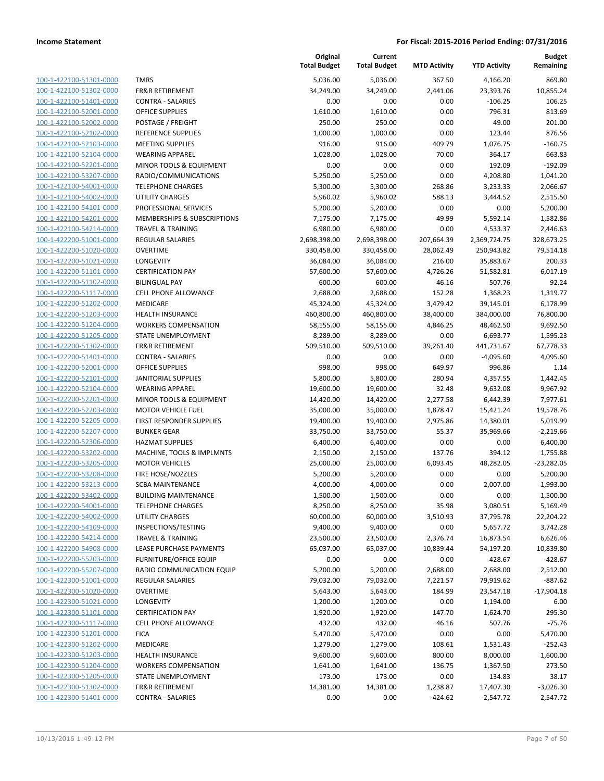| 100-1-422100-51301-0000        |
|--------------------------------|
| 100-1-422100-51302-0000        |
| 100-1-422100-51401-0000        |
| 100-1-422100-52001-0000        |
| 100-1-422100-52002-0000        |
| 100-1-422100-52102-0000        |
| 100-1-422100-52103-0000        |
| 100-1-422100-52104-0000        |
| 100-1-422100-52201-0000        |
| 100-1-422100-53207-0000        |
| 100-1-422100-54001-0000        |
| 100-1-422100-54002-0000        |
| 100-1-422100-54101-0000        |
| 100-1-422100-54201-0000        |
| 100-1-422100-54214-0000        |
| 100-1-422200-51001-0000        |
|                                |
| 100-1-422200-51020-0000        |
| 100-1-422200-51021-0000        |
| 100-1-422200-51101-0000        |
| 100-1-422200-51102-0000        |
| 100-1-422200-51117-0000        |
| 100-1-422200-51202-0000        |
| 100-1-422200-51203-0000        |
| 100-1-422200-51204-0000        |
| 100-1-422200-51205-0000        |
| 100-1-422200-51302-0000        |
| 100-1-422200-51401-0000        |
| 100-1-422200-52001-0000        |
| 100-1-422200-52101-0000        |
| 100-1-422200-52104-0000        |
| 100-1-422200-52201-0000        |
| 100-1-422200-52203-0000        |
|                                |
| 100-1-422200-52205-0000        |
| 100-1-422200-52207-0000        |
| 100-1-422200-52306-0000        |
| 100-1-422200-53202-0000        |
| 100-1-422200-53205-0000        |
| 100-1-422200-53208-0000        |
| 100-1-422200-53213-0000        |
| 100-1-422200-53402-0000        |
| 100-1-422200-54001-0000        |
| <u>100-1-422200-54002-0000</u> |
| 100-1-422200-54109-0000        |
| <u>100-1-422200-54214-0000</u> |
| <u>100-1-422200-54908-0000</u> |
| 100-1-422200-55203-0000        |
| <u>100-1-422200-55207-0000</u> |
|                                |
| <u>100-1-422300-51001-0000</u> |
| <u>100-1-422300-51020-0000</u> |
| 100-1-422300-51021-0000        |
| 100-1-422300-51101-0000        |
| 100-1-422300-51117-0000        |
| 100-1-422300-51201-0000        |
| <u>100-1-422300-51202-0000</u> |
| <u>100-1-422300-51203-0000</u> |
| 100-1-422300-51204-0000        |
| <u>100-1-422300-51205-0000</u> |
| <u>100-1-422300-51302-0000</u> |
| <u>100-1-422300-51401-0000</u> |
|                                |

| MRS <sup>.</sup>                       |  |
|----------------------------------------|--|
| <b>R&amp;R RETIREMENT</b>              |  |
| CONTRA - SALARIES                      |  |
| <b>DEFICE SUPPLIES</b>                 |  |
| OSTAGE / FREIGHT                       |  |
| REFERENCE SUPPLIES                     |  |
| <b>MEETING SUPPLIES</b>                |  |
| <b><i>NEARING APPAREL</i></b>          |  |
| MINOR TOOLS & EQUIPMENT                |  |
| RADIO/COMMUNICATIONS                   |  |
| <b>ELEPHONE CHARGES</b>                |  |
| <b>JTILITY CHARGES</b>                 |  |
| PROFESSIONAL SERVICES                  |  |
| <b>MEMBERSHIPS &amp; SUBSCRIPTIONS</b> |  |
| <b>RAVEL &amp; TRAINING</b>            |  |
| ĩ<br>REGULAR SALARIES                  |  |
| <b>DVERTIME</b>                        |  |
| ONGEVITY.                              |  |
| <b>CERTIFICATION PAY</b>               |  |
| <b>BILINGUAL PAY</b>                   |  |
| CELL PHONE ALLOWANCE                   |  |
| MEDICARE                               |  |
| IEALTH INSURANCE                       |  |
| <b>NORKERS COMPENSATION</b>            |  |
| STATE UNEMPLOYMENT                     |  |
| <b>R&amp;R RETIREMENT</b>              |  |
| CONTRA - SALARIES                      |  |
| DFFICE SUPPLIES                        |  |
| <b>ANITORIAL SUPPLIES</b>              |  |
| VEARING APPAREL                        |  |
| MINOR TOOLS & EQUIPMENT                |  |
| MOTOR VEHICLE FUEL                     |  |
| <b>IRST RESPONDER SUPPLIES</b>         |  |
| <b>BUNKER GEAR</b>                     |  |
| <b>HAZMAT SUPPLIES</b>                 |  |
| MACHINE, TOOLS & IMPLMNTS              |  |
| <b>MOTOR VEHICLES</b>                  |  |
| <b>IRE HOSE/NOZZLES</b>                |  |
| <b>GBA MAINTENANCE</b>                 |  |
| <b>BUILDING MAINTENANCE</b>            |  |
| <b>ELEPHONE CHARGES</b>                |  |
| <b>JTILITY CHARGES</b>                 |  |
| NSPECTIONS/TESTING                     |  |
| <b>RAVEL &amp; TRAINING</b>            |  |
| <b>EASE PURCHASE PAYMENTS</b>          |  |
| URNITURE/OFFICE EQUIP                  |  |
| RADIO COMMUNICATION EQUIP              |  |
| REGULAR SALARIES                       |  |
| <b>OVERTIME</b>                        |  |
| <b>ONGEVITY</b>                        |  |
| <b>CERTIFICATION PAY</b>               |  |
| CELL PHONE ALLOWANCE                   |  |
| <b>ICA</b>                             |  |
| <b>MEDICARE</b>                        |  |
| <b>IEALTH INSURANCE</b>                |  |
| <b>NORKERS COMPENSATION</b>            |  |
| TATE UNEMPLOYMENT                      |  |
| R&R RETIREMENT                         |  |
| CONTRA - SALARIES                      |  |
|                                        |  |

|                         |                               | Original<br><b>Total Budget</b> | Current<br><b>Total Budget</b> | <b>MTD Activity</b> | <b>YTD Activity</b> | <b>Budget</b><br>Remaining |
|-------------------------|-------------------------------|---------------------------------|--------------------------------|---------------------|---------------------|----------------------------|
| 100-1-422100-51301-0000 | <b>TMRS</b>                   | 5,036.00                        | 5,036.00                       | 367.50              | 4,166.20            | 869.80                     |
| 100-1-422100-51302-0000 | <b>FR&amp;R RETIREMENT</b>    | 34,249.00                       | 34,249.00                      | 2,441.06            | 23,393.76           | 10,855.24                  |
| 100-1-422100-51401-0000 | <b>CONTRA - SALARIES</b>      | 0.00                            | 0.00                           | 0.00                | $-106.25$           | 106.25                     |
| 100-1-422100-52001-0000 | <b>OFFICE SUPPLIES</b>        | 1,610.00                        | 1,610.00                       | 0.00                | 796.31              | 813.69                     |
| 100-1-422100-52002-0000 | POSTAGE / FREIGHT             | 250.00                          | 250.00                         | 0.00                | 49.00               | 201.00                     |
| 100-1-422100-52102-0000 | REFERENCE SUPPLIES            | 1,000.00                        | 1,000.00                       | 0.00                | 123.44              | 876.56                     |
| 100-1-422100-52103-0000 | <b>MEETING SUPPLIES</b>       | 916.00                          | 916.00                         | 409.79              | 1,076.75            | $-160.75$                  |
| 100-1-422100-52104-0000 | <b>WEARING APPAREL</b>        | 1,028.00                        | 1,028.00                       | 70.00               | 364.17              | 663.83                     |
| 100-1-422100-52201-0000 | MINOR TOOLS & EQUIPMENT       | 0.00                            | 0.00                           | 0.00                | 192.09              | $-192.09$                  |
| 100-1-422100-53207-0000 | RADIO/COMMUNICATIONS          | 5,250.00                        | 5,250.00                       | 0.00                | 4,208.80            | 1,041.20                   |
| 100-1-422100-54001-0000 | <b>TELEPHONE CHARGES</b>      | 5,300.00                        | 5,300.00                       | 268.86              | 3,233.33            | 2,066.67                   |
| 100-1-422100-54002-0000 | <b>UTILITY CHARGES</b>        | 5,960.02                        | 5,960.02                       | 588.13              | 3,444.52            | 2,515.50                   |
| 100-1-422100-54101-0000 | PROFESSIONAL SERVICES         | 5,200.00                        | 5,200.00                       | 0.00                | 0.00                | 5,200.00                   |
| 100-1-422100-54201-0000 | MEMBERSHIPS & SUBSCRIPTIONS   | 7,175.00                        | 7,175.00                       | 49.99               | 5,592.14            | 1,582.86                   |
| 100-1-422100-54214-0000 | <b>TRAVEL &amp; TRAINING</b>  | 6,980.00                        | 6,980.00                       | 0.00                | 4,533.37            | 2,446.63                   |
| 100-1-422200-51001-0000 | <b>REGULAR SALARIES</b>       | 2,698,398.00                    | 2,698,398.00                   | 207,664.39          | 2,369,724.75        | 328,673.25                 |
| 100-1-422200-51020-0000 | <b>OVERTIME</b>               | 330,458.00                      | 330,458.00                     | 28,062.49           | 250,943.82          | 79,514.18                  |
| 100-1-422200-51021-0000 | LONGEVITY                     | 36,084.00                       | 36,084.00                      | 216.00              | 35,883.67           | 200.33                     |
| 100-1-422200-51101-0000 | <b>CERTIFICATION PAY</b>      | 57,600.00                       | 57,600.00                      | 4,726.26            | 51,582.81           | 6,017.19                   |
| 100-1-422200-51102-0000 | <b>BILINGUAL PAY</b>          | 600.00                          | 600.00                         | 46.16               | 507.76              | 92.24                      |
| 100-1-422200-51117-0000 | CELL PHONE ALLOWANCE          | 2,688.00                        | 2,688.00                       | 152.28              | 1,368.23            | 1,319.77                   |
| 100-1-422200-51202-0000 | MEDICARE                      | 45,324.00                       | 45,324.00                      | 3,479.42            | 39,145.01           | 6,178.99                   |
| 100-1-422200-51203-0000 | <b>HEALTH INSURANCE</b>       | 460,800.00                      | 460,800.00                     | 38,400.00           | 384,000.00          | 76,800.00                  |
| 100-1-422200-51204-0000 | <b>WORKERS COMPENSATION</b>   | 58,155.00                       | 58,155.00                      | 4,846.25            | 48,462.50           | 9,692.50                   |
| 100-1-422200-51205-0000 | STATE UNEMPLOYMENT            | 8,289.00                        | 8,289.00                       | 0.00                | 6,693.77            | 1,595.23                   |
| 100-1-422200-51302-0000 | <b>FR&amp;R RETIREMENT</b>    | 509,510.00                      | 509,510.00                     | 39,261.40           | 441,731.67          | 67,778.33                  |
| 100-1-422200-51401-0000 | <b>CONTRA - SALARIES</b>      | 0.00                            | 0.00                           | 0.00                | $-4,095.60$         | 4,095.60                   |
| 100-1-422200-52001-0000 | <b>OFFICE SUPPLIES</b>        | 998.00                          | 998.00                         | 649.97              | 996.86              | 1.14                       |
| 100-1-422200-52101-0000 | <b>JANITORIAL SUPPLIES</b>    | 5,800.00                        | 5,800.00                       | 280.94              | 4,357.55            | 1,442.45                   |
| 100-1-422200-52104-0000 | <b>WEARING APPAREL</b>        | 19,600.00                       | 19,600.00                      | 32.48               | 9,632.08            | 9,967.92                   |
| 100-1-422200-52201-0000 | MINOR TOOLS & EQUIPMENT       | 14,420.00                       | 14,420.00                      | 2,277.58            | 6,442.39            | 7,977.61                   |
| 100-1-422200-52203-0000 | <b>MOTOR VEHICLE FUEL</b>     | 35,000.00                       | 35,000.00                      | 1,878.47            | 15,421.24           | 19,578.76                  |
| 100-1-422200-52205-0000 | FIRST RESPONDER SUPPLIES      | 19,400.00                       | 19,400.00                      | 2,975.86            | 14,380.01           | 5,019.99                   |
| 100-1-422200-52207-0000 | <b>BUNKER GEAR</b>            | 33,750.00                       | 33,750.00                      | 55.37               | 35,969.66           | $-2,219.66$                |
| 100-1-422200-52306-0000 | <b>HAZMAT SUPPLIES</b>        | 6,400.00                        | 6,400.00                       | 0.00                | 0.00                | 6,400.00                   |
| 100-1-422200-53202-0000 | MACHINE, TOOLS & IMPLMNTS     | 2,150.00                        | 2,150.00                       | 137.76              | 394.12              | 1,755.88                   |
| 100-1-422200-53205-0000 | <b>MOTOR VEHICLES</b>         | 25,000.00                       | 25,000.00                      | 6,093.45            | 48,282.05           | $-23,282.05$               |
| 100-1-422200-53208-0000 | FIRE HOSE/NOZZLES             | 5,200.00                        | 5,200.00                       | 0.00                | 0.00                | 5,200.00                   |
| 100-1-422200-53213-0000 | <b>SCBA MAINTENANCE</b>       | 4,000.00                        | 4,000.00                       | 0.00                | 2,007.00            | 1,993.00                   |
| 100-1-422200-53402-0000 | <b>BUILDING MAINTENANCE</b>   | 1,500.00                        | 1,500.00                       | 0.00                | 0.00                | 1,500.00                   |
| 100-1-422200-54001-0000 | <b>TELEPHONE CHARGES</b>      | 8,250.00                        | 8,250.00                       | 35.98               | 3,080.51            | 5,169.49                   |
| 100-1-422200-54002-0000 | <b>UTILITY CHARGES</b>        | 60,000.00                       | 60,000.00                      | 3,510.93            | 37,795.78           | 22,204.22                  |
| 100-1-422200-54109-0000 | INSPECTIONS/TESTING           | 9,400.00                        | 9,400.00                       | 0.00                | 5,657.72            | 3,742.28                   |
| 100-1-422200-54214-0000 | <b>TRAVEL &amp; TRAINING</b>  | 23,500.00                       | 23,500.00                      | 2,376.74            | 16,873.54           | 6,626.46                   |
| 100-1-422200-54908-0000 | LEASE PURCHASE PAYMENTS       | 65,037.00                       | 65,037.00                      | 10,839.44           | 54,197.20           | 10,839.80                  |
| 100-1-422200-55203-0000 | <b>FURNITURE/OFFICE EQUIP</b> | 0.00                            | 0.00                           | 0.00                | 428.67              | $-428.67$                  |
| 100-1-422200-55207-0000 | RADIO COMMUNICATION EQUIP     | 5,200.00                        | 5,200.00                       | 2,688.00            | 2,688.00            | 2,512.00                   |
| 100-1-422300-51001-0000 | <b>REGULAR SALARIES</b>       | 79,032.00                       | 79,032.00                      | 7,221.57            | 79,919.62           | $-887.62$                  |
| 100-1-422300-51020-0000 | <b>OVERTIME</b>               | 5,643.00                        | 5,643.00                       | 184.99              | 23,547.18           | $-17,904.18$               |
| 100-1-422300-51021-0000 | LONGEVITY                     | 1,200.00                        | 1,200.00                       | 0.00                | 1,194.00            | 6.00                       |
| 100-1-422300-51101-0000 | <b>CERTIFICATION PAY</b>      | 1,920.00                        | 1,920.00                       | 147.70              | 1,624.70            | 295.30                     |
| 100-1-422300-51117-0000 | <b>CELL PHONE ALLOWANCE</b>   | 432.00                          | 432.00                         | 46.16               | 507.76              | $-75.76$                   |
| 100-1-422300-51201-0000 | <b>FICA</b>                   | 5,470.00                        | 5,470.00                       | 0.00                | 0.00                | 5,470.00                   |
| 100-1-422300-51202-0000 | MEDICARE                      | 1,279.00                        | 1,279.00                       | 108.61              | 1,531.43            | $-252.43$                  |
| 100-1-422300-51203-0000 | <b>HEALTH INSURANCE</b>       | 9,600.00                        | 9,600.00                       | 800.00              | 8,000.00            | 1,600.00                   |
| 100-1-422300-51204-0000 | <b>WORKERS COMPENSATION</b>   | 1,641.00                        | 1,641.00                       | 136.75              | 1,367.50            | 273.50                     |
| 100-1-422300-51205-0000 | STATE UNEMPLOYMENT            | 173.00                          | 173.00                         | 0.00                | 134.83              | 38.17                      |
| 100-1-422300-51302-0000 | <b>FR&amp;R RETIREMENT</b>    | 14,381.00                       | 14,381.00                      | 1,238.87            | 17,407.30           | $-3,026.30$                |
| 100-1-422300-51401-0000 | <b>CONTRA - SALARIES</b>      | 0.00                            | 0.00                           | $-424.62$           | $-2,547.72$         | 2,547.72                   |
|                         |                               |                                 |                                |                     |                     |                            |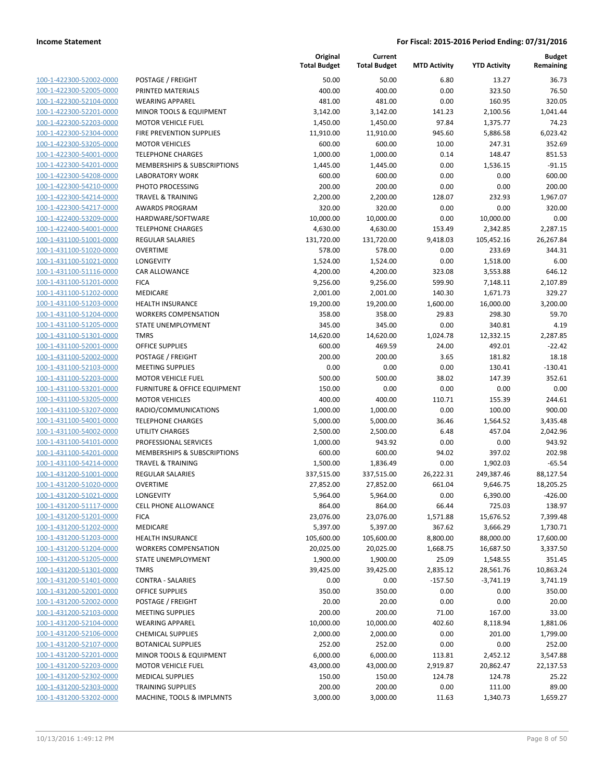| 100-1-422300-52002-0000         |
|---------------------------------|
| 100-1-422300-52005-0000         |
| 100-1-422300-52104-0000         |
| 100-1-422300-52201-0000         |
| 100-1-422300-52203-0000         |
| 100-1-422300-52304-0000         |
| 100-1-422300-53205-0000         |
| 100-1-422300-54001-0000         |
| 100-1-422300-54201-0000         |
| 100-1-422300-54208-0000         |
| 100-1-422300-54210-0000         |
| 100-1-422300-54214-0000         |
| 100-1-422300-54217-0000         |
| 100-1-422400-53209-0000         |
| 100-1-422400-54001-0000         |
| 100-1-431100-51001-0000         |
| 100-1-431100-51020-0000         |
| 100-1-431100-51021-0000         |
| 100-1-431100-51116-0000         |
| -431100-51201-0000<br>$100 - 1$ |
| 100-1-431100-51202-0000         |
| 100-1-431100-51203-0000         |
| 100-1-431100-51204-0000         |
| 100-1-431100-51205-0000         |
| 100-1-431100-51301-0000         |
| 100-1-431100-52001-0000         |
| 100-1-431100-52002-0000         |
|                                 |
| 100-1-431100-52103-0000         |
| 100-1-431100-52203-0000         |
| -431100-53201-0000<br>$100 - 1$ |
| 100-1-431100-53205-0000         |
| 100-1-431100-53207-0000         |
| 100-1-431100-54001-0000         |
| 100-1-431100-54002-0000         |
| 100-1-431100-54101-0000         |
| 100-1-431100-54201-0000         |
| 100-1-431100-54214-0000         |
| 100-1-431200-51001-0000         |
| 100-1-431200-51020-0000         |
| 100-1-431200-51021-0000         |
| 100-1-431200-51117-0000         |
| 100-1-431200-51201-0000         |
| <u>100-1-431200-51202-0000</u>  |
| <u>100-1-431200-51203-0000</u>  |
| 100-1-431200-51204-0000         |
| 100-1-431200-51205-0000         |
| 100-1-431200-51301-0000         |
| <u>100-1-431200-51401-0000</u>  |
| 100-1-431200-52001-0000         |
| 100-1-431200-52002-0000         |
| 100-1-431200-52103-0000         |
| 100-1-431200-52104-0000         |
|                                 |
| <u>100-1-431200-52106-0000</u>  |
| <u>100-1-431200-52107-0000</u>  |
| 100-1-431200-52201-0000         |
| 100-1-431200-52203-0000         |
| 100-1-431200-52302-0000         |
| <u>100-1-431200-52303-0000</u>  |
| <u>100-1-431200-53202-0000</u>  |

|                         |                                    | Original<br><b>Total Budget</b> | Current<br><b>Total Budget</b> | <b>MTD Activity</b> | <b>YTD Activity</b> | <b>Budget</b><br>Remaining |
|-------------------------|------------------------------------|---------------------------------|--------------------------------|---------------------|---------------------|----------------------------|
| 100-1-422300-52002-0000 | POSTAGE / FREIGHT                  | 50.00                           | 50.00                          | 6.80                | 13.27               | 36.73                      |
| 100-1-422300-52005-0000 | PRINTED MATERIALS                  | 400.00                          | 400.00                         | 0.00                | 323.50              | 76.50                      |
| 100-1-422300-52104-0000 | <b>WEARING APPAREL</b>             | 481.00                          | 481.00                         | 0.00                | 160.95              | 320.05                     |
| 100-1-422300-52201-0000 | <b>MINOR TOOLS &amp; EQUIPMENT</b> | 3,142.00                        | 3,142.00                       | 141.23              | 2,100.56            | 1,041.44                   |
| 100-1-422300-52203-0000 | <b>MOTOR VEHICLE FUEL</b>          | 1,450.00                        | 1,450.00                       | 97.84               | 1,375.77            | 74.23                      |
| 100-1-422300-52304-0000 | FIRE PREVENTION SUPPLIES           | 11,910.00                       | 11,910.00                      | 945.60              | 5,886.58            | 6,023.42                   |
| 100-1-422300-53205-0000 | <b>MOTOR VEHICLES</b>              | 600.00                          | 600.00                         | 10.00               | 247.31              | 352.69                     |
| 100-1-422300-54001-0000 | <b>TELEPHONE CHARGES</b>           | 1,000.00                        | 1,000.00                       | 0.14                | 148.47              | 851.53                     |
| 100-1-422300-54201-0000 | MEMBERSHIPS & SUBSCRIPTIONS        | 1,445.00                        | 1,445.00                       | 0.00                | 1,536.15            | $-91.15$                   |
| 100-1-422300-54208-0000 | <b>LABORATORY WORK</b>             | 600.00                          | 600.00                         | 0.00                | 0.00                | 600.00                     |
| 100-1-422300-54210-0000 | PHOTO PROCESSING                   | 200.00                          | 200.00                         | 0.00                | 0.00                | 200.00                     |
| 100-1-422300-54214-0000 | <b>TRAVEL &amp; TRAINING</b>       | 2,200.00                        | 2,200.00                       | 128.07              | 232.93              | 1,967.07                   |
| 100-1-422300-54217-0000 | <b>AWARDS PROGRAM</b>              | 320.00                          | 320.00                         | 0.00                | 0.00                | 320.00                     |
| 100-1-422400-53209-0000 | HARDWARE/SOFTWARE                  | 10,000.00                       | 10,000.00                      | 0.00                | 10,000.00           | 0.00                       |
| 100-1-422400-54001-0000 | <b>TELEPHONE CHARGES</b>           | 4,630.00                        | 4,630.00                       | 153.49              | 2,342.85            | 2,287.15                   |
| 100-1-431100-51001-0000 | <b>REGULAR SALARIES</b>            | 131,720.00                      | 131,720.00                     | 9,418.03            | 105,452.16          | 26,267.84                  |
| 100-1-431100-51020-0000 | <b>OVERTIME</b>                    | 578.00                          | 578.00                         | 0.00                | 233.69              | 344.31                     |
| 100-1-431100-51021-0000 | <b>LONGEVITY</b>                   | 1,524.00                        | 1,524.00                       | 0.00                | 1,518.00            | 6.00                       |
| 100-1-431100-51116-0000 | CAR ALLOWANCE                      | 4,200.00                        | 4,200.00                       | 323.08              | 3,553.88            | 646.12                     |
| 100-1-431100-51201-0000 | <b>FICA</b>                        | 9,256.00                        | 9,256.00                       | 599.90              | 7,148.11            | 2,107.89                   |
| 100-1-431100-51202-0000 | <b>MEDICARE</b>                    | 2,001.00                        | 2,001.00                       | 140.30              | 1,671.73            | 329.27                     |
| 100-1-431100-51203-0000 | <b>HEALTH INSURANCE</b>            | 19,200.00                       | 19,200.00                      | 1,600.00            | 16,000.00           | 3,200.00                   |
| 100-1-431100-51204-0000 | <b>WORKERS COMPENSATION</b>        | 358.00                          | 358.00                         | 29.83               | 298.30              | 59.70                      |
| 100-1-431100-51205-0000 | <b>STATE UNEMPLOYMENT</b>          | 345.00                          | 345.00                         | 0.00                | 340.81              | 4.19                       |
| 100-1-431100-51301-0000 | <b>TMRS</b>                        | 14,620.00                       | 14,620.00                      | 1,024.78            | 12,332.15           | 2,287.85                   |
| 100-1-431100-52001-0000 | <b>OFFICE SUPPLIES</b>             | 600.00                          | 469.59                         | 24.00               | 492.01              | $-22.42$                   |
| 100-1-431100-52002-0000 | POSTAGE / FREIGHT                  | 200.00                          | 200.00                         | 3.65                | 181.82              | 18.18                      |
| 100-1-431100-52103-0000 | <b>MEETING SUPPLIES</b>            | 0.00                            | 0.00                           | 0.00                | 130.41              | $-130.41$                  |
| 100-1-431100-52203-0000 | <b>MOTOR VEHICLE FUEL</b>          | 500.00                          | 500.00                         | 38.02               | 147.39              | 352.61                     |
| 100-1-431100-53201-0000 | FURNITURE & OFFICE EQUIPMENT       | 150.00                          | 0.00                           | 0.00                | 0.00                | 0.00                       |
| 100-1-431100-53205-0000 | <b>MOTOR VEHICLES</b>              | 400.00                          | 400.00                         | 110.71              | 155.39              | 244.61                     |
| 100-1-431100-53207-0000 | RADIO/COMMUNICATIONS               | 1,000.00                        | 1,000.00                       | 0.00                | 100.00              | 900.00                     |
| 100-1-431100-54001-0000 | <b>TELEPHONE CHARGES</b>           | 5,000.00                        | 5,000.00                       | 36.46               | 1,564.52            | 3,435.48                   |
| 100-1-431100-54002-0000 | <b>UTILITY CHARGES</b>             | 2,500.00                        | 2,500.00                       | 6.48                | 457.04              | 2,042.96                   |
| 100-1-431100-54101-0000 | PROFESSIONAL SERVICES              | 1,000.00                        | 943.92                         | 0.00                | 0.00                | 943.92                     |
| 100-1-431100-54201-0000 | MEMBERSHIPS & SUBSCRIPTIONS        | 600.00                          | 600.00                         | 94.02               | 397.02              | 202.98                     |
| 100-1-431100-54214-0000 | <b>TRAVEL &amp; TRAINING</b>       | 1,500.00                        | 1,836.49                       | 0.00                | 1,902.03            | $-65.54$                   |
| 100-1-431200-51001-0000 | <b>REGULAR SALARIES</b>            | 337,515.00                      | 337,515.00                     | 26,222.31           | 249,387.46          | 88,127.54                  |
| 100-1-431200-51020-0000 | <b>OVERTIME</b>                    | 27,852.00                       | 27,852.00                      | 661.04              | 9,646.75            | 18,205.25                  |
| 100-1-431200-51021-0000 | LONGEVITY                          | 5,964.00                        | 5,964.00                       | 0.00                | 6,390.00            | $-426.00$                  |
| 100-1-431200-51117-0000 | <b>CELL PHONE ALLOWANCE</b>        | 864.00                          | 864.00                         | 66.44               | 725.03              | 138.97                     |
| 100-1-431200-51201-0000 | <b>FICA</b>                        | 23,076.00                       | 23,076.00                      | 1,571.88            | 15,676.52           | 7,399.48                   |
| 100-1-431200-51202-0000 | <b>MEDICARE</b>                    | 5,397.00                        | 5,397.00                       | 367.62              | 3,666.29            | 1,730.71                   |
| 100-1-431200-51203-0000 | <b>HEALTH INSURANCE</b>            | 105,600.00                      | 105,600.00                     | 8,800.00            | 88,000.00           | 17,600.00                  |
| 100-1-431200-51204-0000 | <b>WORKERS COMPENSATION</b>        | 20,025.00                       | 20,025.00                      | 1,668.75            | 16,687.50           | 3,337.50                   |
| 100-1-431200-51205-0000 | <b>STATE UNEMPLOYMENT</b>          | 1,900.00                        | 1,900.00                       | 25.09               | 1,548.55            | 351.45                     |
| 100-1-431200-51301-0000 | <b>TMRS</b>                        | 39,425.00                       | 39,425.00                      | 2,835.12            | 28,561.76           | 10,863.24                  |
| 100-1-431200-51401-0000 | <b>CONTRA - SALARIES</b>           | 0.00                            | 0.00                           | $-157.50$           | $-3,741.19$         | 3,741.19                   |
| 100-1-431200-52001-0000 | <b>OFFICE SUPPLIES</b>             | 350.00                          | 350.00                         | 0.00                | 0.00                | 350.00                     |
| 100-1-431200-52002-0000 | POSTAGE / FREIGHT                  | 20.00                           | 20.00                          | 0.00                | 0.00                | 20.00                      |
| 100-1-431200-52103-0000 | <b>MEETING SUPPLIES</b>            | 200.00                          | 200.00                         | 71.00               | 167.00              | 33.00                      |
| 100-1-431200-52104-0000 | <b>WEARING APPAREL</b>             | 10,000.00                       | 10,000.00                      | 402.60              | 8,118.94            | 1,881.06                   |
| 100-1-431200-52106-0000 | <b>CHEMICAL SUPPLIES</b>           | 2,000.00                        | 2,000.00                       | 0.00                | 201.00              | 1,799.00                   |
| 100-1-431200-52107-0000 | <b>BOTANICAL SUPPLIES</b>          | 252.00                          | 252.00                         | 0.00                | 0.00                | 252.00                     |
| 100-1-431200-52201-0000 | MINOR TOOLS & EQUIPMENT            | 6,000.00                        | 6,000.00                       | 113.81              | 2,452.12            | 3,547.88                   |
| 100-1-431200-52203-0000 | <b>MOTOR VEHICLE FUEL</b>          | 43,000.00                       | 43,000.00                      | 2,919.87            | 20,862.47           | 22,137.53                  |
| 100-1-431200-52302-0000 | <b>MEDICAL SUPPLIES</b>            | 150.00                          | 150.00                         | 124.78              | 124.78              | 25.22                      |
| 100-1-431200-52303-0000 | <b>TRAINING SUPPLIES</b>           | 200.00                          | 200.00                         | 0.00                | 111.00              | 89.00                      |
| 100-1-431200-53202-0000 | MACHINE, TOOLS & IMPLMNTS          | 3,000.00                        | 3,000.00                       | 11.63               | 1,340.73            | 1,659.27                   |
|                         |                                    |                                 |                                |                     |                     |                            |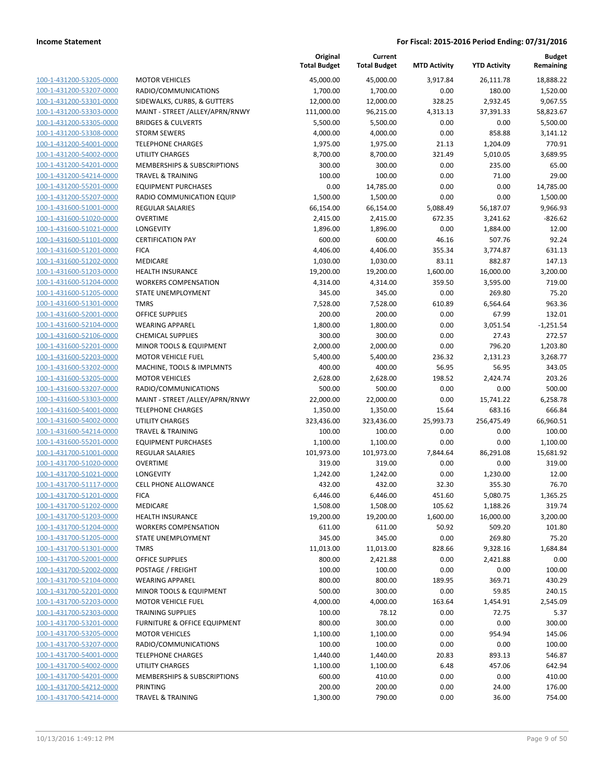|                                                    |                                                        | Original<br><b>Total Budget</b> | Current<br><b>Total Budget</b> | <b>MTD Activity</b> | <b>YTD Activity</b>  | <b>Budget</b><br>Remaining |
|----------------------------------------------------|--------------------------------------------------------|---------------------------------|--------------------------------|---------------------|----------------------|----------------------------|
| 100-1-431200-53205-0000                            | <b>MOTOR VEHICLES</b>                                  | 45,000.00                       | 45,000.00                      | 3.917.84            | 26,111.78            | 18,888.22                  |
| 100-1-431200-53207-0000                            | RADIO/COMMUNICATIONS                                   | 1,700.00                        | 1,700.00                       | 0.00                | 180.00               | 1,520.00                   |
| 100-1-431200-53301-0000                            | SIDEWALKS, CURBS, & GUTTERS                            | 12,000.00                       | 12,000.00                      | 328.25              | 2,932.45             | 9,067.55                   |
| 100-1-431200-53303-0000                            | MAINT - STREET /ALLEY/APRN/RNWY                        | 111,000.00                      | 96,215.00                      | 4,313.13            | 37,391.33            | 58,823.67                  |
| 100-1-431200-53305-0000                            | <b>BRIDGES &amp; CULVERTS</b>                          | 5,500.00                        | 5,500.00                       | 0.00                | 0.00                 | 5,500.00                   |
| 100-1-431200-53308-0000                            | <b>STORM SEWERS</b>                                    | 4,000.00                        | 4,000.00                       | 0.00                | 858.88               | 3,141.12                   |
| 100-1-431200-54001-0000                            | <b>TELEPHONE CHARGES</b>                               | 1,975.00                        | 1,975.00                       | 21.13               | 1,204.09             | 770.91                     |
| 100-1-431200-54002-0000                            | <b>UTILITY CHARGES</b>                                 | 8,700.00                        | 8,700.00                       | 321.49              | 5,010.05             | 3,689.95                   |
| 100-1-431200-54201-0000                            | MEMBERSHIPS & SUBSCRIPTIONS                            | 300.00                          | 300.00                         | 0.00                | 235.00               | 65.00                      |
| 100-1-431200-54214-0000                            | <b>TRAVEL &amp; TRAINING</b>                           | 100.00                          | 100.00                         | 0.00                | 71.00                | 29.00                      |
| 100-1-431200-55201-0000                            | <b>EQUIPMENT PURCHASES</b>                             | 0.00                            | 14,785.00                      | 0.00                | 0.00                 | 14,785.00                  |
| 100-1-431200-55207-0000                            | RADIO COMMUNICATION EQUIP                              | 1,500.00                        | 1,500.00                       | 0.00                | 0.00                 | 1,500.00                   |
| 100-1-431600-51001-0000                            | <b>REGULAR SALARIES</b>                                | 66,154.00                       | 66,154.00                      | 5,088.49            | 56,187.07            | 9,966.93                   |
| 100-1-431600-51020-0000                            | <b>OVERTIME</b>                                        | 2,415.00                        | 2,415.00                       | 672.35              | 3,241.62             | $-826.62$                  |
| 100-1-431600-51021-0000                            | LONGEVITY                                              | 1,896.00                        | 1,896.00                       | 0.00                | 1,884.00             | 12.00                      |
| 100-1-431600-51101-0000                            | <b>CERTIFICATION PAY</b>                               | 600.00                          | 600.00                         | 46.16               | 507.76               | 92.24                      |
| 100-1-431600-51201-0000                            | <b>FICA</b>                                            | 4,406.00                        | 4,406.00                       | 355.34              | 3,774.87             | 631.13                     |
| 100-1-431600-51202-0000                            | MEDICARE                                               | 1,030.00                        | 1,030.00                       | 83.11               | 882.87               | 147.13                     |
| 100-1-431600-51203-0000                            | <b>HEALTH INSURANCE</b>                                | 19,200.00                       | 19,200.00                      | 1,600.00            | 16,000.00            | 3,200.00                   |
| 100-1-431600-51204-0000                            | <b>WORKERS COMPENSATION</b>                            | 4,314.00                        | 4,314.00                       | 359.50              | 3,595.00             | 719.00                     |
| 100-1-431600-51205-0000                            | STATE UNEMPLOYMENT                                     | 345.00                          | 345.00                         | 0.00                | 269.80               | 75.20                      |
| 100-1-431600-51301-0000                            | <b>TMRS</b>                                            | 7,528.00                        | 7,528.00                       | 610.89              | 6,564.64             | 963.36                     |
| 100-1-431600-52001-0000                            | <b>OFFICE SUPPLIES</b>                                 | 200.00                          | 200.00                         | 0.00                | 67.99                | 132.01                     |
| 100-1-431600-52104-0000                            | <b>WEARING APPAREL</b>                                 | 1,800.00                        | 1,800.00                       | 0.00                | 3,051.54             | $-1,251.54$                |
| 100-1-431600-52106-0000                            | <b>CHEMICAL SUPPLIES</b>                               | 300.00                          | 300.00                         | 0.00                | 27.43                | 272.57                     |
| 100-1-431600-52201-0000                            | MINOR TOOLS & EQUIPMENT                                | 2,000.00                        | 2,000.00                       | 0.00                | 796.20               | 1,203.80                   |
| 100-1-431600-52203-0000                            | <b>MOTOR VEHICLE FUEL</b>                              | 5,400.00                        | 5,400.00                       | 236.32              | 2,131.23             | 3,268.77                   |
| 100-1-431600-53202-0000                            | MACHINE, TOOLS & IMPLMNTS                              | 400.00                          | 400.00                         | 56.95               | 56.95                | 343.05                     |
| 100-1-431600-53205-0000                            | <b>MOTOR VEHICLES</b>                                  | 2,628.00                        | 2,628.00                       | 198.52              | 2,424.74             | 203.26                     |
| 100-1-431600-53207-0000                            | RADIO/COMMUNICATIONS                                   | 500.00                          | 500.00                         | 0.00                | 0.00                 | 500.00                     |
| 100-1-431600-53303-0000                            | MAINT - STREET /ALLEY/APRN/RNWY                        | 22,000.00                       | 22,000.00                      | 0.00                | 15,741.22            | 6,258.78                   |
| 100-1-431600-54001-0000                            | <b>TELEPHONE CHARGES</b>                               | 1,350.00                        | 1,350.00                       | 15.64               | 683.16               | 666.84                     |
| 100-1-431600-54002-0000                            | <b>UTILITY CHARGES</b>                                 | 323,436.00                      | 323,436.00                     | 25,993.73           | 256,475.49           | 66,960.51                  |
| 100-1-431600-54214-0000                            | <b>TRAVEL &amp; TRAINING</b>                           | 100.00                          | 100.00                         | 0.00                | 0.00                 | 100.00                     |
| 100-1-431600-55201-0000                            | <b>EQUIPMENT PURCHASES</b>                             | 1,100.00                        | 1,100.00                       | 0.00                | 0.00                 | 1,100.00                   |
| 100-1-431700-51001-0000                            | <b>REGULAR SALARIES</b>                                | 101,973.00                      | 101,973.00                     | 7,844.64            | 86,291.08            | 15,681.92                  |
| 100-1-431700-51020-0000                            | <b>OVERTIME</b>                                        | 319.00                          | 319.00                         | 0.00                | 0.00                 | 319.00                     |
| 100-1-431700-51021-0000                            | <b>LONGEVITY</b>                                       | 1,242.00                        | 1,242.00                       | 0.00                | 1,230.00             | 12.00                      |
| 100-1-431700-51117-0000                            | CELL PHONE ALLOWANCE                                   | 432.00                          | 432.00                         | 32.30               | 355.30               | 76.70                      |
| 100-1-431700-51201-0000                            | <b>FICA</b>                                            | 6,446.00                        | 6,446.00                       | 451.60              | 5,080.75             | 1,365.25                   |
| 100-1-431700-51202-0000                            | MEDICARE                                               | 1,508.00                        | 1,508.00                       | 105.62              | 1,188.26             | 319.74<br>3,200.00         |
| 100-1-431700-51203-0000                            | <b>HEALTH INSURANCE</b><br><b>WORKERS COMPENSATION</b> | 19,200.00                       | 19,200.00                      | 1,600.00            | 16,000.00            | 101.80                     |
| 100-1-431700-51204-0000<br>100-1-431700-51205-0000 | STATE UNEMPLOYMENT                                     | 611.00                          | 611.00                         | 50.92               | 509.20               |                            |
| 100-1-431700-51301-0000                            | <b>TMRS</b>                                            | 345.00                          | 345.00                         | 0.00<br>828.66      | 269.80               | 75.20<br>1,684.84          |
| 100-1-431700-52001-0000                            | <b>OFFICE SUPPLIES</b>                                 | 11,013.00<br>800.00             | 11,013.00                      | 0.00                | 9,328.16<br>2,421.88 | 0.00                       |
| 100-1-431700-52002-0000                            | POSTAGE / FREIGHT                                      | 100.00                          | 2,421.88<br>100.00             | 0.00                | 0.00                 | 100.00                     |
| 100-1-431700-52104-0000                            | <b>WEARING APPAREL</b>                                 | 800.00                          | 800.00                         | 189.95              | 369.71               | 430.29                     |
| 100-1-431700-52201-0000                            | MINOR TOOLS & EQUIPMENT                                | 500.00                          | 300.00                         | 0.00                | 59.85                | 240.15                     |
| 100-1-431700-52203-0000                            | <b>MOTOR VEHICLE FUEL</b>                              | 4,000.00                        | 4,000.00                       | 163.64              | 1,454.91             | 2,545.09                   |
| 100-1-431700-52303-0000                            | <b>TRAINING SUPPLIES</b>                               | 100.00                          | 78.12                          | 0.00                | 72.75                | 5.37                       |
| 100-1-431700-53201-0000                            | FURNITURE & OFFICE EQUIPMENT                           | 800.00                          | 300.00                         | 0.00                | 0.00                 | 300.00                     |
| 100-1-431700-53205-0000                            | <b>MOTOR VEHICLES</b>                                  | 1,100.00                        | 1,100.00                       | 0.00                | 954.94               | 145.06                     |
| 100-1-431700-53207-0000                            | RADIO/COMMUNICATIONS                                   | 100.00                          | 100.00                         | 0.00                | 0.00                 | 100.00                     |
| 100-1-431700-54001-0000                            | <b>TELEPHONE CHARGES</b>                               | 1,440.00                        | 1,440.00                       | 20.83               | 893.13               | 546.87                     |
| 100-1-431700-54002-0000                            | <b>UTILITY CHARGES</b>                                 | 1,100.00                        | 1,100.00                       | 6.48                | 457.06               | 642.94                     |
| 100-1-431700-54201-0000                            | MEMBERSHIPS & SUBSCRIPTIONS                            | 600.00                          | 410.00                         | 0.00                | 0.00                 | 410.00                     |
| 100-1-431700-54212-0000                            | <b>PRINTING</b>                                        | 200.00                          | 200.00                         | 0.00                | 24.00                | 176.00                     |
| 100-1-431700-54214-0000                            | <b>TRAVEL &amp; TRAINING</b>                           | 1,300.00                        | 790.00                         | 0.00                | 36.00                | 754.00                     |
|                                                    |                                                        |                                 |                                |                     |                      |                            |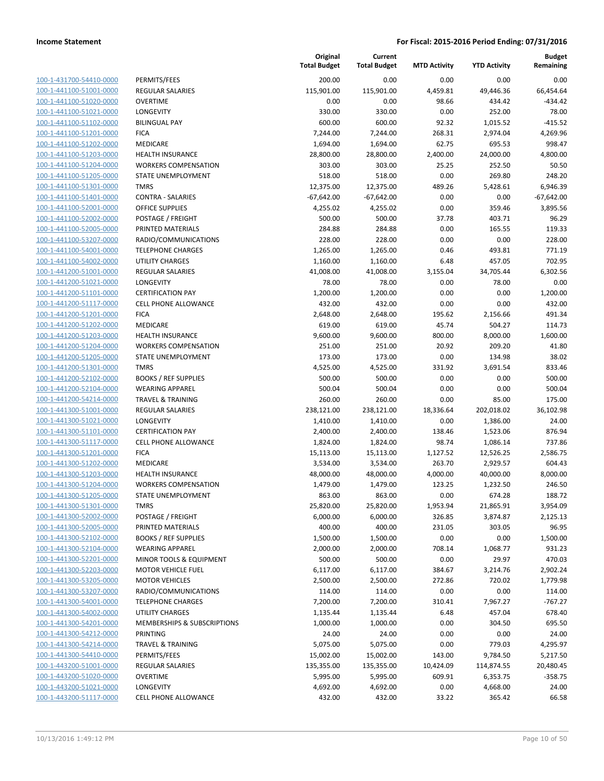| 100-1-431700-54410-0000        |
|--------------------------------|
| 100-1-441100-51001-0000        |
| 100-1-441100-51020-0000        |
| 100-1-441100-51021-0000        |
| 100-1-441100-51102-0000        |
| 100-1-441100-51201-0000        |
| 100-1-441100-51202-0000        |
| 100-1-441100-51203-0000        |
| 100-1-441100-51204-0000        |
| 100-1-441100-51205-0000        |
| 100-1-441100-51301-0000        |
| 100-1-441100-51401-<br>-0000   |
| 100-1-441100-52001-0000        |
| 100-1-441100-52002-0000        |
| <u>100-1-441100-52005-0000</u> |
| 100-1-441100-53207-0000        |
| 100-1-441100-54001-0000        |
| 100-1-441100-54002-0000        |
| 100-1-441200-51001-0000        |
| 100-1-441200-51021-0000        |
| 100-1-441200-51101-0000        |
| 100-1-441200-51117-0000        |
| 100-1-441200-51201-0000        |
| 100-1-441200-51202-0000        |
| 100-1-441200-51203-0000        |
| 100-1-441200-51204-0000        |
| 100-1-441200-51205-0000        |
| 100-1-441200-51301-0000        |
|                                |
| 100-1-441200-52102-0000        |
| 100-1-441200-52104-0000        |
| 100-1-441200-54214-0000        |
| 100-1-441300-51001-0000        |
| 100-1-441300-51021-0000        |
| 100-1-441300-51101-0000        |
| 100-1-441300-51117-0000        |
| 100-1-441300-51201-0000        |
| 100-1-441300-51202-0000        |
| 100-1-441300-51203-0000        |
| 100-1-441300-51204-0000        |
| 100-1-441300-51205-0000        |
| 100-1-441300-51301-0000        |
| 100-1-441300-52002-0000        |
| 100-1-441300-52005-0000        |
| <u>100-1-441300-52102-0000</u> |
| <u>100-1-441300-52104-0000</u> |
| <u>100-1-441300-52201-0000</u> |
| 100-1-441300-52203-0000        |
| 100-1-441300-53205-0000        |
| <u>100-1-441300-53207-0000</u> |
| <u>100-1-441300-54001-0000</u> |
| <u>100-1-441300-54002-0000</u> |
| 100-1-441300-54201-0000        |
| 100-1-441300-54212-0000        |
| <u>100-1-441300-54214-0000</u> |
| <u>100-1-441300-54410-0000</u> |
| <u>100-1-443200-51001-0000</u> |
|                                |
| <u>100-1-443200-51020-0000</u> |
| 100-1-443200-51021-0000        |
| 100-1-443200-51117-0000        |

|                         |                                        | Original<br><b>Total Budget</b> | Current<br><b>Total Budget</b> | <b>MTD Activity</b> | <b>YTD Activity</b> | <b>Budget</b><br>Remaining |
|-------------------------|----------------------------------------|---------------------------------|--------------------------------|---------------------|---------------------|----------------------------|
| 100-1-431700-54410-0000 | PERMITS/FEES                           | 200.00                          | 0.00                           | 0.00                | 0.00                | 0.00                       |
| 100-1-441100-51001-0000 | <b>REGULAR SALARIES</b>                | 115,901.00                      | 115,901.00                     | 4,459.81            | 49,446.36           | 66,454.64                  |
| 100-1-441100-51020-0000 | <b>OVERTIME</b>                        | 0.00                            | 0.00                           | 98.66               | 434.42              | $-434.42$                  |
| 100-1-441100-51021-0000 | <b>LONGEVITY</b>                       | 330.00                          | 330.00                         | 0.00                | 252.00              | 78.00                      |
| 100-1-441100-51102-0000 | <b>BILINGUAL PAY</b>                   | 600.00                          | 600.00                         | 92.32               | 1,015.52            | $-415.52$                  |
| 100-1-441100-51201-0000 | <b>FICA</b>                            | 7,244.00                        | 7,244.00                       | 268.31              | 2,974.04            | 4,269.96                   |
| 100-1-441100-51202-0000 | MEDICARE                               | 1,694.00                        | 1,694.00                       | 62.75               | 695.53              | 998.47                     |
| 100-1-441100-51203-0000 | <b>HEALTH INSURANCE</b>                | 28,800.00                       | 28,800.00                      | 2,400.00            | 24,000.00           | 4,800.00                   |
| 100-1-441100-51204-0000 | <b>WORKERS COMPENSATION</b>            | 303.00                          | 303.00                         | 25.25               | 252.50              | 50.50                      |
| 100-1-441100-51205-0000 | STATE UNEMPLOYMENT                     | 518.00                          | 518.00                         | 0.00                | 269.80              | 248.20                     |
| 100-1-441100-51301-0000 | <b>TMRS</b>                            | 12,375.00                       | 12,375.00                      | 489.26              | 5,428.61            | 6,946.39                   |
| 100-1-441100-51401-0000 | <b>CONTRA - SALARIES</b>               | $-67,642.00$                    | $-67,642.00$                   | 0.00                | 0.00                | $-67,642.00$               |
| 100-1-441100-52001-0000 | OFFICE SUPPLIES                        | 4,255.02                        | 4,255.02                       | 0.00                | 359.46              | 3,895.56                   |
| 100-1-441100-52002-0000 | POSTAGE / FREIGHT                      | 500.00                          | 500.00                         | 37.78               | 403.71              | 96.29                      |
| 100-1-441100-52005-0000 | PRINTED MATERIALS                      | 284.88                          | 284.88                         | 0.00                | 165.55              | 119.33                     |
| 100-1-441100-53207-0000 | RADIO/COMMUNICATIONS                   | 228.00                          | 228.00                         | 0.00                | 0.00                | 228.00                     |
| 100-1-441100-54001-0000 | <b>TELEPHONE CHARGES</b>               | 1,265.00                        | 1,265.00                       | 0.46                | 493.81              | 771.19                     |
| 100-1-441100-54002-0000 | <b>UTILITY CHARGES</b>                 | 1,160.00                        | 1,160.00                       | 6.48                | 457.05              | 702.95                     |
| 100-1-441200-51001-0000 | <b>REGULAR SALARIES</b>                | 41,008.00                       | 41,008.00                      | 3,155.04            | 34,705.44           | 6,302.56                   |
| 100-1-441200-51021-0000 | <b>LONGEVITY</b>                       | 78.00                           | 78.00                          | 0.00                | 78.00               | 0.00                       |
| 100-1-441200-51101-0000 | <b>CERTIFICATION PAY</b>               | 1,200.00                        | 1,200.00                       | 0.00                | 0.00                | 1,200.00                   |
| 100-1-441200-51117-0000 | <b>CELL PHONE ALLOWANCE</b>            | 432.00                          | 432.00                         | 0.00                | 0.00                | 432.00                     |
| 100-1-441200-51201-0000 | <b>FICA</b>                            | 2,648.00                        | 2,648.00                       | 195.62              | 2,156.66            | 491.34                     |
| 100-1-441200-51202-0000 | MEDICARE                               | 619.00                          | 619.00                         | 45.74               | 504.27              | 114.73                     |
| 100-1-441200-51203-0000 | <b>HEALTH INSURANCE</b>                | 9,600.00                        | 9,600.00                       | 800.00              | 8,000.00            | 1,600.00                   |
| 100-1-441200-51204-0000 | <b>WORKERS COMPENSATION</b>            | 251.00                          | 251.00                         | 20.92               | 209.20              | 41.80                      |
| 100-1-441200-51205-0000 | STATE UNEMPLOYMENT                     | 173.00                          | 173.00                         | 0.00                | 134.98              | 38.02                      |
| 100-1-441200-51301-0000 | <b>TMRS</b>                            | 4,525.00                        | 4,525.00                       | 331.92              | 3,691.54            | 833.46                     |
| 100-1-441200-52102-0000 | <b>BOOKS / REF SUPPLIES</b>            | 500.00                          | 500.00                         | 0.00                | 0.00                | 500.00                     |
| 100-1-441200-52104-0000 | <b>WEARING APPAREL</b>                 | 500.04                          | 500.04                         | 0.00                | 0.00                | 500.04                     |
| 100-1-441200-54214-0000 | <b>TRAVEL &amp; TRAINING</b>           | 260.00                          | 260.00                         | 0.00                | 85.00               | 175.00                     |
| 100-1-441300-51001-0000 | <b>REGULAR SALARIES</b>                | 238,121.00                      | 238,121.00                     | 18,336.64           | 202,018.02          | 36,102.98                  |
| 100-1-441300-51021-0000 | <b>LONGEVITY</b>                       | 1,410.00                        | 1,410.00                       | 0.00                | 1,386.00            | 24.00                      |
| 100-1-441300-51101-0000 | <b>CERTIFICATION PAY</b>               | 2,400.00                        | 2,400.00                       | 138.46              | 1,523.06            | 876.94                     |
| 100-1-441300-51117-0000 | <b>CELL PHONE ALLOWANCE</b>            | 1,824.00                        | 1,824.00                       | 98.74               | 1,086.14            | 737.86                     |
| 100-1-441300-51201-0000 | <b>FICA</b>                            | 15,113.00                       | 15,113.00                      | 1,127.52            | 12,526.25           | 2,586.75                   |
| 100-1-441300-51202-0000 | MEDICARE                               | 3,534.00                        | 3,534.00                       | 263.70              | 2,929.57            | 604.43                     |
| 100-1-441300-51203-0000 | <b>HEALTH INSURANCE</b>                | 48,000.00                       | 48,000.00                      | 4,000.00            | 40,000.00           | 8,000.00                   |
| 100-1-441300-51204-0000 | <b>WORKERS COMPENSATION</b>            | 1,479.00                        | 1,479.00                       | 123.25              | 1,232.50            | 246.50                     |
| 100-1-441300-51205-0000 | STATE UNEMPLOYMENT                     | 863.00                          | 863.00                         | 0.00                | 674.28              | 188.72                     |
| 100-1-441300-51301-0000 | TMRS                                   | 25,820.00                       | 25,820.00                      | 1,953.94            | 21,865.91           | 3,954.09                   |
| 100-1-441300-52002-0000 | POSTAGE / FREIGHT                      | 6,000.00                        | 6,000.00                       | 326.85              | 3,874.87            | 2,125.13                   |
| 100-1-441300-52005-0000 | PRINTED MATERIALS                      | 400.00                          | 400.00                         | 231.05              | 303.05              | 96.95                      |
| 100-1-441300-52102-0000 | <b>BOOKS / REF SUPPLIES</b>            | 1,500.00                        | 1,500.00                       | 0.00                | 0.00                | 1,500.00                   |
| 100-1-441300-52104-0000 | <b>WEARING APPAREL</b>                 | 2,000.00                        | 2,000.00                       | 708.14              | 1,068.77            | 931.23                     |
| 100-1-441300-52201-0000 | MINOR TOOLS & EQUIPMENT                | 500.00                          | 500.00                         | 0.00                | 29.97               | 470.03                     |
| 100-1-441300-52203-0000 | <b>MOTOR VEHICLE FUEL</b>              | 6,117.00                        | 6,117.00                       | 384.67              | 3,214.76            | 2,902.24                   |
| 100-1-441300-53205-0000 | <b>MOTOR VEHICLES</b>                  | 2,500.00                        | 2,500.00                       | 272.86              | 720.02              | 1,779.98                   |
| 100-1-441300-53207-0000 | RADIO/COMMUNICATIONS                   | 114.00                          | 114.00                         | 0.00                | 0.00                | 114.00                     |
| 100-1-441300-54001-0000 | <b>TELEPHONE CHARGES</b>               | 7,200.00                        | 7,200.00                       | 310.41              | 7,967.27            | $-767.27$                  |
| 100-1-441300-54002-0000 | UTILITY CHARGES                        | 1,135.44                        | 1,135.44                       | 6.48                | 457.04              | 678.40                     |
| 100-1-441300-54201-0000 | <b>MEMBERSHIPS &amp; SUBSCRIPTIONS</b> | 1,000.00                        | 1,000.00                       | 0.00                | 304.50              | 695.50                     |
| 100-1-441300-54212-0000 | PRINTING                               | 24.00                           | 24.00                          | 0.00                | 0.00                | 24.00                      |
| 100-1-441300-54214-0000 | <b>TRAVEL &amp; TRAINING</b>           | 5,075.00                        | 5,075.00                       | 0.00                | 779.03              | 4,295.97                   |
| 100-1-441300-54410-0000 | PERMITS/FEES                           | 15,002.00                       | 15,002.00                      | 143.00              | 9,784.50            | 5,217.50                   |
| 100-1-443200-51001-0000 | <b>REGULAR SALARIES</b>                | 135,355.00                      | 135,355.00                     | 10,424.09           | 114,874.55          | 20,480.45                  |
| 100-1-443200-51020-0000 | <b>OVERTIME</b>                        | 5,995.00                        | 5,995.00                       | 609.91              | 6,353.75            | $-358.75$                  |
| 100-1-443200-51021-0000 | LONGEVITY                              | 4,692.00                        | 4,692.00                       | 0.00                | 4,668.00            | 24.00                      |
| 100-1-443200-51117-0000 | CELL PHONE ALLOWANCE                   | 432.00                          | 432.00                         | 33.22               | 365.42              | 66.58                      |
|                         |                                        |                                 |                                |                     |                     |                            |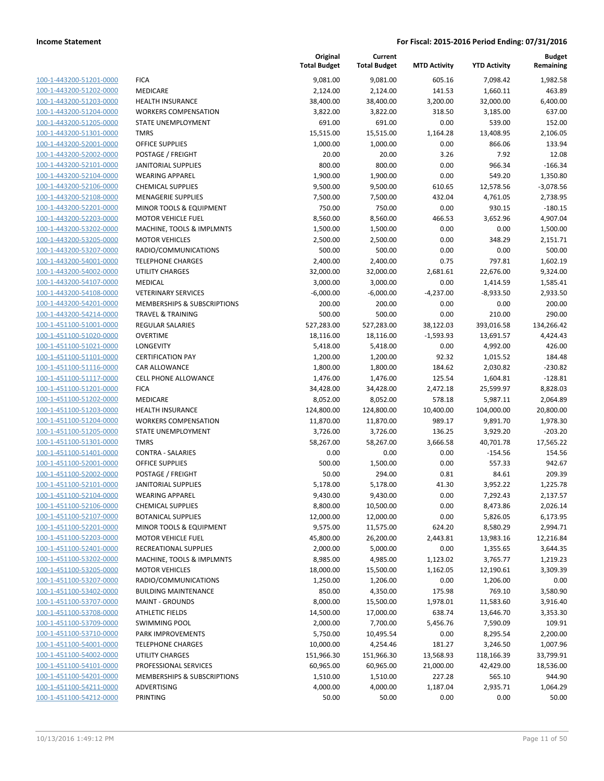| 100-1-443200-51201-0000        | FI                        |
|--------------------------------|---------------------------|
| 100-1-443200-51202-0000        | M                         |
| 100-1-443200-51203-0000        | н                         |
| 100-1-443200-51204-0000        | N                         |
| 100-1-443200-51205-0000        | $\mathsf{S}^{\mathsf{T}}$ |
| 100-1-443200-51301-0000        | TI                        |
| 100-1-443200-52001-0000        | О                         |
| 100-1-443200-52002-0000        | P                         |
| 100-1-443200-52101-0000        | J/                        |
| 100-1-443200-52104-0000        | W                         |
| 100-1-443200-52106-0000        | C                         |
| 100-1-443200-52108-0000        | M                         |
| 100-1-443200-52201-0000        | M                         |
| 100-1-443200-52203-0000        | M                         |
| 100-1-443200-53202-0000        | M                         |
|                                | N                         |
| 100-1-443200-53205-0000        |                           |
| 100-1-443200-53207-0000        | R.                        |
| 100-1-443200-54001-0000        | TI                        |
| 100-1-443200-54002-0000        | Ù                         |
| 100-1-443200-54107-0000        | M                         |
| 100-1-443200-54108-0000        | V                         |
| 100-1-443200-54201-0000        | N                         |
| 100-1-443200-54214-0000        | TI                        |
| 100-1-451100-51001-0000        | R                         |
| 100-1-451100-51020-0000        | 0                         |
| 100-1-451100-51021-0000        | L(                        |
| 100-1-451100-51101-0000        | C                         |
| 100-1-451100-51116-0000        | C,                        |
| 100-1-451100-51117-0000        | CI                        |
| 100-1-451100-51201-0000        | FI                        |
| 100-1-451100-51202-0000        | N                         |
| 100-1-451100-51203-0000        | Н                         |
| 100-1-451100-51204-0000        | N                         |
| 100-1-451100-51205-0000        | ς.                        |
| 100-1-451100-51301-0000        | TI                        |
| 100-1-451100-51401-0000        | C                         |
| 100-1-451100-52001-0000        | 0                         |
| 100-1-451100-52002-0000        | P                         |
| 100-1-451100-52101-0000        | J/                        |
| 100-1-451100-52104-0000        | N                         |
| 100-1-451100-52106-0000        | C                         |
| 100-1-451100-52107-0000        | B١                        |
| 100-1-451100-52201-0000        | M                         |
| 100-1-451100-52203-0000        | M                         |
| 100-1-451100-52401-0000        | R                         |
| 100-1-451100-53202-0000        | M                         |
| 100-1-451100-53205-0000        | M                         |
| 100-1-451100-53207-0000        | R,                        |
| 100-1-451100-53402-0000        | B                         |
| 100-1-451100-53707-0000        | M                         |
| <u>100-1-451100-53708-0000</u> | A                         |
| 100-1-451100-53709-0000        | S١                        |
| 100-1-451100-53710-0000        | P,                        |
| 100-1-451100-54001-0000        | TI                        |
| 100-1-451100-54002-0000        | U                         |
| 100-1-451100-54101-0000        | PI                        |
| 100-1-451100-54201-0000        | N                         |
| 100-1-451100-54211-0000        | А                         |
| 100-1-451100-54212-0000        | PI                        |
|                                |                           |

|                         |                                        | Original<br><b>Total Budget</b> | Current<br><b>Total Budget</b> | <b>MTD Activity</b> | <b>YTD Activity</b> | <b>Budget</b><br>Remaining |
|-------------------------|----------------------------------------|---------------------------------|--------------------------------|---------------------|---------------------|----------------------------|
| 100-1-443200-51201-0000 | <b>FICA</b>                            | 9,081.00                        | 9,081.00                       | 605.16              | 7,098.42            | 1,982.58                   |
| 100-1-443200-51202-0000 | <b>MEDICARE</b>                        | 2,124.00                        | 2,124.00                       | 141.53              | 1,660.11            | 463.89                     |
| 100-1-443200-51203-0000 | <b>HEALTH INSURANCE</b>                | 38,400.00                       | 38,400.00                      | 3,200.00            | 32,000.00           | 6,400.00                   |
| 100-1-443200-51204-0000 | <b>WORKERS COMPENSATION</b>            | 3,822.00                        | 3,822.00                       | 318.50              | 3,185.00            | 637.00                     |
| 100-1-443200-51205-0000 | STATE UNEMPLOYMENT                     | 691.00                          | 691.00                         | 0.00                | 539.00              | 152.00                     |
| 100-1-443200-51301-0000 | <b>TMRS</b>                            | 15,515.00                       | 15,515.00                      | 1,164.28            | 13,408.95           | 2,106.05                   |
| 100-1-443200-52001-0000 | OFFICE SUPPLIES                        | 1,000.00                        | 1,000.00                       | 0.00                | 866.06              | 133.94                     |
| 100-1-443200-52002-0000 | POSTAGE / FREIGHT                      | 20.00                           | 20.00                          | 3.26                | 7.92                | 12.08                      |
| 100-1-443200-52101-0000 | <b>JANITORIAL SUPPLIES</b>             | 800.00                          | 800.00                         | 0.00                | 966.34              | $-166.34$                  |
| 100-1-443200-52104-0000 | <b>WEARING APPAREL</b>                 | 1,900.00                        | 1,900.00                       | 0.00                | 549.20              | 1,350.80                   |
| 100-1-443200-52106-0000 | <b>CHEMICAL SUPPLIES</b>               | 9,500.00                        | 9,500.00                       | 610.65              | 12,578.56           | $-3,078.56$                |
| 100-1-443200-52108-0000 | <b>MENAGERIE SUPPLIES</b>              | 7,500.00                        | 7,500.00                       | 432.04              | 4,761.05            | 2,738.95                   |
| 100-1-443200-52201-0000 | MINOR TOOLS & EQUIPMENT                | 750.00                          | 750.00                         | 0.00                | 930.15              | $-180.15$                  |
| 100-1-443200-52203-0000 | <b>MOTOR VEHICLE FUEL</b>              | 8,560.00                        | 8,560.00                       | 466.53              | 3,652.96            | 4,907.04                   |
| 100-1-443200-53202-0000 | MACHINE, TOOLS & IMPLMNTS              | 1,500.00                        | 1,500.00                       | 0.00                | 0.00                | 1,500.00                   |
| 100-1-443200-53205-0000 | <b>MOTOR VEHICLES</b>                  | 2,500.00                        | 2,500.00                       | 0.00                | 348.29              | 2,151.71                   |
| 100-1-443200-53207-0000 | RADIO/COMMUNICATIONS                   | 500.00                          | 500.00                         | 0.00                | 0.00                | 500.00                     |
| 100-1-443200-54001-0000 | <b>TELEPHONE CHARGES</b>               | 2,400.00                        | 2,400.00                       | 0.75                | 797.81              | 1,602.19                   |
| 100-1-443200-54002-0000 | <b>UTILITY CHARGES</b>                 | 32,000.00                       | 32,000.00                      | 2,681.61            | 22,676.00           | 9,324.00                   |
| 100-1-443200-54107-0000 | <b>MEDICAL</b>                         | 3,000.00                        | 3,000.00                       | 0.00                | 1,414.59            | 1,585.41                   |
| 100-1-443200-54108-0000 | <b>VETERINARY SERVICES</b>             | $-6,000.00$                     | $-6,000.00$                    | $-4,237.00$         | $-8,933.50$         | 2,933.50                   |
| 100-1-443200-54201-0000 | <b>MEMBERSHIPS &amp; SUBSCRIPTIONS</b> | 200.00                          | 200.00                         | 0.00                | 0.00                | 200.00                     |
| 100-1-443200-54214-0000 | <b>TRAVEL &amp; TRAINING</b>           | 500.00                          | 500.00                         | 0.00                | 210.00              | 290.00                     |
| 100-1-451100-51001-0000 | REGULAR SALARIES                       | 527,283.00                      | 527,283.00                     | 38,122.03           | 393,016.58          | 134,266.42                 |
| 100-1-451100-51020-0000 | <b>OVERTIME</b>                        | 18,116.00                       | 18,116.00                      | $-1,593.93$         | 13,691.57           | 4,424.43                   |
| 100-1-451100-51021-0000 | LONGEVITY                              | 5,418.00                        | 5,418.00                       | 0.00                | 4,992.00            | 426.00                     |
| 100-1-451100-51101-0000 | <b>CERTIFICATION PAY</b>               | 1,200.00                        | 1,200.00                       | 92.32               | 1,015.52            | 184.48                     |
| 100-1-451100-51116-0000 | CAR ALLOWANCE                          | 1,800.00                        | 1,800.00                       | 184.62              | 2,030.82            | $-230.82$                  |
| 100-1-451100-51117-0000 | CELL PHONE ALLOWANCE                   | 1,476.00                        | 1,476.00                       | 125.54              | 1,604.81            | $-128.81$                  |
| 100-1-451100-51201-0000 | <b>FICA</b>                            | 34,428.00                       | 34,428.00                      | 2,472.18            | 25,599.97           | 8,828.03                   |
| 100-1-451100-51202-0000 | <b>MEDICARE</b>                        | 8,052.00                        | 8,052.00                       | 578.18              | 5,987.11            | 2,064.89                   |
| 100-1-451100-51203-0000 | <b>HEALTH INSURANCE</b>                | 124,800.00                      | 124,800.00                     | 10,400.00           | 104,000.00          | 20,800.00                  |
| 100-1-451100-51204-0000 | <b>WORKERS COMPENSATION</b>            | 11,870.00                       | 11,870.00                      | 989.17              | 9,891.70            | 1,978.30                   |
| 100-1-451100-51205-0000 | STATE UNEMPLOYMENT                     | 3,726.00                        | 3,726.00                       | 136.25              | 3,929.20            | $-203.20$                  |
| 100-1-451100-51301-0000 | <b>TMRS</b>                            | 58,267.00                       | 58,267.00                      | 3,666.58            | 40,701.78           | 17,565.22                  |
| 100-1-451100-51401-0000 | <b>CONTRA - SALARIES</b>               | 0.00                            | 0.00                           | 0.00                | $-154.56$           | 154.56                     |
| 100-1-451100-52001-0000 | <b>OFFICE SUPPLIES</b>                 | 500.00                          | 1,500.00                       | 0.00                | 557.33              | 942.67                     |
| 100-1-451100-52002-0000 | POSTAGE / FREIGHT                      | 50.00                           | 294.00                         | 0.81                | 84.61               | 209.39                     |
| 100-1-451100-52101-0000 | <b>JANITORIAL SUPPLIES</b>             | 5,178.00                        | 5,178.00                       | 41.30               | 3,952.22            | 1,225.78                   |
| 100-1-451100-52104-0000 | <b>WEARING APPAREL</b>                 | 9,430.00                        | 9,430.00                       | 0.00                | 7,292.43            | 2,137.57                   |
| 100-1-451100-52106-0000 | <b>CHEMICAL SUPPLIES</b>               | 8,800.00                        | 10,500.00                      | 0.00                | 8,473.86            | 2,026.14                   |
| 100-1-451100-52107-0000 | <b>BOTANICAL SUPPLIES</b>              | 12,000.00                       | 12,000.00                      | 0.00                | 5,826.05            | 6,173.95                   |
| 100-1-451100-52201-0000 | MINOR TOOLS & EQUIPMENT                | 9,575.00                        | 11,575.00                      | 624.20              | 8,580.29            | 2,994.71                   |
| 100-1-451100-52203-0000 | <b>MOTOR VEHICLE FUEL</b>              | 45,800.00                       | 26,200.00                      | 2,443.81            | 13,983.16           | 12,216.84                  |
| 100-1-451100-52401-0000 | RECREATIONAL SUPPLIES                  | 2,000.00                        | 5,000.00                       | 0.00                | 1,355.65            | 3,644.35                   |
| 100-1-451100-53202-0000 | MACHINE, TOOLS & IMPLMNTS              | 8,985.00                        | 4,985.00                       | 1,123.02            | 3,765.77            | 1,219.23                   |
| 100-1-451100-53205-0000 | <b>MOTOR VEHICLES</b>                  | 18,000.00                       | 15,500.00                      | 1,162.05            | 12,190.61           | 3,309.39                   |
| 100-1-451100-53207-0000 | RADIO/COMMUNICATIONS                   | 1,250.00                        | 1,206.00                       | 0.00                | 1,206.00            | 0.00                       |
| 100-1-451100-53402-0000 | <b>BUILDING MAINTENANCE</b>            | 850.00                          | 4,350.00                       | 175.98              | 769.10              | 3,580.90                   |
| 100-1-451100-53707-0000 | <b>MAINT - GROUNDS</b>                 | 8,000.00                        | 15,500.00                      | 1,978.01            | 11,583.60           | 3,916.40                   |
| 100-1-451100-53708-0000 | <b>ATHLETIC FIELDS</b>                 | 14,500.00                       | 17,000.00                      | 638.74              | 13,646.70           | 3,353.30                   |
| 100-1-451100-53709-0000 | <b>SWIMMING POOL</b>                   | 2,000.00                        | 7,700.00                       | 5,456.76            | 7,590.09            | 109.91                     |
| 100-1-451100-53710-0000 | PARK IMPROVEMENTS                      | 5,750.00                        | 10,495.54                      | 0.00                | 8,295.54            | 2,200.00                   |
| 100-1-451100-54001-0000 | <b>TELEPHONE CHARGES</b>               | 10,000.00                       | 4,254.46                       | 181.27              | 3,246.50            | 1,007.96                   |
| 100-1-451100-54002-0000 | UTILITY CHARGES                        | 151,966.30                      | 151,966.30                     | 13,568.93           | 118,166.39          | 33,799.91                  |
| 100-1-451100-54101-0000 | PROFESSIONAL SERVICES                  | 60,965.00                       | 60,965.00                      | 21,000.00           | 42,429.00           | 18,536.00                  |
| 100-1-451100-54201-0000 | MEMBERSHIPS & SUBSCRIPTIONS            | 1,510.00                        | 1,510.00                       | 227.28              | 565.10              | 944.90                     |
| 100-1-451100-54211-0000 | ADVERTISING                            | 4,000.00                        | 4,000.00                       | 1,187.04            | 2,935.71            | 1,064.29                   |
| 100-1-451100-54212-0000 | PRINTING                               | 50.00                           | 50.00                          | 0.00                | 0.00                | 50.00                      |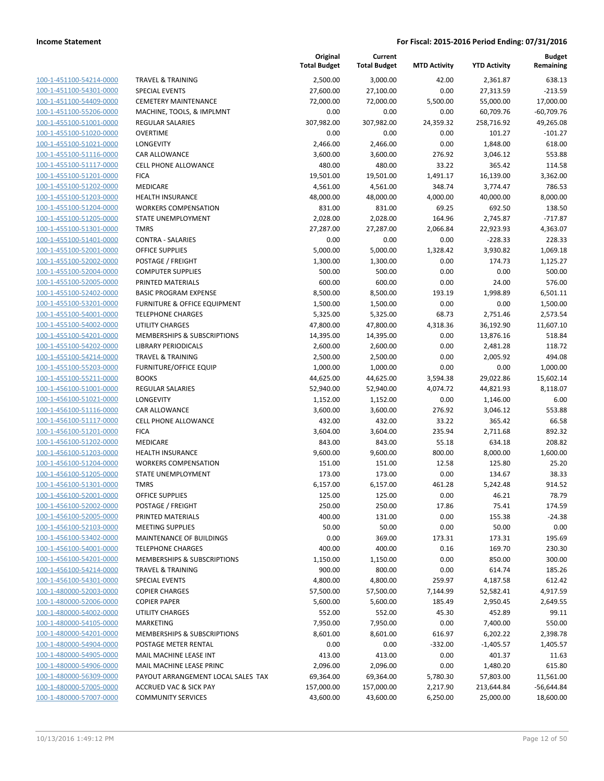|                                                    |                                        | Original<br><b>Total Budget</b> | Current<br><b>Total Budget</b> | <b>MTD Activity</b> | <b>YTD Activity</b> | <b>Budget</b><br>Remaining |
|----------------------------------------------------|----------------------------------------|---------------------------------|--------------------------------|---------------------|---------------------|----------------------------|
| 100-1-451100-54214-0000                            | <b>TRAVEL &amp; TRAINING</b>           | 2,500.00                        | 3,000.00                       | 42.00               | 2,361.87            | 638.13                     |
| 100-1-451100-54301-0000                            | <b>SPECIAL EVENTS</b>                  | 27,600.00                       | 27,100.00                      | 0.00                | 27,313.59           | $-213.59$                  |
| 100-1-451100-54409-0000                            | <b>CEMETERY MAINTENANCE</b>            | 72,000.00                       | 72,000.00                      | 5,500.00            | 55,000.00           | 17,000.00                  |
| 100-1-451100-55206-0000                            | MACHINE, TOOLS, & IMPLMNT              | 0.00                            | 0.00                           | 0.00                | 60,709.76           | $-60,709.76$               |
| 100-1-455100-51001-0000                            | REGULAR SALARIES                       | 307,982.00                      | 307,982.00                     | 24,359.32           | 258,716.92          | 49,265.08                  |
| 100-1-455100-51020-0000                            | <b>OVERTIME</b>                        | 0.00                            | 0.00                           | 0.00                | 101.27              | $-101.27$                  |
| 100-1-455100-51021-0000                            | LONGEVITY                              | 2,466.00                        | 2,466.00                       | 0.00                | 1,848.00            | 618.00                     |
| 100-1-455100-51116-0000                            | CAR ALLOWANCE                          | 3,600.00                        | 3,600.00                       | 276.92              | 3,046.12            | 553.88                     |
| 100-1-455100-51117-0000                            | CELL PHONE ALLOWANCE                   | 480.00                          | 480.00                         | 33.22               | 365.42              | 114.58                     |
| 100-1-455100-51201-0000                            | <b>FICA</b>                            | 19,501.00                       | 19,501.00                      | 1,491.17            | 16,139.00           | 3,362.00                   |
| 100-1-455100-51202-0000                            | MEDICARE                               | 4,561.00                        | 4,561.00                       | 348.74              | 3,774.47            | 786.53                     |
| 100-1-455100-51203-0000                            | <b>HEALTH INSURANCE</b>                | 48,000.00                       | 48,000.00                      | 4,000.00            | 40,000.00           | 8,000.00                   |
| 100-1-455100-51204-0000                            | <b>WORKERS COMPENSATION</b>            | 831.00                          | 831.00                         | 69.25               | 692.50              | 138.50                     |
| 100-1-455100-51205-0000                            | STATE UNEMPLOYMENT                     | 2,028.00                        | 2,028.00                       | 164.96              | 2,745.87            | $-717.87$                  |
| 100-1-455100-51301-0000                            | <b>TMRS</b>                            | 27,287.00                       | 27,287.00                      | 2,066.84            | 22,923.93           | 4,363.07                   |
| 100-1-455100-51401-0000                            | <b>CONTRA - SALARIES</b>               | 0.00                            | 0.00                           | 0.00                | $-228.33$           | 228.33                     |
| 100-1-455100-52001-0000                            | <b>OFFICE SUPPLIES</b>                 | 5,000.00                        | 5,000.00                       | 1,328.42            | 3,930.82            | 1,069.18                   |
| 100-1-455100-52002-0000                            | POSTAGE / FREIGHT                      | 1,300.00                        | 1,300.00                       | 0.00                | 174.73              | 1,125.27                   |
| 100-1-455100-52004-0000                            | <b>COMPUTER SUPPLIES</b>               | 500.00                          | 500.00                         | 0.00                | 0.00                | 500.00                     |
| 100-1-455100-52005-0000                            | PRINTED MATERIALS                      | 600.00                          | 600.00                         | 0.00                | 24.00               | 576.00                     |
| 100-1-455100-52402-0000                            | <b>BASIC PROGRAM EXPENSE</b>           | 8,500.00                        | 8,500.00                       | 193.19              | 1,998.89            | 6,501.11                   |
| 100-1-455100-53201-0000                            | FURNITURE & OFFICE EQUIPMENT           | 1,500.00                        | 1,500.00                       | 0.00                | 0.00                | 1,500.00                   |
| 100-1-455100-54001-0000                            | <b>TELEPHONE CHARGES</b>               | 5,325.00                        | 5,325.00                       | 68.73               | 2,751.46            | 2,573.54                   |
| 100-1-455100-54002-0000                            | UTILITY CHARGES                        | 47,800.00                       | 47,800.00                      | 4,318.36            | 36,192.90           | 11,607.10                  |
| 100-1-455100-54201-0000                            | MEMBERSHIPS & SUBSCRIPTIONS            | 14,395.00                       | 14,395.00                      | 0.00                | 13,876.16           | 518.84                     |
| 100-1-455100-54202-0000                            | <b>LIBRARY PERIODICALS</b>             | 2,600.00                        | 2,600.00                       | 0.00                | 2,481.28            | 118.72                     |
| 100-1-455100-54214-0000                            | <b>TRAVEL &amp; TRAINING</b>           | 2,500.00                        | 2,500.00                       | 0.00                | 2,005.92            | 494.08                     |
| 100-1-455100-55203-0000                            | <b>FURNITURE/OFFICE EQUIP</b>          | 1,000.00                        | 1,000.00                       | 0.00                | 0.00                | 1,000.00                   |
| 100-1-455100-55211-0000                            | <b>BOOKS</b>                           | 44,625.00                       | 44,625.00                      | 3,594.38            | 29,022.86           | 15,602.14                  |
| 100-1-456100-51001-0000                            | <b>REGULAR SALARIES</b>                | 52,940.00                       | 52,940.00                      | 4,074.72            | 44,821.93           | 8,118.07                   |
| 100-1-456100-51021-0000                            | LONGEVITY                              | 1,152.00                        | 1,152.00                       | 0.00                | 1,146.00            | 6.00                       |
| 100-1-456100-51116-0000                            | <b>CAR ALLOWANCE</b>                   | 3,600.00                        | 3,600.00                       | 276.92              | 3,046.12            | 553.88                     |
| 100-1-456100-51117-0000                            | CELL PHONE ALLOWANCE                   | 432.00                          | 432.00                         | 33.22               | 365.42              | 66.58                      |
| 100-1-456100-51201-0000                            | <b>FICA</b>                            | 3,604.00                        | 3,604.00                       | 235.94              | 2,711.68            | 892.32                     |
| 100-1-456100-51202-0000                            | MEDICARE                               | 843.00                          | 843.00                         | 55.18               | 634.18              | 208.82                     |
| 100-1-456100-51203-0000                            | <b>HEALTH INSURANCE</b>                | 9,600.00                        | 9,600.00                       | 800.00              | 8,000.00            | 1,600.00                   |
| 100-1-456100-51204-0000                            | <b>WORKERS COMPENSATION</b>            | 151.00                          | 151.00                         | 12.58               | 125.80              | 25.20                      |
| 100-1-456100-51205-0000                            | <b>STATE UNEMPLOYMENT</b>              | 173.00                          | 173.00                         | 0.00                | 134.67              | 38.33                      |
| 100-1-456100-51301-0000                            | <b>TMRS</b>                            | 6,157.00                        | 6,157.00                       | 461.28              | 5,242.48            | 914.52                     |
| 100-1-456100-52001-0000                            | OFFICE SUPPLIES                        | 125.00                          | 125.00                         | 0.00                | 46.21               | 78.79                      |
| 100-1-456100-52002-0000<br>100-1-456100-52005-0000 | POSTAGE / FREIGHT<br>PRINTED MATERIALS | 250.00<br>400.00                | 250.00<br>131.00               | 17.86<br>0.00       | 75.41<br>155.38     | 174.59<br>$-24.38$         |
| 100-1-456100-52103-0000                            | <b>MEETING SUPPLIES</b>                | 50.00                           | 50.00                          | 0.00                | 50.00               | 0.00                       |
| 100-1-456100-53402-0000                            | MAINTENANCE OF BUILDINGS               | 0.00                            | 369.00                         | 173.31              | 173.31              | 195.69                     |
| 100-1-456100-54001-0000                            | <b>TELEPHONE CHARGES</b>               | 400.00                          | 400.00                         | 0.16                | 169.70              | 230.30                     |
| 100-1-456100-54201-0000                            | MEMBERSHIPS & SUBSCRIPTIONS            | 1,150.00                        | 1,150.00                       | 0.00                | 850.00              | 300.00                     |
| 100-1-456100-54214-0000                            | <b>TRAVEL &amp; TRAINING</b>           | 900.00                          | 800.00                         | 0.00                | 614.74              | 185.26                     |
| 100-1-456100-54301-0000                            | <b>SPECIAL EVENTS</b>                  | 4,800.00                        | 4,800.00                       | 259.97              | 4,187.58            | 612.42                     |
| 100-1-480000-52003-0000                            | <b>COPIER CHARGES</b>                  | 57,500.00                       | 57,500.00                      | 7,144.99            | 52,582.41           | 4,917.59                   |
| 100-1-480000-52006-0000                            | <b>COPIER PAPER</b>                    | 5,600.00                        | 5,600.00                       | 185.49              | 2,950.45            | 2,649.55                   |
| 100-1-480000-54002-0000                            | <b>UTILITY CHARGES</b>                 | 552.00                          | 552.00                         | 45.30               | 452.89              | 99.11                      |
| 100-1-480000-54105-0000                            | <b>MARKETING</b>                       | 7,950.00                        | 7,950.00                       | 0.00                | 7,400.00            | 550.00                     |
| 100-1-480000-54201-0000                            | MEMBERSHIPS & SUBSCRIPTIONS            | 8,601.00                        | 8,601.00                       | 616.97              | 6,202.22            | 2,398.78                   |
| 100-1-480000-54904-0000                            | POSTAGE METER RENTAL                   | 0.00                            | 0.00                           | $-332.00$           | $-1,405.57$         | 1,405.57                   |
| 100-1-480000-54905-0000                            | MAIL MACHINE LEASE INT                 | 413.00                          | 413.00                         | 0.00                | 401.37              | 11.63                      |
| 100-1-480000-54906-0000                            | MAIL MACHINE LEASE PRINC               | 2,096.00                        | 2,096.00                       | 0.00                | 1,480.20            | 615.80                     |
| 100-1-480000-56309-0000                            | PAYOUT ARRANGEMENT LOCAL SALES TAX     | 69,364.00                       | 69,364.00                      | 5,780.30            | 57,803.00           | 11,561.00                  |
| 100-1-480000-57005-0000                            | <b>ACCRUED VAC &amp; SICK PAY</b>      | 157,000.00                      | 157,000.00                     | 2,217.90            | 213,644.84          | $-56,644.84$               |
| 100-1-480000-57007-0000                            | <b>COMMUNITY SERVICES</b>              | 43,600.00                       | 43,600.00                      | 6,250.00            | 25,000.00           | 18,600.00                  |
|                                                    |                                        |                                 |                                |                     |                     |                            |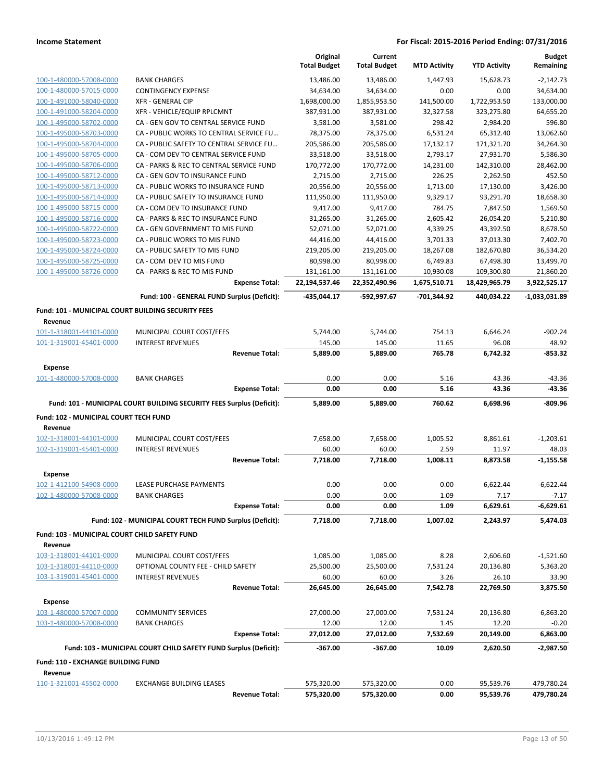|                                                           |                                                                       |                       | Original<br><b>Total Budget</b> | Current<br><b>Total Budget</b> | <b>MTD Activity</b> | <b>YTD Activity</b> | <b>Budget</b><br>Remaining |
|-----------------------------------------------------------|-----------------------------------------------------------------------|-----------------------|---------------------------------|--------------------------------|---------------------|---------------------|----------------------------|
| 100-1-480000-57008-0000                                   | <b>BANK CHARGES</b>                                                   |                       | 13,486.00                       | 13,486.00                      | 1,447.93            | 15,628.73           | $-2,142.73$                |
| 100-1-480000-57015-0000                                   | <b>CONTINGENCY EXPENSE</b>                                            |                       | 34,634.00                       | 34,634.00                      | 0.00                | 0.00                | 34,634.00                  |
| 100-1-491000-58040-0000                                   | <b>XFR - GENERAL CIP</b>                                              |                       | 1,698,000.00                    | 1,855,953.50                   | 141,500.00          | 1,722,953.50        | 133,000.00                 |
| 100-1-491000-58204-0000                                   | XFR - VEHICLE/EQUIP RPLCMNT                                           |                       | 387,931.00                      | 387,931.00                     | 32,327.58           | 323,275.80          | 64,655.20                  |
| 100-1-495000-58702-0000                                   | CA - GEN GOV TO CENTRAL SERVICE FUND                                  |                       | 3,581.00                        | 3,581.00                       | 298.42              | 2,984.20            | 596.80                     |
| 100-1-495000-58703-0000                                   | CA - PUBLIC WORKS TO CENTRAL SERVICE FU                               |                       | 78,375.00                       | 78,375.00                      | 6,531.24            | 65,312.40           | 13,062.60                  |
| 100-1-495000-58704-0000                                   | CA - PUBLIC SAFETY TO CENTRAL SERVICE FU                              |                       | 205,586.00                      | 205,586.00                     | 17,132.17           | 171,321.70          | 34,264.30                  |
| 100-1-495000-58705-0000                                   | CA - COM DEV TO CENTRAL SERVICE FUND                                  |                       | 33,518.00                       | 33,518.00                      | 2,793.17            | 27,931.70           | 5,586.30                   |
| 100-1-495000-58706-0000                                   | CA - PARKS & REC TO CENTRAL SERVICE FUND                              |                       | 170,772.00                      | 170,772.00                     | 14,231.00           | 142,310.00          | 28,462.00                  |
| 100-1-495000-58712-0000                                   | CA - GEN GOV TO INSURANCE FUND                                        |                       | 2,715.00                        | 2,715.00                       | 226.25              | 2,262.50            | 452.50                     |
| 100-1-495000-58713-0000                                   | CA - PUBLIC WORKS TO INSURANCE FUND                                   |                       | 20,556.00                       | 20,556.00                      | 1,713.00            | 17,130.00           | 3,426.00                   |
| 100-1-495000-58714-0000                                   | CA - PUBLIC SAFETY TO INSURANCE FUND                                  |                       | 111,950.00                      | 111,950.00                     | 9,329.17            | 93,291.70           | 18,658.30                  |
| 100-1-495000-58715-0000                                   | CA - COM DEV TO INSURANCE FUND                                        |                       | 9,417.00                        | 9,417.00                       | 784.75              | 7,847.50            | 1,569.50                   |
| 100-1-495000-58716-0000                                   | CA - PARKS & REC TO INSURANCE FUND                                    |                       | 31,265.00                       | 31,265.00                      | 2,605.42            | 26,054.20           | 5,210.80                   |
| 100-1-495000-58722-0000                                   | CA - GEN GOVERNMENT TO MIS FUND                                       |                       | 52,071.00                       | 52,071.00                      | 4,339.25            | 43,392.50           | 8,678.50                   |
| 100-1-495000-58723-0000                                   | CA - PUBLIC WORKS TO MIS FUND                                         |                       | 44,416.00                       | 44,416.00                      | 3,701.33            | 37,013.30           | 7,402.70                   |
| 100-1-495000-58724-0000                                   | CA - PUBLIC SAFETY TO MIS FUND                                        |                       | 219,205.00                      | 219,205.00                     | 18,267.08           | 182,670.80          | 36,534.20                  |
| 100-1-495000-58725-0000                                   | CA - COM DEV TO MIS FUND                                              |                       | 80,998.00                       | 80,998.00                      | 6,749.83            | 67,498.30           | 13,499.70                  |
| 100-1-495000-58726-0000                                   | CA - PARKS & REC TO MIS FUND                                          |                       | 131,161.00                      | 131,161.00                     | 10,930.08           | 109,300.80          | 21,860.20                  |
|                                                           |                                                                       | <b>Expense Total:</b> | 22,194,537.46                   | 22,352,490.96                  | 1,675,510.71        | 18,429,965.79       | 3,922,525.17               |
|                                                           | Fund: 100 - GENERAL FUND Surplus (Deficit):                           |                       | -435,044.17                     | -592,997.67                    | -701,344.92         | 440,034.22          | $-1,033,031.89$            |
| <b>Fund: 101 - MUNICIPAL COURT BUILDING SECURITY FEES</b> |                                                                       |                       |                                 |                                |                     |                     |                            |
| Revenue                                                   |                                                                       |                       |                                 |                                |                     |                     |                            |
| 101-1-318001-44101-0000                                   | MUNICIPAL COURT COST/FEES                                             |                       | 5,744.00                        | 5,744.00                       | 754.13              | 6,646.24            | $-902.24$                  |
| 101-1-319001-45401-0000                                   | <b>INTEREST REVENUES</b>                                              |                       | 145.00                          | 145.00                         | 11.65               | 96.08               | 48.92                      |
|                                                           |                                                                       | <b>Revenue Total:</b> | 5,889.00                        | 5,889.00                       | 765.78              | 6,742.32            | $-853.32$                  |
| Expense                                                   |                                                                       |                       |                                 |                                |                     |                     |                            |
| 101-1-480000-57008-0000                                   | <b>BANK CHARGES</b>                                                   |                       | 0.00                            | 0.00                           | 5.16                | 43.36               | $-43.36$                   |
|                                                           |                                                                       | <b>Expense Total:</b> | 0.00                            | 0.00                           | 5.16                | 43.36               | -43.36                     |
|                                                           | Fund: 101 - MUNICIPAL COURT BUILDING SECURITY FEES Surplus (Deficit): |                       | 5,889.00                        | 5,889.00                       | 760.62              | 6,698.96            | -809.96                    |
| Fund: 102 - MUNICIPAL COURT TECH FUND                     |                                                                       |                       |                                 |                                |                     |                     |                            |
| Revenue                                                   |                                                                       |                       |                                 |                                |                     |                     |                            |
| 102-1-318001-44101-0000                                   | MUNICIPAL COURT COST/FEES                                             |                       | 7,658.00                        | 7,658.00                       | 1,005.52            | 8,861.61            | $-1,203.61$                |
| 102-1-319001-45401-0000                                   | <b>INTEREST REVENUES</b>                                              |                       | 60.00                           | 60.00                          | 2.59                | 11.97               | 48.03                      |
|                                                           |                                                                       | <b>Revenue Total:</b> | 7,718.00                        | 7,718.00                       | 1,008.11            | 8,873.58            | $-1,155.58$                |
| Expense                                                   |                                                                       |                       |                                 |                                |                     |                     |                            |
| 102-1-412100-54908-0000                                   | LEASE PURCHASE PAYMENTS                                               |                       | 0.00                            | 0.00                           | 0.00                | 6,622.44            | $-6,622.44$                |
| 102-1-480000-57008-0000                                   | <b>BANK CHARGES</b>                                                   |                       | 0.00                            | 0.00                           | 1.09                | 7.17                | $-7.17$                    |
|                                                           |                                                                       | <b>Expense Total:</b> | 0.00                            | 0.00                           | 1.09                | 6,629.61            | -6,629.61                  |
|                                                           | Fund: 102 - MUNICIPAL COURT TECH FUND Surplus (Deficit):              |                       | 7,718.00                        | 7,718.00                       | 1,007.02            | 2,243.97            | 5,474.03                   |
| <b>Fund: 103 - MUNICIPAL COURT CHILD SAFETY FUND</b>      |                                                                       |                       |                                 |                                |                     |                     |                            |
| Revenue                                                   |                                                                       |                       |                                 |                                |                     |                     |                            |
| 103-1-318001-44101-0000                                   | MUNICIPAL COURT COST/FEES                                             |                       | 1,085.00                        | 1,085.00                       | 8.28                | 2,606.60            | $-1,521.60$                |
| 103-1-318001-44110-0000                                   | OPTIONAL COUNTY FEE - CHILD SAFETY                                    |                       | 25,500.00                       | 25,500.00                      | 7,531.24            | 20,136.80           | 5,363.20                   |
| 103-1-319001-45401-0000                                   | <b>INTEREST REVENUES</b>                                              |                       | 60.00                           | 60.00                          | 3.26                | 26.10               | 33.90                      |
|                                                           |                                                                       | <b>Revenue Total:</b> | 26,645.00                       | 26,645.00                      | 7,542.78            | 22,769.50           | 3,875.50                   |
|                                                           |                                                                       |                       |                                 |                                |                     |                     |                            |
| Expense                                                   |                                                                       |                       |                                 |                                |                     |                     |                            |
| 103-1-480000-57007-0000                                   | <b>COMMUNITY SERVICES</b>                                             |                       | 27,000.00                       | 27,000.00                      | 7,531.24            | 20,136.80           | 6,863.20                   |
| 103-1-480000-57008-0000                                   | <b>BANK CHARGES</b>                                                   |                       | 12.00                           | 12.00                          | 1.45                | 12.20               | $-0.20$                    |
|                                                           |                                                                       | <b>Expense Total:</b> | 27,012.00                       | 27,012.00                      | 7,532.69            | 20,149.00           | 6,863.00                   |
|                                                           | Fund: 103 - MUNICIPAL COURT CHILD SAFETY FUND Surplus (Deficit):      |                       | $-367.00$                       | $-367.00$                      | 10.09               | 2,620.50            | $-2,987.50$                |
| <b>Fund: 110 - EXCHANGE BUILDING FUND</b>                 |                                                                       |                       |                                 |                                |                     |                     |                            |
| Revenue                                                   |                                                                       |                       |                                 |                                |                     |                     |                            |
| 110-1-321001-45502-0000                                   | <b>EXCHANGE BUILDING LEASES</b>                                       |                       | 575,320.00                      | 575,320.00                     | 0.00                | 95,539.76           | 479,780.24                 |
|                                                           |                                                                       | <b>Revenue Total:</b> | 575,320.00                      | 575,320.00                     | 0.00                | 95,539.76           | 479,780.24                 |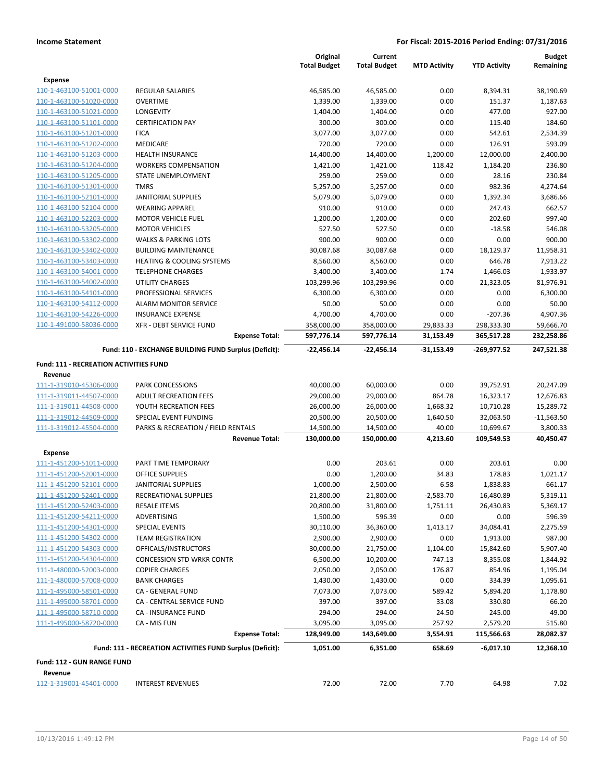|                                                           |                                                           | Original               | Current                |                       |                        | <b>Budget</b> |
|-----------------------------------------------------------|-----------------------------------------------------------|------------------------|------------------------|-----------------------|------------------------|---------------|
|                                                           |                                                           | <b>Total Budget</b>    | <b>Total Budget</b>    | <b>MTD Activity</b>   | <b>YTD Activity</b>    | Remaining     |
| Expense                                                   |                                                           |                        |                        |                       |                        |               |
| 110-1-463100-51001-0000                                   | <b>REGULAR SALARIES</b>                                   | 46,585.00              | 46,585.00              | 0.00                  | 8,394.31               | 38,190.69     |
| 110-1-463100-51020-0000                                   | <b>OVERTIME</b>                                           | 1,339.00               | 1,339.00               | 0.00                  | 151.37                 | 1,187.63      |
| 110-1-463100-51021-0000                                   | LONGEVITY                                                 | 1,404.00               | 1,404.00               | 0.00                  | 477.00                 | 927.00        |
| 110-1-463100-51101-0000                                   | <b>CERTIFICATION PAY</b>                                  | 300.00                 | 300.00                 | 0.00                  | 115.40                 | 184.60        |
| 110-1-463100-51201-0000                                   | <b>FICA</b>                                               | 3,077.00               | 3,077.00               | 0.00                  | 542.61                 | 2,534.39      |
| 110-1-463100-51202-0000                                   | <b>MEDICARE</b>                                           | 720.00                 | 720.00                 | 0.00                  | 126.91                 | 593.09        |
| 110-1-463100-51203-0000                                   | <b>HEALTH INSURANCE</b>                                   | 14,400.00              | 14,400.00              | 1,200.00              | 12,000.00              | 2,400.00      |
| 110-1-463100-51204-0000                                   | <b>WORKERS COMPENSATION</b>                               | 1,421.00               | 1,421.00               | 118.42                | 1,184.20               | 236.80        |
| 110-1-463100-51205-0000                                   | STATE UNEMPLOYMENT                                        | 259.00                 | 259.00                 | 0.00                  | 28.16                  | 230.84        |
| 110-1-463100-51301-0000                                   | <b>TMRS</b>                                               | 5,257.00               | 5,257.00               | 0.00                  | 982.36                 | 4,274.64      |
| 110-1-463100-52101-0000                                   | <b>JANITORIAL SUPPLIES</b>                                | 5,079.00               | 5,079.00               | 0.00                  | 1,392.34               | 3,686.66      |
| 110-1-463100-52104-0000                                   | <b>WEARING APPAREL</b>                                    | 910.00                 | 910.00                 | 0.00                  | 247.43                 | 662.57        |
| 110-1-463100-52203-0000                                   | <b>MOTOR VEHICLE FUEL</b>                                 | 1,200.00               | 1,200.00               | 0.00                  | 202.60                 | 997.40        |
| 110-1-463100-53205-0000                                   | <b>MOTOR VEHICLES</b>                                     | 527.50                 | 527.50                 | 0.00                  | $-18.58$               | 546.08        |
| 110-1-463100-53302-0000                                   | <b>WALKS &amp; PARKING LOTS</b>                           | 900.00                 | 900.00                 | 0.00                  | 0.00                   | 900.00        |
| 110-1-463100-53402-0000                                   | <b>BUILDING MAINTENANCE</b>                               | 30,087.68              | 30,087.68              | 0.00                  | 18,129.37              | 11,958.31     |
| 110-1-463100-53403-0000                                   | <b>HEATING &amp; COOLING SYSTEMS</b>                      | 8,560.00               | 8,560.00               | 0.00                  | 646.78                 | 7,913.22      |
| 110-1-463100-54001-0000                                   | <b>TELEPHONE CHARGES</b>                                  | 3,400.00               | 3,400.00               | 1.74                  | 1,466.03               | 1,933.97      |
| 110-1-463100-54002-0000                                   | UTILITY CHARGES                                           | 103,299.96             | 103,299.96             | 0.00                  | 21,323.05              | 81,976.91     |
| 110-1-463100-54101-0000                                   | PROFESSIONAL SERVICES                                     | 6,300.00               | 6,300.00               | 0.00                  | 0.00                   | 6,300.00      |
| 110-1-463100-54112-0000                                   | <b>ALARM MONITOR SERVICE</b>                              | 50.00                  | 50.00                  | 0.00                  | 0.00                   | 50.00         |
| 110-1-463100-54226-0000                                   | <b>INSURANCE EXPENSE</b>                                  | 4,700.00               | 4,700.00               | 0.00                  | $-207.36$              | 4,907.36      |
| 110-1-491000-58036-0000                                   | <b>XFR - DEBT SERVICE FUND</b>                            | 358,000.00             | 358,000.00             | 29,833.33             | 298,333.30             | 59,666.70     |
|                                                           | <b>Expense Total:</b>                                     | 597,776.14             | 597,776.14             | 31,153.49             | 365,517.28             | 232,258.86    |
|                                                           | Fund: 110 - EXCHANGE BUILDING FUND Surplus (Deficit):     | -22,456.14             | -22,456.14             | -31,153.49            | $-269,977.52$          | 247,521.38    |
| <b>Fund: 111 - RECREATION ACTIVITIES FUND</b>             |                                                           |                        |                        |                       |                        |               |
| Revenue                                                   |                                                           |                        |                        |                       |                        |               |
| 111-1-319010-45306-0000                                   | <b>PARK CONCESSIONS</b>                                   | 40,000.00              | 60,000.00              | 0.00                  | 39,752.91              | 20,247.09     |
| 111-1-319011-44507-0000                                   | <b>ADULT RECREATION FEES</b>                              | 29,000.00              | 29,000.00              | 864.78                | 16,323.17              | 12,676.83     |
| 111-1-319011-44508-0000                                   | YOUTH RECREATION FEES                                     | 26,000.00              | 26,000.00              | 1,668.32              | 10,710.28              | 15,289.72     |
| 111-1-319012-44509-0000                                   | SPECIAL EVENT FUNDING                                     | 20,500.00              | 20,500.00              | 1,640.50              | 32,063.50              | $-11,563.50$  |
| 111-1-319012-45504-0000                                   | PARKS & RECREATION / FIELD RENTALS                        | 14,500.00              | 14,500.00              | 40.00                 | 10,699.67              | 3,800.33      |
|                                                           | <b>Revenue Total:</b>                                     | 130,000.00             | 150,000.00             | 4,213.60              | 109,549.53             | 40,450.47     |
| <b>Expense</b>                                            |                                                           |                        |                        |                       |                        |               |
| 111-1-451200-51011-0000                                   | PART TIME TEMPORARY                                       | 0.00                   | 203.61                 | 0.00                  | 203.61                 | 0.00          |
| 111-1-451200-52001-0000                                   | <b>OFFICE SUPPLIES</b>                                    | 0.00                   | 1,200.00               | 34.83                 | 178.83                 | 1,021.17      |
| 111-1-451200-52101-0000                                   | <b>JANITORIAL SUPPLIES</b>                                | 1,000.00               | 2,500.00               | 6.58                  | 1,838.83               | 661.17        |
|                                                           |                                                           |                        |                        |                       |                        | 5,319.11      |
| <u>111-1-451200-52401-0000</u><br>111-1-451200-52403-0000 | RECREATIONAL SUPPLIES<br><b>RESALE ITEMS</b>              | 21,800.00<br>20,800.00 | 21,800.00<br>31,800.00 | -2,583.70<br>1,751.11 | 16,480.89<br>26,430.83 | 5,369.17      |
| 111-1-451200-54211-0000                                   | ADVERTISING                                               | 1,500.00               | 596.39                 | 0.00                  | 0.00                   | 596.39        |
| 111-1-451200-54301-0000                                   | SPECIAL EVENTS                                            | 30,110.00              | 36,360.00              | 1,413.17              | 34,084.41              | 2,275.59      |
|                                                           |                                                           |                        |                        |                       |                        |               |
| 111-1-451200-54302-0000                                   | <b>TEAM REGISTRATION</b>                                  | 2,900.00               | 2,900.00               | 0.00                  | 1,913.00               | 987.00        |
| 111-1-451200-54303-0000                                   | OFFICALS/INSTRUCTORS                                      | 30,000.00              | 21,750.00              | 1,104.00              | 15,842.60              | 5,907.40      |
| 111-1-451200-54304-0000                                   | <b>CONCESSION STD WRKR CONTR</b>                          | 6,500.00               | 10,200.00              | 747.13                | 8,355.08               | 1,844.92      |
| 111-1-480000-52003-0000                                   | <b>COPIER CHARGES</b>                                     | 2,050.00               | 2,050.00               | 176.87                | 854.96                 | 1,195.04      |
| 111-1-480000-57008-0000                                   | <b>BANK CHARGES</b>                                       | 1,430.00               | 1,430.00               | 0.00                  | 334.39                 | 1,095.61      |
| 111-1-495000-58501-0000                                   | CA - GENERAL FUND                                         | 7,073.00               | 7,073.00               | 589.42                | 5,894.20               | 1,178.80      |
| 111-1-495000-58701-0000                                   | CA - CENTRAL SERVICE FUND                                 | 397.00                 | 397.00                 | 33.08                 | 330.80                 | 66.20         |
| 111-1-495000-58710-0000                                   | <b>CA - INSURANCE FUND</b>                                | 294.00                 | 294.00                 | 24.50                 | 245.00                 | 49.00         |
| 111-1-495000-58720-0000                                   | CA - MIS FUN                                              | 3,095.00               | 3,095.00               | 257.92                | 2,579.20               | 515.80        |
|                                                           | <b>Expense Total:</b>                                     | 128,949.00             | 143,649.00             | 3,554.91              | 115,566.63             | 28,082.37     |
|                                                           | Fund: 111 - RECREATION ACTIVITIES FUND Surplus (Deficit): | 1,051.00               | 6,351.00               | 658.69                | $-6,017.10$            | 12,368.10     |
| Fund: 112 - GUN RANGE FUND                                |                                                           |                        |                        |                       |                        |               |
| Revenue                                                   |                                                           |                        |                        |                       |                        |               |
| 112-1-319001-45401-0000                                   | <b>INTEREST REVENUES</b>                                  | 72.00                  | 72.00                  | 7.70                  | 64.98                  | 7.02          |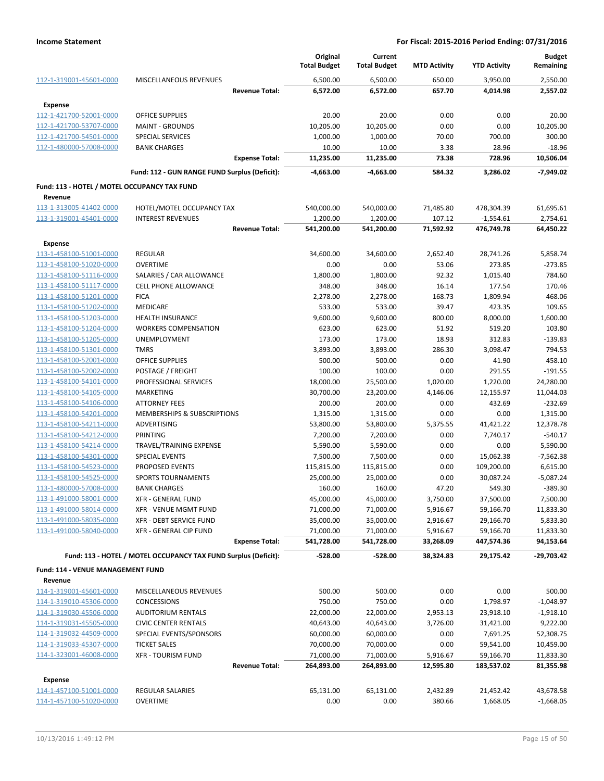|                                                    |                                                                 | Original<br><b>Total Budget</b> | Current<br><b>Total Budget</b> | <b>MTD Activity</b>  | <b>YTD Activity</b>    | <b>Budget</b><br>Remaining |
|----------------------------------------------------|-----------------------------------------------------------------|---------------------------------|--------------------------------|----------------------|------------------------|----------------------------|
| 112-1-319001-45601-0000                            | MISCELLANEOUS REVENUES                                          | 6,500.00                        | 6,500.00                       | 650.00               | 3,950.00               | 2,550.00                   |
|                                                    | <b>Revenue Total:</b>                                           | 6,572.00                        | 6,572.00                       | 657.70               | 4,014.98               | 2,557.02                   |
| <b>Expense</b>                                     |                                                                 |                                 |                                |                      |                        |                            |
| 112-1-421700-52001-0000                            | <b>OFFICE SUPPLIES</b>                                          | 20.00                           | 20.00                          | 0.00                 | 0.00                   | 20.00                      |
| 112-1-421700-53707-0000                            | <b>MAINT - GROUNDS</b>                                          | 10,205.00                       | 10,205.00                      | 0.00                 | 0.00                   | 10,205.00                  |
| 112-1-421700-54501-0000                            | <b>SPECIAL SERVICES</b>                                         | 1,000.00                        | 1,000.00                       | 70.00                | 700.00                 | 300.00                     |
| 112-1-480000-57008-0000                            | <b>BANK CHARGES</b>                                             | 10.00                           | 10.00                          | 3.38                 | 28.96                  | $-18.96$                   |
|                                                    | <b>Expense Total:</b>                                           | 11,235.00                       | 11,235.00                      | 73.38                | 728.96                 | 10,506.04                  |
|                                                    | Fund: 112 - GUN RANGE FUND Surplus (Deficit):                   | -4,663.00                       | -4,663.00                      | 584.32               | 3,286.02               | $-7,949.02$                |
| Fund: 113 - HOTEL / MOTEL OCCUPANCY TAX FUND       |                                                                 |                                 |                                |                      |                        |                            |
| Revenue                                            |                                                                 |                                 |                                |                      |                        |                            |
| 113-1-313005-41402-0000                            | HOTEL/MOTEL OCCUPANCY TAX                                       | 540,000.00                      | 540,000.00                     | 71,485.80            | 478,304.39             | 61,695.61                  |
| 113-1-319001-45401-0000                            | <b>INTEREST REVENUES</b>                                        | 1,200.00                        | 1,200.00                       | 107.12               | $-1,554.61$            | 2,754.61                   |
|                                                    | <b>Revenue Total:</b>                                           | 541,200.00                      | 541,200.00                     | 71,592.92            | 476,749.78             | 64,450.22                  |
| Expense                                            |                                                                 |                                 |                                |                      |                        |                            |
| 113-1-458100-51001-0000                            | <b>REGULAR</b>                                                  | 34,600.00                       | 34,600.00                      | 2,652.40             | 28,741.26              | 5,858.74                   |
| 113-1-458100-51020-0000                            | <b>OVERTIME</b>                                                 | 0.00                            | 0.00                           | 53.06                | 273.85                 | $-273.85$                  |
| 113-1-458100-51116-0000                            | SALARIES / CAR ALLOWANCE                                        | 1,800.00                        | 1,800.00                       | 92.32                | 1,015.40               | 784.60                     |
| 113-1-458100-51117-0000                            | <b>CELL PHONE ALLOWANCE</b>                                     | 348.00                          | 348.00                         | 16.14                | 177.54                 | 170.46                     |
| 113-1-458100-51201-0000                            | <b>FICA</b>                                                     | 2,278.00                        | 2,278.00                       | 168.73               | 1,809.94               | 468.06                     |
| 113-1-458100-51202-0000                            | <b>MEDICARE</b>                                                 | 533.00                          | 533.00                         | 39.47                | 423.35                 | 109.65                     |
| 113-1-458100-51203-0000                            | <b>HEALTH INSURANCE</b>                                         | 9,600.00                        | 9,600.00                       | 800.00               | 8,000.00               | 1,600.00                   |
| 113-1-458100-51204-0000                            | <b>WORKERS COMPENSATION</b>                                     | 623.00                          | 623.00                         | 51.92                | 519.20                 | 103.80                     |
| 113-1-458100-51205-0000                            | UNEMPLOYMENT                                                    | 173.00                          | 173.00                         | 18.93                | 312.83                 | $-139.83$                  |
| 113-1-458100-51301-0000                            | <b>TMRS</b>                                                     | 3,893.00                        | 3,893.00                       | 286.30               | 3,098.47               | 794.53                     |
| 113-1-458100-52001-0000                            | <b>OFFICE SUPPLIES</b>                                          | 500.00                          | 500.00                         | 0.00                 | 41.90                  | 458.10                     |
| 113-1-458100-52002-0000                            | POSTAGE / FREIGHT                                               | 100.00                          | 100.00                         | 0.00                 | 291.55                 | $-191.55$                  |
| 113-1-458100-54101-0000                            | PROFESSIONAL SERVICES                                           | 18,000.00                       | 25,500.00                      | 1,020.00             | 1,220.00               | 24,280.00                  |
| 113-1-458100-54105-0000                            | <b>MARKETING</b>                                                | 30,700.00                       | 23,200.00                      | 4,146.06             | 12,155.97              | 11,044.03                  |
| 113-1-458100-54106-0000                            | <b>ATTORNEY FEES</b>                                            | 200.00                          | 200.00                         | 0.00                 | 432.69                 | $-232.69$                  |
| 113-1-458100-54201-0000                            | MEMBERSHIPS & SUBSCRIPTIONS                                     | 1,315.00                        | 1,315.00                       | 0.00                 | 0.00                   | 1,315.00                   |
| 113-1-458100-54211-0000                            | ADVERTISING                                                     | 53,800.00                       | 53,800.00                      | 5,375.55             | 41,421.22              | 12,378.78                  |
| 113-1-458100-54212-0000                            | PRINTING                                                        | 7,200.00                        | 7,200.00                       | 0.00                 | 7,740.17               | $-540.17$                  |
| 113-1-458100-54214-0000                            | TRAVEL/TRAINING EXPENSE                                         | 5,590.00                        | 5,590.00                       | 0.00                 | 0.00                   | 5,590.00                   |
| 113-1-458100-54301-0000                            | SPECIAL EVENTS                                                  | 7,500.00                        | 7,500.00                       | 0.00                 | 15,062.38              | $-7,562.38$                |
| 113-1-458100-54523-0000                            | <b>PROPOSED EVENTS</b>                                          | 115,815.00                      | 115,815.00                     | 0.00                 | 109,200.00             | 6,615.00                   |
| 113-1-458100-54525-0000                            | <b>SPORTS TOURNAMENTS</b>                                       | 25,000.00                       | 25,000.00                      | 0.00                 | 30,087.24              | $-5,087.24$                |
| 113-1-480000-57008-0000                            | <b>BANK CHARGES</b>                                             | 160.00                          | 160.00                         | 47.20                | 549.30                 | $-389.30$                  |
| 113-1-491000-58001-0000                            | XFR - GENERAL FUND                                              | 45,000.00                       | 45,000.00                      | 3,750.00             | 37,500.00              | 7,500.00                   |
| 113-1-491000-58014-0000<br>113-1-491000-58035-0000 | XFR - VENUE MGMT FUND                                           | 71,000.00                       | 71,000.00                      | 5,916.67             | 59,166.70              | 11,833.30                  |
| 113-1-491000-58040-0000                            | <b>XFR - DEBT SERVICE FUND</b><br>XFR - GENERAL CIP FUND        | 35,000.00<br>71,000.00          | 35,000.00<br>71,000.00         | 2,916.67<br>5,916.67 | 29,166.70<br>59,166.70 | 5,833.30<br>11,833.30      |
|                                                    | <b>Expense Total:</b>                                           | 541,728.00                      | 541,728.00                     | 33,268.09            | 447,574.36             | 94,153.64                  |
|                                                    |                                                                 |                                 |                                |                      |                        |                            |
|                                                    | Fund: 113 - HOTEL / MOTEL OCCUPANCY TAX FUND Surplus (Deficit): | $-528.00$                       | $-528.00$                      | 38,324.83            | 29,175.42              | -29,703.42                 |
| Fund: 114 - VENUE MANAGEMENT FUND                  |                                                                 |                                 |                                |                      |                        |                            |
| Revenue                                            |                                                                 |                                 |                                |                      |                        |                            |
| 114-1-319001-45601-0000                            | MISCELLANEOUS REVENUES                                          | 500.00                          | 500.00                         | 0.00                 | 0.00                   | 500.00                     |
| 114-1-319010-45306-0000                            | <b>CONCESSIONS</b>                                              | 750.00                          | 750.00                         | 0.00                 | 1,798.97               | $-1,048.97$                |
| 114-1-319030-45506-0000                            | <b>AUDITORIUM RENTALS</b>                                       | 22,000.00                       | 22,000.00                      | 2,953.13             | 23,918.10              | $-1,918.10$                |
| 114-1-319031-45505-0000                            | <b>CIVIC CENTER RENTALS</b>                                     | 40,643.00                       | 40,643.00                      | 3,726.00             | 31,421.00              | 9,222.00                   |
| 114-1-319032-44509-0000                            | SPECIAL EVENTS/SPONSORS                                         | 60,000.00                       | 60,000.00                      | 0.00                 | 7,691.25               | 52,308.75                  |
| 114-1-319033-45307-0000                            | <b>TICKET SALES</b>                                             | 70,000.00                       | 70,000.00                      | 0.00                 | 59,541.00              | 10,459.00                  |
| 114-1-323001-46008-0000                            | <b>XFR - TOURISM FUND</b>                                       | 71,000.00                       | 71,000.00                      | 5,916.67             | 59,166.70              | 11,833.30                  |
|                                                    | <b>Revenue Total:</b>                                           | 264,893.00                      | 264,893.00                     | 12,595.80            | 183,537.02             | 81,355.98                  |
| Expense                                            |                                                                 |                                 |                                |                      |                        |                            |
| 114-1-457100-51001-0000                            | REGULAR SALARIES                                                | 65,131.00                       | 65,131.00                      | 2,432.89             | 21,452.42              | 43,678.58                  |
| 114-1-457100-51020-0000                            | <b>OVERTIME</b>                                                 | 0.00                            | 0.00                           | 380.66               | 1,668.05               | $-1,668.05$                |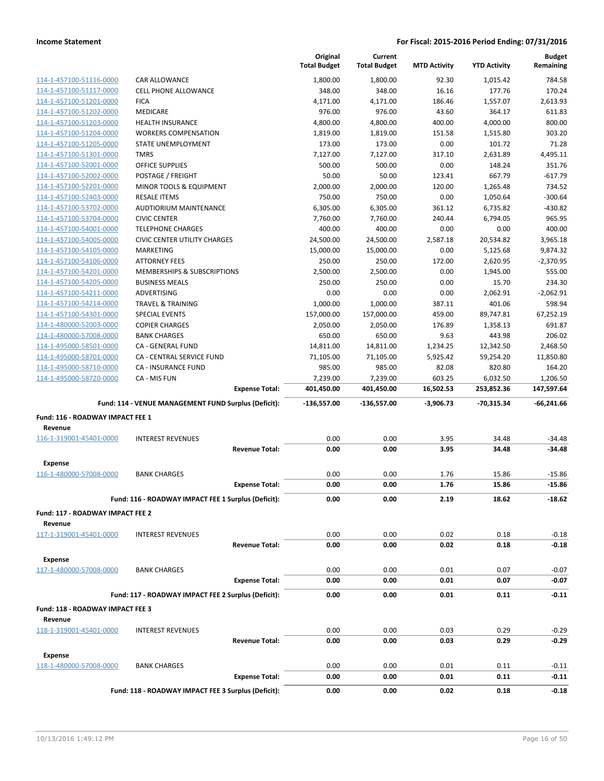|                                             |                                                      | Original<br><b>Total Budget</b> | Current<br><b>Total Budget</b> | <b>MTD Activity</b> | <b>YTD Activity</b> | <b>Budget</b><br>Remaining |
|---------------------------------------------|------------------------------------------------------|---------------------------------|--------------------------------|---------------------|---------------------|----------------------------|
| 114-1-457100-51116-0000                     | <b>CAR ALLOWANCE</b>                                 | 1,800.00                        | 1,800.00                       | 92.30               | 1,015.42            | 784.58                     |
| 114-1-457100-51117-0000                     | <b>CELL PHONE ALLOWANCE</b>                          | 348.00                          | 348.00                         | 16.16               | 177.76              | 170.24                     |
| 114-1-457100-51201-0000                     | <b>FICA</b>                                          | 4,171.00                        | 4,171.00                       | 186.46              | 1,557.07            | 2,613.93                   |
| 114-1-457100-51202-0000                     | <b>MEDICARE</b>                                      | 976.00                          | 976.00                         | 43.60               | 364.17              | 611.83                     |
| 114-1-457100-51203-0000                     | <b>HEALTH INSURANCE</b>                              | 4,800.00                        | 4,800.00                       | 400.00              | 4,000.00            | 800.00                     |
| 114-1-457100-51204-0000                     | <b>WORKERS COMPENSATION</b>                          | 1,819.00                        | 1,819.00                       | 151.58              | 1,515.80            | 303.20                     |
| 114-1-457100-51205-0000                     | STATE UNEMPLOYMENT                                   | 173.00                          | 173.00                         | 0.00                | 101.72              | 71.28                      |
| 114-1-457100-51301-0000                     | <b>TMRS</b>                                          | 7,127.00                        | 7,127.00                       | 317.10              | 2,631.89            | 4,495.11                   |
| 114-1-457100-52001-0000                     | <b>OFFICE SUPPLIES</b>                               | 500.00                          | 500.00                         | 0.00                | 148.24              | 351.76                     |
| 114-1-457100-52002-0000                     | POSTAGE / FREIGHT                                    | 50.00                           | 50.00                          | 123.41              | 667.79              | $-617.79$                  |
| 114-1-457100-52201-0000                     | MINOR TOOLS & EQUIPMENT                              | 2,000.00                        | 2,000.00                       | 120.00              | 1,265.48            | 734.52                     |
| 114-1-457100-52403-0000                     | <b>RESALE ITEMS</b>                                  | 750.00                          | 750.00                         | 0.00                | 1,050.64            | $-300.64$                  |
| 114-1-457100-53702-0000                     | AUDTIORIUM MAINTENANCE                               | 6,305.00                        | 6,305.00                       | 361.12              | 6,735.82            | $-430.82$                  |
| 114-1-457100-53704-0000                     | <b>CIVIC CENTER</b>                                  | 7,760.00                        | 7,760.00                       | 240.44              | 6,794.05            | 965.95                     |
| 114-1-457100-54001-0000                     | <b>TELEPHONE CHARGES</b>                             | 400.00                          | 400.00                         | 0.00                | 0.00                | 400.00                     |
| 114-1-457100-54005-0000                     | <b>CIVIC CENTER UTILITY CHARGES</b>                  | 24,500.00                       | 24,500.00                      | 2,587.18            | 20,534.82           | 3,965.18                   |
| 114-1-457100-54105-0000                     | MARKETING                                            | 15,000.00                       | 15,000.00                      | 0.00                | 5,125.68            | 9,874.32                   |
| 114-1-457100-54106-0000                     | <b>ATTORNEY FEES</b>                                 | 250.00                          | 250.00                         | 172.00              | 2,620.95            | $-2,370.95$                |
| 114-1-457100-54201-0000                     | MEMBERSHIPS & SUBSCRIPTIONS                          | 2,500.00                        | 2,500.00                       | 0.00                | 1,945.00            | 555.00                     |
| 114-1-457100-54205-0000                     | <b>BUSINESS MEALS</b>                                | 250.00                          | 250.00                         | 0.00                | 15.70               | 234.30                     |
| 114-1-457100-54211-0000                     | <b>ADVERTISING</b>                                   | 0.00                            | 0.00                           | 0.00                | 2,062.91            | $-2,062.91$                |
| 114-1-457100-54214-0000                     | <b>TRAVEL &amp; TRAINING</b>                         | 1,000.00                        | 1,000.00                       | 387.11              | 401.06              | 598.94                     |
| 114-1-457100-54301-0000                     | <b>SPECIAL EVENTS</b>                                | 157,000.00                      | 157,000.00                     | 459.00              | 89,747.81           | 67,252.19                  |
| 114-1-480000-52003-0000                     | <b>COPIER CHARGES</b>                                | 2,050.00                        | 2,050.00                       | 176.89              | 1,358.13            | 691.87                     |
| 114-1-480000-57008-0000                     | <b>BANK CHARGES</b>                                  | 650.00                          | 650.00                         | 9.63                | 443.98              | 206.02                     |
| 114-1-495000-58501-0000                     | <b>CA - GENERAL FUND</b>                             | 14,811.00                       | 14,811.00                      | 1,234.25            | 12,342.50           | 2,468.50                   |
| 114-1-495000-58701-0000                     | CA - CENTRAL SERVICE FUND                            | 71,105.00                       | 71,105.00                      | 5,925.42            | 59,254.20           | 11,850.80                  |
| 114-1-495000-58710-0000                     | <b>CA - INSURANCE FUND</b>                           | 985.00                          | 985.00                         | 82.08               | 820.80              | 164.20                     |
|                                             |                                                      |                                 |                                |                     |                     |                            |
| 114-1-495000-58720-0000                     | CA - MIS FUN                                         | 7,239.00                        | 7,239.00                       | 603.25              | 6,032.50            | 1,206.50                   |
|                                             | <b>Expense Total:</b>                                | 401,450.00                      | 401,450.00                     | 16,502.53           | 253,852.36          | 147,597.64                 |
|                                             | Fund: 114 - VENUE MANAGEMENT FUND Surplus (Deficit): | $-136,557.00$                   | $-136,557.00$                  | $-3,906.73$         | $-70,315.34$        | $-66,241.66$               |
| Fund: 116 - ROADWAY IMPACT FEE 1            |                                                      |                                 |                                |                     |                     |                            |
| Revenue                                     |                                                      |                                 |                                |                     |                     |                            |
| 116-1-319001-45401-0000                     | <b>INTEREST REVENUES</b>                             | 0.00                            | 0.00                           | 3.95                | 34.48               | $-34.48$                   |
|                                             | <b>Revenue Total:</b>                                | 0.00                            | 0.00                           | 3.95                | 34.48               | $-34.48$                   |
|                                             |                                                      |                                 |                                |                     |                     |                            |
| <b>Expense</b>                              |                                                      |                                 |                                |                     |                     |                            |
| 116-1-480000-57008-0000                     | <b>BANK CHARGES</b>                                  | 0.00                            | 0.00                           | 1.76                | 15.86               | $-15.86$                   |
|                                             | <b>Expense Total:</b>                                | 0.00                            | 0.00                           | 1.76                | 15.86               | $-15.86$                   |
|                                             | Fund: 116 - ROADWAY IMPACT FEE 1 Surplus (Deficit):  | 0.00                            | 0.00                           | 2.19                | 18.62               | $-18.62$                   |
| Fund: 117 - ROADWAY IMPACT FEE 2            |                                                      |                                 |                                |                     |                     |                            |
| Revenue                                     |                                                      |                                 |                                |                     |                     |                            |
| 117-1-319001-45401-0000                     | <b>INTEREST REVENUES</b>                             | 0.00                            | 0.00                           | 0.02                | 0.18                | $-0.18$                    |
|                                             | <b>Revenue Total:</b>                                | 0.00                            | 0.00                           | 0.02                | 0.18                | $-0.18$                    |
| <b>Expense</b>                              |                                                      |                                 |                                |                     |                     |                            |
| 117-1-480000-57008-0000                     | <b>BANK CHARGES</b>                                  | 0.00                            | 0.00                           | 0.01                | 0.07                | $-0.07$                    |
|                                             | <b>Expense Total:</b>                                | 0.00                            | 0.00                           | 0.01                | 0.07                | -0.07                      |
|                                             |                                                      |                                 |                                |                     |                     |                            |
|                                             | Fund: 117 - ROADWAY IMPACT FEE 2 Surplus (Deficit):  | 0.00                            | 0.00                           | 0.01                | 0.11                | $-0.11$                    |
| Fund: 118 - ROADWAY IMPACT FEE 3<br>Revenue |                                                      |                                 |                                |                     |                     |                            |
| 118-1-319001-45401-0000                     | <b>INTEREST REVENUES</b>                             | 0.00                            | 0.00                           | 0.03                | 0.29                | $-0.29$                    |
|                                             | <b>Revenue Total:</b>                                | 0.00                            | 0.00                           | 0.03                | 0.29                | $-0.29$                    |
| <b>Expense</b>                              |                                                      |                                 |                                |                     |                     |                            |
| 118-1-480000-57008-0000                     | <b>BANK CHARGES</b>                                  | 0.00                            | 0.00                           | 0.01                | 0.11                | $-0.11$                    |
|                                             | <b>Expense Total:</b>                                | 0.00                            | 0.00                           | 0.01                | 0.11                | $-0.11$                    |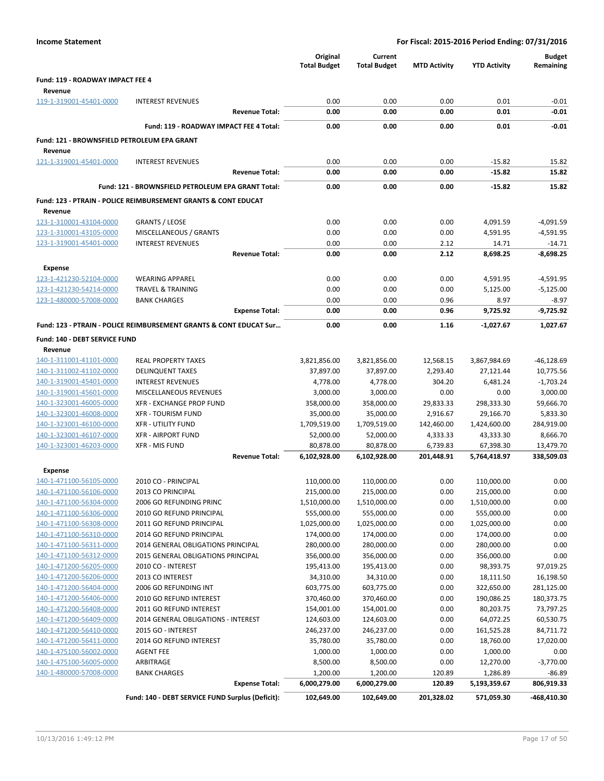| <b>Income Statement</b>                                |                                                                               |                       | For Fiscal: 2015-2016 Period Ending: 07/31/2016 |                                |                     |                            |                            |
|--------------------------------------------------------|-------------------------------------------------------------------------------|-----------------------|-------------------------------------------------|--------------------------------|---------------------|----------------------------|----------------------------|
|                                                        |                                                                               |                       | Original<br><b>Total Budget</b>                 | Current<br><b>Total Budget</b> | <b>MTD Activity</b> | <b>YTD Activity</b>        | <b>Budget</b><br>Remaining |
| <b>Fund: 119 - ROADWAY IMPACT FEE 4</b>                |                                                                               |                       |                                                 |                                |                     |                            |                            |
| Revenue                                                |                                                                               |                       |                                                 |                                |                     |                            |                            |
| 119-1-319001-45401-0000                                | <b>INTEREST REVENUES</b>                                                      |                       | 0.00                                            | 0.00                           | 0.00                | 0.01                       | $-0.01$                    |
|                                                        |                                                                               | <b>Revenue Total:</b> | 0.00                                            | 0.00                           | 0.00                | 0.01                       | $-0.01$                    |
|                                                        | Fund: 119 - ROADWAY IMPACT FEE 4 Total:                                       |                       | 0.00                                            | 0.00                           | 0.00                | 0.01                       | $-0.01$                    |
| Fund: 121 - BROWNSFIELD PETROLEUM EPA GRANT<br>Revenue |                                                                               |                       |                                                 |                                |                     |                            |                            |
| 121-1-319001-45401-0000                                | <b>INTEREST REVENUES</b>                                                      |                       | 0.00                                            | 0.00                           | 0.00                | $-15.82$                   | 15.82                      |
|                                                        |                                                                               | <b>Revenue Total:</b> | 0.00                                            | 0.00                           | 0.00                | $-15.82$                   | 15.82                      |
|                                                        | Fund: 121 - BROWNSFIELD PETROLEUM EPA GRANT Total:                            |                       | 0.00                                            | 0.00                           | 0.00                | -15.82                     | 15.82                      |
|                                                        | <b>Fund: 123 - PTRAIN - POLICE REIMBURSEMENT GRANTS &amp; CONT EDUCAT</b>     |                       |                                                 |                                |                     |                            |                            |
| Revenue                                                |                                                                               |                       |                                                 |                                |                     |                            |                            |
| 123-1-310001-43104-0000                                | <b>GRANTS / LEOSE</b>                                                         |                       | 0.00                                            | 0.00                           | 0.00                | 4,091.59                   | $-4,091.59$                |
| 123-1-310001-43105-0000                                | MISCELLANEOUS / GRANTS                                                        |                       | 0.00                                            | 0.00                           | 0.00                | 4,591.95                   | $-4,591.95$                |
| 123-1-319001-45401-0000                                | <b>INTEREST REVENUES</b>                                                      |                       | 0.00                                            | 0.00                           | 2.12                | 14.71                      | $-14.71$                   |
|                                                        |                                                                               | <b>Revenue Total:</b> | 0.00                                            | 0.00                           | 2.12                | 8,698.25                   | $-8,698.25$                |
| <b>Expense</b>                                         |                                                                               |                       |                                                 |                                |                     |                            |                            |
| 123-1-421230-52104-0000                                | <b>WEARING APPAREL</b>                                                        |                       | 0.00                                            | 0.00                           | 0.00                | 4,591.95                   | $-4,591.95$                |
| 123-1-421230-54214-0000                                | <b>TRAVEL &amp; TRAINING</b>                                                  |                       | 0.00                                            | 0.00                           | 0.00                | 5,125.00                   | $-5,125.00$                |
| 123-1-480000-57008-0000                                | <b>BANK CHARGES</b>                                                           | <b>Expense Total:</b> | 0.00<br>0.00                                    | 0.00<br>0.00                   | 0.96<br>0.96        | 8.97<br>9,725.92           | $-8.97$<br>$-9,725.92$     |
|                                                        |                                                                               |                       |                                                 |                                |                     |                            |                            |
|                                                        | <b>Fund: 123 - PTRAIN - POLICE REIMBURSEMENT GRANTS &amp; CONT EDUCAT Sur</b> |                       | 0.00                                            | 0.00                           | 1.16                | $-1,027.67$                | 1,027.67                   |
| Fund: 140 - DEBT SERVICE FUND                          |                                                                               |                       |                                                 |                                |                     |                            |                            |
| Revenue<br>140-1-311001-41101-0000                     | <b>REAL PROPERTY TAXES</b>                                                    |                       | 3,821,856.00                                    | 3,821,856.00                   | 12,568.15           | 3,867,984.69               | $-46,128.69$               |
| 140-1-311002-41102-0000                                | <b>DELINQUENT TAXES</b>                                                       |                       | 37,897.00                                       | 37,897.00                      | 2,293.40            | 27,121.44                  | 10,775.56                  |
| 140-1-319001-45401-0000                                | <b>INTEREST REVENUES</b>                                                      |                       | 4,778.00                                        | 4,778.00                       | 304.20              | 6,481.24                   | $-1,703.24$                |
| 140-1-319001-45601-0000                                | MISCELLANEOUS REVENUES                                                        |                       | 3,000.00                                        | 3,000.00                       | 0.00                | 0.00                       | 3,000.00                   |
| 140-1-323001-46005-0000                                | XFR - EXCHANGE PROP FUND                                                      |                       | 358,000.00                                      | 358,000.00                     | 29,833.33           | 298,333.30                 | 59,666.70                  |
| 140-1-323001-46008-0000                                | <b>XFR - TOURISM FUND</b>                                                     |                       | 35,000.00                                       | 35,000.00                      | 2,916.67            | 29,166.70                  | 5,833.30                   |
| 140-1-323001-46100-0000                                | <b>XFR - UTILITY FUND</b>                                                     |                       | 1,709,519.00                                    | 1,709,519.00                   | 142,460.00          | 1,424,600.00               | 284,919.00                 |
| 140-1-323001-46107-0000                                | <b>XFR - AIRPORT FUND</b>                                                     |                       | 52,000.00                                       | 52,000.00                      | 4,333.33            | 43,333.30                  | 8,666.70                   |
| 140-1-323001-46203-0000                                | <b>XFR - MIS FUND</b>                                                         |                       | 80,878.00                                       | 80,878.00                      | 6,739.83            | 67,398.30                  | 13,479.70                  |
|                                                        |                                                                               | <b>Revenue Total:</b> | 6,102,928.00                                    | 6,102,928.00                   | 201,448.91          | 5,764,418.97               | 338,509.03                 |
| <b>Expense</b>                                         |                                                                               |                       |                                                 |                                |                     |                            |                            |
| 140-1-471100-56105-0000                                | 2010 CO - PRINCIPAL                                                           |                       | 110,000.00                                      | 110,000.00                     | 0.00                | 110,000.00                 | 0.00                       |
| 140-1-471100-56106-0000                                | 2013 CO PRINCIPAL                                                             |                       | 215,000.00                                      | 215,000.00                     | 0.00                | 215,000.00                 | 0.00                       |
| 140-1-471100-56304-0000                                | 2006 GO REFUNDING PRINC                                                       |                       | 1,510,000.00                                    | 1,510,000.00                   | 0.00                | 1,510,000.00               | 0.00                       |
| 140-1-471100-56306-0000<br>140-1-471100-56308-0000     | 2010 GO REFUND PRINCIPAL<br>2011 GO REFUND PRINCIPAL                          |                       | 555,000.00<br>1,025,000.00                      | 555,000.00<br>1,025,000.00     | 0.00<br>0.00        | 555,000.00<br>1,025,000.00 | 0.00<br>0.00               |
| 140-1-471100-56310-0000                                | 2014 GO REFUND PRINCIPAL                                                      |                       | 174,000.00                                      | 174,000.00                     | 0.00                | 174,000.00                 | 0.00                       |
| 140-1-471100-56311-0000                                | 2014 GENERAL OBLIGATIONS PRINCIPAL                                            |                       | 280,000.00                                      | 280,000.00                     | 0.00                | 280,000.00                 | 0.00                       |
| 140-1-471100-56312-0000                                | 2015 GENERAL OBLIGATIONS PRINCIPAL                                            |                       | 356,000.00                                      | 356,000.00                     | 0.00                | 356,000.00                 | 0.00                       |
| 140-1-471200-56205-0000                                | 2010 CO - INTEREST                                                            |                       | 195,413.00                                      | 195,413.00                     | 0.00                | 98,393.75                  | 97,019.25                  |
| 140-1-471200-56206-0000                                | 2013 CO INTEREST                                                              |                       | 34,310.00                                       | 34,310.00                      | 0.00                | 18,111.50                  | 16,198.50                  |
| 140-1-471200-56404-0000                                | 2006 GO REFUNDING INT                                                         |                       | 603,775.00                                      | 603,775.00                     | 0.00                | 322,650.00                 | 281,125.00                 |
| 140-1-471200-56406-0000                                | 2010 GO REFUND INTEREST                                                       |                       | 370,460.00                                      | 370,460.00                     | 0.00                | 190,086.25                 | 180,373.75                 |
| 140-1-471200-56408-0000                                | 2011 GO REFUND INTEREST                                                       |                       | 154,001.00                                      | 154,001.00                     | 0.00                | 80,203.75                  | 73,797.25                  |
| 140-1-471200-56409-0000                                | 2014 GENERAL OBLIGATIONS - INTEREST                                           |                       | 124,603.00                                      | 124,603.00                     | 0.00                | 64,072.25                  | 60,530.75                  |
| 140-1-471200-56410-0000                                | 2015 GO - INTEREST                                                            |                       | 246,237.00                                      | 246,237.00                     | 0.00                | 161,525.28                 | 84,711.72                  |
| 140-1-471200-56411-0000                                | 2014 GO REFUND INTEREST                                                       |                       | 35,780.00                                       | 35,780.00                      | 0.00                | 18,760.00                  | 17,020.00                  |
| 140-1-475100-56002-0000                                | <b>AGENT FEE</b>                                                              |                       | 1,000.00                                        | 1,000.00                       | 0.00                | 1,000.00                   | 0.00                       |
| 140-1-475100-56005-0000<br>140-1-480000-57008-0000     | ARBITRAGE<br><b>BANK CHARGES</b>                                              |                       | 8,500.00<br>1,200.00                            | 8,500.00<br>1,200.00           | 0.00<br>120.89      | 12,270.00<br>1,286.89      | $-3,770.00$<br>$-86.89$    |
|                                                        |                                                                               | <b>Expense Total:</b> | 6,000,279.00                                    | 6,000,279.00                   | 120.89              | 5,193,359.67               | 806,919.33                 |
|                                                        | Fund: 140 - DEBT SERVICE FUND Surplus (Deficit):                              |                       | 102,649.00                                      | 102,649.00                     | 201,328.02          | 571,059.30                 | -468,410.30                |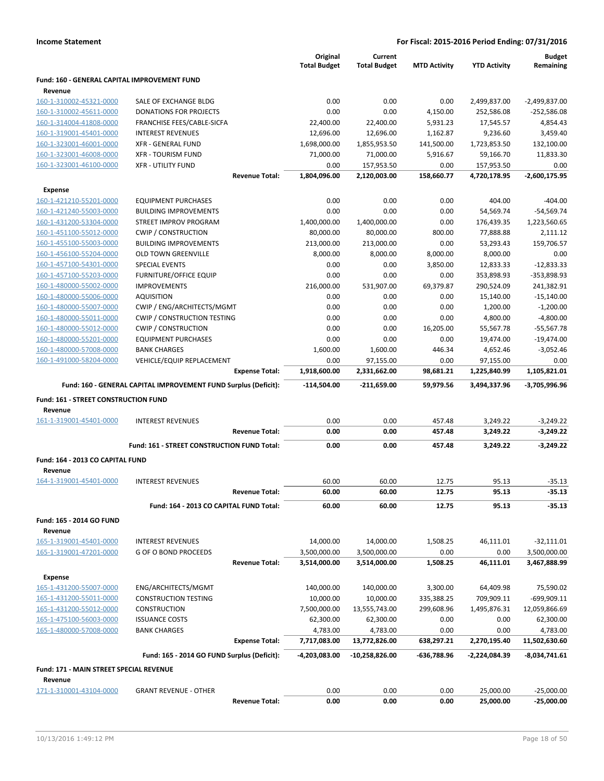|                                              |                                                                 | Original            | Current             |                     |                     | <b>Budget</b>   |
|----------------------------------------------|-----------------------------------------------------------------|---------------------|---------------------|---------------------|---------------------|-----------------|
|                                              |                                                                 | <b>Total Budget</b> | <b>Total Budget</b> | <b>MTD Activity</b> | <b>YTD Activity</b> | Remaining       |
| Fund: 160 - GENERAL CAPITAL IMPROVEMENT FUND |                                                                 |                     |                     |                     |                     |                 |
| Revenue<br>160-1-310002-45321-0000           | SALE OF EXCHANGE BLDG                                           | 0.00                | 0.00                | 0.00                | 2,499,837.00        | $-2,499,837.00$ |
| 160-1-310002-45611-0000                      | <b>DONATIONS FOR PROJECTS</b>                                   | 0.00                | 0.00                | 4,150.00            | 252,586.08          | $-252,586.08$   |
| 160-1-314004-41808-0000                      | FRANCHISE FEES/CABLE-SICFA                                      | 22,400.00           | 22,400.00           | 5,931.23            | 17,545.57           | 4,854.43        |
| 160-1-319001-45401-0000                      | <b>INTEREST REVENUES</b>                                        | 12,696.00           | 12,696.00           | 1,162.87            | 9,236.60            | 3,459.40        |
| 160-1-323001-46001-0000                      | XFR - GENERAL FUND                                              | 1,698,000.00        | 1,855,953.50        | 141,500.00          | 1,723,853.50        | 132,100.00      |
| 160-1-323001-46008-0000                      | <b>XFR - TOURISM FUND</b>                                       | 71,000.00           | 71,000.00           | 5,916.67            | 59,166.70           | 11,833.30       |
| 160-1-323001-46100-0000                      | <b>XFR - UTILITY FUND</b>                                       | 0.00                | 157,953.50          | 0.00                | 157,953.50          | 0.00            |
|                                              | <b>Revenue Total:</b>                                           | 1,804,096.00        | 2,120,003.00        | 158,660.77          | 4,720,178.95        | -2,600,175.95   |
| <b>Expense</b>                               |                                                                 |                     |                     |                     |                     |                 |
| 160-1-421210-55201-0000                      | <b>EQUIPMENT PURCHASES</b>                                      | 0.00                | 0.00                | 0.00                | 404.00              | $-404.00$       |
| 160-1-421240-55003-0000                      | <b>BUILDING IMPROVEMENTS</b>                                    | 0.00                | 0.00                | 0.00                | 54,569.74           | $-54,569.74$    |
| 160-1-431200-53304-0000                      | STREET IMPROV PROGRAM                                           | 1,400,000.00        | 1,400,000.00        | 0.00                | 176,439.35          | 1,223,560.65    |
| 160-1-451100-55012-0000                      | <b>CWIP / CONSTRUCTION</b>                                      | 80,000.00           | 80,000.00           | 800.00              | 77,888.88           | 2,111.12        |
| 160-1-455100-55003-0000                      | <b>BUILDING IMPROVEMENTS</b>                                    | 213,000.00          | 213,000.00          | 0.00                | 53,293.43           | 159,706.57      |
| 160-1-456100-55204-0000                      | <b>OLD TOWN GREENVILLE</b>                                      | 8,000.00            | 8,000.00            | 8,000.00            | 8,000.00            | 0.00            |
| 160-1-457100-54301-0000                      | <b>SPECIAL EVENTS</b>                                           | 0.00                | 0.00                | 3,850.00            | 12,833.33           | $-12,833.33$    |
| 160-1-457100-55203-0000                      | <b>FURNITURE/OFFICE EQUIP</b>                                   | 0.00                | 0.00                | 0.00                | 353,898.93          | -353,898.93     |
| 160-1-480000-55002-0000                      | <b>IMPROVEMENTS</b>                                             | 216,000.00          | 531,907.00          | 69,379.87           | 290,524.09          | 241,382.91      |
| 160-1-480000-55006-0000                      | <b>AQUISITION</b>                                               | 0.00                | 0.00                | 0.00                | 15,140.00           | $-15,140.00$    |
| 160-1-480000-55007-0000                      | CWIP / ENG/ARCHITECTS/MGMT                                      | 0.00                | 0.00                | 0.00                | 1,200.00            | $-1,200.00$     |
| 160-1-480000-55011-0000                      | CWIP / CONSTRUCTION TESTING                                     | 0.00                | 0.00                | 0.00                | 4,800.00            | $-4,800.00$     |
| 160-1-480000-55012-0000                      | <b>CWIP / CONSTRUCTION</b>                                      | 0.00                | 0.00                | 16,205.00           | 55,567.78           | $-55,567.78$    |
| 160-1-480000-55201-0000                      | <b>EQUIPMENT PURCHASES</b>                                      | 0.00                | 0.00                | 0.00                | 19,474.00           | $-19,474.00$    |
| 160-1-480000-57008-0000                      | <b>BANK CHARGES</b>                                             | 1,600.00            | 1,600.00            | 446.34              | 4,652.46            | $-3,052.46$     |
| 160-1-491000-58204-0000                      | VEHICLE/EQUIP REPLACEMENT                                       | 0.00                | 97,155.00           | 0.00                | 97,155.00           | 0.00            |
|                                              | <b>Expense Total:</b>                                           | 1,918,600.00        | 2,331,662.00        | 98,681.21           | 1,225,840.99        | 1,105,821.01    |
|                                              |                                                                 |                     |                     |                     |                     |                 |
|                                              |                                                                 |                     |                     |                     |                     |                 |
|                                              | Fund: 160 - GENERAL CAPITAL IMPROVEMENT FUND Surplus (Deficit): | -114,504.00         | $-211,659.00$       | 59,979.56           | 3,494,337.96        | -3,705,996.96   |
| Fund: 161 - STREET CONSTRUCTION FUND         |                                                                 |                     |                     |                     |                     |                 |
| Revenue                                      |                                                                 |                     |                     |                     |                     |                 |
| 161-1-319001-45401-0000                      | <b>INTEREST REVENUES</b>                                        | 0.00                | 0.00                | 457.48              | 3,249.22            | $-3,249.22$     |
|                                              | <b>Revenue Total:</b>                                           | 0.00                | 0.00                | 457.48              | 3,249.22            | $-3,249.22$     |
|                                              | Fund: 161 - STREET CONSTRUCTION FUND Total:                     | 0.00                | 0.00                | 457.48              | 3,249.22            | $-3,249.22$     |
| Fund: 164 - 2013 CO CAPITAL FUND             |                                                                 |                     |                     |                     |                     |                 |
| Revenue                                      |                                                                 |                     |                     |                     |                     |                 |
| 164-1-319001-45401-0000                      | <b>INTEREST REVENUES</b>                                        | 60.00               | 60.00               | 12.75               | 95.13               | $-35.13$        |
|                                              | <b>Revenue Total:</b>                                           | 60.00               | 60.00               | 12.75               | 95.13               | -35.13          |
|                                              |                                                                 |                     |                     |                     |                     |                 |
|                                              | Fund: 164 - 2013 CO CAPITAL FUND Total:                         | 60.00               | 60.00               | 12.75               | 95.13               | $-35.13$        |
| Fund: 165 - 2014 GO FUND                     |                                                                 |                     |                     |                     |                     |                 |
| Revenue                                      |                                                                 |                     |                     |                     |                     |                 |
| 165-1-319001-45401-0000                      | <b>INTEREST REVENUES</b>                                        | 14,000.00           | 14,000.00           | 1,508.25            | 46,111.01           | $-32,111.01$    |
| 165-1-319001-47201-0000                      | <b>G OF O BOND PROCEEDS</b>                                     | 3,500,000.00        | 3,500,000.00        | 0.00                | 0.00                | 3,500,000.00    |
|                                              | <b>Revenue Total:</b>                                           | 3,514,000.00        | 3,514,000.00        | 1,508.25            | 46,111.01           | 3,467,888.99    |
| <b>Expense</b>                               |                                                                 |                     |                     |                     |                     |                 |
| 165-1-431200-55007-0000                      | ENG/ARCHITECTS/MGMT                                             | 140,000.00          | 140,000.00          | 3,300.00            | 64,409.98           | 75,590.02       |
| 165-1-431200-55011-0000                      | <b>CONSTRUCTION TESTING</b>                                     | 10,000.00           | 10,000.00           | 335,388.25          | 709,909.11          | -699,909.11     |
| 165-1-431200-55012-0000                      | <b>CONSTRUCTION</b>                                             | 7,500,000.00        | 13,555,743.00       | 299,608.96          | 1,495,876.31        | 12,059,866.69   |
| 165-1-475100-56003-0000                      | <b>ISSUANCE COSTS</b>                                           | 62,300.00           | 62,300.00           | 0.00                | 0.00                | 62,300.00       |
| 165-1-480000-57008-0000                      | <b>BANK CHARGES</b>                                             | 4,783.00            | 4,783.00            | 0.00                | 0.00                | 4,783.00        |
|                                              | <b>Expense Total:</b>                                           | 7,717,083.00        | 13,772,826.00       | 638,297.21          | 2,270,195.40        | 11,502,630.60   |
|                                              | Fund: 165 - 2014 GO FUND Surplus (Deficit):                     | -4,203,083.00       | -10,258,826.00      | -636,788.96         | -2,224,084.39       | $-8,034,741.61$ |
| Fund: 171 - MAIN STREET SPECIAL REVENUE      |                                                                 |                     |                     |                     |                     |                 |
| Revenue                                      |                                                                 |                     |                     |                     |                     |                 |
| 171-1-310001-43104-0000                      | <b>GRANT REVENUE - OTHER</b>                                    | 0.00                | 0.00                | 0.00                | 25,000.00           | $-25,000.00$    |
|                                              | <b>Revenue Total:</b>                                           | 0.00                | 0.00                | 0.00                | 25,000.00           | $-25,000.00$    |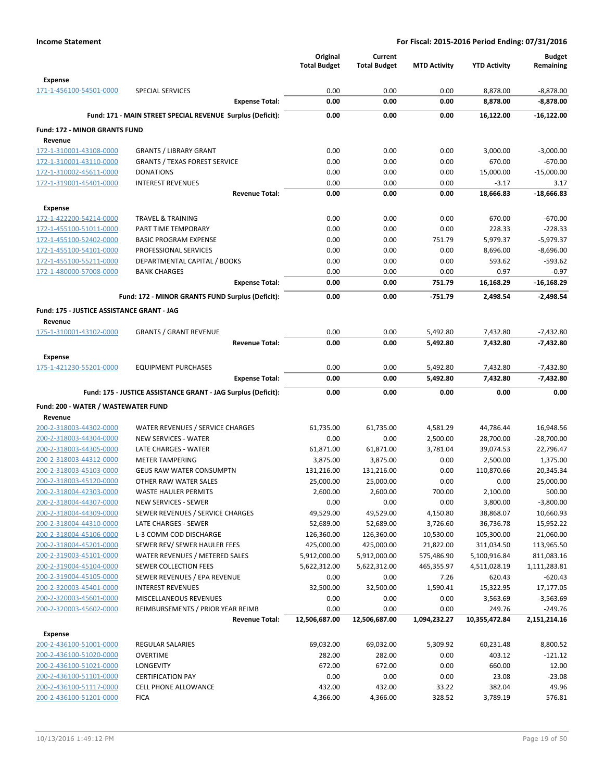|                                                    |                                                               | Original<br><b>Total Budget</b> | Current<br><b>Total Budget</b> | <b>MTD Activity</b>  | <b>YTD Activity</b>    | <b>Budget</b><br>Remaining |
|----------------------------------------------------|---------------------------------------------------------------|---------------------------------|--------------------------------|----------------------|------------------------|----------------------------|
| <b>Expense</b>                                     |                                                               |                                 |                                |                      |                        |                            |
| 171-1-456100-54501-0000                            | <b>SPECIAL SERVICES</b>                                       | 0.00                            | 0.00                           | 0.00                 | 8,878.00               | $-8,878.00$                |
|                                                    | <b>Expense Total:</b>                                         | 0.00                            | 0.00                           | 0.00                 | 8,878.00               | $-8,878.00$                |
|                                                    | Fund: 171 - MAIN STREET SPECIAL REVENUE Surplus (Deficit):    | 0.00                            | 0.00                           | 0.00                 | 16,122.00              | $-16,122.00$               |
| <b>Fund: 172 - MINOR GRANTS FUND</b>               |                                                               |                                 |                                |                      |                        |                            |
| Revenue                                            |                                                               |                                 |                                |                      |                        |                            |
| 172-1-310001-43108-0000                            | <b>GRANTS / LIBRARY GRANT</b>                                 | 0.00                            | 0.00                           | 0.00                 | 3,000.00               | $-3,000.00$                |
| 172-1-310001-43110-0000                            | <b>GRANTS / TEXAS FOREST SERVICE</b>                          | 0.00                            | 0.00                           | 0.00                 | 670.00                 | $-670.00$                  |
| 172-1-310002-45611-0000                            | <b>DONATIONS</b>                                              | 0.00                            | 0.00                           | 0.00                 | 15,000.00              | $-15,000.00$               |
| 172-1-319001-45401-0000                            | <b>INTEREST REVENUES</b>                                      | 0.00                            | 0.00                           | 0.00                 | $-3.17$                | 3.17                       |
|                                                    | <b>Revenue Total:</b>                                         | 0.00                            | 0.00                           | 0.00                 | 18,666.83              | $-18,666.83$               |
| <b>Expense</b>                                     |                                                               |                                 |                                |                      |                        |                            |
| 172-1-422200-54214-0000                            | <b>TRAVEL &amp; TRAINING</b>                                  | 0.00                            | 0.00                           | 0.00                 | 670.00                 | $-670.00$                  |
| 172-1-455100-51011-0000                            | PART TIME TEMPORARY                                           | 0.00                            | 0.00                           | 0.00                 | 228.33                 | $-228.33$                  |
| 172-1-455100-52402-0000                            | <b>BASIC PROGRAM EXPENSE</b>                                  | 0.00                            | 0.00                           | 751.79               | 5,979.37               | $-5,979.37$                |
| 172-1-455100-54101-0000                            | PROFESSIONAL SERVICES                                         | 0.00                            | 0.00                           | 0.00                 | 8,696.00               | $-8,696.00$                |
| 172-1-455100-55211-0000                            | DEPARTMENTAL CAPITAL / BOOKS                                  | 0.00                            | 0.00                           | 0.00                 | 593.62                 | $-593.62$                  |
| 172-1-480000-57008-0000                            | <b>BANK CHARGES</b>                                           | 0.00                            | 0.00                           | 0.00                 | 0.97                   | $-0.97$                    |
|                                                    | <b>Expense Total:</b>                                         | 0.00                            | 0.00                           | 751.79               | 16,168.29              | $-16,168.29$               |
|                                                    | Fund: 172 - MINOR GRANTS FUND Surplus (Deficit):              | 0.00                            | 0.00                           | $-751.79$            | 2,498.54               | $-2,498.54$                |
| Fund: 175 - JUSTICE ASSISTANCE GRANT - JAG         |                                                               |                                 |                                |                      |                        |                            |
| Revenue                                            |                                                               |                                 |                                |                      |                        |                            |
| 175-1-310001-43102-0000                            | <b>GRANTS / GRANT REVENUE</b>                                 | 0.00<br>0.00                    | 0.00<br>0.00                   | 5,492.80<br>5,492.80 | 7,432.80               | $-7,432.80$<br>$-7,432.80$ |
|                                                    | <b>Revenue Total:</b>                                         |                                 |                                |                      | 7,432.80               |                            |
| Expense                                            |                                                               |                                 |                                |                      |                        |                            |
| 175-1-421230-55201-0000                            | <b>EQUIPMENT PURCHASES</b>                                    | 0.00                            | 0.00                           | 5,492.80             | 7,432.80               | $-7,432.80$                |
|                                                    | <b>Expense Total:</b>                                         | 0.00                            | 0.00                           | 5,492.80             | 7,432.80               | $-7,432.80$                |
|                                                    | Fund: 175 - JUSTICE ASSISTANCE GRANT - JAG Surplus (Deficit): | 0.00                            | 0.00                           | 0.00                 | 0.00                   | 0.00                       |
| Fund: 200 - WATER / WASTEWATER FUND                |                                                               |                                 |                                |                      |                        |                            |
| Revenue                                            |                                                               |                                 |                                |                      |                        |                            |
| 200-2-318003-44302-0000                            | WATER REVENUES / SERVICE CHARGES                              | 61,735.00                       | 61,735.00                      | 4,581.29             | 44,786.44              | 16,948.56                  |
| 200-2-318003-44304-0000                            | <b>NEW SERVICES - WATER</b>                                   | 0.00                            | 0.00                           | 2,500.00             | 28,700.00              | $-28,700.00$               |
| 200-2-318003-44305-0000                            | LATE CHARGES - WATER                                          | 61,871.00                       | 61,871.00                      | 3,781.04             | 39,074.53              | 22,796.47                  |
| 200-2-318003-44312-0000                            | <b>METER TAMPERING</b>                                        | 3,875.00                        | 3,875.00                       | 0.00                 | 2,500.00               | 1,375.00                   |
| 200-2-318003-45103-0000                            | <b>GEUS RAW WATER CONSUMPTN</b>                               | 131,216.00                      | 131,216.00                     | 0.00                 | 110,870.66             | 20,345.34                  |
| 200-2-318003-45120-0000                            | OTHER RAW WATER SALES                                         | 25,000.00                       | 25,000.00                      | 0.00                 | 0.00                   | 25,000.00                  |
| 200-2-318004-42303-0000                            | <b>WASTE HAULER PERMITS</b>                                   | 2,600.00                        | 2,600.00                       | 700.00               | 2,100.00               | 500.00                     |
| 200-2-318004-44307-0000                            | <b>NEW SERVICES - SEWER</b>                                   | 0.00                            | 0.00                           | 0.00                 | 3,800.00               | $-3,800.00$                |
| 200-2-318004-44309-0000<br>200-2-318004-44310-0000 | SEWER REVENUES / SERVICE CHARGES<br>LATE CHARGES - SEWER      | 49,529.00<br>52,689.00          | 49,529.00<br>52,689.00         | 4,150.80<br>3,726.60 | 38,868.07<br>36,736.78 | 10,660.93<br>15,952.22     |
| 200-2-318004-45106-0000                            | L-3 COMM COD DISCHARGE                                        | 126,360.00                      | 126,360.00                     | 10,530.00            | 105,300.00             | 21,060.00                  |
| 200-2-318004-45201-0000                            | SEWER REV/ SEWER HAULER FEES                                  | 425,000.00                      | 425,000.00                     | 21,822.00            | 311,034.50             | 113,965.50                 |
| 200-2-319003-45101-0000                            | WATER REVENUES / METERED SALES                                | 5,912,000.00                    | 5,912,000.00                   | 575,486.90           | 5,100,916.84           | 811,083.16                 |
| 200-2-319004-45104-0000                            | SEWER COLLECTION FEES                                         | 5,622,312.00                    | 5,622,312.00                   | 465,355.97           | 4,511,028.19           | 1,111,283.81               |
| 200-2-319004-45105-0000                            | SEWER REVENUES / EPA REVENUE                                  | 0.00                            | 0.00                           | 7.26                 | 620.43                 | $-620.43$                  |
| 200-2-320003-45401-0000                            | <b>INTEREST REVENUES</b>                                      | 32,500.00                       | 32,500.00                      | 1,590.41             | 15,322.95              | 17,177.05                  |
| 200-2-320003-45601-0000                            | MISCELLANEOUS REVENUES                                        | 0.00                            | 0.00                           | 0.00                 | 3,563.69               | $-3,563.69$                |
| 200-2-320003-45602-0000                            | REIMBURSEMENTS / PRIOR YEAR REIMB                             | 0.00                            | 0.00                           | 0.00                 | 249.76                 | $-249.76$                  |
|                                                    | <b>Revenue Total:</b>                                         | 12,506,687.00                   | 12,506,687.00                  | 1,094,232.27         | 10,355,472.84          | 2,151,214.16               |
| <b>Expense</b>                                     |                                                               |                                 |                                |                      |                        |                            |
| 200-2-436100-51001-0000                            | <b>REGULAR SALARIES</b>                                       | 69,032.00                       | 69,032.00                      | 5,309.92             | 60,231.48              | 8,800.52                   |
| 200-2-436100-51020-0000                            | <b>OVERTIME</b>                                               | 282.00                          | 282.00                         | 0.00                 | 403.12                 | $-121.12$                  |
| 200-2-436100-51021-0000                            | <b>LONGEVITY</b>                                              | 672.00                          | 672.00                         | 0.00                 | 660.00                 | 12.00                      |
| 200-2-436100-51101-0000                            | <b>CERTIFICATION PAY</b>                                      | 0.00                            | 0.00                           | 0.00                 | 23.08                  | $-23.08$                   |
| 200-2-436100-51117-0000                            | <b>CELL PHONE ALLOWANCE</b>                                   | 432.00                          | 432.00                         | 33.22                | 382.04                 | 49.96                      |
| 200-2-436100-51201-0000                            | <b>FICA</b>                                                   | 4,366.00                        | 4,366.00                       | 328.52               | 3,789.19               | 576.81                     |
|                                                    |                                                               |                                 |                                |                      |                        |                            |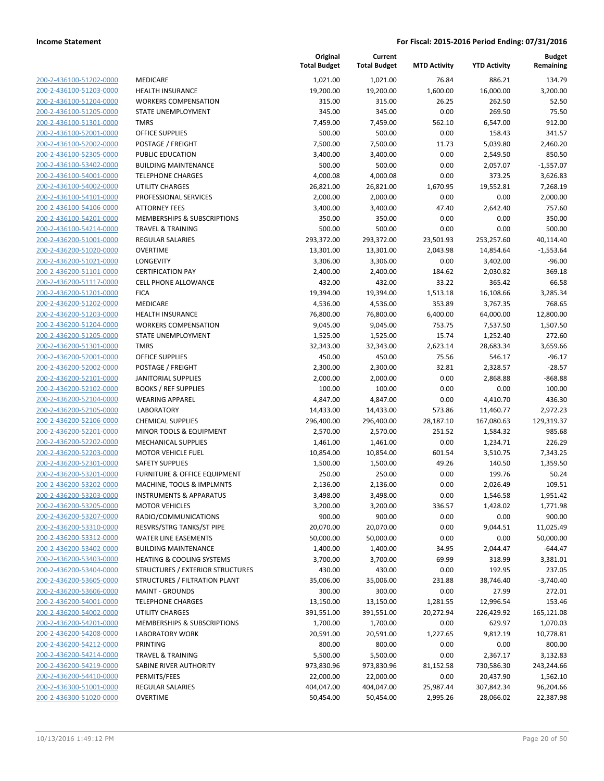| 200-2-436100-51202-0000        |
|--------------------------------|
| 200-2-436100-51203-0000        |
| 200-2-436100-51204-0000        |
| 200-2-436100-51205-0000        |
| 200-2-436100-51301-0000        |
|                                |
| 200-2-436100-52001-0000        |
| 200-2-436100-52002-0000        |
| 200-2-436100-52305-0000        |
| 200-2-436100-53402-0000        |
| 200-2-436100-54001-0000        |
| 200-2-436100-54002-0000        |
| 200-2-436100-54101-0000        |
|                                |
| 200-2-436100-54106-0000        |
| 200-2-436100-54201-0000        |
| 200-2-436100-54214-0000        |
| 200-2-436200-51001-0000        |
| 200-2-436200-51020-0000        |
| 200-2-436200-51021-0000        |
| 200-2-436200-51101-0000        |
| 200-2-436200-51117-0000        |
| 200-2-436200-51201·<br>-0000   |
| 200-2-436200-51202-0000        |
|                                |
| 200-2-436200-51203-0000        |
| 200-2-436200-51204-0000        |
| 200-2-436200-51205-0000        |
| 200-2-436200-51301-0000        |
| 200-2-436200-52001-0000        |
| 200-2-436200-52002-0000        |
| 200-2-436200-52101-0000        |
| 200-2-436200-52102-0000        |
| 200-2-436200-52104-0000        |
| 200-2-436200-52105-0000        |
|                                |
| 200-2-436200-52106-0000        |
| 200-2-436200-52201-0000        |
| 200-2-436200-52202-0000        |
| 200-2-436200-52203-0000        |
| 200-2-436200-52301-0000        |
| 200-2-436200-53201-0000        |
| 200-2-436200-53202-0000        |
| 200-2-436200-53203-0000        |
| 200-2-436200-53205-0000        |
|                                |
| 200-2-436200-53207-0000        |
| 200-2-436200-53310-0000        |
| <u>200-2-436200-53312-0000</u> |
| 200-2-436200-53402-0000        |
| 200-2-436200-53403-0000        |
| 200-2-436200-53404-0000        |
| <u>200-2-436200-53605-0000</u> |
| <u>200-2-436200-53606-0000</u> |
|                                |
|                                |
| <u>200-2-436200-54001-0000</u> |
| 200-2-436200-54002-0000        |
| 200-2-436200-54201-0000        |
| 200-2-436200-54208-0000        |
| <u>200-2-436200-54212-0000</u> |
| <u>200-2-436200-54214-0000</u> |
| 200-2-436200-54219-0000        |
| 200-2-436200-54410-0000        |
| <u>200-2-436300-51001-0000</u> |
| <u>200-2-436300-51020-0000</u> |

|                         |                                         | Original<br><b>Total Budget</b> | Current<br><b>Total Budget</b> | <b>MTD Activity</b> | <b>YTD Activity</b> | <b>Budget</b><br>Remaining |
|-------------------------|-----------------------------------------|---------------------------------|--------------------------------|---------------------|---------------------|----------------------------|
| 200-2-436100-51202-0000 | <b>MEDICARE</b>                         | 1,021.00                        | 1,021.00                       | 76.84               | 886.21              | 134.79                     |
| 200-2-436100-51203-0000 | <b>HEALTH INSURANCE</b>                 | 19,200.00                       | 19,200.00                      | 1,600.00            | 16,000.00           | 3,200.00                   |
| 200-2-436100-51204-0000 | <b>WORKERS COMPENSATION</b>             | 315.00                          | 315.00                         | 26.25               | 262.50              | 52.50                      |
| 200-2-436100-51205-0000 | STATE UNEMPLOYMENT                      | 345.00                          | 345.00                         | 0.00                | 269.50              | 75.50                      |
| 200-2-436100-51301-0000 | <b>TMRS</b>                             | 7,459.00                        | 7,459.00                       | 562.10              | 6,547.00            | 912.00                     |
| 200-2-436100-52001-0000 | <b>OFFICE SUPPLIES</b>                  | 500.00                          | 500.00                         | 0.00                | 158.43              | 341.57                     |
| 200-2-436100-52002-0000 | POSTAGE / FREIGHT                       | 7,500.00                        | 7,500.00                       | 11.73               | 5,039.80            | 2,460.20                   |
| 200-2-436100-52305-0000 | PUBLIC EDUCATION                        | 3,400.00                        | 3,400.00                       | 0.00                | 2,549.50            | 850.50                     |
| 200-2-436100-53402-0000 | <b>BUILDING MAINTENANCE</b>             | 500.00                          | 500.00                         | 0.00                | 2,057.07            | $-1,557.07$                |
| 200-2-436100-54001-0000 | <b>TELEPHONE CHARGES</b>                | 4,000.08                        | 4,000.08                       | 0.00                | 373.25              | 3,626.83                   |
| 200-2-436100-54002-0000 | <b>UTILITY CHARGES</b>                  | 26,821.00                       | 26,821.00                      | 1,670.95            | 19,552.81           | 7,268.19                   |
| 200-2-436100-54101-0000 | PROFESSIONAL SERVICES                   | 2,000.00                        | 2,000.00                       | 0.00                | 0.00                | 2,000.00                   |
| 200-2-436100-54106-0000 | <b>ATTORNEY FEES</b>                    | 3,400.00                        | 3,400.00                       | 47.40               | 2,642.40            | 757.60                     |
| 200-2-436100-54201-0000 | MEMBERSHIPS & SUBSCRIPTIONS             | 350.00                          | 350.00                         | 0.00                | 0.00                | 350.00                     |
| 200-2-436100-54214-0000 | <b>TRAVEL &amp; TRAINING</b>            | 500.00                          | 500.00                         | 0.00                | 0.00                | 500.00                     |
| 200-2-436200-51001-0000 | REGULAR SALARIES                        | 293,372.00                      | 293,372.00                     | 23,501.93           | 253,257.60          | 40,114.40                  |
| 200-2-436200-51020-0000 | <b>OVERTIME</b>                         | 13,301.00                       | 13,301.00                      | 2,043.98            | 14,854.64           | $-1,553.64$                |
| 200-2-436200-51021-0000 | LONGEVITY                               | 3,306.00                        | 3,306.00                       | 0.00                | 3,402.00            | $-96.00$                   |
| 200-2-436200-51101-0000 | <b>CERTIFICATION PAY</b>                | 2,400.00                        | 2,400.00                       | 184.62              | 2,030.82            | 369.18                     |
| 200-2-436200-51117-0000 | <b>CELL PHONE ALLOWANCE</b>             | 432.00                          | 432.00                         | 33.22               | 365.42              | 66.58                      |
| 200-2-436200-51201-0000 | <b>FICA</b>                             | 19,394.00                       | 19,394.00                      | 1,513.18            | 16,108.66           | 3,285.34                   |
| 200-2-436200-51202-0000 | <b>MEDICARE</b>                         | 4,536.00                        | 4,536.00                       | 353.89              | 3,767.35            | 768.65                     |
| 200-2-436200-51203-0000 | <b>HEALTH INSURANCE</b>                 | 76,800.00                       | 76,800.00                      | 6,400.00            | 64,000.00           | 12,800.00                  |
| 200-2-436200-51204-0000 | <b>WORKERS COMPENSATION</b>             | 9,045.00                        | 9,045.00                       | 753.75              | 7,537.50            | 1,507.50                   |
| 200-2-436200-51205-0000 | STATE UNEMPLOYMENT                      | 1,525.00                        | 1,525.00                       | 15.74               | 1,252.40            | 272.60                     |
| 200-2-436200-51301-0000 | <b>TMRS</b>                             | 32,343.00                       | 32,343.00                      | 2,623.14            | 28,683.34           | 3,659.66                   |
| 200-2-436200-52001-0000 | <b>OFFICE SUPPLIES</b>                  | 450.00                          | 450.00                         | 75.56               | 546.17              | $-96.17$                   |
| 200-2-436200-52002-0000 | POSTAGE / FREIGHT                       | 2,300.00                        | 2,300.00                       | 32.81               | 2,328.57            | $-28.57$                   |
| 200-2-436200-52101-0000 | <b>JANITORIAL SUPPLIES</b>              | 2,000.00                        | 2,000.00                       | 0.00                | 2,868.88            | $-868.88$                  |
| 200-2-436200-52102-0000 | <b>BOOKS / REF SUPPLIES</b>             | 100.00                          | 100.00                         | 0.00                | 0.00                | 100.00                     |
| 200-2-436200-52104-0000 | <b>WEARING APPAREL</b>                  | 4,847.00                        | 4,847.00                       | 0.00                | 4,410.70            | 436.30                     |
| 200-2-436200-52105-0000 | <b>LABORATORY</b>                       | 14,433.00                       | 14,433.00                      | 573.86              | 11,460.77           | 2,972.23                   |
| 200-2-436200-52106-0000 | <b>CHEMICAL SUPPLIES</b>                | 296,400.00                      | 296,400.00                     | 28,187.10           | 167,080.63          | 129,319.37                 |
| 200-2-436200-52201-0000 | MINOR TOOLS & EQUIPMENT                 | 2,570.00                        | 2,570.00                       | 251.52              | 1,584.32            | 985.68                     |
| 200-2-436200-52202-0000 | MECHANICAL SUPPLIES                     | 1,461.00                        | 1,461.00                       | 0.00                | 1,234.71            | 226.29                     |
| 200-2-436200-52203-0000 | <b>MOTOR VEHICLE FUEL</b>               | 10,854.00                       | 10,854.00                      | 601.54              | 3,510.75            | 7,343.25                   |
| 200-2-436200-52301-0000 | <b>SAFETY SUPPLIES</b>                  | 1,500.00                        | 1,500.00                       | 49.26               | 140.50              | 1,359.50                   |
| 200-2-436200-53201-0000 | FURNITURE & OFFICE EQUIPMENT            | 250.00                          | 250.00                         | 0.00                | 199.76              | 50.24                      |
| 200-2-436200-53202-0000 | MACHINE, TOOLS & IMPLMNTS               | 2,136.00                        | 2,136.00                       | 0.00                | 2,026.49            | 109.51                     |
| 200-2-436200-53203-0000 | <b>INSTRUMENTS &amp; APPARATUS</b>      | 3,498.00                        | 3,498.00                       | 0.00                | 1,546.58            | 1,951.42                   |
| 200-2-436200-53205-0000 | <b>MOTOR VEHICLES</b>                   | 3,200.00                        | 3,200.00                       | 336.57              | 1,428.02            | 1,771.98                   |
| 200-2-436200-53207-0000 | RADIO/COMMUNICATIONS                    | 900.00                          | 900.00                         | 0.00                | 0.00                | 900.00                     |
| 200-2-436200-53310-0000 | RESVRS/STRG TANKS/ST PIPE               | 20,070.00                       | 20,070.00                      | 0.00                | 9,044.51            | 11,025.49                  |
| 200-2-436200-53312-0000 | <b>WATER LINE EASEMENTS</b>             | 50,000.00                       | 50,000.00                      | 0.00                | 0.00                | 50,000.00                  |
| 200-2-436200-53402-0000 | <b>BUILDING MAINTENANCE</b>             | 1,400.00                        | 1,400.00                       | 34.95               | 2,044.47            | $-644.47$                  |
| 200-2-436200-53403-0000 | HEATING & COOLING SYSTEMS               | 3,700.00                        | 3,700.00                       | 69.99               | 318.99              | 3,381.01                   |
| 200-2-436200-53404-0000 | <b>STRUCTURES / EXTERIOR STRUCTURES</b> | 430.00                          | 430.00                         | 0.00                | 192.95              | 237.05                     |
| 200-2-436200-53605-0000 | STRUCTURES / FILTRATION PLANT           | 35,006.00                       | 35,006.00                      | 231.88              | 38,746.40           | $-3,740.40$                |
| 200-2-436200-53606-0000 | <b>MAINT - GROUNDS</b>                  | 300.00                          | 300.00                         | 0.00                | 27.99               | 272.01                     |
| 200-2-436200-54001-0000 | <b>TELEPHONE CHARGES</b>                | 13,150.00                       | 13,150.00                      | 1,281.55            | 12,996.54           | 153.46                     |
| 200-2-436200-54002-0000 | UTILITY CHARGES                         | 391,551.00                      | 391,551.00                     | 20,272.94           | 226,429.92          | 165,121.08                 |
| 200-2-436200-54201-0000 | MEMBERSHIPS & SUBSCRIPTIONS             | 1,700.00                        | 1,700.00                       | 0.00                | 629.97              | 1,070.03                   |
| 200-2-436200-54208-0000 | <b>LABORATORY WORK</b>                  | 20,591.00                       | 20,591.00                      | 1,227.65            | 9,812.19            | 10,778.81                  |
| 200-2-436200-54212-0000 | <b>PRINTING</b>                         | 800.00                          | 800.00                         | 0.00                | 0.00                | 800.00                     |
| 200-2-436200-54214-0000 | <b>TRAVEL &amp; TRAINING</b>            | 5,500.00                        | 5,500.00                       | 0.00                | 2,367.17            | 3,132.83                   |
| 200-2-436200-54219-0000 | SABINE RIVER AUTHORITY                  | 973,830.96                      | 973,830.96                     | 81,152.58           | 730,586.30          | 243,244.66                 |
| 200-2-436200-54410-0000 | PERMITS/FEES                            | 22,000.00                       | 22,000.00                      | 0.00                | 20,437.90           | 1,562.10                   |
| 200-2-436300-51001-0000 | REGULAR SALARIES                        | 404,047.00                      | 404,047.00                     | 25,987.44           | 307,842.34          | 96,204.66                  |
| 200-2-436300-51020-0000 | <b>OVERTIME</b>                         | 50,454.00                       | 50,454.00                      | 2,995.26            | 28,066.02           | 22,387.98                  |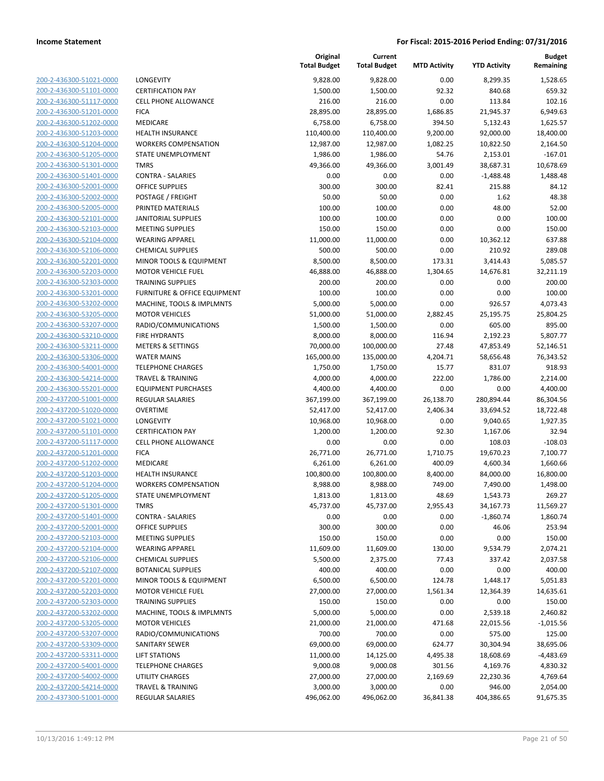| 200-2-436300-51021-0000        |
|--------------------------------|
| 200-2-436300-51101-0000        |
| 200-2-436300-51117-0000        |
| 200-2-436300-51201-0000        |
| 200-2-436300-51202-0000        |
| 200-2-436300-51203-0000        |
| 200-2-436300-51204-0000        |
| 200-2-436300-51205-0000        |
| 200-2-436300-51301-0000        |
| 200-2-436300-51401-0000        |
| <u>200-2-436300-52001-0000</u> |
| 200-2-436300-52002-0000        |
| 200-2-436300-52005-0000        |
| 200-2-436300-52101-0000        |
| 200-2-436300-52103-0000        |
| 200-2-436300-52104-0000        |
| <u>200-2-436300-52106-0000</u> |
| 200-2-436300-52201-0000        |
| 200-2-436300-52203-0000        |
| 200-2-436300-52303-0000        |
| 200-2-436300-53201-0000        |
| 200-2-436300-53202-0000        |
| 200-2-436300-53205-0000        |
| 200-2-436300-53207-0000        |
| 200-2-436300-53210-0000        |
| 200-2-436300-53211-0000        |
| 200-2-436300-53306-0000        |
| 200-2-436300-54001-0000        |
| 200-2-436300-54214-0000        |
| 200-2-436300-55201-0000        |
| 200-2-437200-51001-0000        |
| 200-2-437200-51020-0000        |
| 200-2-437200-51021-0000        |
| 200-2-437200-51101-0000        |
| 200-2-437200-51117-0000        |
| 200-2-437200-51201-0000        |
| 200-2-437200-51202-0000        |
| 200-2-437200-51203-0000        |
| 200-2-437200-51204-0000        |
| 200-2-437200-51205-0000        |
| 200-2-437200-51301-0000        |
| <u>200-2-437200-51401-0000</u> |
| 200-2-437200-52001-0000        |
| 200-2-437200-52103-0000        |
| 200-2-437200-52104-0000        |
| <u>200-2-437200-52106-0000</u> |
| <u>200-2-437200-52107-0000</u> |
| 200-2-437200-52201-0000        |
| 200-2-437200-52203-0000        |
| 200-2-437200-52303-0000        |
| 200-2-437200-53202-0000        |
| 200-2-437200-53205-0000        |
| 200-2-437200-53207-0000        |
| 200-2-437200-53309-0000        |
| 200-2-437200-53311-0000        |
| <u>200-2-437200-54001-0000</u> |
| 200-2-437200-54002-0000        |
| <u>200-2-437200-54214-0000</u> |
| 200-2-437300-51001-0000        |

| <b>LONGEVITY</b>                                |
|-------------------------------------------------|
| CERTIFICATION PAY                               |
| CELL PHONE ALLOWANCE                            |
| FICA.                                           |
| <b>MEDICARE</b>                                 |
| <b>HEALTH INSURANCE</b>                         |
| WORKERS COMPENSATION                            |
| STATE UNEMPLOYMENT                              |
| <b>TMRS</b>                                     |
| CONTRA - SALARIES                               |
| <b>DFFICE SUPPLIES</b>                          |
| POSTAGE / FREIGHT                               |
| <b>PRINTED MATERIALS</b>                        |
| <b>ANITORIAL SUPPLIES</b>                       |
| <b>MEETING SUPPLIES</b>                         |
| WEARING APPAREL                                 |
| CHEMICAL SUPPLIES                               |
| MINOR TOOLS & EQUIPMENT                         |
| <b>MOTOR VEHICLE FUEL</b>                       |
| <b>FRAINING SUPPLIES</b>                        |
| URNITURE & OFFICE EQUIPMENT                     |
| <b>MACHINE, TOOLS &amp; IMPLMNTS</b>            |
| <b>MOTOR VEHICLES</b>                           |
| RADIO/COMMUNICATIONS                            |
| <b>FIRE HYDRANTS</b>                            |
| METERS & SETTINGS                               |
| WATER MAINS                                     |
| <b>FELEPHONE CHARGES</b>                        |
| FRAVEL & TRAINING                               |
| <b>EQUIPMENT PURCHASES</b>                      |
| REGULAR SALARIES                                |
| OVERTIME                                        |
| <b>ONGEVITY</b>                                 |
| CERTIFICATION PAY                               |
| CELL PHONE ALLOWANCE                            |
| FICA.                                           |
| MEDICARE                                        |
| HEALTH INSURANCE                                |
| WORKERS COMPENSATION                            |
| STATE UNEMPLOYMENT                              |
| TMRS                                            |
| CONTRA - SALARIES                               |
| <b><i>OFFICE SUPPLIES</i></b>                   |
| <b>MEETING SUPPLIES</b>                         |
| <b>WEARING APPAREL</b>                          |
| CHEMICAL SUPPLIES                               |
| <b>BOTANICAL SUPPLIES</b>                       |
| MINOR TOOLS & EQUIPMENT                         |
| <b>MOTOR VEHICLE FUEL</b>                       |
| <b>FRAINING SUPPLIES</b>                        |
| <b>MACHINE, TOOLS &amp; IMPLMNTS</b>            |
| <b>MOTOR VEHICLES</b>                           |
| RADIO/COMMUNICATIONS                            |
| SANITARY SEWER                                  |
| <b>IFT STATIONS</b>                             |
| TELEPHONE CHARGES                               |
| JTILITY CHARGES<br><b>FRAVEL &amp; TRAINING</b> |
|                                                 |

|                                                    |                                                       | Original<br><b>Total Budget</b> | Current<br><b>Total Budget</b> | <b>MTD Activity</b> | <b>YTD Activity</b> | <b>Budget</b><br>Remaining |
|----------------------------------------------------|-------------------------------------------------------|---------------------------------|--------------------------------|---------------------|---------------------|----------------------------|
| 200-2-436300-51021-0000                            | LONGEVITY                                             | 9,828.00                        | 9,828.00                       | 0.00                | 8,299.35            | 1,528.65                   |
| 200-2-436300-51101-0000                            | <b>CERTIFICATION PAY</b>                              | 1,500.00                        | 1,500.00                       | 92.32               | 840.68              | 659.32                     |
| 200-2-436300-51117-0000                            | <b>CELL PHONE ALLOWANCE</b>                           | 216.00                          | 216.00                         | 0.00                | 113.84              | 102.16                     |
| 200-2-436300-51201-0000                            | <b>FICA</b>                                           | 28,895.00                       | 28,895.00                      | 1,686.85            | 21,945.37           | 6,949.63                   |
| 200-2-436300-51202-0000                            | MEDICARE                                              | 6,758.00                        | 6,758.00                       | 394.50              | 5,132.43            | 1,625.57                   |
| 200-2-436300-51203-0000                            | <b>HEALTH INSURANCE</b>                               | 110,400.00                      | 110,400.00                     | 9,200.00            | 92,000.00           | 18,400.00                  |
| 200-2-436300-51204-0000                            | <b>WORKERS COMPENSATION</b>                           | 12,987.00                       | 12,987.00                      | 1,082.25            | 10,822.50           | 2,164.50                   |
| 200-2-436300-51205-0000                            | STATE UNEMPLOYMENT                                    | 1,986.00                        | 1,986.00                       | 54.76               | 2,153.01            | $-167.01$                  |
| 200-2-436300-51301-0000                            | <b>TMRS</b>                                           | 49,366.00                       | 49,366.00                      | 3,001.49            | 38,687.31           | 10,678.69                  |
| 200-2-436300-51401-0000                            | <b>CONTRA - SALARIES</b>                              | 0.00                            | 0.00                           | 0.00                | $-1,488.48$         | 1,488.48                   |
| 200-2-436300-52001-0000                            | <b>OFFICE SUPPLIES</b>                                | 300.00                          | 300.00                         | 82.41               | 215.88              | 84.12                      |
| 200-2-436300-52002-0000                            | POSTAGE / FREIGHT                                     | 50.00                           | 50.00                          | 0.00                | 1.62                | 48.38                      |
| 200-2-436300-52005-0000                            | PRINTED MATERIALS                                     | 100.00                          | 100.00                         | 0.00                | 48.00               | 52.00                      |
| 200-2-436300-52101-0000                            | <b>JANITORIAL SUPPLIES</b>                            | 100.00                          | 100.00                         | 0.00                | 0.00                | 100.00                     |
| 200-2-436300-52103-0000                            | <b>MEETING SUPPLIES</b>                               | 150.00                          | 150.00                         | 0.00                | 0.00                | 150.00                     |
| 200-2-436300-52104-0000                            | <b>WEARING APPAREL</b>                                | 11,000.00                       | 11,000.00                      | 0.00                | 10,362.12           | 637.88                     |
| 200-2-436300-52106-0000                            | <b>CHEMICAL SUPPLIES</b>                              | 500.00                          | 500.00                         | 0.00                | 210.92              | 289.08                     |
| 200-2-436300-52201-0000                            | MINOR TOOLS & EQUIPMENT                               | 8,500.00                        | 8,500.00                       | 173.31              | 3,414.43            | 5,085.57                   |
| 200-2-436300-52203-0000                            | <b>MOTOR VEHICLE FUEL</b>                             | 46,888.00                       | 46,888.00                      | 1,304.65            | 14,676.81           | 32,211.19                  |
| 200-2-436300-52303-0000                            | <b>TRAINING SUPPLIES</b>                              | 200.00                          | 200.00                         | 0.00                | 0.00                | 200.00                     |
| 200-2-436300-53201-0000                            | FURNITURE & OFFICE EQUIPMENT                          | 100.00                          | 100.00                         | 0.00                | 0.00                | 100.00                     |
| 200-2-436300-53202-0000                            | MACHINE, TOOLS & IMPLMNTS                             | 5,000.00                        | 5,000.00                       | 0.00                | 926.57              | 4,073.43                   |
| 200-2-436300-53205-0000                            | <b>MOTOR VEHICLES</b>                                 | 51,000.00                       | 51,000.00                      | 2,882.45            | 25,195.75           | 25,804.25                  |
| 200-2-436300-53207-0000                            | RADIO/COMMUNICATIONS                                  | 1,500.00                        | 1,500.00                       | 0.00                | 605.00              | 895.00                     |
| 200-2-436300-53210-0000                            | <b>FIRE HYDRANTS</b>                                  | 8,000.00                        | 8,000.00                       | 116.94              | 2,192.23            | 5,807.77                   |
| 200-2-436300-53211-0000                            | <b>METERS &amp; SETTINGS</b>                          | 70,000.00                       | 100,000.00                     | 27.48               | 47,853.49           | 52,146.51                  |
| 200-2-436300-53306-0000                            | <b>WATER MAINS</b>                                    | 165,000.00                      | 135,000.00                     | 4,204.71            | 58,656.48           | 76,343.52                  |
| 200-2-436300-54001-0000                            | <b>TELEPHONE CHARGES</b>                              | 1,750.00                        | 1,750.00                       | 15.77               | 831.07              | 918.93                     |
| 200-2-436300-54214-0000                            | <b>TRAVEL &amp; TRAINING</b>                          | 4,000.00                        | 4,000.00                       | 222.00              | 1,786.00            | 2,214.00                   |
| 200-2-436300-55201-0000                            | <b>EQUIPMENT PURCHASES</b>                            | 4,400.00                        | 4,400.00                       | 0.00                | 0.00                | 4,400.00                   |
| 200-2-437200-51001-0000                            | REGULAR SALARIES                                      | 367,199.00                      | 367,199.00                     | 26,138.70           | 280,894.44          | 86,304.56                  |
| 200-2-437200-51020-0000                            | <b>OVERTIME</b>                                       | 52,417.00                       | 52,417.00                      | 2,406.34            | 33,694.52           | 18,722.48                  |
| 200-2-437200-51021-0000                            | LONGEVITY                                             | 10,968.00                       | 10,968.00                      | 0.00                | 9,040.65            | 1,927.35                   |
| 200-2-437200-51101-0000                            | <b>CERTIFICATION PAY</b>                              | 1,200.00                        | 1,200.00                       | 92.30               | 1,167.06            | 32.94                      |
| 200-2-437200-51117-0000                            | <b>CELL PHONE ALLOWANCE</b>                           | 0.00                            | 0.00                           | 0.00                | 108.03              | $-108.03$                  |
| 200-2-437200-51201-0000                            | <b>FICA</b>                                           | 26,771.00                       | 26,771.00                      | 1,710.75            | 19,670.23           | 7,100.77                   |
| 200-2-437200-51202-0000                            | MEDICARE                                              | 6,261.00                        | 6,261.00                       | 400.09              | 4,600.34            | 1,660.66                   |
| 200-2-437200-51203-0000                            | <b>HEALTH INSURANCE</b>                               | 100,800.00                      | 100,800.00                     | 8,400.00            | 84,000.00           | 16,800.00                  |
| 200-2-437200-51204-0000<br>200-2-437200-51205-0000 | <b>WORKERS COMPENSATION</b>                           | 8,988.00                        | 8,988.00                       | 749.00              | 7,490.00            | 1,498.00                   |
|                                                    | STATE UNEMPLOYMENT                                    | 1,813.00                        | 1,813.00                       | 48.69               | 1,543.73            | 269.27                     |
| 200-2-437200-51301-0000                            | TMRS                                                  | 45,737.00                       | 45,737.00                      | 2,955.43            | 34,167.73           | 11,569.27                  |
| 200-2-437200-51401-0000                            | <b>CONTRA - SALARIES</b>                              | 0.00                            | 0.00                           | 0.00                | $-1,860.74$         | 1,860.74                   |
| 200-2-437200-52001-0000                            | <b>OFFICE SUPPLIES</b>                                | 300.00                          | 300.00                         | 0.00                | 46.06               | 253.94                     |
| 200-2-437200-52103-0000                            | <b>MEETING SUPPLIES</b>                               | 150.00                          | 150.00                         | 0.00                | 0.00                | 150.00                     |
| 200-2-437200-52104-0000                            | <b>WEARING APPAREL</b>                                | 11,609.00                       | 11,609.00                      | 130.00              | 9,534.79            | 2,074.21                   |
| 200-2-437200-52106-0000                            | <b>CHEMICAL SUPPLIES</b><br><b>BOTANICAL SUPPLIES</b> | 5,500.00                        | 2,375.00                       | 77.43               | 337.42              | 2,037.58                   |
| 200-2-437200-52107-0000<br>200-2-437200-52201-0000 | <b>MINOR TOOLS &amp; EQUIPMENT</b>                    | 400.00                          | 400.00<br>6,500.00             | 0.00                | 0.00                | 400.00                     |
| 200-2-437200-52203-0000                            | <b>MOTOR VEHICLE FUEL</b>                             | 6,500.00                        |                                | 124.78              | 1,448.17            | 5,051.83                   |
|                                                    |                                                       | 27,000.00                       | 27,000.00                      | 1,561.34            | 12,364.39           | 14,635.61<br>150.00        |
| 200-2-437200-52303-0000<br>200-2-437200-53202-0000 | <b>TRAINING SUPPLIES</b><br>MACHINE, TOOLS & IMPLMNTS | 150.00                          | 150.00                         | 0.00                | 0.00                |                            |
|                                                    | <b>MOTOR VEHICLES</b>                                 | 5,000.00                        | 5,000.00                       | 0.00                | 2,539.18            | 2,460.82                   |
| 200-2-437200-53205-0000                            |                                                       | 21,000.00                       | 21,000.00                      | 471.68              | 22,015.56           | $-1,015.56$                |
| 200-2-437200-53207-0000<br>200-2-437200-53309-0000 | RADIO/COMMUNICATIONS                                  | 700.00                          | 700.00                         | 0.00                | 575.00              | 125.00                     |
| 200-2-437200-53311-0000                            | SANITARY SEWER<br><b>LIFT STATIONS</b>                | 69,000.00<br>11,000.00          | 69,000.00                      | 624.77              | 30,304.94           | 38,695.06<br>$-4,483.69$   |
|                                                    |                                                       |                                 | 14,125.00                      | 4,495.38            | 18,608.69           |                            |
| 200-2-437200-54001-0000                            | <b>TELEPHONE CHARGES</b>                              | 9,000.08                        | 9,000.08                       | 301.56              | 4,169.76            | 4,830.32                   |
| 200-2-437200-54002-0000                            | UTILITY CHARGES                                       | 27,000.00                       | 27,000.00                      | 2,169.69            | 22,230.36           | 4,769.64                   |
| 200-2-437200-54214-0000                            | <b>TRAVEL &amp; TRAINING</b>                          | 3,000.00                        | 3,000.00                       | 0.00                | 946.00              | 2,054.00                   |
| 200-2-437300-51001-0000                            | <b>REGULAR SALARIES</b>                               | 496,062.00                      | 496,062.00                     | 36,841.38           | 404,386.65          | 91,675.35                  |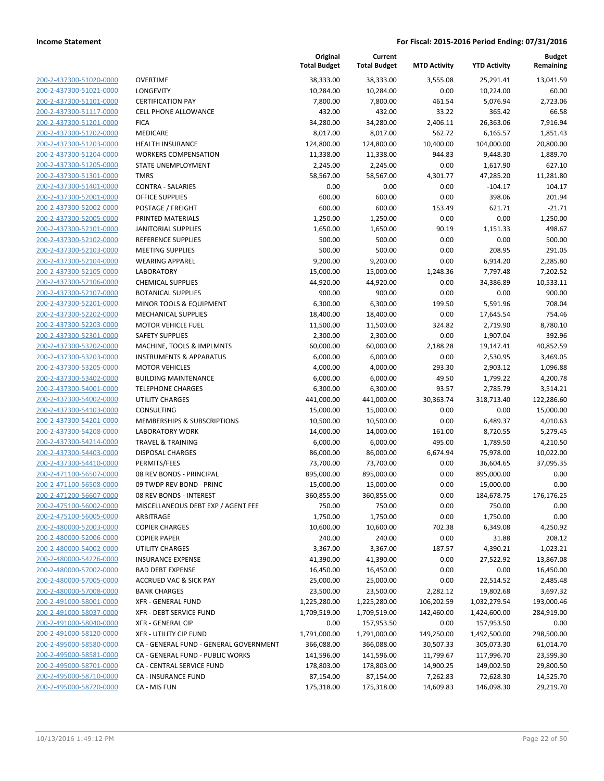**Current**

**Original**

**MTD Activity YTD Activity**

**Budget Remaining**

|                         |                                        | <b>Total Budget</b> | <b>Total Budget</b> | <b>MTD Activity</b> | <b>YTD Activity</b> | Remaining   |
|-------------------------|----------------------------------------|---------------------|---------------------|---------------------|---------------------|-------------|
| 200-2-437300-51020-0000 | <b>OVERTIME</b>                        | 38,333.00           | 38,333.00           | 3,555.08            | 25,291.41           | 13,041.59   |
| 200-2-437300-51021-0000 | LONGEVITY                              | 10,284.00           | 10,284.00           | 0.00                | 10,224.00           | 60.00       |
| 200-2-437300-51101-0000 | <b>CERTIFICATION PAY</b>               | 7,800.00            | 7,800.00            | 461.54              | 5,076.94            | 2,723.06    |
| 200-2-437300-51117-0000 | <b>CELL PHONE ALLOWANCE</b>            | 432.00              | 432.00              | 33.22               | 365.42              | 66.58       |
| 200-2-437300-51201-0000 | <b>FICA</b>                            | 34,280.00           | 34,280.00           | 2,406.11            | 26,363.06           | 7,916.94    |
| 200-2-437300-51202-0000 | MEDICARE                               | 8,017.00            | 8,017.00            | 562.72              | 6,165.57            | 1,851.43    |
| 200-2-437300-51203-0000 | HEALTH INSURANCE                       | 124,800.00          | 124,800.00          | 10,400.00           | 104,000.00          | 20,800.00   |
| 200-2-437300-51204-0000 | <b>WORKERS COMPENSATION</b>            | 11,338.00           | 11,338.00           | 944.83              | 9,448.30            | 1,889.70    |
| 200-2-437300-51205-0000 | STATE UNEMPLOYMENT                     | 2,245.00            | 2,245.00            | 0.00                | 1,617.90            | 627.10      |
| 200-2-437300-51301-0000 | <b>TMRS</b>                            | 58,567.00           | 58,567.00           | 4,301.77            | 47,285.20           | 11,281.80   |
| 200-2-437300-51401-0000 | <b>CONTRA - SALARIES</b>               | 0.00                | 0.00                | 0.00                | $-104.17$           | 104.17      |
| 200-2-437300-52001-0000 | <b>OFFICE SUPPLIES</b>                 | 600.00              | 600.00              | 0.00                | 398.06              | 201.94      |
| 200-2-437300-52002-0000 | POSTAGE / FREIGHT                      | 600.00              | 600.00              | 153.49              | 621.71              | $-21.71$    |
| 200-2-437300-52005-0000 | PRINTED MATERIALS                      | 1,250.00            | 1,250.00            | 0.00                | 0.00                | 1,250.00    |
| 200-2-437300-52101-0000 | JANITORIAL SUPPLIES                    | 1,650.00            | 1,650.00            | 90.19               | 1,151.33            | 498.67      |
| 200-2-437300-52102-0000 | REFERENCE SUPPLIES                     | 500.00              | 500.00              | 0.00                | 0.00                | 500.00      |
| 200-2-437300-52103-0000 | <b>MEETING SUPPLIES</b>                | 500.00              | 500.00              | 0.00                | 208.95              | 291.05      |
| 200-2-437300-52104-0000 | <b>WEARING APPAREL</b>                 | 9,200.00            | 9,200.00            | 0.00                | 6,914.20            | 2,285.80    |
| 200-2-437300-52105-0000 | <b>LABORATORY</b>                      | 15,000.00           | 15,000.00           | 1,248.36            | 7,797.48            | 7,202.52    |
| 200-2-437300-52106-0000 | <b>CHEMICAL SUPPLIES</b>               | 44,920.00           | 44,920.00           | 0.00                | 34,386.89           | 10,533.11   |
| 200-2-437300-52107-0000 | <b>BOTANICAL SUPPLIES</b>              | 900.00              | 900.00              | 0.00                | 0.00                | 900.00      |
| 200-2-437300-52201-0000 | MINOR TOOLS & EQUIPMENT                | 6,300.00            | 6,300.00            | 199.50              | 5,591.96            | 708.04      |
| 200-2-437300-52202-0000 | <b>MECHANICAL SUPPLIES</b>             | 18,400.00           | 18,400.00           | 0.00                | 17,645.54           | 754.46      |
| 200-2-437300-52203-0000 | <b>MOTOR VEHICLE FUEL</b>              | 11,500.00           | 11,500.00           | 324.82              | 2,719.90            | 8,780.10    |
| 200-2-437300-52301-0000 | <b>SAFETY SUPPLIES</b>                 | 2,300.00            | 2,300.00            | 0.00                | 1,907.04            | 392.96      |
| 200-2-437300-53202-0000 | MACHINE, TOOLS & IMPLMNTS              | 60,000.00           | 60,000.00           | 2,188.28            | 19,147.41           | 40,852.59   |
| 200-2-437300-53203-0000 | <b>INSTRUMENTS &amp; APPARATUS</b>     | 6,000.00            | 6,000.00            | 0.00                | 2,530.95            | 3,469.05    |
| 200-2-437300-53205-0000 | <b>MOTOR VEHICLES</b>                  | 4,000.00            | 4,000.00            | 293.30              | 2,903.12            | 1,096.88    |
| 200-2-437300-53402-0000 | <b>BUILDING MAINTENANCE</b>            | 6,000.00            | 6,000.00            | 49.50               | 1,799.22            | 4,200.78    |
| 200-2-437300-54001-0000 | <b>TELEPHONE CHARGES</b>               | 6,300.00            | 6,300.00            | 93.57               | 2,785.79            | 3,514.21    |
| 200-2-437300-54002-0000 | <b>UTILITY CHARGES</b>                 | 441,000.00          | 441,000.00          | 30,363.74           | 318,713.40          | 122,286.60  |
| 200-2-437300-54103-0000 | CONSULTING                             | 15,000.00           | 15,000.00           | 0.00                | 0.00                | 15,000.00   |
| 200-2-437300-54201-0000 | MEMBERSHIPS & SUBSCRIPTIONS            | 10,500.00           | 10,500.00           | 0.00                | 6,489.37            | 4,010.63    |
| 200-2-437300-54208-0000 | <b>LABORATORY WORK</b>                 | 14,000.00           | 14,000.00           | 161.00              | 8,720.55            | 5,279.45    |
| 200-2-437300-54214-0000 | <b>TRAVEL &amp; TRAINING</b>           | 6,000.00            | 6,000.00            | 495.00              | 1,789.50            | 4,210.50    |
| 200-2-437300-54403-0000 | <b>DISPOSAL CHARGES</b>                | 86,000.00           | 86,000.00           | 6,674.94            | 75,978.00           | 10,022.00   |
| 200-2-437300-54410-0000 | PERMITS/FEES                           | 73,700.00           | 73,700.00           | 0.00                | 36,604.65           | 37,095.35   |
| 200-2-471100-56507-0000 | 08 REV BONDS - PRINCIPAL               | 895,000.00          | 895,000.00          | 0.00                | 895,000.00          | 0.00        |
| 200-2-471100-56508-0000 | 09 TWDP REV BOND - PRINC               | 15,000.00           | 15,000.00           | 0.00                | 15,000.00           | 0.00        |
| 200-2-471200-56607-0000 | 08 REV BONDS - INTEREST                | 360,855.00          | 360,855.00          | 0.00                | 184,678.75          | 176,176.25  |
| 200-2-475100-56002-0000 | MISCELLANEOUS DEBT EXP / AGENT FEE     | 750.00              | 750.00              | 0.00                | 750.00              | 0.00        |
| 200-2-475100-56005-0000 | ARBITRAGE                              | 1,750.00            | 1,750.00            | 0.00                | 1,750.00            | 0.00        |
| 200-2-480000-52003-0000 | <b>COPIER CHARGES</b>                  | 10,600.00           | 10,600.00           | 702.38              | 6,349.08            | 4,250.92    |
| 200-2-480000-52006-0000 | <b>COPIER PAPER</b>                    | 240.00              | 240.00              | 0.00                | 31.88               | 208.12      |
| 200-2-480000-54002-0000 | <b>UTILITY CHARGES</b>                 | 3,367.00            | 3,367.00            | 187.57              | 4,390.21            | $-1,023.21$ |
| 200-2-480000-54226-0000 | <b>INSURANCE EXPENSE</b>               | 41,390.00           | 41,390.00           | 0.00                | 27,522.92           | 13,867.08   |
| 200-2-480000-57002-0000 | <b>BAD DEBT EXPENSE</b>                | 16,450.00           | 16,450.00           | 0.00                | 0.00                | 16,450.00   |
| 200-2-480000-57005-0000 | <b>ACCRUED VAC &amp; SICK PAY</b>      | 25,000.00           | 25,000.00           | 0.00                | 22,514.52           | 2,485.48    |
| 200-2-480000-57008-0000 | <b>BANK CHARGES</b>                    | 23,500.00           | 23,500.00           | 2,282.12            | 19,802.68           | 3,697.32    |
| 200-2-491000-58001-0000 | XFR - GENERAL FUND                     | 1,225,280.00        | 1,225,280.00        | 106,202.59          | 1,032,279.54        | 193,000.46  |
| 200-2-491000-58037-0000 | XFR - DEBT SERVICE FUND                | 1,709,519.00        | 1,709,519.00        | 142,460.00          | 1,424,600.00        | 284,919.00  |
| 200-2-491000-58040-0000 | <b>XFR - GENERAL CIP</b>               | 0.00                | 157,953.50          | 0.00                | 157,953.50          | 0.00        |
| 200-2-491000-58120-0000 | <b>XFR - UTILITY CIP FUND</b>          | 1,791,000.00        | 1,791,000.00        | 149,250.00          | 1,492,500.00        | 298,500.00  |
| 200-2-495000-58580-0000 | CA - GENERAL FUND - GENERAL GOVERNMENT | 366,088.00          | 366,088.00          | 30,507.33           | 305,073.30          | 61,014.70   |
| 200-2-495000-58581-0000 | CA - GENERAL FUND - PUBLIC WORKS       | 141,596.00          | 141,596.00          | 11,799.67           | 117,996.70          | 23,599.30   |
| 200-2-495000-58701-0000 | CA - CENTRAL SERVICE FUND              | 178,803.00          | 178,803.00          | 14,900.25           | 149,002.50          | 29,800.50   |
| 200-2-495000-58710-0000 | CA - INSURANCE FUND                    | 87,154.00           | 87,154.00           | 7,262.83            | 72,628.30           | 14,525.70   |
| 200-2-495000-58720-0000 | CA - MIS FUN                           | 175,318.00          | 175,318.00          | 14,609.83           | 146,098.30          | 29,219.70   |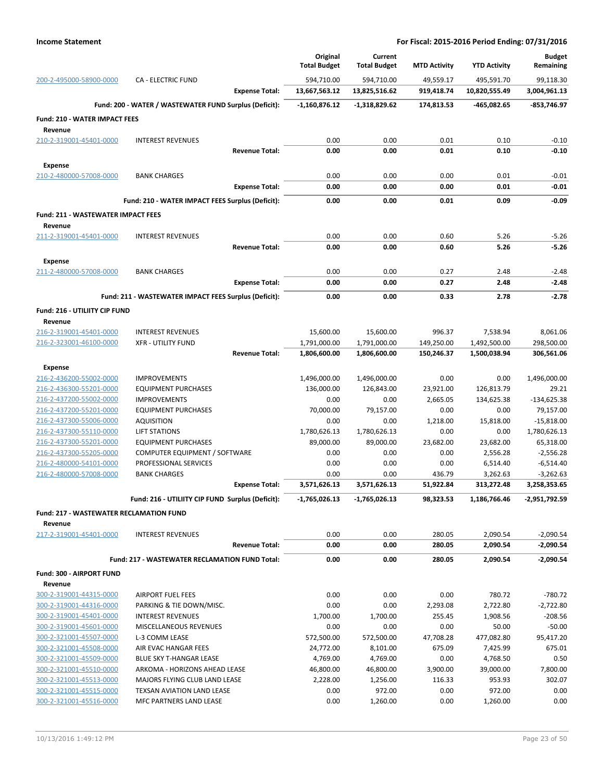|                                                    |                                                        | Original<br><b>Total Budget</b> | Current                     | <b>MTD Activity</b> | <b>YTD Activity</b>  | <b>Budget</b>              |
|----------------------------------------------------|--------------------------------------------------------|---------------------------------|-----------------------------|---------------------|----------------------|----------------------------|
| 200-2-495000-58900-0000                            | <b>CA - ELECTRIC FUND</b>                              | 594,710.00                      | <b>Total Budget</b>         | 49,559.17           | 495,591.70           | Remaining                  |
|                                                    | <b>Expense Total:</b>                                  | 13,667,563.12                   | 594,710.00<br>13,825,516.62 | 919,418.74          | 10,820,555.49        | 99,118.30<br>3,004,961.13  |
|                                                    | Fund: 200 - WATER / WASTEWATER FUND Surplus (Deficit): | $-1,160,876.12$                 | -1,318,829.62               | 174,813.53          | -465,082.65          | $-853,746.97$              |
| <b>Fund: 210 - WATER IMPACT FEES</b>               |                                                        |                                 |                             |                     |                      |                            |
| Revenue                                            |                                                        |                                 |                             |                     |                      |                            |
| 210-2-319001-45401-0000                            | <b>INTEREST REVENUES</b>                               | 0.00                            | 0.00                        | 0.01                | 0.10                 | $-0.10$                    |
|                                                    | <b>Revenue Total:</b>                                  | 0.00                            | 0.00                        | 0.01                | 0.10                 | $-0.10$                    |
| <b>Expense</b>                                     |                                                        |                                 |                             |                     |                      |                            |
| 210-2-480000-57008-0000                            | <b>BANK CHARGES</b>                                    | 0.00                            | 0.00                        | 0.00                | 0.01                 | $-0.01$                    |
|                                                    | <b>Expense Total:</b>                                  | 0.00                            | 0.00                        | 0.00                | 0.01                 | $-0.01$                    |
|                                                    | Fund: 210 - WATER IMPACT FEES Surplus (Deficit):       | 0.00                            | 0.00                        | 0.01                | 0.09                 | $-0.09$                    |
| <b>Fund: 211 - WASTEWATER IMPACT FEES</b>          |                                                        |                                 |                             |                     |                      |                            |
| Revenue                                            |                                                        |                                 |                             |                     |                      |                            |
| 211-2-319001-45401-0000                            | <b>INTEREST REVENUES</b>                               | 0.00                            | 0.00                        | 0.60                | 5.26                 | $-5.26$                    |
|                                                    | <b>Revenue Total:</b>                                  | 0.00                            | 0.00                        | 0.60                | 5.26                 | $-5.26$                    |
| <b>Expense</b>                                     |                                                        |                                 |                             |                     |                      |                            |
| 211-2-480000-57008-0000                            | <b>BANK CHARGES</b><br><b>Expense Total:</b>           | 0.00<br>0.00                    | 0.00<br>0.00                | 0.27<br>0.27        | 2.48<br>2.48         | $-2.48$<br>$-2.48$         |
|                                                    |                                                        |                                 |                             |                     |                      |                            |
|                                                    | Fund: 211 - WASTEWATER IMPACT FEES Surplus (Deficit):  | 0.00                            | 0.00                        | 0.33                | 2.78                 | $-2.78$                    |
| Fund: 216 - UTILIITY CIP FUND                      |                                                        |                                 |                             |                     |                      |                            |
| Revenue<br>216-2-319001-45401-0000                 | <b>INTEREST REVENUES</b>                               | 15,600.00                       | 15,600.00                   | 996.37              | 7,538.94             | 8,061.06                   |
| 216-2-323001-46100-0000                            | <b>XFR - UTILITY FUND</b>                              | 1,791,000.00                    | 1,791,000.00                | 149,250.00          | 1,492,500.00         | 298,500.00                 |
|                                                    | <b>Revenue Total:</b>                                  | 1,806,600.00                    | 1,806,600.00                | 150,246.37          | 1,500,038.94         | 306,561.06                 |
| <b>Expense</b>                                     |                                                        |                                 |                             |                     |                      |                            |
| 216-2-436200-55002-0000                            | <b>IMPROVEMENTS</b>                                    | 1,496,000.00                    | 1,496,000.00                | 0.00                | 0.00                 | 1,496,000.00               |
| 216-2-436300-55201-0000                            | <b>EQUIPMENT PURCHASES</b>                             | 136,000.00                      | 126,843.00                  | 23,921.00           | 126,813.79           | 29.21                      |
| 216-2-437200-55002-0000                            | <b>IMPROVEMENTS</b>                                    | 0.00                            | 0.00                        | 2,665.05            | 134,625.38           | $-134,625.38$              |
| 216-2-437200-55201-0000<br>216-2-437300-55006-0000 | <b>EQUIPMENT PURCHASES</b><br><b>AQUISITION</b>        | 70,000.00<br>0.00               | 79,157.00<br>0.00           | 0.00<br>1,218.00    | 0.00<br>15,818.00    | 79,157.00<br>$-15,818.00$  |
| 216-2-437300-55110-0000                            | <b>LIFT STATIONS</b>                                   | 1,780,626.13                    | 1,780,626.13                | 0.00                | 0.00                 | 1,780,626.13               |
| 216-2-437300-55201-0000                            | <b>EQUIPMENT PURCHASES</b>                             | 89,000.00                       | 89,000.00                   | 23,682.00           | 23,682.00            | 65,318.00                  |
| 216-2-437300-55205-0000                            | COMPUTER EQUIPMENT / SOFTWARE                          | 0.00                            | 0.00                        | 0.00                | 2,556.28             | $-2,556.28$                |
| 216-2-480000-54101-0000                            | PROFESSIONAL SERVICES                                  | 0.00                            | 0.00                        | 0.00                | 6,514.40             | $-6,514.40$                |
| 216-2-480000-57008-0000                            | <b>BANK CHARGES</b>                                    | 0.00                            | 0.00                        | 436.79              | 3,262.63             | $-3,262.63$                |
|                                                    | <b>Expense Total:</b>                                  | 3,571,626.13                    | 3,571,626.13                | 51,922.84           | 313,272.48           | 3,258,353.65               |
|                                                    | Fund: 216 - UTILIITY CIP FUND Surplus (Deficit):       | $-1,765,026.13$                 | $-1,765,026.13$             | 98,323.53           | 1,186,766.46         | -2,951,792.59              |
| <b>Fund: 217 - WASTEWATER RECLAMATION FUND</b>     |                                                        |                                 |                             |                     |                      |                            |
| Revenue                                            | <b>INTEREST REVENUES</b>                               |                                 | 0.00                        |                     |                      |                            |
| 217-2-319001-45401-0000                            | <b>Revenue Total:</b>                                  | 0.00<br>0.00                    | 0.00                        | 280.05<br>280.05    | 2,090.54<br>2,090.54 | $-2,090.54$<br>$-2,090.54$ |
|                                                    | Fund: 217 - WASTEWATER RECLAMATION FUND Total:         | 0.00                            | 0.00                        | 280.05              | 2,090.54             | $-2,090.54$                |
|                                                    |                                                        |                                 |                             |                     |                      |                            |
| Fund: 300 - AIRPORT FUND<br>Revenue                |                                                        |                                 |                             |                     |                      |                            |
| 300-2-319001-44315-0000                            | <b>AIRPORT FUEL FEES</b>                               | 0.00                            | 0.00                        | 0.00                | 780.72               | $-780.72$                  |
| 300-2-319001-44316-0000                            | PARKING & TIE DOWN/MISC.                               | 0.00                            | 0.00                        | 2,293.08            | 2,722.80             | $-2,722.80$                |
| 300-2-319001-45401-0000                            | <b>INTEREST REVENUES</b>                               | 1,700.00                        | 1,700.00                    | 255.45              | 1,908.56             | $-208.56$                  |
| 300-2-319001-45601-0000                            | MISCELLANEOUS REVENUES                                 | 0.00                            | 0.00                        | 0.00                | 50.00                | $-50.00$                   |
| 300-2-321001-45507-0000                            | L-3 COMM LEASE                                         | 572,500.00                      | 572,500.00                  | 47,708.28           | 477,082.80           | 95,417.20                  |
| 300-2-321001-45508-0000<br>300-2-321001-45509-0000 | AIR EVAC HANGAR FEES<br>BLUE SKY T-HANGAR LEASE        | 24,772.00<br>4,769.00           | 8,101.00<br>4,769.00        | 675.09<br>0.00      | 7,425.99<br>4,768.50 | 675.01<br>0.50             |
| 300-2-321001-45510-0000                            | ARKOMA - HORIZONS AHEAD LEASE                          | 46,800.00                       | 46,800.00                   | 3,900.00            | 39,000.00            | 7,800.00                   |
| 300-2-321001-45513-0000                            | MAJORS FLYING CLUB LAND LEASE                          | 2,228.00                        | 1,256.00                    | 116.33              | 953.93               | 302.07                     |
| 300-2-321001-45515-0000                            | TEXSAN AVIATION LAND LEASE                             | 0.00                            | 972.00                      | 0.00                | 972.00               | 0.00                       |
| 300-2-321001-45516-0000                            | MFC PARTNERS LAND LEASE                                | 0.00                            | 1,260.00                    | 0.00                | 1,260.00             | 0.00                       |
|                                                    |                                                        |                                 |                             |                     |                      |                            |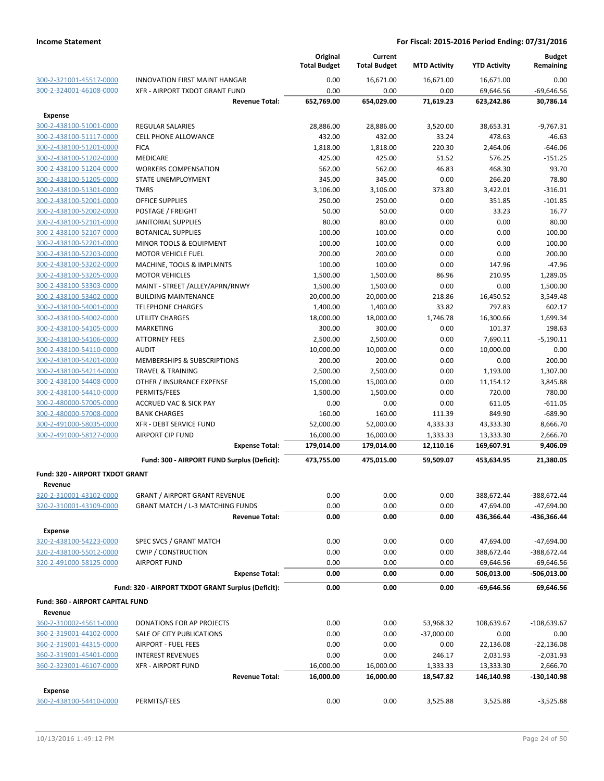|                                                    |                                                    | Original<br><b>Total Budget</b> | Current<br><b>Total Budget</b> | <b>MTD Activity</b> | <b>YTD Activity</b> | <b>Budget</b><br>Remaining |
|----------------------------------------------------|----------------------------------------------------|---------------------------------|--------------------------------|---------------------|---------------------|----------------------------|
| 300-2-321001-45517-0000                            | INNOVATION FIRST MAINT HANGAR                      | 0.00                            | 16,671.00                      | 16,671.00           | 16,671.00           | 0.00                       |
| 300-2-324001-46108-0000                            | XFR - AIRPORT TXDOT GRANT FUND                     | 0.00                            | 0.00                           | 0.00                | 69,646.56           | $-69,646.56$               |
|                                                    | <b>Revenue Total:</b>                              | 652,769.00                      | 654,029.00                     | 71,619.23           | 623,242.86          | 30,786.14                  |
| <b>Expense</b>                                     |                                                    |                                 |                                |                     |                     |                            |
| 300-2-438100-51001-0000                            | <b>REGULAR SALARIES</b>                            | 28,886.00                       | 28,886.00                      | 3,520.00            | 38,653.31           | $-9,767.31$                |
| 300-2-438100-51117-0000                            | <b>CELL PHONE ALLOWANCE</b>                        | 432.00                          | 432.00                         | 33.24               | 478.63              | $-46.63$                   |
| 300-2-438100-51201-0000                            | <b>FICA</b>                                        | 1,818.00                        | 1,818.00                       | 220.30              | 2,464.06            | $-646.06$                  |
| 300-2-438100-51202-0000                            | <b>MEDICARE</b>                                    | 425.00                          | 425.00                         | 51.52               | 576.25              | $-151.25$                  |
| 300-2-438100-51204-0000                            | <b>WORKERS COMPENSATION</b>                        | 562.00                          | 562.00                         | 46.83               | 468.30              | 93.70                      |
| 300-2-438100-51205-0000                            | <b>STATE UNEMPLOYMENT</b>                          | 345.00                          | 345.00                         | 0.00                | 266.20              | 78.80                      |
| 300-2-438100-51301-0000                            | <b>TMRS</b>                                        | 3,106.00                        | 3,106.00                       | 373.80              | 3,422.01            | $-316.01$                  |
| 300-2-438100-52001-0000                            | <b>OFFICE SUPPLIES</b>                             | 250.00                          | 250.00                         | 0.00                | 351.85              | $-101.85$                  |
| 300-2-438100-52002-0000                            | POSTAGE / FREIGHT                                  | 50.00                           | 50.00                          | 0.00                | 33.23               | 16.77                      |
| 300-2-438100-52101-0000                            | <b>JANITORIAL SUPPLIES</b>                         | 80.00                           | 80.00                          | 0.00                | 0.00                | 80.00                      |
| 300-2-438100-52107-0000                            | <b>BOTANICAL SUPPLIES</b>                          | 100.00                          | 100.00                         | 0.00                | 0.00                | 100.00                     |
| 300-2-438100-52201-0000                            | MINOR TOOLS & EQUIPMENT                            | 100.00                          | 100.00                         | 0.00                | 0.00                | 100.00                     |
| 300-2-438100-52203-0000                            | <b>MOTOR VEHICLE FUEL</b>                          | 200.00                          | 200.00                         | 0.00                | 0.00                | 200.00                     |
| 300-2-438100-53202-0000                            | MACHINE, TOOLS & IMPLMNTS                          | 100.00                          | 100.00                         | 0.00                | 147.96              | $-47.96$                   |
| 300-2-438100-53205-0000                            | <b>MOTOR VEHICLES</b>                              | 1,500.00                        | 1,500.00                       | 86.96               | 210.95              | 1,289.05                   |
| 300-2-438100-53303-0000                            | MAINT - STREET /ALLEY/APRN/RNWY                    | 1,500.00                        | 1,500.00                       | 0.00                | 0.00                | 1,500.00                   |
| 300-2-438100-53402-0000                            | <b>BUILDING MAINTENANCE</b>                        | 20,000.00                       | 20,000.00                      | 218.86              | 16,450.52           | 3,549.48                   |
| 300-2-438100-54001-0000                            | <b>TELEPHONE CHARGES</b>                           | 1,400.00                        | 1,400.00                       | 33.82               | 797.83              | 602.17                     |
| 300-2-438100-54002-0000                            | UTILITY CHARGES<br><b>MARKETING</b>                | 18,000.00<br>300.00             | 18,000.00                      | 1,746.78            | 16,300.66<br>101.37 | 1,699.34<br>198.63         |
| 300-2-438100-54105-0000<br>300-2-438100-54106-0000 | <b>ATTORNEY FEES</b>                               | 2,500.00                        | 300.00<br>2,500.00             | 0.00<br>0.00        | 7,690.11            | $-5,190.11$                |
| 300-2-438100-54110-0000                            | <b>AUDIT</b>                                       | 10,000.00                       | 10,000.00                      | 0.00                | 10,000.00           | 0.00                       |
| 300-2-438100-54201-0000                            | <b>MEMBERSHIPS &amp; SUBSCRIPTIONS</b>             | 200.00                          | 200.00                         | 0.00                | 0.00                | 200.00                     |
| 300-2-438100-54214-0000                            | <b>TRAVEL &amp; TRAINING</b>                       | 2,500.00                        | 2,500.00                       | 0.00                | 1,193.00            | 1,307.00                   |
| 300-2-438100-54408-0000                            | OTHER / INSURANCE EXPENSE                          | 15,000.00                       | 15,000.00                      | 0.00                | 11,154.12           | 3,845.88                   |
| 300-2-438100-54410-0000                            | PERMITS/FEES                                       | 1,500.00                        | 1,500.00                       | 0.00                | 720.00              | 780.00                     |
| 300-2-480000-57005-0000                            | <b>ACCRUED VAC &amp; SICK PAY</b>                  | 0.00                            | 0.00                           | 0.00                | 611.05              | $-611.05$                  |
| 300-2-480000-57008-0000                            | <b>BANK CHARGES</b>                                | 160.00                          | 160.00                         | 111.39              | 849.90              | $-689.90$                  |
| 300-2-491000-58035-0000                            | XFR - DEBT SERVICE FUND                            | 52,000.00                       | 52,000.00                      | 4,333.33            | 43,333.30           | 8,666.70                   |
| 300-2-491000-58127-0000                            | <b>AIRPORT CIP FUND</b>                            | 16,000.00                       | 16,000.00                      | 1,333.33            | 13,333.30           | 2,666.70                   |
|                                                    | <b>Expense Total:</b>                              | 179,014.00                      | 179,014.00                     | 12,110.16           | 169,607.91          | 9,406.09                   |
|                                                    | Fund: 300 - AIRPORT FUND Surplus (Deficit):        | 473,755.00                      | 475,015.00                     | 59,509.07           | 453,634.95          | 21,380.05                  |
|                                                    |                                                    |                                 |                                |                     |                     |                            |
| <b>Fund: 320 - AIRPORT TXDOT GRANT</b>             |                                                    |                                 |                                |                     |                     |                            |
| Revenue                                            |                                                    |                                 |                                |                     |                     |                            |
| <u>320-2-310001-43102-0000</u>                     | <b>GRANT / AIRPORT GRANT REVENUE</b>               | 0.00                            | 0.00                           | 0.00                | 388,672.44          | -388,672.44                |
| 320-2-310001-43109-0000                            | <b>GRANT MATCH / L-3 MATCHING FUNDS</b>            | 0.00                            | 0.00                           | 0.00                | 47,694.00           | $-47,694.00$               |
|                                                    | <b>Revenue Total:</b>                              | 0.00                            | 0.00                           | 0.00                | 436,366.44          | -436,366.44                |
| <b>Expense</b>                                     |                                                    |                                 |                                |                     |                     |                            |
| 320-2-438100-54223-0000                            | SPEC SVCS / GRANT MATCH                            | 0.00                            | 0.00                           | 0.00                | 47,694.00           | $-47,694.00$               |
| 320-2-438100-55012-0000                            | <b>CWIP / CONSTRUCTION</b>                         | 0.00                            | 0.00                           | 0.00                | 388,672.44          | -388,672.44                |
| 320-2-491000-58125-0000                            | <b>AIRPORT FUND</b>                                | 0.00                            | 0.00                           | 0.00                | 69,646.56           | $-69,646.56$               |
|                                                    | <b>Expense Total:</b>                              | 0.00                            | 0.00                           | 0.00                | 506,013.00          | -506,013.00                |
|                                                    | Fund: 320 - AIRPORT TXDOT GRANT Surplus (Deficit): | 0.00                            | 0.00                           | 0.00                | $-69,646.56$        | 69,646.56                  |
| <b>Fund: 360 - AIRPORT CAPITAL FUND</b>            |                                                    |                                 |                                |                     |                     |                            |
| Revenue                                            |                                                    |                                 |                                |                     |                     |                            |
| 360-2-310002-45611-0000                            | DONATIONS FOR AP PROJECTS                          | 0.00                            | 0.00                           | 53,968.32           | 108,639.67          | $-108,639.67$              |
| 360-2-319001-44102-0000                            | SALE OF CITY PUBLICATIONS                          | 0.00                            | 0.00                           | $-37,000.00$        | 0.00                | 0.00                       |
| 360-2-319001-44315-0000                            | <b>AIRPORT - FUEL FEES</b>                         | 0.00                            | 0.00                           | 0.00                | 22,136.08           | $-22,136.08$               |
| 360-2-319001-45401-0000                            | <b>INTEREST REVENUES</b>                           | 0.00                            | 0.00                           | 246.17              | 2,031.93            | $-2,031.93$                |
| 360-2-323001-46107-0000                            | <b>XFR - AIRPORT FUND</b>                          | 16,000.00                       | 16,000.00                      | 1,333.33            | 13,333.30           | 2,666.70                   |
|                                                    | <b>Revenue Total:</b>                              | 16,000.00                       | 16,000.00                      | 18,547.82           | 146,140.98          | -130,140.98                |
| <b>Expense</b>                                     |                                                    |                                 |                                |                     |                     |                            |
| 360-2-438100-54410-0000                            | PERMITS/FEES                                       | 0.00                            | 0.00                           | 3,525.88            | 3,525.88            | $-3,525.88$                |
|                                                    |                                                    |                                 |                                |                     |                     |                            |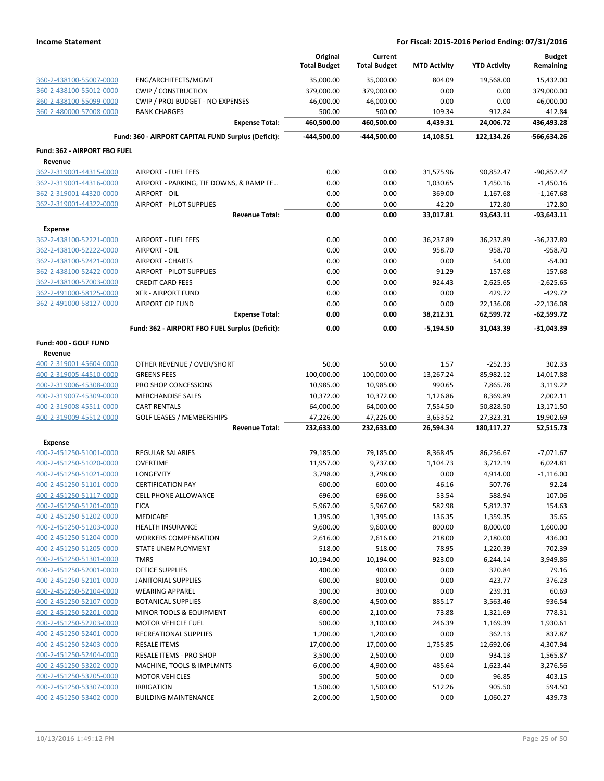|                                                    |                                                      | Original<br><b>Total Budget</b> | Current<br><b>Total Budget</b> | <b>MTD Activity</b> | <b>YTD Activity</b>  | <b>Budget</b><br>Remaining |
|----------------------------------------------------|------------------------------------------------------|---------------------------------|--------------------------------|---------------------|----------------------|----------------------------|
| 360-2-438100-55007-0000                            | ENG/ARCHITECTS/MGMT                                  | 35,000.00                       | 35,000.00                      | 804.09              | 19,568.00            | 15,432.00                  |
| 360-2-438100-55012-0000                            | <b>CWIP / CONSTRUCTION</b>                           | 379,000.00                      | 379,000.00                     | 0.00                | 0.00                 | 379,000.00                 |
| 360-2-438100-55099-0000                            | CWIP / PROJ BUDGET - NO EXPENSES                     | 46,000.00                       | 46,000.00                      | 0.00                | 0.00                 | 46,000.00                  |
| 360-2-480000-57008-0000                            | <b>BANK CHARGES</b>                                  | 500.00                          | 500.00                         | 109.34              | 912.84               | $-412.84$                  |
|                                                    | <b>Expense Total:</b>                                | 460,500.00                      | 460,500.00                     | 4,439.31            | 24,006.72            | 436,493.28                 |
|                                                    | Fund: 360 - AIRPORT CAPITAL FUND Surplus (Deficit):  | -444,500.00                     | -444,500.00                    | 14,108.51           | 122,134.26           | -566,634.26                |
| Fund: 362 - AIRPORT FBO FUEL                       |                                                      |                                 |                                |                     |                      |                            |
| Revenue                                            |                                                      |                                 |                                |                     |                      |                            |
| 362-2-319001-44315-0000                            | <b>AIRPORT - FUEL FEES</b>                           | 0.00                            | 0.00                           | 31,575.96           | 90,852.47            | $-90,852.47$               |
| 362-2-319001-44316-0000                            | AIRPORT - PARKING, TIE DOWNS, & RAMP FE              | 0.00                            | 0.00                           | 1,030.65            | 1,450.16             | $-1,450.16$                |
| 362-2-319001-44320-0000                            | AIRPORT - OIL                                        | 0.00                            | 0.00                           | 369.00              | 1,167.68             | $-1,167.68$                |
| 362-2-319001-44322-0000                            | AIRPORT - PILOT SUPPLIES                             | 0.00                            | 0.00                           | 42.20               | 172.80               | $-172.80$                  |
|                                                    | <b>Revenue Total:</b>                                | 0.00                            | 0.00                           | 33,017.81           | 93,643.11            | $-93,643.11$               |
| <b>Expense</b>                                     |                                                      |                                 |                                |                     |                      |                            |
| 362-2-438100-52221-0000                            | <b>AIRPORT - FUEL FEES</b>                           | 0.00                            | 0.00                           | 36,237.89           | 36,237.89            | $-36,237.89$               |
| 362-2-438100-52222-0000                            | AIRPORT - OIL                                        | 0.00                            | 0.00                           | 958.70              | 958.70               | $-958.70$                  |
| 362-2-438100-52421-0000                            | <b>AIRPORT - CHARTS</b>                              | 0.00                            | 0.00                           | 0.00                | 54.00                | $-54.00$                   |
| 362-2-438100-52422-0000                            | AIRPORT - PILOT SUPPLIES                             | 0.00                            | 0.00                           | 91.29               | 157.68               | $-157.68$                  |
| 362-2-438100-57003-0000<br>362-2-491000-58125-0000 | <b>CREDIT CARD FEES</b>                              | 0.00                            | 0.00                           | 924.43              | 2,625.65             | $-2,625.65$                |
| 362-2-491000-58127-0000                            | <b>XFR - AIRPORT FUND</b><br><b>AIRPORT CIP FUND</b> | 0.00<br>0.00                    | 0.00<br>0.00                   | 0.00<br>0.00        | 429.72<br>22,136.08  | -429.72<br>$-22,136.08$    |
|                                                    | <b>Expense Total:</b>                                | 0.00                            | 0.00                           | 38,212.31           | 62,599.72            | $-62,599.72$               |
|                                                    | Fund: 362 - AIRPORT FBO FUEL Surplus (Deficit):      | 0.00                            | 0.00                           | $-5,194.50$         | 31,043.39            | $-31,043.39$               |
|                                                    |                                                      |                                 |                                |                     |                      |                            |
| Fund: 400 - GOLF FUND<br>Revenue                   |                                                      |                                 |                                |                     |                      |                            |
| 400-2-319001-45604-0000                            | OTHER REVENUE / OVER/SHORT                           | 50.00                           | 50.00                          | 1.57                | $-252.33$            | 302.33                     |
| 400-2-319005-44510-0000                            | <b>GREENS FEES</b>                                   | 100,000.00                      | 100,000.00                     | 13,267.24           | 85,982.12            | 14,017.88                  |
| 400-2-319006-45308-0000                            | PRO SHOP CONCESSIONS                                 | 10,985.00                       | 10,985.00                      | 990.65              | 7,865.78             | 3,119.22                   |
| 400-2-319007-45309-0000                            | <b>MERCHANDISE SALES</b>                             | 10,372.00                       | 10,372.00                      | 1,126.86            | 8,369.89             | 2,002.11                   |
| 400-2-319008-45511-0000                            | <b>CART RENTALS</b>                                  | 64,000.00                       | 64,000.00                      | 7,554.50            | 50,828.50            | 13,171.50                  |
| 400-2-319009-45512-0000                            | <b>GOLF LEASES / MEMBERSHIPS</b>                     | 47,226.00                       | 47,226.00                      | 3,653.52            | 27,323.31            | 19,902.69                  |
|                                                    | <b>Revenue Total:</b>                                | 232,633.00                      | 232,633.00                     | 26,594.34           | 180,117.27           | 52,515.73                  |
| <b>Expense</b>                                     |                                                      |                                 |                                |                     |                      |                            |
| 400-2-451250-51001-0000                            | <b>REGULAR SALARIES</b>                              | 79,185.00                       | 79,185.00                      | 8,368.45            | 86,256.67            | $-7,071.67$                |
| 400-2-451250-51020-0000                            | <b>OVERTIME</b>                                      | 11,957.00                       | 9,737.00                       | 1,104.73            | 3,712.19             | 6,024.81                   |
| 400-2-451250-51021-0000                            | <b>LONGEVITY</b>                                     | 3,798.00                        | 3,798.00                       | 0.00                | 4,914.00             | $-1,116.00$                |
| 400-2-451250-51101-0000                            | <b>CERTIFICATION PAY</b>                             | 600.00                          | 600.00                         | 46.16               | 507.76               | 92.24                      |
| 400-2-451250-51117-0000                            | CELL PHONE ALLOWANCE                                 | 696.00                          | 696.00                         | 53.54               | 588.94               | 107.06                     |
| 400-2-451250-51201-0000                            | <b>FICA</b>                                          | 5,967.00                        | 5,967.00                       | 582.98              | 5,812.37             | 154.63                     |
| 400-2-451250-51202-0000<br>400-2-451250-51203-0000 | <b>MEDICARE</b><br>HEALTH INSURANCE                  | 1,395.00<br>9,600.00            | 1,395.00<br>9,600.00           | 136.35<br>800.00    | 1,359.35             | 35.65<br>1,600.00          |
| 400-2-451250-51204-0000                            | <b>WORKERS COMPENSATION</b>                          | 2,616.00                        | 2,616.00                       | 218.00              | 8,000.00<br>2,180.00 | 436.00                     |
| 400-2-451250-51205-0000                            | STATE UNEMPLOYMENT                                   | 518.00                          | 518.00                         | 78.95               | 1,220.39             | $-702.39$                  |
| 400-2-451250-51301-0000                            | <b>TMRS</b>                                          | 10,194.00                       | 10,194.00                      | 923.00              | 6,244.14             | 3,949.86                   |
| 400-2-451250-52001-0000                            | <b>OFFICE SUPPLIES</b>                               | 400.00                          | 400.00                         | 0.00                | 320.84               | 79.16                      |
| 400-2-451250-52101-0000                            | <b>JANITORIAL SUPPLIES</b>                           | 600.00                          | 800.00                         | 0.00                | 423.77               | 376.23                     |
| 400-2-451250-52104-0000                            | <b>WEARING APPAREL</b>                               | 300.00                          | 300.00                         | 0.00                | 239.31               | 60.69                      |
| 400-2-451250-52107-0000                            | <b>BOTANICAL SUPPLIES</b>                            | 8,600.00                        | 4,500.00                       | 885.17              | 3,563.46             | 936.54                     |
| 400-2-451250-52201-0000                            | MINOR TOOLS & EQUIPMENT                              | 600.00                          | 2,100.00                       | 73.88               | 1,321.69             | 778.31                     |
| 400-2-451250-52203-0000                            | <b>MOTOR VEHICLE FUEL</b>                            | 500.00                          | 3,100.00                       | 246.39              | 1,169.39             | 1,930.61                   |
| 400-2-451250-52401-0000                            | RECREATIONAL SUPPLIES                                | 1,200.00                        | 1,200.00                       | 0.00                | 362.13               | 837.87                     |
| 400-2-451250-52403-0000                            | <b>RESALE ITEMS</b>                                  | 17,000.00                       | 17,000.00                      | 1,755.85            | 12,692.06            | 4,307.94                   |
| 400-2-451250-52404-0000                            | RESALE ITEMS - PRO SHOP                              | 3,500.00                        | 2,500.00                       | 0.00                | 934.13               | 1,565.87                   |
| 400-2-451250-53202-0000                            | MACHINE, TOOLS & IMPLMNTS                            | 6,000.00                        | 4,900.00                       | 485.64              | 1,623.44             | 3,276.56                   |
| 400-2-451250-53205-0000                            | <b>MOTOR VEHICLES</b>                                | 500.00                          | 500.00                         | 0.00                | 96.85                | 403.15                     |
| 400-2-451250-53307-0000                            | <b>IRRIGATION</b>                                    | 1,500.00                        | 1,500.00                       | 512.26              | 905.50               | 594.50                     |
| 400-2-451250-53402-0000                            | <b>BUILDING MAINTENANCE</b>                          | 2,000.00                        | 1,500.00                       | 0.00                | 1,060.27             | 439.73                     |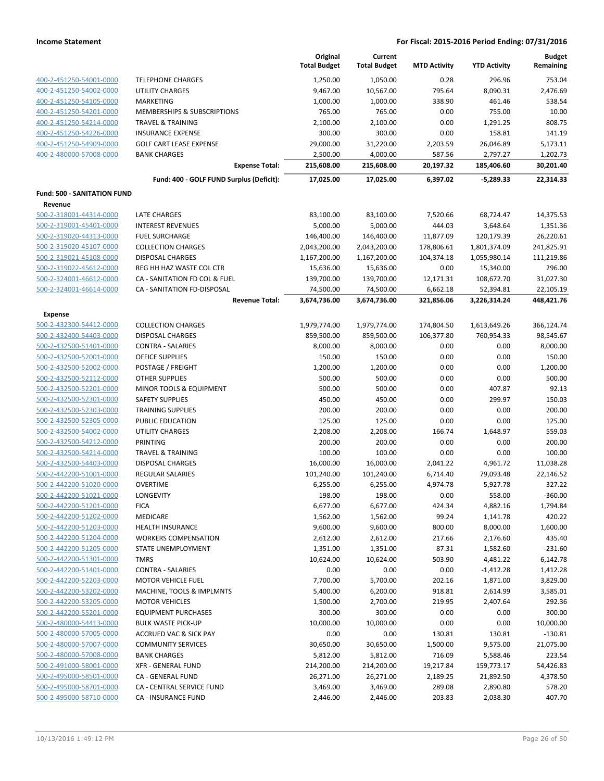|                                                    |                                           | Original<br><b>Total Budget</b> | Current<br><b>Total Budget</b> | <b>MTD Activity</b>   | <b>YTD Activity</b>     | <b>Budget</b><br>Remaining |
|----------------------------------------------------|-------------------------------------------|---------------------------------|--------------------------------|-----------------------|-------------------------|----------------------------|
| 400-2-451250-54001-0000                            | <b>TELEPHONE CHARGES</b>                  | 1,250.00                        | 1,050.00                       | 0.28                  | 296.96                  | 753.04                     |
| 400-2-451250-54002-0000                            | <b>UTILITY CHARGES</b>                    | 9,467.00                        | 10,567.00                      | 795.64                | 8,090.31                | 2,476.69                   |
| 400-2-451250-54105-0000                            | MARKETING                                 | 1,000.00                        | 1,000.00                       | 338.90                | 461.46                  | 538.54                     |
| 400-2-451250-54201-0000                            | MEMBERSHIPS & SUBSCRIPTIONS               | 765.00                          | 765.00                         | 0.00                  | 755.00                  | 10.00                      |
| 400-2-451250-54214-0000                            | TRAVEL & TRAINING                         | 2,100.00                        | 2,100.00                       | 0.00                  | 1,291.25                | 808.75                     |
| 400-2-451250-54226-0000                            | <b>INSURANCE EXPENSE</b>                  | 300.00                          | 300.00                         | 0.00                  | 158.81                  | 141.19                     |
| 400-2-451250-54909-0000                            | <b>GOLF CART LEASE EXPENSE</b>            | 29,000.00                       | 31,220.00                      | 2,203.59              | 26,046.89               | 5,173.11                   |
| 400-2-480000-57008-0000                            | <b>BANK CHARGES</b>                       | 2,500.00                        | 4,000.00                       | 587.56                | 2,797.27                | 1,202.73                   |
|                                                    | <b>Expense Total:</b>                     | 215,608.00                      | 215,608.00                     | 20,197.32             | 185,406.60              | 30,201.40                  |
|                                                    | Fund: 400 - GOLF FUND Surplus (Deficit):  | 17,025.00                       | 17,025.00                      | 6,397.02              | $-5,289.33$             | 22,314.33                  |
| <b>Fund: 500 - SANITATION FUND</b>                 |                                           |                                 |                                |                       |                         |                            |
| Revenue                                            |                                           |                                 |                                |                       |                         |                            |
| 500-2-318001-44314-0000                            | LATE CHARGES                              | 83,100.00                       | 83,100.00                      | 7,520.66              | 68,724.47               | 14,375.53                  |
| 500-2-319001-45401-0000                            | <b>INTEREST REVENUES</b>                  | 5,000.00                        | 5,000.00                       | 444.03                | 3,648.64                | 1,351.36                   |
| 500-2-319020-44313-0000                            | <b>FUEL SURCHARGE</b>                     | 146,400.00                      | 146,400.00                     | 11,877.09             | 120,179.39              | 26,220.61                  |
| 500-2-319020-45107-0000                            | <b>COLLECTION CHARGES</b>                 | 2,043,200.00                    | 2,043,200.00                   | 178,806.61            | 1,801,374.09            | 241,825.91                 |
| 500-2-319021-45108-0000                            | <b>DISPOSAL CHARGES</b>                   | 1,167,200.00                    | 1,167,200.00                   | 104,374.18            | 1,055,980.14            | 111,219.86                 |
| 500-2-319022-45612-0000                            | REG HH HAZ WASTE COL CTR                  | 15,636.00                       | 15,636.00                      | 0.00                  | 15,340.00               | 296.00                     |
| 500-2-324001-46612-0000                            | CA - SANITATION FD COL & FUEL             | 139,700.00                      | 139,700.00                     | 12,171.31             | 108,672.70              | 31,027.30                  |
| 500-2-324001-46614-0000                            | CA - SANITATION FD-DISPOSAL               | 74,500.00                       | 74,500.00                      | 6,662.18              | 52,394.81               | 22,105.19                  |
|                                                    | <b>Revenue Total:</b>                     | 3,674,736.00                    | 3,674,736.00                   | 321,856.06            | 3,226,314.24            | 448,421.76                 |
| <b>Expense</b>                                     |                                           |                                 |                                |                       |                         |                            |
| 500-2-432300-54412-0000                            | <b>COLLECTION CHARGES</b>                 | 1,979,774.00                    | 1,979,774.00                   | 174,804.50            | 1,613,649.26            | 366,124.74                 |
| 500-2-432400-54403-0000                            | <b>DISPOSAL CHARGES</b>                   | 859,500.00                      | 859,500.00                     | 106,377.80            | 760,954.33              | 98,545.67                  |
| 500-2-432500-51401-0000                            | <b>CONTRA - SALARIES</b>                  | 8,000.00                        | 8,000.00                       | 0.00                  | 0.00                    | 8,000.00                   |
| 500-2-432500-52001-0000                            | OFFICE SUPPLIES                           | 150.00                          | 150.00                         | 0.00                  | 0.00                    | 150.00                     |
| 500-2-432500-52002-0000                            | POSTAGE / FREIGHT                         | 1,200.00                        | 1,200.00                       | 0.00                  | 0.00                    | 1,200.00                   |
| 500-2-432500-52112-0000                            | <b>OTHER SUPPLIES</b>                     | 500.00                          | 500.00                         | 0.00                  | 0.00                    | 500.00                     |
| 500-2-432500-52201-0000                            | MINOR TOOLS & EQUIPMENT                   | 500.00                          | 500.00                         | 0.00                  | 407.87                  | 92.13                      |
| 500-2-432500-52301-0000                            | <b>SAFETY SUPPLIES</b>                    | 450.00                          | 450.00                         | 0.00                  | 299.97                  | 150.03                     |
| 500-2-432500-52303-0000                            | <b>TRAINING SUPPLIES</b>                  | 200.00                          | 200.00                         | 0.00                  | 0.00                    | 200.00                     |
| 500-2-432500-52305-0000                            | PUBLIC EDUCATION                          | 125.00                          | 125.00                         | 0.00                  | 0.00                    | 125.00                     |
| 500-2-432500-54002-0000                            | <b>UTILITY CHARGES</b>                    | 2,208.00                        | 2,208.00                       | 166.74                | 1,648.97                | 559.03                     |
| 500-2-432500-54212-0000                            | PRINTING                                  | 200.00                          | 200.00                         | 0.00                  | 0.00                    | 200.00                     |
| 500-2-432500-54214-0000                            | <b>TRAVEL &amp; TRAINING</b>              | 100.00                          | 100.00                         | 0.00                  | 0.00                    | 100.00                     |
| 500-2-432500-54403-0000                            | DISPOSAL CHARGES                          | 16,000.00                       | 16,000.00                      | 2,041.22              | 4,961.72                | 11,038.28                  |
| 500-2-442200-51001-0000                            | <b>REGULAR SALARIES</b>                   | 101,240.00                      | 101,240.00                     | 6,714.40              | 79,093.48               | 22,146.52                  |
| 500-2-442200-51020-0000                            | <b>OVERTIME</b>                           | 6,255.00                        | 6,255.00                       | 4,974.78              | 5,927.78                | 327.22                     |
| 500-2-442200-51021-0000                            | LONGEVITY                                 | 198.00                          | 198.00                         | 0.00                  | 558.00                  | $-360.00$                  |
| 500-2-442200-51201-0000                            | <b>FICA</b>                               | 6,677.00                        | 6,677.00                       | 424.34                | 4,882.16                | 1,794.84                   |
| 500-2-442200-51202-0000                            | <b>MEDICARE</b>                           | 1,562.00                        | 1,562.00                       | 99.24                 | 1,141.78                | 420.22                     |
| 500-2-442200-51203-0000                            | <b>HEALTH INSURANCE</b>                   | 9,600.00                        | 9,600.00                       | 800.00                | 8,000.00                | 1,600.00                   |
| 500-2-442200-51204-0000                            | <b>WORKERS COMPENSATION</b>               | 2,612.00                        | 2,612.00                       | 217.66                | 2,176.60                | 435.40                     |
| 500-2-442200-51205-0000                            | STATE UNEMPLOYMENT                        | 1,351.00                        | 1,351.00                       | 87.31                 | 1,582.60                | $-231.60$                  |
| 500-2-442200-51301-0000<br>500-2-442200-51401-0000 | <b>TMRS</b>                               | 10,624.00                       | 10,624.00                      | 503.90                | 4,481.22                | 6,142.78                   |
| 500-2-442200-52203-0000                            | <b>CONTRA - SALARIES</b>                  | 0.00                            | 0.00                           | 0.00                  | $-1,412.28$             | 1,412.28                   |
| 500-2-442200-53202-0000                            | MOTOR VEHICLE FUEL                        | 7,700.00                        | 5,700.00                       | 202.16                | 1,871.00<br>2,614.99    | 3,829.00                   |
|                                                    | MACHINE, TOOLS & IMPLMNTS                 | 5,400.00                        | 6,200.00                       | 918.81                |                         | 3,585.01                   |
| 500-2-442200-53205-0000                            | <b>MOTOR VEHICLES</b>                     | 1,500.00                        | 2,700.00                       | 219.95                | 2,407.64                | 292.36                     |
| 500-2-442200-55201-0000                            | <b>EQUIPMENT PURCHASES</b>                | 300.00                          | 300.00                         | 0.00                  | 0.00                    | 300.00                     |
| 500-2-480000-54413-0000                            | <b>BULK WASTE PICK-UP</b>                 | 10,000.00                       | 10,000.00                      | 0.00                  | 0.00                    | 10,000.00                  |
| 500-2-480000-57005-0000                            | <b>ACCRUED VAC &amp; SICK PAY</b>         | 0.00                            | 0.00                           | 130.81                | 130.81                  | -130.81                    |
| 500-2-480000-57007-0000                            | <b>COMMUNITY SERVICES</b>                 | 30,650.00                       | 30,650.00                      | 1,500.00              | 9,575.00                | 21,075.00                  |
| 500-2-480000-57008-0000<br>500-2-491000-58001-0000 | <b>BANK CHARGES</b><br>XFR - GENERAL FUND | 5,812.00<br>214,200.00          | 5,812.00                       | 716.09                | 5,588.46                | 223.54<br>54,426.83        |
| 500-2-495000-58501-0000                            | CA - GENERAL FUND                         | 26,271.00                       | 214,200.00<br>26,271.00        | 19,217.84<br>2,189.25 | 159,773.17<br>21,892.50 | 4,378.50                   |
| 500-2-495000-58701-0000                            | CA - CENTRAL SERVICE FUND                 | 3,469.00                        | 3,469.00                       | 289.08                | 2,890.80                | 578.20                     |
| 500-2-495000-58710-0000                            | CA - INSURANCE FUND                       | 2,446.00                        | 2,446.00                       | 203.83                | 2,038.30                | 407.70                     |
|                                                    |                                           |                                 |                                |                       |                         |                            |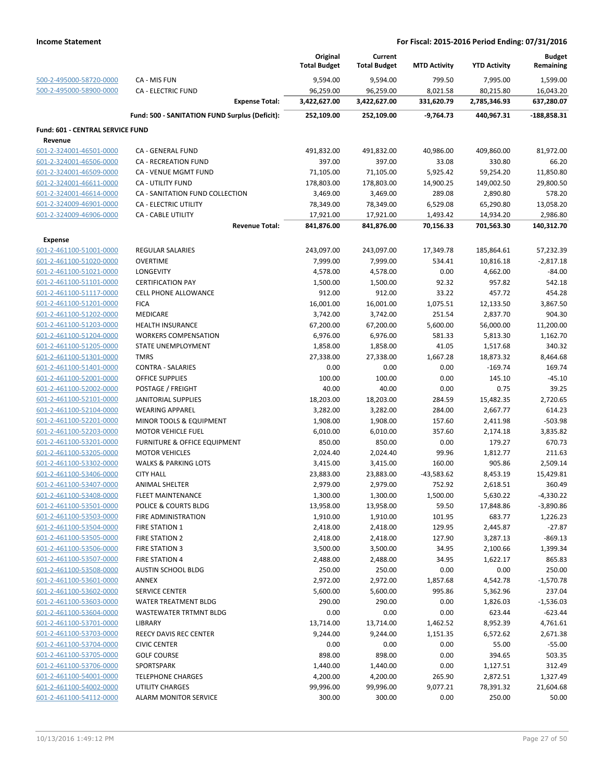|                                                    |                                                | Original<br><b>Total Budget</b> | Current<br><b>Total Budget</b> | <b>MTD Activity</b> | <b>YTD Activity</b>  | <b>Budget</b><br>Remaining |
|----------------------------------------------------|------------------------------------------------|---------------------------------|--------------------------------|---------------------|----------------------|----------------------------|
| 500-2-495000-58720-0000                            | CA - MIS FUN                                   | 9,594.00                        | 9,594.00                       | 799.50              | 7,995.00             | 1,599.00                   |
| 500-2-495000-58900-0000                            | <b>CA - ELECTRIC FUND</b>                      | 96,259.00                       | 96,259.00                      | 8,021.58            | 80,215.80            | 16,043.20                  |
|                                                    | <b>Expense Total:</b>                          | 3,422,627.00                    | 3,422,627.00                   | 331,620.79          | 2,785,346.93         | 637,280.07                 |
|                                                    | Fund: 500 - SANITATION FUND Surplus (Deficit): | 252,109.00                      | 252,109.00                     | $-9.764.73$         | 440,967.31           | $-188,858.31$              |
| Fund: 601 - CENTRAL SERVICE FUND                   |                                                |                                 |                                |                     |                      |                            |
| Revenue                                            |                                                |                                 |                                |                     |                      |                            |
| 601-2-324001-46501-0000                            | CA - GENERAL FUND                              | 491,832.00                      | 491,832.00                     | 40,986.00           | 409,860.00           | 81,972.00                  |
| 601-2-324001-46506-0000                            | <b>CA - RECREATION FUND</b>                    | 397.00                          | 397.00                         | 33.08               | 330.80               | 66.20                      |
| 601-2-324001-46509-0000                            | CA - VENUE MGMT FUND                           | 71,105.00                       | 71,105.00                      | 5,925.42            | 59,254.20            | 11,850.80                  |
| 601-2-324001-46611-0000                            | <b>CA - UTILITY FUND</b>                       | 178,803.00                      | 178,803.00                     | 14,900.25           | 149,002.50           | 29,800.50                  |
| 601-2-324001-46614-0000                            | CA - SANITATION FUND COLLECTION                | 3,469.00                        | 3,469.00                       | 289.08              | 2,890.80             | 578.20                     |
| 601-2-324009-46901-0000                            | <b>CA - ELECTRIC UTILITY</b>                   | 78,349.00                       | 78,349.00                      | 6,529.08            | 65,290.80            | 13,058.20                  |
| 601-2-324009-46906-0000                            | <b>CA - CABLE UTILITY</b>                      | 17,921.00                       | 17,921.00                      | 1,493.42            | 14,934.20            | 2,986.80                   |
|                                                    | <b>Revenue Total:</b>                          | 841,876.00                      | 841,876.00                     | 70,156.33           | 701,563.30           | 140,312.70                 |
| <b>Expense</b>                                     |                                                |                                 |                                |                     |                      |                            |
| 601-2-461100-51001-0000                            | <b>REGULAR SALARIES</b>                        | 243,097.00                      | 243,097.00                     | 17,349.78           | 185,864.61           | 57,232.39                  |
| 601-2-461100-51020-0000                            | <b>OVERTIME</b>                                | 7,999.00                        | 7,999.00                       | 534.41              | 10,816.18            | $-2,817.18$                |
| 601-2-461100-51021-0000                            | LONGEVITY                                      | 4,578.00                        | 4,578.00                       | 0.00                | 4,662.00             | $-84.00$                   |
| 601-2-461100-51101-0000                            | <b>CERTIFICATION PAY</b>                       | 1,500.00                        | 1,500.00                       | 92.32               | 957.82               | 542.18                     |
| 601-2-461100-51117-0000                            | <b>CELL PHONE ALLOWANCE</b>                    | 912.00                          | 912.00                         | 33.22               | 457.72               | 454.28                     |
| 601-2-461100-51201-0000                            | <b>FICA</b>                                    | 16,001.00                       | 16,001.00                      | 1,075.51            | 12,133.50            | 3,867.50                   |
| 601-2-461100-51202-0000                            | <b>MEDICARE</b>                                | 3,742.00                        | 3,742.00                       | 251.54              | 2,837.70             | 904.30                     |
| 601-2-461100-51203-0000                            | <b>HEALTH INSURANCE</b>                        | 67,200.00                       | 67,200.00                      | 5,600.00            | 56,000.00            | 11,200.00                  |
| 601-2-461100-51204-0000                            | <b>WORKERS COMPENSATION</b>                    | 6,976.00                        | 6,976.00                       | 581.33              | 5,813.30             | 1,162.70                   |
| 601-2-461100-51205-0000                            | STATE UNEMPLOYMENT                             | 1,858.00                        | 1,858.00                       | 41.05               | 1,517.68             | 340.32                     |
| 601-2-461100-51301-0000                            | <b>TMRS</b>                                    | 27,338.00                       | 27,338.00                      | 1,667.28            | 18,873.32            | 8,464.68                   |
| 601-2-461100-51401-0000                            | <b>CONTRA - SALARIES</b>                       | 0.00                            | 0.00                           | 0.00                | $-169.74$            | 169.74                     |
| 601-2-461100-52001-0000                            | <b>OFFICE SUPPLIES</b>                         | 100.00                          | 100.00                         | 0.00                | 145.10               | $-45.10$                   |
| 601-2-461100-52002-0000                            | POSTAGE / FREIGHT                              | 40.00                           | 40.00                          | 0.00                | 0.75                 | 39.25                      |
| 601-2-461100-52101-0000                            | <b>JANITORIAL SUPPLIES</b>                     | 18,203.00                       | 18,203.00                      | 284.59              | 15,482.35            | 2,720.65                   |
| 601-2-461100-52104-0000                            | <b>WEARING APPAREL</b>                         | 3,282.00                        | 3,282.00                       | 284.00              | 2,667.77             | 614.23                     |
| 601-2-461100-52201-0000                            | MINOR TOOLS & EQUIPMENT                        | 1,908.00                        | 1,908.00                       | 157.60              | 2,411.98             | $-503.98$                  |
| 601-2-461100-52203-0000                            | <b>MOTOR VEHICLE FUEL</b>                      | 6,010.00                        | 6,010.00                       | 357.60              | 2,174.18             | 3,835.82                   |
| 601-2-461100-53201-0000                            | FURNITURE & OFFICE EQUIPMENT                   | 850.00                          | 850.00                         | 0.00                | 179.27               | 670.73                     |
| 601-2-461100-53205-0000                            | <b>MOTOR VEHICLES</b>                          | 2,024.40                        | 2,024.40                       | 99.96               | 1,812.77             | 211.63                     |
| 601-2-461100-53302-0000                            | <b>WALKS &amp; PARKING LOTS</b>                | 3,415.00                        | 3,415.00                       | 160.00              | 905.86               | 2,509.14                   |
| 601-2-461100-53406-0000<br>601-2-461100-53407-0000 | <b>CITY HALL</b>                               | 23,883.00                       | 23,883.00                      | $-43,583.62$        | 8,453.19             | 15,429.81                  |
| 601-2-461100-53408-0000                            | <b>ANIMAL SHELTER</b><br>FLEET MAINTENANCE     | 2,979.00<br>1,300.00            | 2,979.00<br>1,300.00           | 752.92<br>1,500.00  | 2,618.51<br>5,630.22 | 360.49<br>$-4,330.22$      |
|                                                    | POLICE & COURTS BLDG                           | 13,958.00                       |                                | 59.50               |                      |                            |
| 601-2-461100-53501-0000<br>601-2-461100-53503-0000 | FIRE ADMINISTRATION                            | 1,910.00                        | 13,958.00<br>1,910.00          | 101.95              | 17,848.86<br>683.77  | $-3,890.86$<br>1,226.23    |
| 601-2-461100-53504-0000                            | <b>FIRE STATION 1</b>                          | 2,418.00                        | 2,418.00                       | 129.95              | 2,445.87             | $-27.87$                   |
| 601-2-461100-53505-0000                            | <b>FIRE STATION 2</b>                          | 2,418.00                        | 2,418.00                       | 127.90              | 3,287.13             | $-869.13$                  |
| 601-2-461100-53506-0000                            | <b>FIRE STATION 3</b>                          | 3,500.00                        | 3,500.00                       | 34.95               | 2,100.66             | 1,399.34                   |
| 601-2-461100-53507-0000                            | <b>FIRE STATION 4</b>                          | 2,488.00                        | 2,488.00                       | 34.95               | 1,622.17             | 865.83                     |
| 601-2-461100-53508-0000                            | <b>AUSTIN SCHOOL BLDG</b>                      | 250.00                          | 250.00                         | 0.00                | 0.00                 | 250.00                     |
| 601-2-461100-53601-0000                            | <b>ANNEX</b>                                   | 2,972.00                        | 2,972.00                       | 1,857.68            | 4,542.78             | $-1,570.78$                |
| 601-2-461100-53602-0000                            | <b>SERVICE CENTER</b>                          | 5,600.00                        | 5,600.00                       | 995.86              | 5,362.96             | 237.04                     |
| 601-2-461100-53603-0000                            | <b>WATER TREATMENT BLDG</b>                    | 290.00                          | 290.00                         | 0.00                | 1,826.03             | $-1,536.03$                |
| 601-2-461100-53604-0000                            | WASTEWATER TRTMNT BLDG                         | 0.00                            | 0.00                           | 0.00                | 623.44               | $-623.44$                  |
| 601-2-461100-53701-0000                            | LIBRARY                                        | 13,714.00                       | 13,714.00                      | 1,462.52            | 8,952.39             | 4,761.61                   |
| 601-2-461100-53703-0000                            | REECY DAVIS REC CENTER                         | 9,244.00                        | 9,244.00                       | 1,151.35            | 6,572.62             | 2,671.38                   |
| 601-2-461100-53704-0000                            | <b>CIVIC CENTER</b>                            | 0.00                            | 0.00                           | 0.00                | 55.00                | $-55.00$                   |
| 601-2-461100-53705-0000                            | <b>GOLF COURSE</b>                             | 898.00                          | 898.00                         | 0.00                | 394.65               | 503.35                     |
| 601-2-461100-53706-0000                            | SPORTSPARK                                     | 1,440.00                        | 1,440.00                       | 0.00                | 1,127.51             | 312.49                     |
| 601-2-461100-54001-0000                            | <b>TELEPHONE CHARGES</b>                       | 4,200.00                        | 4,200.00                       | 265.90              | 2,872.51             | 1,327.49                   |
| 601-2-461100-54002-0000                            | <b>UTILITY CHARGES</b>                         | 99,996.00                       | 99,996.00                      | 9,077.21            | 78,391.32            | 21,604.68                  |
| 601-2-461100-54112-0000                            | <b>ALARM MONITOR SERVICE</b>                   | 300.00                          | 300.00                         | 0.00                | 250.00               | 50.00                      |
|                                                    |                                                |                                 |                                |                     |                      |                            |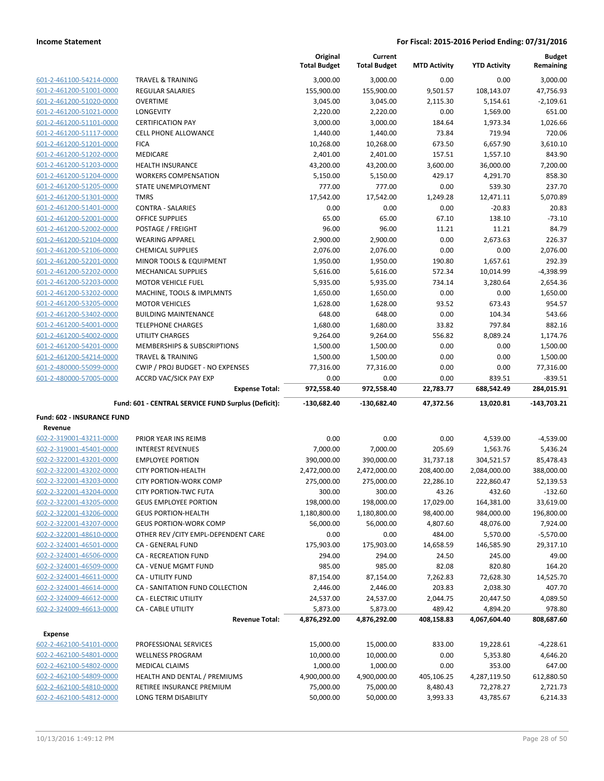| 601-2-461100-54214-0000 |
|-------------------------|
| 601-2-461200-51001-0000 |
| 601-2-461200-51020-0000 |
| 601-2-461200-51021-0000 |
| 601-2-461200-51101-0000 |
| 601-2-461200-51117-0000 |
| 601-2-461200-51201-0000 |
| 601-2-461200-51202-0000 |
| 601-2-461200-51203-0000 |
| 601-2-461200-51204-0000 |
| 601-2-461200-51205-0000 |
| 601-2-461200-51301-0000 |
| 601-2-461200-51401-0000 |
| 601-2-461200-52001-0000 |
| 601-2-461200-52002-0000 |
| 601-2-461200-52104-0000 |
| 601-2-461200-52106-0000 |
| 601-2-461200-52201-0000 |
| 601-2-461200-52202-0000 |
| 601-2-461200-52203-0000 |
| 601-2-461200-53202-0000 |
| 601-2-461200-53205-0000 |
| 601-2-461200-53402-0000 |
| 601-2-461200-54001-0000 |
| 601-2-461200-54002-0000 |
| 601-2-461200-54201-0000 |
| 601-2-461200-54214-0000 |
| 601-2-480000-55099-0000 |
| 601-2-480000-57005-0000 |

|                         |                                                     | Original<br><b>Total Budget</b> | Current<br><b>Total Budget</b> | <b>MTD Activity</b> | <b>YTD Activity</b> | <b>Budget</b><br>Remaining |
|-------------------------|-----------------------------------------------------|---------------------------------|--------------------------------|---------------------|---------------------|----------------------------|
| 601-2-461100-54214-0000 | <b>TRAVEL &amp; TRAINING</b>                        | 3,000.00                        | 3,000.00                       | 0.00                | 0.00                | 3,000.00                   |
| 601-2-461200-51001-0000 | <b>REGULAR SALARIES</b>                             | 155,900.00                      | 155,900.00                     | 9,501.57            | 108,143.07          | 47,756.93                  |
| 601-2-461200-51020-0000 | <b>OVERTIME</b>                                     | 3,045.00                        | 3,045.00                       | 2,115.30            | 5,154.61            | $-2,109.61$                |
| 601-2-461200-51021-0000 | <b>LONGEVITY</b>                                    | 2,220.00                        | 2,220.00                       | 0.00                | 1,569.00            | 651.00                     |
| 601-2-461200-51101-0000 | <b>CERTIFICATION PAY</b>                            | 3,000.00                        | 3,000.00                       | 184.64              | 1,973.34            | 1,026.66                   |
| 601-2-461200-51117-0000 | <b>CELL PHONE ALLOWANCE</b>                         | 1,440.00                        | 1,440.00                       | 73.84               | 719.94              | 720.06                     |
| 601-2-461200-51201-0000 | <b>FICA</b>                                         | 10,268.00                       | 10,268.00                      | 673.50              | 6,657.90            | 3,610.10                   |
| 601-2-461200-51202-0000 | <b>MEDICARE</b>                                     | 2,401.00                        | 2,401.00                       | 157.51              | 1,557.10            | 843.90                     |
| 601-2-461200-51203-0000 | <b>HEALTH INSURANCE</b>                             | 43,200.00                       | 43,200.00                      | 3,600.00            | 36,000.00           | 7,200.00                   |
| 601-2-461200-51204-0000 | <b>WORKERS COMPENSATION</b>                         | 5,150.00                        | 5,150.00                       | 429.17              | 4,291.70            | 858.30                     |
| 601-2-461200-51205-0000 | STATE UNEMPLOYMENT                                  | 777.00                          | 777.00                         | 0.00                | 539.30              | 237.70                     |
| 601-2-461200-51301-0000 | <b>TMRS</b>                                         | 17,542.00                       | 17,542.00                      | 1,249.28            | 12,471.11           | 5,070.89                   |
| 601-2-461200-51401-0000 | <b>CONTRA - SALARIES</b>                            | 0.00                            | 0.00                           | 0.00                | $-20.83$            | 20.83                      |
| 601-2-461200-52001-0000 | <b>OFFICE SUPPLIES</b>                              | 65.00                           | 65.00                          | 67.10               | 138.10              | $-73.10$                   |
| 601-2-461200-52002-0000 | POSTAGE / FREIGHT                                   | 96.00                           | 96.00                          | 11.21               | 11.21               | 84.79                      |
| 601-2-461200-52104-0000 | <b>WEARING APPAREL</b>                              | 2,900.00                        | 2,900.00                       | 0.00                | 2,673.63            | 226.37                     |
| 601-2-461200-52106-0000 | <b>CHEMICAL SUPPLIES</b>                            | 2,076.00                        | 2,076.00                       | 0.00                | 0.00                | 2,076.00                   |
| 601-2-461200-52201-0000 | MINOR TOOLS & EQUIPMENT                             | 1,950.00                        | 1,950.00                       | 190.80              | 1,657.61            | 292.39                     |
| 601-2-461200-52202-0000 | <b>MECHANICAL SUPPLIES</b>                          | 5,616.00                        | 5,616.00                       | 572.34              | 10,014.99           | $-4,398.99$                |
| 601-2-461200-52203-0000 | <b>MOTOR VEHICLE FUEL</b>                           | 5,935.00                        | 5,935.00                       | 734.14              | 3,280.64            | 2,654.36                   |
| 601-2-461200-53202-0000 | MACHINE, TOOLS & IMPLMNTS                           | 1,650.00                        | 1,650.00                       | 0.00                | 0.00                | 1,650.00                   |
| 601-2-461200-53205-0000 | <b>MOTOR VEHICLES</b>                               | 1,628.00                        | 1,628.00                       | 93.52               | 673.43              | 954.57                     |
| 601-2-461200-53402-0000 | <b>BUILDING MAINTENANCE</b>                         | 648.00                          | 648.00                         | 0.00                | 104.34              | 543.66                     |
| 601-2-461200-54001-0000 | <b>TELEPHONE CHARGES</b>                            | 1,680.00                        | 1,680.00                       | 33.82               | 797.84              | 882.16                     |
| 601-2-461200-54002-0000 | <b>UTILITY CHARGES</b>                              | 9,264.00                        | 9,264.00                       | 556.82              | 8,089.24            | 1,174.76                   |
| 601-2-461200-54201-0000 | <b>MEMBERSHIPS &amp; SUBSCRIPTIONS</b>              | 1,500.00                        | 1,500.00                       | 0.00                | 0.00                | 1,500.00                   |
| 601-2-461200-54214-0000 | <b>TRAVEL &amp; TRAINING</b>                        | 1,500.00                        | 1,500.00                       | 0.00                | 0.00                | 1,500.00                   |
| 601-2-480000-55099-0000 | CWIP / PROJ BUDGET - NO EXPENSES                    | 77,316.00                       | 77,316.00                      | 0.00                | 0.00                | 77,316.00                  |
| 601-2-480000-57005-0000 | <b>ACCRD VAC/SICK PAY EXP</b>                       | 0.00                            | 0.00                           | 0.00                | 839.51              | $-839.51$                  |
|                         | <b>Expense Total:</b>                               | 972,558.40                      | 972,558.40                     | 22,783.77           | 688,542.49          | 284,015.91                 |
|                         | Fund: 601 - CENTRAL SERVICE FUND Surplus (Deficit): | $-130,682.40$                   | $-130,682.40$                  | 47.372.56           | 13.020.81           | $-143,703.21$              |

# **Fund: 602 - INSURANCE FUND**

| Revenue                 |                                      |              |              |            |              |             |
|-------------------------|--------------------------------------|--------------|--------------|------------|--------------|-------------|
| 602-2-319001-43211-0000 | PRIOR YEAR INS REIMB                 | 0.00         | 0.00         | 0.00       | 4,539.00     | $-4,539.00$ |
| 602-2-319001-45401-0000 | <b>INTEREST REVENUES</b>             | 7,000.00     | 7,000.00     | 205.69     | 1,563.76     | 5,436.24    |
| 602-2-322001-43201-0000 | <b>EMPLOYEE PORTION</b>              | 390,000.00   | 390,000.00   | 31,737.18  | 304,521.57   | 85,478.43   |
| 602-2-322001-43202-0000 | <b>CITY PORTION-HEALTH</b>           | 2,472,000.00 | 2,472,000.00 | 208,400.00 | 2,084,000.00 | 388,000.00  |
| 602-2-322001-43203-0000 | <b>CITY PORTION-WORK COMP</b>        | 275,000.00   | 275,000.00   | 22,286.10  | 222,860.47   | 52,139.53   |
| 602-2-322001-43204-0000 | <b>CITY PORTION-TWC FUTA</b>         | 300.00       | 300.00       | 43.26      | 432.60       | $-132.60$   |
| 602-2-322001-43205-0000 | <b>GEUS EMPLOYEE PORTION</b>         | 198,000.00   | 198,000.00   | 17,029.00  | 164,381.00   | 33,619.00   |
| 602-2-322001-43206-0000 | <b>GEUS PORTION-HEALTH</b>           | 1,180,800.00 | 1,180,800.00 | 98,400.00  | 984,000.00   | 196,800.00  |
| 602-2-322001-43207-0000 | <b>GEUS PORTION-WORK COMP</b>        | 56,000.00    | 56,000.00    | 4,807.60   | 48,076.00    | 7,924.00    |
| 602-2-322001-48610-0000 | OTHER REV / CITY EMPL-DEPENDENT CARE | 0.00         | 0.00         | 484.00     | 5,570.00     | $-5,570.00$ |
| 602-2-324001-46501-0000 | <b>CA - GENERAL FUND</b>             | 175,903.00   | 175,903.00   | 14,658.59  | 146,585.90   | 29,317.10   |
| 602-2-324001-46506-0000 | <b>CA - RECREATION FUND</b>          | 294.00       | 294.00       | 24.50      | 245.00       | 49.00       |
| 602-2-324001-46509-0000 | CA - VENUE MGMT FUND                 | 985.00       | 985.00       | 82.08      | 820.80       | 164.20      |
| 602-2-324001-46611-0000 | <b>CA - UTILITY FUND</b>             | 87,154.00    | 87,154.00    | 7,262.83   | 72,628.30    | 14,525.70   |
| 602-2-324001-46614-0000 | CA - SANITATION FUND COLLECTION      | 2,446.00     | 2,446.00     | 203.83     | 2,038.30     | 407.70      |
| 602-2-324009-46612-0000 | <b>CA - ELECTRIC UTILITY</b>         | 24,537.00    | 24,537.00    | 2,044.75   | 20,447.50    | 4,089.50    |
| 602-2-324009-46613-0000 | <b>CA - CABLE UTILITY</b>            | 5,873.00     | 5,873.00     | 489.42     | 4,894.20     | 978.80      |
|                         | <b>Revenue Total:</b>                | 4,876,292.00 | 4,876,292.00 | 408,158.83 | 4,067,604.40 | 808,687.60  |
| <b>Expense</b>          |                                      |              |              |            |              |             |
| 602-2-462100-54101-0000 | PROFESSIONAL SERVICES                | 15,000.00    | 15,000.00    | 833.00     | 19,228.61    | $-4,228.61$ |
| 602-2-462100-54801-0000 | <b>WELLNESS PROGRAM</b>              | 10,000.00    | 10,000.00    | 0.00       | 5,353.80     | 4,646.20    |
| 602-2-462100-54802-0000 | <b>MEDICAL CLAIMS</b>                | 1,000.00     | 1,000.00     | 0.00       | 353.00       | 647.00      |
| 602-2-462100-54809-0000 | <b>HEALTH AND DENTAL / PREMIUMS</b>  | 4,900,000.00 | 4,900,000.00 | 405,106.25 | 4,287,119.50 | 612,880.50  |
| 602-2-462100-54810-0000 | RETIREE INSURANCE PREMIUM            | 75,000.00    | 75,000.00    | 8,480.43   | 72,278.27    | 2,721.73    |

602-2-462100-54812-0000 LONG TERM DISABILITY 50,000.00 50,000.00 3,993.33 43,785.67 6,214.33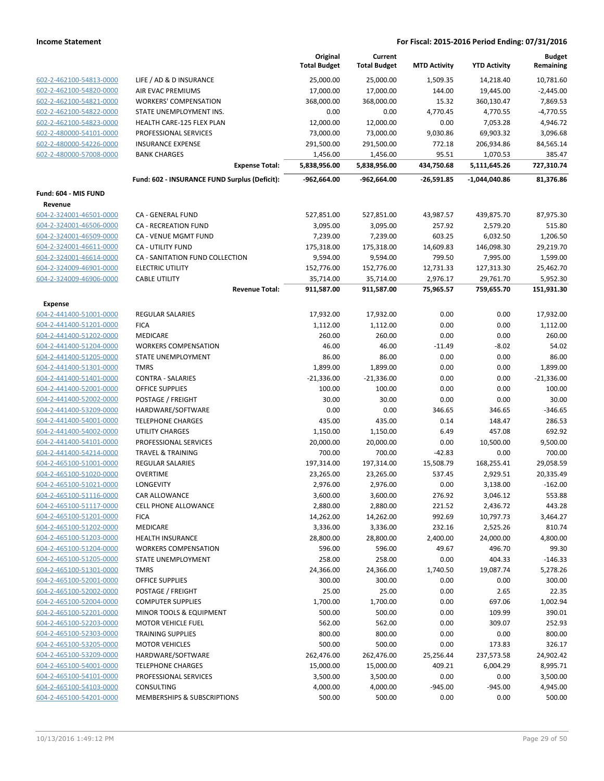|                                                    |                                               | Original<br><b>Total Budget</b> | Current<br><b>Total Budget</b> | <b>MTD Activity</b> | <b>YTD Activity</b> | <b>Budget</b><br>Remaining |
|----------------------------------------------------|-----------------------------------------------|---------------------------------|--------------------------------|---------------------|---------------------|----------------------------|
| 602-2-462100-54813-0000                            | LIFE / AD & D INSURANCE                       | 25,000.00                       | 25,000.00                      | 1,509.35            | 14,218.40           | 10,781.60                  |
| 602-2-462100-54820-0000                            | AIR EVAC PREMIUMS                             | 17,000.00                       | 17,000.00                      | 144.00              | 19,445.00           | $-2,445.00$                |
| 602-2-462100-54821-0000                            | <b>WORKERS' COMPENSATION</b>                  | 368,000.00                      | 368,000.00                     | 15.32               | 360,130.47          | 7,869.53                   |
| 602-2-462100-54822-0000                            | STATE UNEMPLOYMENT INS.                       | 0.00                            | 0.00                           | 4,770.45            | 4,770.55            | $-4,770.55$                |
| 602-2-462100-54823-0000                            | HEALTH CARE-125 FLEX PLAN                     | 12,000.00                       | 12,000.00                      | 0.00                | 7,053.28            | 4,946.72                   |
| 602-2-480000-54101-0000                            | PROFESSIONAL SERVICES                         | 73,000.00                       | 73,000.00                      | 9,030.86            | 69,903.32           | 3,096.68                   |
| 602-2-480000-54226-0000                            | <b>INSURANCE EXPENSE</b>                      | 291,500.00                      | 291,500.00                     | 772.18              | 206,934.86          | 84,565.14                  |
| 602-2-480000-57008-0000                            | <b>BANK CHARGES</b>                           | 1,456.00                        | 1,456.00                       | 95.51               | 1,070.53            | 385.47                     |
|                                                    | <b>Expense Total:</b>                         | 5,838,956.00                    | 5,838,956.00                   | 434,750.68          | 5,111,645.26        | 727,310.74                 |
|                                                    | Fund: 602 - INSURANCE FUND Surplus (Deficit): | $-962,664.00$                   | $-962,664.00$                  | $-26,591.85$        | $-1,044,040.86$     | 81,376.86                  |
| Fund: 604 - MIS FUND                               |                                               |                                 |                                |                     |                     |                            |
| Revenue                                            |                                               |                                 |                                |                     |                     |                            |
| 604-2-324001-46501-0000                            | CA - GENERAL FUND                             | 527,851.00                      | 527,851.00                     | 43,987.57           | 439,875.70          | 87,975.30                  |
| 604-2-324001-46506-0000                            | <b>CA - RECREATION FUND</b>                   | 3,095.00                        | 3,095.00                       | 257.92              | 2,579.20            | 515.80                     |
| 604-2-324001-46509-0000                            | CA - VENUE MGMT FUND                          | 7,239.00                        | 7,239.00                       | 603.25              | 6,032.50            | 1,206.50                   |
| 604-2-324001-46611-0000                            | CA - UTILITY FUND                             | 175,318.00                      | 175,318.00                     | 14,609.83           | 146,098.30          | 29,219.70                  |
| 604-2-324001-46614-0000                            | CA - SANITATION FUND COLLECTION               | 9,594.00                        | 9,594.00                       | 799.50              | 7,995.00            | 1,599.00                   |
| 604-2-324009-46901-0000                            | <b>ELECTRIC UTILITY</b>                       | 152,776.00                      | 152,776.00                     | 12,731.33           | 127,313.30          | 25,462.70                  |
| 604-2-324009-46906-0000                            | <b>CABLE UTILITY</b>                          | 35,714.00                       | 35,714.00                      | 2,976.17            | 29,761.70           | 5,952.30                   |
|                                                    | <b>Revenue Total:</b>                         | 911,587.00                      | 911,587.00                     | 75,965.57           | 759,655.70          | 151,931.30                 |
| <b>Expense</b>                                     |                                               |                                 |                                |                     |                     |                            |
| 604-2-441400-51001-0000                            | <b>REGULAR SALARIES</b>                       | 17,932.00                       | 17,932.00                      | 0.00                | 0.00                | 17,932.00                  |
| 604-2-441400-51201-0000                            | <b>FICA</b>                                   | 1,112.00                        | 1,112.00                       | 0.00                | 0.00                | 1,112.00                   |
| 604-2-441400-51202-0000                            | MEDICARE                                      | 260.00                          | 260.00                         | 0.00                | 0.00                | 260.00                     |
| 604-2-441400-51204-0000                            | <b>WORKERS COMPENSATION</b>                   | 46.00                           | 46.00                          | $-11.49$            | $-8.02$             | 54.02                      |
| 604-2-441400-51205-0000                            | STATE UNEMPLOYMENT                            | 86.00                           | 86.00                          | 0.00                | 0.00                | 86.00                      |
| 604-2-441400-51301-0000                            | <b>TMRS</b>                                   | 1,899.00                        | 1,899.00                       | 0.00                | 0.00                | 1,899.00                   |
| 604-2-441400-51401-0000                            | <b>CONTRA - SALARIES</b>                      | $-21,336.00$                    | $-21,336.00$                   | 0.00                | 0.00                | $-21,336.00$               |
| 604-2-441400-52001-0000                            | <b>OFFICE SUPPLIES</b>                        | 100.00                          | 100.00<br>30.00                | 0.00                | 0.00                | 100.00                     |
| 604-2-441400-52002-0000<br>604-2-441400-53209-0000 | POSTAGE / FREIGHT<br>HARDWARE/SOFTWARE        | 30.00<br>0.00                   | 0.00                           | 0.00<br>346.65      | 0.00<br>346.65      | 30.00<br>$-346.65$         |
| 604-2-441400-54001-0000                            | <b>TELEPHONE CHARGES</b>                      | 435.00                          | 435.00                         | 0.14                | 148.47              | 286.53                     |
| 604-2-441400-54002-0000                            | UTILITY CHARGES                               | 1,150.00                        | 1,150.00                       | 6.49                | 457.08              | 692.92                     |
| 604-2-441400-54101-0000                            | PROFESSIONAL SERVICES                         | 20,000.00                       | 20,000.00                      | 0.00                | 10,500.00           | 9,500.00                   |
| 604-2-441400-54214-0000                            | <b>TRAVEL &amp; TRAINING</b>                  | 700.00                          | 700.00                         | $-42.83$            | 0.00                | 700.00                     |
| 604-2-465100-51001-0000                            | REGULAR SALARIES                              | 197,314.00                      | 197,314.00                     | 15,508.79           | 168,255.41          | 29,058.59                  |
| 604-2-465100-51020-0000                            | <b>OVERTIME</b>                               | 23,265.00                       | 23,265.00                      | 537.45              | 2,929.51            | 20,335.49                  |
| 604-2-465100-51021-0000                            | LONGEVITY                                     | 2,976.00                        | 2,976.00                       | 0.00                | 3,138.00            | $-162.00$                  |
| 604-2-465100-51116-0000                            | CAR ALLOWANCE                                 | 3,600.00                        | 3,600.00                       | 276.92              | 3,046.12            | 553.88                     |
| 604-2-465100-51117-0000                            | <b>CELL PHONE ALLOWANCE</b>                   | 2,880.00                        | 2,880.00                       | 221.52              | 2,436.72            | 443.28                     |
| 604-2-465100-51201-0000                            | <b>FICA</b>                                   | 14,262.00                       | 14,262.00                      | 992.69              | 10,797.73           | 3,464.27                   |
| 604-2-465100-51202-0000                            | MEDICARE                                      | 3,336.00                        | 3,336.00                       | 232.16              | 2,525.26            | 810.74                     |
| 604-2-465100-51203-0000                            | <b>HEALTH INSURANCE</b>                       | 28,800.00                       | 28,800.00                      | 2,400.00            | 24,000.00           | 4,800.00                   |
| 604-2-465100-51204-0000                            | <b>WORKERS COMPENSATION</b>                   | 596.00                          | 596.00                         | 49.67               | 496.70              | 99.30                      |
| 604-2-465100-51205-0000                            | STATE UNEMPLOYMENT                            | 258.00                          | 258.00                         | 0.00                | 404.33              | $-146.33$                  |
| 604-2-465100-51301-0000                            | <b>TMRS</b>                                   | 24,366.00                       | 24,366.00                      | 1,740.50            | 19,087.74           | 5,278.26                   |
| 604-2-465100-52001-0000                            | <b>OFFICE SUPPLIES</b>                        | 300.00                          | 300.00                         | 0.00                | 0.00                | 300.00                     |
| 604-2-465100-52002-0000                            | POSTAGE / FREIGHT                             | 25.00                           | 25.00                          | 0.00                | 2.65                | 22.35                      |
| 604-2-465100-52004-0000                            | <b>COMPUTER SUPPLIES</b>                      | 1,700.00                        | 1,700.00                       | 0.00                | 697.06              | 1,002.94                   |
| 604-2-465100-52201-0000                            | MINOR TOOLS & EQUIPMENT                       | 500.00                          | 500.00                         | 0.00                | 109.99              | 390.01                     |
| 604-2-465100-52203-0000                            | <b>MOTOR VEHICLE FUEL</b>                     | 562.00                          | 562.00                         | 0.00                | 309.07              | 252.93                     |
| 604-2-465100-52303-0000                            | <b>TRAINING SUPPLIES</b>                      | 800.00                          | 800.00                         | 0.00                | 0.00                | 800.00                     |
| 604-2-465100-53205-0000                            | <b>MOTOR VEHICLES</b>                         | 500.00                          | 500.00                         | 0.00                | 173.83              | 326.17                     |
| 604-2-465100-53209-0000                            | HARDWARE/SOFTWARE                             | 262,476.00                      | 262,476.00                     | 25,256.44           | 237,573.58          | 24,902.42                  |
| 604-2-465100-54001-0000                            | <b>TELEPHONE CHARGES</b>                      | 15,000.00                       | 15,000.00                      | 409.21              | 6,004.29            | 8,995.71                   |
| 604-2-465100-54101-0000                            | PROFESSIONAL SERVICES                         | 3,500.00                        | 3,500.00                       | 0.00                | 0.00                | 3,500.00                   |
| 604-2-465100-54103-0000                            | CONSULTING                                    | 4,000.00                        | 4,000.00                       | $-945.00$           | $-945.00$           | 4,945.00                   |
| 604-2-465100-54201-0000                            | MEMBERSHIPS & SUBSCRIPTIONS                   | 500.00                          | 500.00                         | 0.00                | 0.00                | 500.00                     |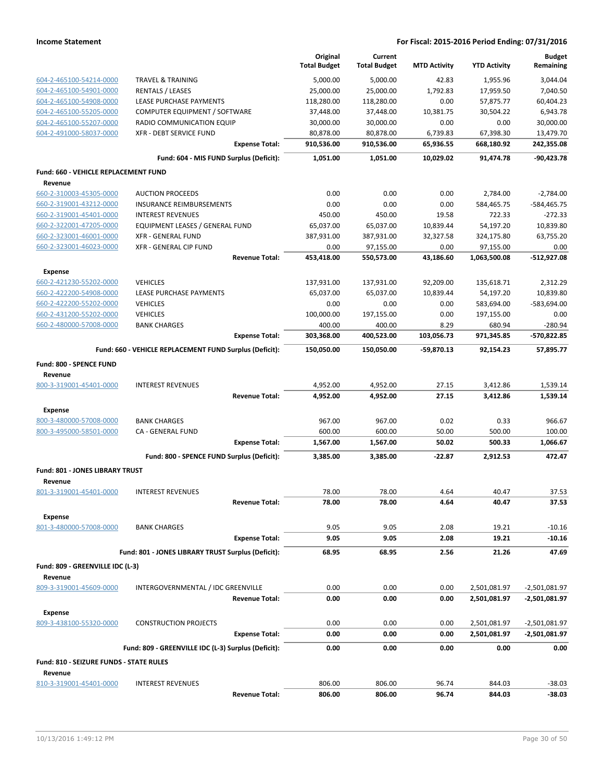|                                                 |                                                         | Original<br><b>Total Budget</b> | Current<br><b>Total Budget</b> | <b>MTD Activity</b> | <b>YTD Activity</b>  | <b>Budget</b><br>Remaining |
|-------------------------------------------------|---------------------------------------------------------|---------------------------------|--------------------------------|---------------------|----------------------|----------------------------|
| 604-2-465100-54214-0000                         | <b>TRAVEL &amp; TRAINING</b>                            | 5,000.00                        | 5,000.00                       | 42.83               | 1,955.96             | 3,044.04                   |
| 604-2-465100-54901-0000                         | <b>RENTALS / LEASES</b>                                 | 25,000.00                       | 25,000.00                      | 1,792.83            | 17,959.50            | 7,040.50                   |
| 604-2-465100-54908-0000                         | LEASE PURCHASE PAYMENTS                                 | 118,280.00                      | 118,280.00                     | 0.00                | 57,875.77            | 60,404.23                  |
| 604-2-465100-55205-0000                         | COMPUTER EQUIPMENT / SOFTWARE                           | 37,448.00                       | 37,448.00                      | 10,381.75           | 30,504.22            | 6,943.78                   |
| 604-2-465100-55207-0000                         | RADIO COMMUNICATION EQUIP                               | 30,000.00                       | 30,000.00                      | 0.00                | 0.00                 | 30,000.00                  |
| 604-2-491000-58037-0000                         | XFR - DEBT SERVICE FUND                                 | 80,878.00                       | 80,878.00                      | 6,739.83            | 67,398.30            | 13,479.70                  |
|                                                 | <b>Expense Total:</b>                                   | 910,536.00                      | 910,536.00                     | 65,936.55           | 668,180.92           | 242,355.08                 |
|                                                 | Fund: 604 - MIS FUND Surplus (Deficit):                 | 1,051.00                        | 1,051.00                       | 10,029.02           | 91,474.78            | $-90,423.78$               |
| Fund: 660 - VEHICLE REPLACEMENT FUND<br>Revenue |                                                         |                                 |                                |                     |                      |                            |
| 660-2-310003-45305-0000                         | <b>AUCTION PROCEEDS</b>                                 | 0.00                            | 0.00                           | 0.00                | 2,784.00             | $-2,784.00$                |
| 660-2-319001-43212-0000                         | INSURANCE REIMBURSEMENTS                                | 0.00                            | 0.00                           | 0.00                | 584,465.75           | -584,465.75                |
| 660-2-319001-45401-0000                         | <b>INTEREST REVENUES</b>                                | 450.00                          | 450.00                         | 19.58               | 722.33               | $-272.33$                  |
| 660-2-322001-47205-0000                         | EQUIPMENT LEASES / GENERAL FUND                         | 65,037.00                       | 65,037.00                      | 10,839.44           | 54,197.20            | 10,839.80                  |
| 660-2-323001-46001-0000                         | <b>XFR - GENERAL FUND</b>                               | 387,931.00                      | 387,931.00                     | 32,327.58           | 324,175.80           | 63,755.20                  |
| 660-2-323001-46023-0000                         | XFR - GENERAL CIP FUND                                  | 0.00                            | 97,155.00                      | 0.00                | 97,155.00            | 0.00                       |
|                                                 | <b>Revenue Total:</b>                                   | 453,418.00                      | 550,573.00                     | 43,186.60           | 1,063,500.08         | -512,927.08                |
| <b>Expense</b>                                  |                                                         |                                 |                                |                     |                      |                            |
| 660-2-421230-55202-0000                         | <b>VEHICLES</b>                                         | 137,931.00                      | 137,931.00                     | 92,209.00           | 135,618.71           | 2,312.29                   |
| 660-2-422200-54908-0000                         | LEASE PURCHASE PAYMENTS                                 | 65,037.00                       | 65,037.00                      | 10,839.44           | 54,197.20            | 10,839.80                  |
| 660-2-422200-55202-0000                         | <b>VEHICLES</b>                                         | 0.00                            | 0.00                           | 0.00                | 583,694.00           | -583,694.00                |
| 660-2-431200-55202-0000                         | <b>VEHICLES</b>                                         | 100,000.00                      | 197,155.00                     | 0.00                | 197,155.00           | 0.00                       |
| 660-2-480000-57008-0000                         | <b>BANK CHARGES</b><br><b>Expense Total:</b>            | 400.00<br>303,368.00            | 400.00<br>400,523.00           | 8.29<br>103,056.73  | 680.94<br>971,345.85 | $-280.94$<br>-570,822.85   |
|                                                 | Fund: 660 - VEHICLE REPLACEMENT FUND Surplus (Deficit): | 150,050.00                      | 150,050.00                     | -59,870.13          | 92,154.23            | 57,895.77                  |
|                                                 |                                                         |                                 |                                |                     |                      |                            |
| Fund: 800 - SPENCE FUND<br>Revenue              |                                                         |                                 |                                |                     |                      |                            |
| 800-3-319001-45401-0000                         | <b>INTEREST REVENUES</b>                                | 4,952.00                        | 4,952.00                       | 27.15               | 3,412.86             | 1,539.14                   |
|                                                 | <b>Revenue Total:</b>                                   | 4,952.00                        | 4,952.00                       | 27.15               | 3,412.86             | 1,539.14                   |
| Expense                                         |                                                         |                                 |                                |                     |                      |                            |
| 800-3-480000-57008-0000                         | <b>BANK CHARGES</b>                                     | 967.00                          | 967.00                         | 0.02                | 0.33                 | 966.67                     |
| 800-3-495000-58501-0000                         | CA - GENERAL FUND                                       | 600.00                          | 600.00                         | 50.00               | 500.00               | 100.00                     |
|                                                 | <b>Expense Total:</b>                                   | 1,567.00                        | 1,567.00                       | 50.02               | 500.33               | 1,066.67                   |
|                                                 | Fund: 800 - SPENCE FUND Surplus (Deficit):              | 3,385.00                        | 3,385.00                       | $-22.87$            | 2,912.53             | 472.47                     |
| Fund: 801 - JONES LIBRARY TRUST<br>Revenue      |                                                         |                                 |                                |                     |                      |                            |
| 801-3-319001-45401-0000                         | <b>INTEREST REVENUES</b>                                | 78.00                           | 78.00                          | 4.64                | 40.47                | 37.53                      |
|                                                 | <b>Revenue Total:</b>                                   | 78.00                           | 78.00                          | 4.64                | 40.47                | 37.53                      |
| <b>Expense</b>                                  |                                                         |                                 |                                |                     |                      |                            |
| 801-3-480000-57008-0000                         | <b>BANK CHARGES</b>                                     | 9.05                            | 9.05                           | 2.08                | 19.21                | $-10.16$                   |
|                                                 | <b>Expense Total:</b>                                   | 9.05                            | 9.05                           | 2.08                | 19.21                | $-10.16$                   |
|                                                 | Fund: 801 - JONES LIBRARY TRUST Surplus (Deficit):      | 68.95                           | 68.95                          | 2.56                | 21.26                | 47.69                      |
| Fund: 809 - GREENVILLE IDC (L-3)<br>Revenue     |                                                         |                                 |                                |                     |                      |                            |
| 809-3-319001-45609-0000                         | INTERGOVERNMENTAL / IDC GREENVILLE                      | 0.00                            | 0.00                           | 0.00                | 2,501,081.97         | $-2,501,081.97$            |
|                                                 | <b>Revenue Total:</b>                                   | 0.00                            | 0.00                           | 0.00                | 2,501,081.97         | -2,501,081.97              |
| <b>Expense</b>                                  |                                                         |                                 |                                |                     |                      |                            |
| 809-3-438100-55320-0000                         | <b>CONSTRUCTION PROJECTS</b>                            | 0.00                            | 0.00                           | 0.00                | 2,501,081.97         | -2,501,081.97              |
|                                                 | <b>Expense Total:</b>                                   | 0.00                            | 0.00                           | 0.00                | 2,501,081.97         | -2,501,081.97              |
|                                                 | Fund: 809 - GREENVILLE IDC (L-3) Surplus (Deficit):     | 0.00                            | 0.00                           | 0.00                | 0.00                 | 0.00                       |
| Fund: 810 - SEIZURE FUNDS - STATE RULES         |                                                         |                                 |                                |                     |                      |                            |
| Revenue                                         |                                                         |                                 |                                |                     |                      |                            |
| 810-3-319001-45401-0000                         | <b>INTEREST REVENUES</b>                                | 806.00                          | 806.00                         | 96.74               | 844.03               | $-38.03$                   |
|                                                 | <b>Revenue Total:</b>                                   | 806.00                          | 806.00                         | 96.74               | 844.03               | $-38.03$                   |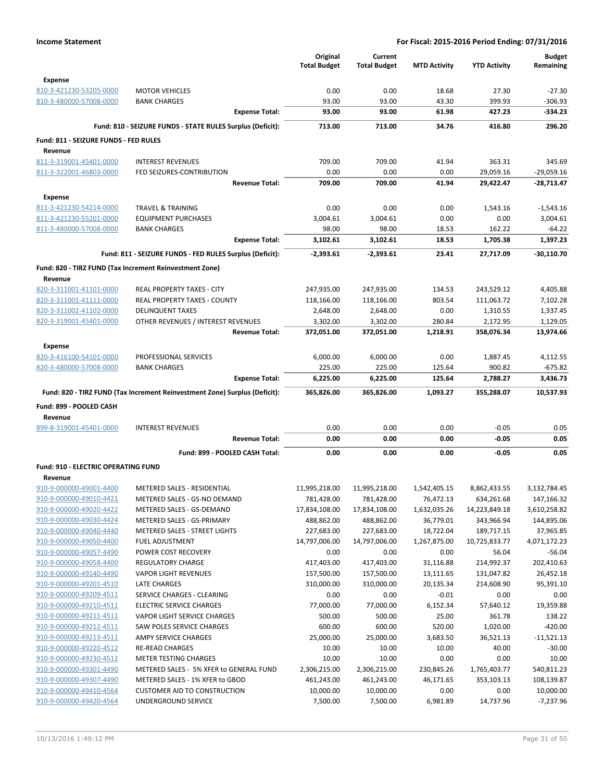|                                                    |                                                                            | Original            | Current             |                     |                     | <b>Budget</b>            |
|----------------------------------------------------|----------------------------------------------------------------------------|---------------------|---------------------|---------------------|---------------------|--------------------------|
|                                                    |                                                                            | <b>Total Budget</b> | <b>Total Budget</b> | <b>MTD Activity</b> | <b>YTD Activity</b> | Remaining                |
| <b>Expense</b>                                     |                                                                            |                     |                     |                     |                     |                          |
| 810-3-421230-53205-0000                            | <b>MOTOR VEHICLES</b>                                                      | 0.00                | 0.00                | 18.68               | 27.30               | $-27.30$                 |
| 810-3-480000-57008-0000                            | <b>BANK CHARGES</b>                                                        | 93.00               | 93.00               | 43.30               | 399.93              | $-306.93$                |
|                                                    | <b>Expense Total:</b>                                                      | 93.00               | 93.00               | 61.98               | 427.23              | -334.23                  |
|                                                    | Fund: 810 - SEIZURE FUNDS - STATE RULES Surplus (Deficit):                 | 713.00              | 713.00              | 34.76               | 416.80              | 296.20                   |
| Fund: 811 - SEIZURE FUNDS - FED RULES              |                                                                            |                     |                     |                     |                     |                          |
| Revenue                                            |                                                                            |                     |                     |                     |                     |                          |
| 811-3-319001-45401-0000                            | <b>INTEREST REVENUES</b>                                                   | 709.00              | 709.00              | 41.94               | 363.31              | 345.69                   |
| 811-3-322001-46803-0000                            | FED SEIZURES-CONTRIBUTION                                                  | 0.00                | 0.00                | 0.00                | 29,059.16           | $-29,059.16$             |
|                                                    | <b>Revenue Total:</b>                                                      | 709.00              | 709.00              | 41.94               | 29,422.47           | $-28,713.47$             |
| <b>Expense</b>                                     |                                                                            |                     |                     |                     |                     |                          |
| 811-3-421230-54214-0000                            | <b>TRAVEL &amp; TRAINING</b>                                               | 0.00                | 0.00                | 0.00                | 1,543.16            | $-1,543.16$              |
| 811-3-421230-55201-0000                            | <b>EQUIPMENT PURCHASES</b>                                                 | 3,004.61            | 3,004.61            | 0.00                | 0.00                | 3,004.61                 |
| 811-3-480000-57008-0000                            | <b>BANK CHARGES</b>                                                        | 98.00               | 98.00               | 18.53               | 162.22              | $-64.22$                 |
|                                                    | <b>Expense Total:</b>                                                      | 3,102.61            | 3,102.61            | 18.53               | 1,705.38            | 1,397.23                 |
|                                                    | Fund: 811 - SEIZURE FUNDS - FED RULES Surplus (Deficit):                   | $-2,393.61$         | $-2,393.61$         | 23.41               | 27,717.09           | $-30,110.70$             |
|                                                    | Fund: 820 - TIRZ FUND (Tax Increment Reinvestment Zone)                    |                     |                     |                     |                     |                          |
| Revenue                                            |                                                                            |                     |                     |                     |                     |                          |
| 820-3-311001-41101-0000                            | <b>REAL PROPERTY TAXES - CITY</b>                                          | 247,935.00          | 247,935.00          | 134.53              | 243,529.12          | 4,405.88                 |
| 820-3-311001-41111-0000                            | <b>REAL PROPERTY TAXES - COUNTY</b>                                        | 118,166.00          | 118,166.00          | 803.54              | 111,063.72          | 7,102.28                 |
| 820-3-311002-41102-0000                            | <b>DELINQUENT TAXES</b>                                                    | 2,648.00            | 2,648.00            | 0.00                | 1,310.55            | 1,337.45                 |
| 820-3-319001-45401-0000                            | OTHER REVENUES / INTEREST REVENUES                                         | 3,302.00            | 3,302.00            | 280.84              | 2,172.95            | 1,129.05                 |
|                                                    | <b>Revenue Total:</b>                                                      | 372,051.00          | 372,051.00          | 1,218.91            | 358,076.34          | 13,974.66                |
| <b>Expense</b>                                     |                                                                            |                     |                     |                     |                     |                          |
| 820-3-416100-54101-0000                            | PROFESSIONAL SERVICES                                                      | 6,000.00            | 6,000.00            | 0.00                | 1,887.45            | 4,112.55                 |
| 820-3-480000-57008-0000                            | <b>BANK CHARGES</b>                                                        | 225.00              | 225.00              | 125.64              | 900.82              | $-675.82$                |
|                                                    | <b>Expense Total:</b>                                                      | 6,225.00            | 6,225.00            | 125.64              | 2,788.27            | 3,436.73                 |
|                                                    | Fund: 820 - TIRZ FUND (Tax Increment Reinvestment Zone) Surplus (Deficit): | 365,826.00          | 365,826.00          | 1,093.27            | 355,288.07          | 10,537.93                |
| Fund: 899 - POOLED CASH                            |                                                                            |                     |                     |                     |                     |                          |
| Revenue                                            |                                                                            |                     |                     |                     |                     |                          |
| 899-8-319001-45401-0000                            | <b>INTEREST REVENUES</b>                                                   | 0.00                | 0.00                | 0.00                | $-0.05$             | 0.05                     |
|                                                    | <b>Revenue Total:</b>                                                      | 0.00                | 0.00                | 0.00                | $-0.05$             | 0.05                     |
|                                                    | Fund: 899 - POOLED CASH Total:                                             | 0.00                | 0.00                | 0.00                | -0.05               | 0.05                     |
| <b>Fund: 910 - ELECTRIC OPERATING FUND</b>         |                                                                            |                     |                     |                     |                     |                          |
| Revenue                                            |                                                                            |                     |                     |                     |                     |                          |
| 910-9-000000-49001-4400                            | METERED SALES - RESIDENTIAL                                                | 11,995,218.00       | 11,995,218.00       | 1,542,405.15        | 8,862,433.55        | 3,132,784.45             |
| 910-9-000000-49010-4421                            | METERED SALES - GS-NO DEMAND                                               | 781,428.00          | 781,428.00          | 76,472.13           | 634,261.68          | 147,166.32               |
| 910-9-000000-49020-4422                            | METERED SALES - GS-DEMAND                                                  | 17,834,108.00       | 17,834,108.00       | 1,632,035.26        | 14,223,849.18       | 3,610,258.82             |
| 910-9-000000-49030-4424                            | METERED SALES - GS-PRIMARY                                                 | 488,862.00          | 488,862.00          | 36,779.01           | 343,966.94          | 144,895.06               |
| 910-9-000000-49040-4440                            | <b>METERED SALES - STREET LIGHTS</b>                                       | 227,683.00          | 227,683.00          | 18,722.04           | 189,717.15          | 37,965.85                |
| 910-9-000000-49050-4400                            | <b>FUEL ADJUSTMENT</b>                                                     | 14,797,006.00       | 14,797,006.00       | 1,267,875.00        | 10,725,833.77       | 4,071,172.23             |
| 910-9-000000-49057-4490                            | POWER COST RECOVERY                                                        | 0.00                | 0.00                | 0.00                | 56.04               | $-56.04$                 |
| 910-9-000000-49058-4400                            | <b>REGULATORY CHARGE</b>                                                   | 417,403.00          | 417,403.00          | 31,116.88           | 214,992.37          | 202,410.63               |
| 910-9-000000-49140-4490                            | <b>VAPOR LIGHT REVENUES</b>                                                | 157,500.00          | 157,500.00          | 13,111.65           | 131,047.82          | 26,452.18                |
| 910-9-000000-49201-4510                            | <b>LATE CHARGES</b>                                                        | 310,000.00          | 310,000.00          | 20,135.34           | 214,608.90          | 95,391.10                |
| 910-9-000000-49209-4511                            | SERVICE CHARGES - CLEARING                                                 | 0.00                | 0.00                | $-0.01$             | 0.00                | 0.00                     |
| 910-9-000000-49210-4511                            | <b>ELECTRIC SERVICE CHARGES</b>                                            | 77,000.00           | 77,000.00           | 6,152.34            | 57,640.12           | 19,359.88                |
| 910-9-000000-49211-4511                            | VAPOR LIGHT SERVICE CHARGES                                                | 500.00              | 500.00              | 25.00               | 361.78              | 138.22                   |
| 910-9-000000-49212-4511<br>910-9-000000-49213-4511 | SAW POLES SERVICE CHARGES<br>AMPY SERVICE CHARGES                          | 600.00<br>25,000.00 | 600.00<br>25,000.00 | 520.00              | 1,020.00            | $-420.00$                |
| 910-9-000000-49220-4512                            | <b>RE-READ CHARGES</b>                                                     | 10.00               | 10.00               | 3,683.50<br>10.00   | 36,521.13<br>40.00  | $-11,521.13$<br>$-30.00$ |
| 910-9-000000-49230-4512                            | METER TESTING CHARGES                                                      | 10.00               | 10.00               | 0.00                | 0.00                | 10.00                    |
| 910-9-000000-49301-4490                            | METERED SALES - 5% XFER to GENERAL FUND                                    | 2,306,215.00        | 2,306,215.00        | 230,845.26          | 1,765,403.77        | 540,811.23               |
| 910-9-000000-49307-4490                            | METERED SALES - 1% XFER to GBOD                                            | 461,243.00          | 461,243.00          | 46,171.65           | 353,103.13          | 108,139.87               |
| 910-9-000000-49410-4564                            | <b>CUSTOMER AID TO CONSTRUCTION</b>                                        | 10,000.00           | 10,000.00           | 0.00                | 0.00                | 10,000.00                |
| 910-9-000000-49420-4564                            | UNDERGROUND SERVICE                                                        | 7,500.00            | 7,500.00            | 6,981.89            | 14,737.96           | $-7,237.96$              |
|                                                    |                                                                            |                     |                     |                     |                     |                          |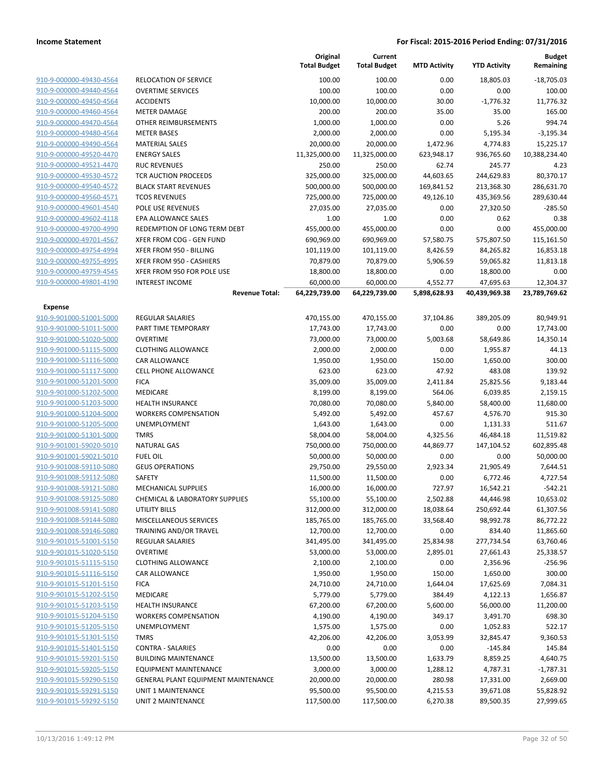|                         |                                     | Original<br><b>Total Budget</b> | Current<br><b>Total Budget</b> | <b>MTD Activity</b> | <b>YTD Activity</b> | Budget<br>Remaining |
|-------------------------|-------------------------------------|---------------------------------|--------------------------------|---------------------|---------------------|---------------------|
| 910-9-000000-49430-4564 | <b>RELOCATION OF SERVICE</b>        | 100.00                          | 100.00                         | 0.00                | 18,805.03           | $-18,705.03$        |
| 910-9-000000-49440-4564 | <b>OVERTIME SERVICES</b>            | 100.00                          | 100.00                         | 0.00                | 0.00                | 100.00              |
| 910-9-000000-49450-4564 | <b>ACCIDENTS</b>                    | 10,000.00                       | 10,000.00                      | 30.00               | $-1,776.32$         | 11,776.32           |
| 910-9-000000-49460-4564 | <b>METER DAMAGE</b>                 | 200.00                          | 200.00                         | 35.00               | 35.00               | 165.00              |
| 910-9-000000-49470-4564 | OTHER REIMBURSEMENTS                | 1,000.00                        | 1,000.00                       | 0.00                | 5.26                | 994.74              |
| 910-9-000000-49480-4564 | <b>METER BASES</b>                  | 2,000.00                        | 2,000.00                       | 0.00                | 5,195.34            | $-3,195.34$         |
| 910-9-000000-49490-4564 | <b>MATERIAL SALES</b>               | 20,000.00                       | 20,000.00                      | 1,472.96            | 4,774.83            | 15,225.17           |
| 910-9-000000-49520-4470 | <b>ENERGY SALES</b>                 | 11,325,000.00                   | 11,325,000.00                  | 623,948.17          | 936,765.60          | 10,388,234.40       |
| 910-9-000000-49521-4470 | <b>RUC REVENUES</b>                 | 250.00                          | 250.00                         | 62.74               | 245.77              | 4.23                |
| 910-9-000000-49530-4572 | TCR AUCTION PROCEEDS                | 325,000.00                      | 325,000.00                     | 44,603.65           | 244,629.83          | 80,370.17           |
| 910-9-000000-49540-4572 | <b>BLACK START REVENUES</b>         | 500,000.00                      | 500,000.00                     | 169,841.52          | 213,368.30          | 286,631.70          |
| 910-9-000000-49560-4571 | <b>TCOS REVENUES</b>                | 725,000.00                      | 725,000.00                     | 49,126.10           | 435,369.56          | 289,630.44          |
| 910-9-000000-49601-4540 | POLE USE REVENUES                   | 27,035.00                       | 27,035.00                      | 0.00                | 27,320.50           | $-285.50$           |
| 910-9-000000-49602-4118 | EPA ALLOWANCE SALES                 | 1.00                            | 1.00                           | 0.00                | 0.62                | 0.38                |
| 910-9-000000-49700-4990 | REDEMPTION OF LONG TERM DEBT        | 455,000.00                      | 455,000.00                     | 0.00                | 0.00                | 455,000.00          |
| 910-9-000000-49701-4567 | XFER FROM COG - GEN FUND            | 690,969.00                      | 690,969.00                     | 57,580.75           | 575,807.50          | 115,161.50          |
| 910-9-000000-49754-4994 | XFER FROM 950 - BILLING             | 101,119.00                      | 101,119.00                     | 8,426.59            | 84,265.82           | 16,853.18           |
| 910-9-000000-49755-4995 | XFER FROM 950 - CASHIERS            | 70,879.00                       | 70,879.00                      | 5,906.59            | 59,065.82           | 11,813.18           |
| 910-9-000000-49759-4545 | XFER FROM 950 FOR POLE USE          | 18,800.00                       | 18,800.00                      | 0.00                | 18,800.00           | 0.00                |
| 910-9-000000-49801-4190 | <b>INTEREST INCOME</b>              | 60,000.00                       | 60,000.00                      | 4,552.77            | 47,695.63           | 12,304.37           |
|                         | <b>Revenue Total:</b>               | 64,229,739.00                   | 64,229,739.00                  | 5,898,628.93        | 40,439,969.38       | 23,789,769.62       |
| <b>Expense</b>          |                                     |                                 |                                |                     |                     |                     |
| 910-9-901000-51001-5000 | REGULAR SALARIES                    | 470,155.00                      | 470,155.00                     | 37,104.86           | 389,205.09          | 80,949.91           |
| 910-9-901000-51011-5000 | PART TIME TEMPORARY                 | 17,743.00                       | 17,743.00                      | 0.00                | 0.00                | 17,743.00           |
| 910-9-901000-51020-5000 | <b>OVERTIME</b>                     | 73,000.00                       | 73,000.00                      | 5,003.68            | 58,649.86           | 14,350.14           |
| 910-9-901000-51115-5000 | <b>CLOTHING ALLOWANCE</b>           | 2,000.00                        | 2,000.00                       | 0.00                | 1,955.87            | 44.13               |
| 910-9-901000-51116-5000 | CAR ALLOWANCE                       | 1,950.00                        | 1,950.00                       | 150.00              | 1,650.00            | 300.00              |
| 910-9-901000-51117-5000 | <b>CELL PHONE ALLOWANCE</b>         | 623.00                          | 623.00                         | 47.92               | 483.08              | 139.92              |
| 910-9-901000-51201-5000 | <b>FICA</b>                         | 35,009.00                       | 35,009.00                      | 2,411.84            | 25,825.56           | 9,183.44            |
| 910-9-901000-51202-5000 | MEDICARE                            | 8,199.00                        | 8,199.00                       | 564.06              | 6,039.85            | 2,159.15            |
| 910-9-901000-51203-5000 | <b>HEALTH INSURANCE</b>             | 70,080.00                       | 70,080.00                      | 5,840.00            | 58,400.00           | 11,680.00           |
| 910-9-901000-51204-5000 | <b>WORKERS COMPENSATION</b>         | 5,492.00                        | 5,492.00                       | 457.67              | 4,576.70            | 915.30              |
| 910-9-901000-51205-5000 | UNEMPLOYMENT                        | 1,643.00                        | 1,643.00                       | 0.00                | 1,131.33            | 511.67              |
| 910-9-901000-51301-5000 | <b>TMRS</b>                         | 58,004.00                       | 58,004.00                      | 4,325.56            | 46,484.18           | 11,519.82           |
| 910-9-901001-59020-5010 | <b>NATURAL GAS</b>                  | 750,000.00                      | 750,000.00                     | 44,869.77           | 147,104.52          | 602,895.48          |
| 910-9-901001-59021-5010 | <b>FUEL OIL</b>                     | 50,000.00                       | 50,000.00                      | 0.00                | 0.00                | 50,000.00           |
| 910-9-901008-59110-5080 | <b>GEUS OPERATIONS</b>              | 29,750.00                       | 29,550.00                      | 2,923.34            | 21,905.49           | 7,644.51            |
| 910-9-901008-59112-5080 | SAFETY                              | 11,500.00                       | 11,500.00                      | 0.00                | 6,772.46            | 4,727.54            |
| 910-9-901008-59121-5080 | <b>MECHANICAL SUPPLIES</b>          | 16,000.00                       | 16,000.00                      | 727.97              | 16,542.21           | $-542.21$           |
| 910-9-901008-59125-5080 | CHEMICAL & LABORATORY SUPPLIES      | 55,100.00                       | 55,100.00                      | 2,502.88            | 44,446.98           | 10,653.02           |
| 910-9-901008-59141-5080 | UTILITY BILLS                       | 312,000.00                      | 312,000.00                     | 18,038.64           | 250,692.44          | 61,307.56           |
| 910-9-901008-59144-5080 | MISCELLANEOUS SERVICES              | 185,765.00                      | 185,765.00                     | 33,568.40           | 98,992.78           | 86,772.22           |
| 910-9-901008-59146-5080 | TRAINING AND/OR TRAVEL              | 12,700.00                       | 12,700.00                      | 0.00                | 834.40              | 11,865.60           |
| 910-9-901015-51001-5150 | REGULAR SALARIES                    | 341,495.00                      | 341,495.00                     | 25,834.98           | 277,734.54          | 63,760.46           |
| 910-9-901015-51020-5150 | <b>OVERTIME</b>                     | 53,000.00                       | 53,000.00                      | 2,895.01            | 27,661.43           | 25,338.57           |
| 910-9-901015-51115-5150 | <b>CLOTHING ALLOWANCE</b>           | 2,100.00                        | 2,100.00                       | 0.00                | 2,356.96            | $-256.96$           |
| 910-9-901015-51116-5150 | CAR ALLOWANCE                       | 1,950.00                        | 1,950.00                       | 150.00              | 1,650.00            | 300.00              |
| 910-9-901015-51201-5150 | <b>FICA</b>                         | 24,710.00                       | 24,710.00                      | 1,644.04            | 17,625.69           | 7,084.31            |
| 910-9-901015-51202-5150 | MEDICARE                            | 5,779.00                        | 5,779.00                       | 384.49              | 4,122.13            | 1,656.87            |
| 910-9-901015-51203-5150 | <b>HEALTH INSURANCE</b>             | 67,200.00                       | 67,200.00                      | 5,600.00            | 56,000.00           | 11,200.00           |
| 910-9-901015-51204-5150 | <b>WORKERS COMPENSATION</b>         | 4,190.00                        | 4,190.00                       | 349.17              | 3,491.70            | 698.30              |
| 910-9-901015-51205-5150 | UNEMPLOYMENT                        | 1,575.00                        | 1,575.00                       | 0.00                | 1,052.83            | 522.17              |
| 910-9-901015-51301-5150 | <b>TMRS</b>                         | 42,206.00                       | 42,206.00                      | 3,053.99            | 32,845.47           | 9,360.53            |
| 910-9-901015-51401-5150 | <b>CONTRA - SALARIES</b>            | 0.00                            | 0.00                           | 0.00                | $-145.84$           | 145.84              |
| 910-9-901015-59201-5150 | <b>BUILDING MAINTENANCE</b>         | 13,500.00                       | 13,500.00                      | 1,633.79            | 8,859.25            | 4,640.75            |
| 910-9-901015-59205-5150 | <b>EQUIPMENT MAINTENANCE</b>        | 3,000.00                        | 3,000.00                       | 1,288.12            | 4,787.31            | $-1,787.31$         |
| 910-9-901015-59290-5150 | GENERAL PLANT EQUIPMENT MAINTENANCE | 20,000.00                       | 20,000.00                      | 280.98              | 17,331.00           | 2,669.00            |
| 910-9-901015-59291-5150 | UNIT 1 MAINTENANCE                  | 95,500.00                       | 95,500.00                      | 4,215.53            | 39,671.08           | 55,828.92           |
| 910-9-901015-59292-5150 | UNIT 2 MAINTENANCE                  | 117,500.00                      | 117,500.00                     | 6,270.38            | 89,500.35           | 27,999.65           |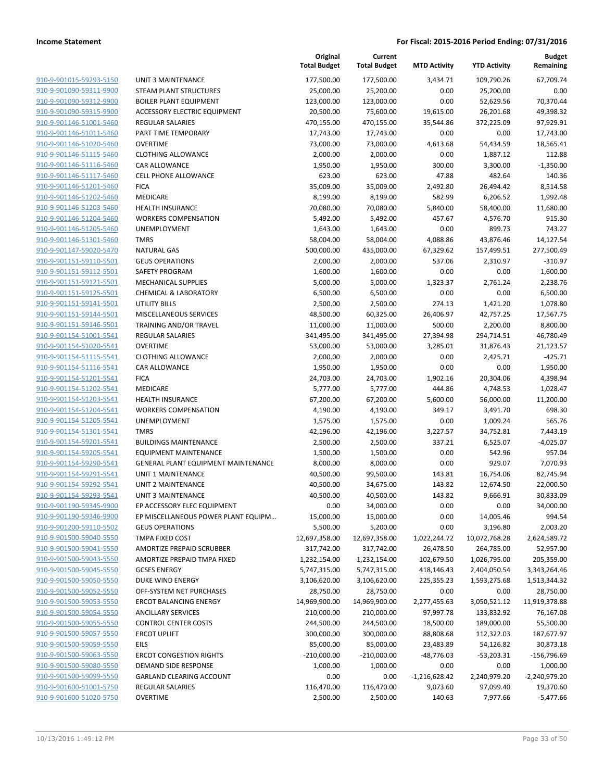| 910-9-901015-59293-5150                            | <b>UNIT 3 MAINTENANCE</b>                                |
|----------------------------------------------------|----------------------------------------------------------|
| 910-9-901090-59311-9900                            | STEAM PLANT STRUCTURES<br><b>BOILER PLANT EQUIPMENT</b>  |
| 910-9-901090-59312-9900<br>910-9-901090-59315-9900 | <b>ACCESSORY ELECTRIC EQUIPMENT</b>                      |
| 910-9-901146-51001-5460                            | <b>REGULAR SALARIES</b>                                  |
| 910-9-901146-51011-5460                            | PART TIME TEMPORARY                                      |
|                                                    | <b>OVERTIME</b>                                          |
| 910-9-901146-51020-5460<br>910-9-901146-51115-5460 | <b>CLOTHING ALLOWANCE</b>                                |
| 910-9-901146-51116-5460                            | CAR ALLOWANCE                                            |
| 910-9-901146-51117-5460                            | <b>CELL PHONE ALLOWANCE</b>                              |
| 910-9-901146-51201-5460                            | <b>FICA</b>                                              |
| 910-9-901146-51202-5460                            | <b>MEDICARE</b>                                          |
| 910-9-901146-51203-5460                            | <b>HEALTH INSURANCE</b>                                  |
| 910-9-901146-51204-5460                            | <b>WORKERS COMPENSATION</b>                              |
| 910-9-901146-51205-5460                            | <b>UNEMPLOYMENT</b>                                      |
| 910-9-901146-51301-5460                            | <b>TMRS</b>                                              |
| 910-9-901147-59020-5470                            | <b>NATURAL GAS</b>                                       |
| 910-9-901151-59110-5501                            | <b>GEUS OPERATIONS</b>                                   |
| 910-9-901151-59112-5501                            | <b>SAFETY PROGRAM</b>                                    |
| 910-9-901151-59121-5501                            | <b>MECHANICAL SUPPLIES</b>                               |
| 910-9-901151-59125-5501                            | <b>CHEMICAL &amp; LABORATORY</b>                         |
| 910-9-901151-59141-5501                            | UTILITY BILLS                                            |
| 910-9-901151-59144-5501                            | <b>MISCELLANEOUS SERVICES</b>                            |
| 910-9-901151-59146-5501                            | <b>TRAINING AND/OR TRAVEL</b>                            |
| 910-9-901154-51001-5541                            | <b>REGULAR SALARIES</b>                                  |
| 910-9-901154-51020-5541                            | <b>OVERTIME</b>                                          |
| 910-9-901154-51115-5541                            | <b>CLOTHING ALLOWANCE</b>                                |
| 910-9-901154-51116-5541                            | <b>CAR ALLOWANCE</b>                                     |
| 910-9-901154-51201-5541                            | <b>FICA</b>                                              |
| 910-9-901154-51202-5541                            | <b>MEDICARE</b>                                          |
| 910-9-901154-51203-5541                            | <b>HEALTH INSURANCE</b>                                  |
| 910-9-901154-51204-5541                            | <b>WORKERS COMPENSATION</b>                              |
| 910-9-901154-51205-5541                            | <b>UNEMPLOYMENT</b>                                      |
| 910-9-901154-51301-5541                            | <b>TMRS</b>                                              |
| 910-9-901154-59201-5541                            | <b>BUILDINGS MAINTENANCE</b>                             |
| 910-9-901154-59205-5541                            | <b>EQUIPMENT MAINTENANCE</b>                             |
| 910-9-901154-59290-5541                            | <b>GENERAL PLANT EQUIPMENT MAINTENANCE</b>               |
| 910-9-901154-59291-5541                            | UNIT 1 MAINTENANCE                                       |
| 910-9-901154-59292-5541                            | UNIT 2 MAINTENANCE                                       |
| 910-9-901154-59293-5541                            | UNIT 3 MAINTENANCE                                       |
| 910-9-901190-59345-9900                            | EP ACCESSORY ELEC EQUIPMENT                              |
| 910-9-901190-59346-9900                            | EP MISCELLANEOUS POWER PLANT EQUIPM                      |
| 910-9-901200-59110-5502                            | <b>GEUS OPERATIONS</b>                                   |
| 910-9-901500-59040-5550                            | TMPA FIXED COST                                          |
| 910-9-901500-59041-5550                            | AMORTIZE PREPAID SCRUBBER<br>AMORTIZE PREPAID TMPA FIXED |
| 910-9-901500-59043-5550                            | <b>GCSES ENERGY</b>                                      |
| 910-9-901500-59045-5550<br>910-9-901500-59050-5550 | DUKE WIND ENERGY                                         |
| 910-9-901500-59052-5550                            | OFF-SYSTEM NET PURCHASES                                 |
| 910-9-901500-59053-5550                            | <b>ERCOT BALANCING ENERGY</b>                            |
| 910-9-901500-59054-5550                            | <b>ANCILLARY SERVICES</b>                                |
| 910-9-901500-59055-5550                            | <b>CONTROL CENTER COSTS</b>                              |
| 910-9-901500-59057-5550                            | <b>ERCOT UPLIFT</b>                                      |
| 910-9-901500-59059-5550                            | <b>EILS</b>                                              |
| 910-9-901500-59063-5550                            | <b>ERCOT CONGESTION RIGHTS</b>                           |
| 910-9-901500-59080-5550                            | DEMAND SIDE RESPONSE                                     |
| 910-9-901500-59099-5550                            | <b>GARLAND CLEARING ACCOUNT</b>                          |
| 910-9-901600-51001-5750                            | <b>REGULAR SALARIES</b>                                  |
|                                                    |                                                          |

|                                                    |                                                        | Original<br><b>Total Budget</b> | Current<br><b>Total Budget</b> | <b>MTD Activity</b> | <b>YTD Activity</b>   | <b>Budget</b><br>Remaining |
|----------------------------------------------------|--------------------------------------------------------|---------------------------------|--------------------------------|---------------------|-----------------------|----------------------------|
| 910-9-901015-59293-5150                            | <b>UNIT 3 MAINTENANCE</b>                              | 177,500.00                      | 177,500.00                     | 3,434.71            | 109,790.26            | 67.709.74                  |
| 910-9-901090-59311-9900                            | <b>STEAM PLANT STRUCTURES</b>                          | 25,000.00                       | 25,200.00                      | 0.00                | 25,200.00             | 0.00                       |
| 910-9-901090-59312-9900                            | <b>BOILER PLANT EQUIPMENT</b>                          | 123,000.00                      | 123,000.00                     | 0.00                | 52,629.56             | 70,370.44                  |
| 910-9-901090-59315-9900                            | ACCESSORY ELECTRIC EQUIPMENT                           | 20,500.00                       | 75,600.00                      | 19,615.00           | 26,201.68             | 49,398.32                  |
| 910-9-901146-51001-5460                            | <b>REGULAR SALARIES</b>                                | 470,155.00                      | 470,155.00                     | 35,544.86           | 372,225.09            | 97,929.91                  |
| 910-9-901146-51011-5460                            | PART TIME TEMPORARY                                    | 17,743.00                       | 17,743.00                      | 0.00                | 0.00                  | 17,743.00                  |
| 910-9-901146-51020-5460                            | <b>OVERTIME</b>                                        | 73,000.00                       | 73,000.00                      | 4,613.68            | 54,434.59             | 18,565.41                  |
| 910-9-901146-51115-5460                            | <b>CLOTHING ALLOWANCE</b>                              | 2,000.00                        | 2,000.00                       | 0.00                | 1,887.12              | 112.88                     |
| 910-9-901146-51116-5460                            | CAR ALLOWANCE                                          | 1,950.00                        | 1,950.00                       | 300.00              | 3,300.00              | $-1,350.00$                |
| 910-9-901146-51117-5460                            | CELL PHONE ALLOWANCE                                   | 623.00                          | 623.00                         | 47.88               | 482.64                | 140.36                     |
| 910-9-901146-51201-5460                            | <b>FICA</b>                                            | 35,009.00                       | 35,009.00                      | 2,492.80            | 26,494.42             | 8,514.58                   |
| 910-9-901146-51202-5460                            | MEDICARE                                               | 8,199.00                        | 8,199.00                       | 582.99              | 6,206.52              | 1,992.48                   |
| 910-9-901146-51203-5460                            | <b>HEALTH INSURANCE</b>                                | 70,080.00                       | 70,080.00                      | 5,840.00            | 58,400.00             | 11,680.00                  |
| 910-9-901146-51204-5460<br>910-9-901146-51205-5460 | <b>WORKERS COMPENSATION</b><br><b>UNEMPLOYMENT</b>     | 5,492.00<br>1,643.00            | 5,492.00<br>1,643.00           | 457.67<br>0.00      | 4,576.70<br>899.73    | 915.30<br>743.27           |
| 910-9-901146-51301-5460                            | <b>TMRS</b>                                            | 58,004.00                       | 58,004.00                      | 4,088.86            | 43,876.46             | 14,127.54                  |
| 910-9-901147-59020-5470                            | <b>NATURAL GAS</b>                                     | 500,000.00                      | 435,000.00                     | 67,329.62           | 157,499.51            | 277,500.49                 |
| 910-9-901151-59110-5501                            | <b>GEUS OPERATIONS</b>                                 | 2,000.00                        | 2,000.00                       | 537.06              | 2,310.97              | $-310.97$                  |
| 910-9-901151-59112-5501                            | SAFETY PROGRAM                                         | 1,600.00                        | 1,600.00                       | 0.00                | 0.00                  | 1,600.00                   |
| 910-9-901151-59121-5501                            | MECHANICAL SUPPLIES                                    | 5,000.00                        | 5,000.00                       | 1,323.37            | 2,761.24              | 2,238.76                   |
| 910-9-901151-59125-5501                            | <b>CHEMICAL &amp; LABORATORY</b>                       | 6,500.00                        | 6,500.00                       | 0.00                | 0.00                  | 6,500.00                   |
| 910-9-901151-59141-5501                            | <b>UTILITY BILLS</b>                                   | 2,500.00                        | 2,500.00                       | 274.13              | 1,421.20              | 1,078.80                   |
| 910-9-901151-59144-5501                            | MISCELLANEOUS SERVICES                                 | 48,500.00                       | 60,325.00                      | 26,406.97           | 42,757.25             | 17,567.75                  |
| 910-9-901151-59146-5501                            | TRAINING AND/OR TRAVEL                                 | 11,000.00                       | 11,000.00                      | 500.00              | 2,200.00              | 8,800.00                   |
| 910-9-901154-51001-5541                            | REGULAR SALARIES                                       | 341,495.00                      | 341,495.00                     | 27,394.98           | 294,714.51            | 46,780.49                  |
| 910-9-901154-51020-5541                            | <b>OVERTIME</b>                                        | 53,000.00                       | 53,000.00                      | 3,285.01            | 31,876.43             | 21,123.57                  |
| 910-9-901154-51115-5541                            | <b>CLOTHING ALLOWANCE</b>                              | 2,000.00                        | 2,000.00                       | 0.00                | 2,425.71              | $-425.71$                  |
| 910-9-901154-51116-5541                            | <b>CAR ALLOWANCE</b>                                   | 1,950.00                        | 1,950.00                       | 0.00                | 0.00                  | 1,950.00                   |
| 910-9-901154-51201-5541                            | <b>FICA</b>                                            | 24,703.00                       | 24,703.00                      | 1,902.16            | 20,304.06             | 4,398.94                   |
| 910-9-901154-51202-5541                            | MEDICARE                                               | 5,777.00                        | 5,777.00                       | 444.86              | 4,748.53              | 1,028.47                   |
| 910-9-901154-51203-5541<br>910-9-901154-51204-5541 | <b>HEALTH INSURANCE</b><br><b>WORKERS COMPENSATION</b> | 67,200.00<br>4,190.00           | 67,200.00<br>4,190.00          | 5,600.00<br>349.17  | 56,000.00<br>3,491.70 | 11,200.00<br>698.30        |
| 910-9-901154-51205-5541                            | <b>UNEMPLOYMENT</b>                                    | 1,575.00                        | 1,575.00                       | 0.00                | 1,009.24              | 565.76                     |
| 910-9-901154-51301-5541                            | <b>TMRS</b>                                            | 42,196.00                       | 42,196.00                      | 3,227.57            | 34,752.81             | 7,443.19                   |
| 910-9-901154-59201-5541                            | <b>BUILDINGS MAINTENANCE</b>                           | 2,500.00                        | 2,500.00                       | 337.21              | 6,525.07              | $-4,025.07$                |
| 910-9-901154-59205-5541                            | <b>EQUIPMENT MAINTENANCE</b>                           | 1,500.00                        | 1,500.00                       | 0.00                | 542.96                | 957.04                     |
| 910-9-901154-59290-5541                            | GENERAL PLANT EQUIPMENT MAINTENANCE                    | 8,000.00                        | 8,000.00                       | 0.00                | 929.07                | 7,070.93                   |
| 910-9-901154-59291-5541                            | <b>UNIT 1 MAINTENANCE</b>                              | 40,500.00                       | 99,500.00                      | 143.81              | 16,754.06             | 82,745.94                  |
| 910-9-901154-59292-5541                            | <b>UNIT 2 MAINTENANCE</b>                              | 40,500.00                       | 34,675.00                      | 143.82              | 12,674.50             | 22,000.50                  |
| 910-9-901154-59293-5541                            | UNIT 3 MAINTENANCE                                     | 40,500.00                       | 40,500.00                      | 143.82              | 9,666.91              | 30,833.09                  |
| 910-9-901190-59345-9900                            | EP ACCESSORY ELEC EQUIPMENT                            | 0.00                            | 34,000.00                      | 0.00                | 0.00                  | 34,000.00                  |
| 910-9-901190-59346-9900                            | EP MISCELLANEOUS POWER PLANT EQUIPM                    | 15,000.00                       | 15,000.00                      | 0.00                | 14,005.46             | 994.54                     |
| 910-9-901200-59110-5502                            | <b>GEUS OPERATIONS</b>                                 | 5,500.00                        | 5,200.00                       | 0.00                | 3,196.80              | 2,003.20                   |
| 910-9-901500-59040-5550                            | TMPA FIXED COST                                        | 12,697,358.00                   | 12,697,358.00                  | 1,022,244.72        | 10,072,768.28         | 2,624,589.72               |
| 910-9-901500-59041-5550                            | AMORTIZE PREPAID SCRUBBER                              | 317,742.00                      | 317,742.00                     | 26,478.50           | 264,785.00            | 52,957.00                  |
| 910-9-901500-59043-5550                            | AMORTIZE PREPAID TMPA FIXED                            | 1,232,154.00                    | 1,232,154.00                   | 102,679.50          | 1,026,795.00          | 205,359.00                 |
| 910-9-901500-59045-5550                            | <b>GCSES ENERGY</b>                                    | 5,747,315.00                    | 5,747,315.00                   | 418,146.43          | 2,404,050.54          | 3,343,264.46               |
| 910-9-901500-59050-5550<br>910-9-901500-59052-5550 | DUKE WIND ENERGY<br>OFF-SYSTEM NET PURCHASES           | 3,106,620.00<br>28,750.00       | 3,106,620.00<br>28,750.00      | 225,355.23<br>0.00  | 1,593,275.68<br>0.00  | 1,513,344.32<br>28,750.00  |
| 910-9-901500-59053-5550                            | <b>ERCOT BALANCING ENERGY</b>                          | 14,969,900.00                   | 14,969,900.00                  | 2,277,455.63        | 3,050,521.12          | 11,919,378.88              |
| 910-9-901500-59054-5550                            | <b>ANCILLARY SERVICES</b>                              | 210,000.00                      | 210,000.00                     | 97,997.78           | 133,832.92            | 76,167.08                  |
| 910-9-901500-59055-5550                            | <b>CONTROL CENTER COSTS</b>                            | 244,500.00                      | 244,500.00                     | 18,500.00           | 189,000.00            | 55,500.00                  |
| 910-9-901500-59057-5550                            | <b>ERCOT UPLIFT</b>                                    | 300,000.00                      | 300,000.00                     | 88,808.68           | 112,322.03            | 187,677.97                 |
| 910-9-901500-59059-5550                            | <b>EILS</b>                                            | 85,000.00                       | 85,000.00                      | 23,483.89           | 54,126.82             | 30,873.18                  |
| 910-9-901500-59063-5550                            | <b>ERCOT CONGESTION RIGHTS</b>                         | $-210,000.00$                   | $-210,000.00$                  | $-48,776.03$        | $-53,203.31$          | $-156,796.69$              |
| 910-9-901500-59080-5550                            | DEMAND SIDE RESPONSE                                   | 1,000.00                        | 1,000.00                       | 0.00                | 0.00                  | 1,000.00                   |
| 910-9-901500-59099-5550                            | <b>GARLAND CLEARING ACCOUNT</b>                        | 0.00                            | 0.00                           | $-1,216,628.42$     | 2,240,979.20          | $-2,240,979.20$            |
| 910-9-901600-51001-5750                            | REGULAR SALARIES                                       | 116,470.00                      | 116,470.00                     | 9,073.60            | 97,099.40             | 19,370.60                  |
| 910-9-901600-51020-5750                            | <b>OVERTIME</b>                                        | 2,500.00                        | 2,500.00                       | 140.63              | 7,977.66              | $-5,477.66$                |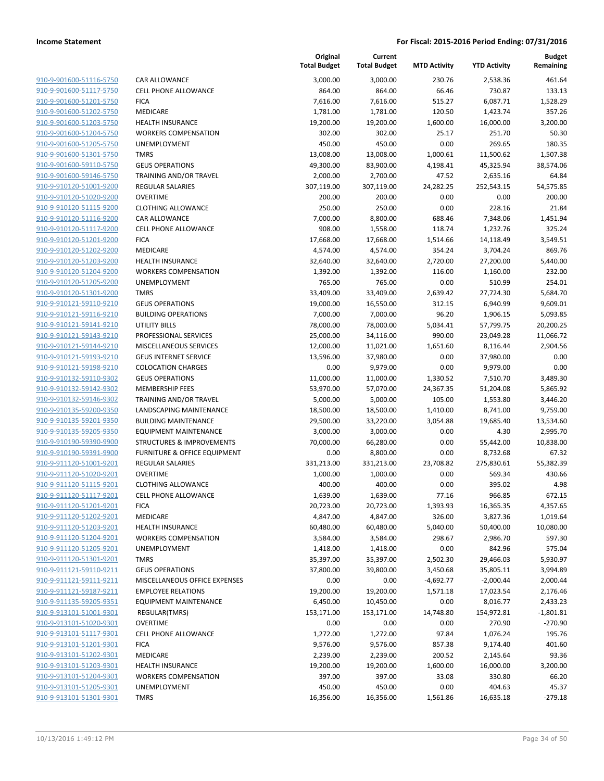| 910-9-901600-51116-5750        |
|--------------------------------|
| 910-9-901600-51117-5750        |
| 910-9-901600-51201-5750        |
| 910-9-901600-51202-5750        |
| 910-9-901600-51203-5750        |
| 910-9-901600-51204-5750        |
| 910-9-901600-51205-5750        |
| 910-9-901600-51301-5750        |
| 910-9-901600-59110-5750        |
| 910-9-901600-59146-5750        |
| 910-9-910120-51001-9200        |
| 910-9-910120-51020-9200        |
| 910-9-910120-51115-9200        |
|                                |
| 910-9-910120-51116-9200        |
| 910-9-910120-51117-9200        |
| 910-9-910120-51201-9200        |
| 910-9-910120-51202-9200        |
| 910-9-910120-51203-9200        |
| 910-9-910120-51204-9200        |
| 910-9-910120-51205-9200        |
| 910-9-910120-51301-9200        |
| 910-9-910121-59110-9210        |
| 910-9-910121-59116-9210        |
| 910-9-910121-59141-9210        |
| 910-9-910121-59143-9210        |
| 910-9-910121-59144-9210        |
| 910-9-910121-59193-9210        |
| 910-9-910121-59198-9210        |
| 910-9-910132-59110-9302        |
| 910-9-910132-59142-9302        |
| 910-9-910132-59146-9302        |
| 910-9-910135-59200-9350        |
| 910-9-910135-59201-9350        |
| 910-9-910135-59205-9350        |
|                                |
| 910-9-910190-59390-9900        |
| 910-9-910190-59391-9900        |
| 910-9-911120-51001-9201        |
| 910-9-911120-51020-9201        |
| 910-9-911120-51115-9201        |
| 910-9-911120-51117-9201        |
| 910-9-911120-51201-9201        |
| 910-9-911120-51202-9201        |
| 910-9-911120-51203-9201        |
| 910-9-911120-51204-9201        |
| 910-9-911120-51205-9201        |
| 910-9-911120-51301-9201        |
| 910-9-911121-59110-9211        |
| 910-9-911121-59111-9211        |
| 910-9-911121-59187-9211        |
| <u>910-9-911135-59205-9351</u> |
| 910-9-913101-51001-9301        |
| 910-9-913101-51020-9301        |
| 910-9-913101-51117-9301        |
| 910-9-913101-51201-9301        |
| 910-9-913101-51202-9301        |
| 910-9-913101-51203-9301        |
| 910-9-913101-51204-9301        |
|                                |
| 910-9-913101-51205-9301        |
| 910-9-913101-51301-9301        |
|                                |

|                         |                               | Original<br><b>Total Budget</b> | Current<br><b>Total Budget</b> | <b>MTD Activity</b> | <b>YTD Activity</b> | <b>Budget</b><br>Remaining |
|-------------------------|-------------------------------|---------------------------------|--------------------------------|---------------------|---------------------|----------------------------|
| 910-9-901600-51116-5750 | CAR ALLOWANCE                 | 3,000.00                        | 3,000.00                       | 230.76              | 2,538.36            | 461.64                     |
| 910-9-901600-51117-5750 | <b>CELL PHONE ALLOWANCE</b>   | 864.00                          | 864.00                         | 66.46               | 730.87              | 133.13                     |
| 910-9-901600-51201-5750 | <b>FICA</b>                   | 7,616.00                        | 7,616.00                       | 515.27              | 6,087.71            | 1,528.29                   |
| 910-9-901600-51202-5750 | MEDICARE                      | 1,781.00                        | 1,781.00                       | 120.50              | 1,423.74            | 357.26                     |
| 910-9-901600-51203-5750 | <b>HEALTH INSURANCE</b>       | 19,200.00                       | 19,200.00                      | 1,600.00            | 16,000.00           | 3,200.00                   |
| 910-9-901600-51204-5750 | <b>WORKERS COMPENSATION</b>   | 302.00                          | 302.00                         | 25.17               | 251.70              | 50.30                      |
| 910-9-901600-51205-5750 | UNEMPLOYMENT                  | 450.00                          | 450.00                         | 0.00                | 269.65              | 180.35                     |
| 910-9-901600-51301-5750 | <b>TMRS</b>                   | 13,008.00                       | 13,008.00                      | 1,000.61            | 11,500.62           | 1,507.38                   |
| 910-9-901600-59110-5750 | <b>GEUS OPERATIONS</b>        | 49,300.00                       | 83,900.00                      | 4,198.41            | 45,325.94           | 38,574.06                  |
| 910-9-901600-59146-5750 | TRAINING AND/OR TRAVEL        | 2,000.00                        | 2,700.00                       | 47.52               | 2,635.16            | 64.84                      |
| 910-9-910120-51001-9200 | <b>REGULAR SALARIES</b>       | 307,119.00                      | 307,119.00                     | 24,282.25           | 252,543.15          | 54,575.85                  |
| 910-9-910120-51020-9200 | <b>OVERTIME</b>               | 200.00                          | 200.00                         | 0.00                | 0.00                | 200.00                     |
| 910-9-910120-51115-9200 | <b>CLOTHING ALLOWANCE</b>     | 250.00                          | 250.00                         | 0.00                | 228.16              | 21.84                      |
| 910-9-910120-51116-9200 | <b>CAR ALLOWANCE</b>          | 7,000.00                        | 8,800.00                       | 688.46              | 7,348.06            | 1,451.94                   |
| 910-9-910120-51117-9200 | <b>CELL PHONE ALLOWANCE</b>   | 908.00                          | 1,558.00                       | 118.74              | 1,232.76            | 325.24                     |
| 910-9-910120-51201-9200 | <b>FICA</b>                   | 17,668.00                       | 17,668.00                      | 1,514.66            | 14,118.49           | 3,549.51                   |
| 910-9-910120-51202-9200 | MEDICARE                      | 4,574.00                        | 4,574.00                       | 354.24              | 3,704.24            | 869.76                     |
| 910-9-910120-51203-9200 | <b>HEALTH INSURANCE</b>       | 32,640.00                       | 32,640.00                      | 2,720.00            | 27,200.00           | 5,440.00                   |
| 910-9-910120-51204-9200 | <b>WORKERS COMPENSATION</b>   | 1,392.00                        | 1,392.00                       | 116.00              | 1,160.00            | 232.00                     |
| 910-9-910120-51205-9200 | <b>UNEMPLOYMENT</b>           | 765.00                          | 765.00                         | 0.00                | 510.99              | 254.01                     |
| 910-9-910120-51301-9200 | <b>TMRS</b>                   | 33,409.00                       | 33,409.00                      | 2,639.42            | 27,724.30           | 5,684.70                   |
| 910-9-910121-59110-9210 | <b>GEUS OPERATIONS</b>        | 19,000.00                       | 16,550.00                      | 312.15              | 6,940.99            | 9,609.01                   |
| 910-9-910121-59116-9210 | <b>BUILDING OPERATIONS</b>    | 7,000.00                        | 7,000.00                       | 96.20               | 1,906.15            | 5,093.85                   |
| 910-9-910121-59141-9210 | <b>UTILITY BILLS</b>          | 78,000.00                       | 78,000.00                      | 5,034.41            | 57,799.75           | 20,200.25                  |
| 910-9-910121-59143-9210 | PROFESSIONAL SERVICES         | 25,000.00                       | 34,116.00                      | 990.00              | 23,049.28           | 11,066.72                  |
| 910-9-910121-59144-9210 | MISCELLANEOUS SERVICES        | 12,000.00                       | 11,021.00                      | 1,651.60            | 8,116.44            | 2,904.56                   |
| 910-9-910121-59193-9210 | <b>GEUS INTERNET SERVICE</b>  | 13,596.00                       | 37,980.00                      | 0.00                | 37,980.00           | 0.00                       |
| 910-9-910121-59198-9210 | <b>COLOCATION CHARGES</b>     | 0.00                            | 9,979.00                       | 0.00                | 9,979.00            | 0.00                       |
| 910-9-910132-59110-9302 | <b>GEUS OPERATIONS</b>        | 11,000.00                       | 11,000.00                      | 1,330.52            | 7,510.70            | 3,489.30                   |
| 910-9-910132-59142-9302 | <b>MEMBERSHIP FEES</b>        | 53,970.00                       | 57,070.00                      | 24,367.35           | 51,204.08           | 5,865.92                   |
| 910-9-910132-59146-9302 | TRAINING AND/OR TRAVEL        | 5,000.00                        | 5,000.00                       | 105.00              | 1,553.80            | 3,446.20                   |
| 910-9-910135-59200-9350 | LANDSCAPING MAINTENANCE       | 18,500.00                       | 18,500.00                      | 1,410.00            | 8,741.00            | 9,759.00                   |
| 910-9-910135-59201-9350 | <b>BUILDING MAINTENANCE</b>   | 29,500.00                       | 33,220.00                      | 3,054.88            | 19,685.40           | 13,534.60                  |
| 910-9-910135-59205-9350 | <b>EQUIPMENT MAINTENANCE</b>  | 3,000.00                        | 3,000.00                       | 0.00                | 4.30                | 2,995.70                   |
| 910-9-910190-59390-9900 | STRUCTURES & IMPROVEMENTS     | 70,000.00                       | 66,280.00                      | 0.00                | 55,442.00           | 10,838.00                  |
| 910-9-910190-59391-9900 | FURNITURE & OFFICE EQUIPMENT  | 0.00                            | 8,800.00                       | 0.00                | 8,732.68            | 67.32                      |
| 910-9-911120-51001-9201 | <b>REGULAR SALARIES</b>       | 331,213.00                      | 331,213.00                     | 23,708.82           | 275,830.61          | 55,382.39                  |
| 910-9-911120-51020-9201 | <b>OVERTIME</b>               | 1,000.00                        | 1,000.00                       | 0.00                | 569.34              | 430.66                     |
| 910-9-911120-51115-9201 | <b>CLOTHING ALLOWANCE</b>     | 400.00                          | 400.00                         | 0.00                | 395.02              | 4.98                       |
| 910-9-911120-51117-9201 | <b>CELL PHONE ALLOWANCE</b>   | 1,639.00                        | 1,639.00                       | 77.16               | 966.85              | 672.15                     |
| 910-9-911120-51201-9201 | <b>FICA</b>                   | 20,723.00                       | 20,723.00                      | 1,393.93            | 16,365.35           | 4,357.65                   |
| 910-9-911120-51202-9201 | MEDICARE                      | 4,847.00                        | 4,847.00                       | 326.00              | 3,827.36            | 1,019.64                   |
| 910-9-911120-51203-9201 | <b>HEALTH INSURANCE</b>       | 60,480.00                       | 60,480.00                      | 5,040.00            | 50,400.00           | 10,080.00                  |
| 910-9-911120-51204-9201 | <b>WORKERS COMPENSATION</b>   | 3,584.00                        | 3,584.00                       | 298.67              | 2,986.70            | 597.30                     |
| 910-9-911120-51205-9201 | <b>UNEMPLOYMENT</b>           | 1,418.00                        | 1,418.00                       | 0.00                | 842.96              | 575.04                     |
| 910-9-911120-51301-9201 | <b>TMRS</b>                   | 35,397.00                       | 35,397.00                      | 2,502.30            | 29,466.03           | 5,930.97                   |
| 910-9-911121-59110-9211 | <b>GEUS OPERATIONS</b>        | 37,800.00                       | 39,800.00                      | 3,450.68            | 35,805.11           | 3,994.89                   |
| 910-9-911121-59111-9211 | MISCELLANEOUS OFFICE EXPENSES | 0.00                            | 0.00                           | $-4,692.77$         | $-2,000.44$         | 2,000.44                   |
| 910-9-911121-59187-9211 | <b>EMPLOYEE RELATIONS</b>     | 19,200.00                       | 19,200.00                      | 1,571.18            | 17,023.54           | 2,176.46                   |
| 910-9-911135-59205-9351 | <b>EQUIPMENT MAINTENANCE</b>  | 6,450.00                        | 10,450.00                      | 0.00                | 8,016.77            | 2,433.23                   |
| 910-9-913101-51001-9301 | REGULAR(TMRS)                 | 153,171.00                      | 153,171.00                     | 14,748.80           | 154,972.81          | $-1,801.81$                |
| 910-9-913101-51020-9301 | <b>OVERTIME</b>               | 0.00                            | 0.00                           | 0.00                | 270.90              | $-270.90$                  |
| 910-9-913101-51117-9301 | CELL PHONE ALLOWANCE          | 1,272.00                        | 1,272.00                       | 97.84               | 1,076.24            | 195.76                     |
| 910-9-913101-51201-9301 | <b>FICA</b>                   | 9,576.00                        | 9,576.00                       | 857.38              | 9,174.40            | 401.60                     |
| 910-9-913101-51202-9301 | MEDICARE                      | 2,239.00                        | 2,239.00                       | 200.52              | 2,145.64            | 93.36                      |
| 910-9-913101-51203-9301 | <b>HEALTH INSURANCE</b>       | 19,200.00                       | 19,200.00                      | 1,600.00            | 16,000.00           | 3,200.00                   |
| 910-9-913101-51204-9301 | <b>WORKERS COMPENSATION</b>   | 397.00                          | 397.00                         | 33.08               | 330.80              | 66.20                      |
| 910-9-913101-51205-9301 | UNEMPLOYMENT                  | 450.00                          | 450.00                         | 0.00                | 404.63              | 45.37                      |
| 910-9-913101-51301-9301 | <b>TMRS</b>                   | 16,356.00                       | 16,356.00                      | 1,561.86            | 16,635.18           | $-279.18$                  |
|                         |                               |                                 |                                |                     |                     |                            |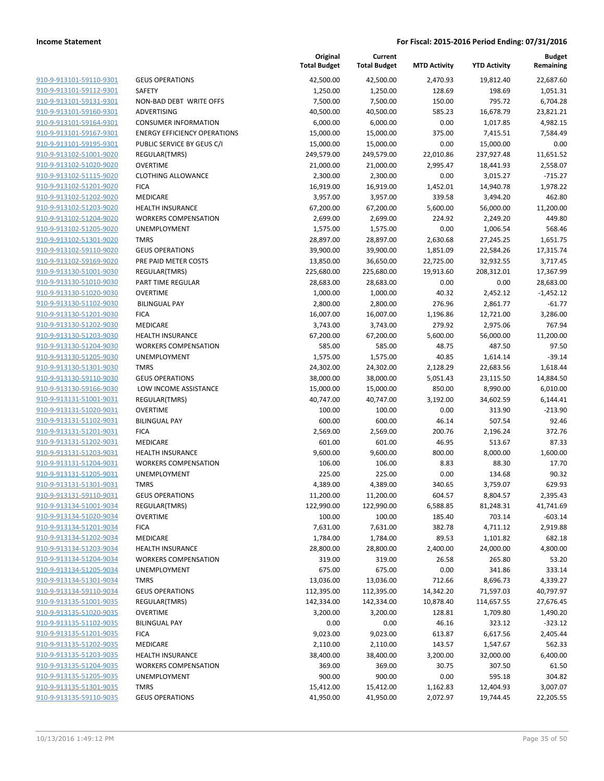| <u>910-9-913101-59110-9301</u> |
|--------------------------------|
| 910-9-913101-59112-9301        |
| 910-9-913101-59131-9301        |
| 910-9-913101-59160-9301        |
| 910-9-913101-59164-9301        |
| 910-9-913101-59167-9301        |
| 910-9-913101-59195-9301        |
| 910-9-913102-51001-9020        |
| 910-9-913102-51020-9020        |
| 910-9-913102-51115-9020        |
| 910-9-913102-51201-9020        |
| 910-9-913102-51202-9020        |
| 910-9-913102-51203-9020        |
| 910-9-913102-51204-9020        |
| 910-9-913102-51205-9020        |
| 910-9-913102-51301-9020        |
| 910-9-913102-59110-9020        |
| 910-9-913102-59169-9020        |
| 910-9-913130-51001-9030        |
| 910-9-913130-51010-9030        |
| 910-9-913130-51020-9030        |
| 910-9-913130-51102-9030        |
| 910-9-913130-51201-9030        |
| 910-9-913130-51202-9030        |
| 910-9-913130-51203-9030        |
| 910-9-913130-51204-9030        |
| 910-9-913130-51205-9030        |
| 910-9-913130-51301-9030        |
| 910-9-913130-59110-9030        |
| 910-9-913130-59166-9030        |
| 910-9-913131-51001-9031        |
| 910-9-913131-51020-9031        |
| 910-9-913131-51102-9031        |
| 910-9-913131-51201-9031        |
| 910-9-913131-51202-9031        |
| 910-9-913131-51203-9031        |
| 910-9-913131-51204-9031        |
| 910-9-913131-51205-9031        |
| 910-9-913131-51301-9031        |
| 910-9-913131-59110-9031        |
| 910-9-913134-51001-9034        |
| 910-9-913134-51020-9034        |
| 910-9-913134-51201-9034        |
| <u>910-9-913134-51202-9034</u> |
| 910-9-913134-51203-9034        |
| 910-9-913134-51204-9034        |
| 910-9-913134-51205-9034        |
| 910-9-913134-51301-9034        |
| <u>910-9-913134-59110-9034</u> |
| 910-9-913135-51001-9035        |
| 910-9-913135-51020-9035        |
| 910-9-913135-51102-9035        |
| 910-9-913135-51201-9035        |
| 910-9-913135-51202-9035        |
| 910-9-913135-51203-9035        |
| 910-9-913135-51204-9035        |
| 910-9-913135-51205-9035        |
| 910-9-913135-51301-9035        |
| 910-9-913135-59110-9035        |

|                         |                                     | Original<br><b>Total Budget</b> | Current<br><b>Total Budget</b> | <b>MTD Activity</b> | <b>YTD Activity</b> | <b>Budget</b><br>Remaining |
|-------------------------|-------------------------------------|---------------------------------|--------------------------------|---------------------|---------------------|----------------------------|
| 910-9-913101-59110-9301 | <b>GEUS OPERATIONS</b>              | 42,500.00                       | 42,500.00                      | 2,470.93            | 19,812.40           | 22,687.60                  |
| 910-9-913101-59112-9301 | SAFETY                              | 1,250.00                        | 1,250.00                       | 128.69              | 198.69              | 1,051.31                   |
| 910-9-913101-59131-9301 | NON-BAD DEBT WRITE OFFS             | 7,500.00                        | 7,500.00                       | 150.00              | 795.72              | 6,704.28                   |
| 910-9-913101-59160-9301 | ADVERTISING                         | 40,500.00                       | 40,500.00                      | 585.23              | 16,678.79           | 23,821.21                  |
| 910-9-913101-59164-9301 | <b>CONSUMER INFORMATION</b>         | 6,000.00                        | 6,000.00                       | 0.00                | 1,017.85            | 4,982.15                   |
| 910-9-913101-59167-9301 | <b>ENERGY EFFICIENCY OPERATIONS</b> | 15,000.00                       | 15,000.00                      | 375.00              | 7,415.51            | 7,584.49                   |
| 910-9-913101-59195-9301 | PUBLIC SERVICE BY GEUS C/I          | 15,000.00                       | 15,000.00                      | 0.00                | 15,000.00           | 0.00                       |
| 910-9-913102-51001-9020 | REGULAR(TMRS)                       | 249,579.00                      | 249,579.00                     | 22,010.86           | 237,927.48          | 11,651.52                  |
| 910-9-913102-51020-9020 | <b>OVERTIME</b>                     | 21,000.00                       | 21,000.00                      | 2,995.47            | 18,441.93           | 2,558.07                   |
| 910-9-913102-51115-9020 | <b>CLOTHING ALLOWANCE</b>           | 2,300.00                        | 2,300.00                       | 0.00                | 3,015.27            | $-715.27$                  |
| 910-9-913102-51201-9020 | <b>FICA</b>                         | 16,919.00                       | 16,919.00                      | 1,452.01            | 14,940.78           | 1,978.22                   |
| 910-9-913102-51202-9020 | MEDICARE                            | 3,957.00                        | 3,957.00                       | 339.58              | 3,494.20            | 462.80                     |
| 910-9-913102-51203-9020 | <b>HEALTH INSURANCE</b>             | 67,200.00                       | 67,200.00                      | 5,600.00            | 56,000.00           | 11,200.00                  |
| 910-9-913102-51204-9020 | <b>WORKERS COMPENSATION</b>         | 2,699.00                        | 2,699.00                       | 224.92              | 2,249.20            | 449.80                     |
| 910-9-913102-51205-9020 | <b>UNEMPLOYMENT</b>                 | 1,575.00                        | 1,575.00                       | 0.00                | 1,006.54            | 568.46                     |
| 910-9-913102-51301-9020 | <b>TMRS</b>                         | 28,897.00                       | 28,897.00                      | 2,630.68            | 27,245.25           | 1,651.75                   |
| 910-9-913102-59110-9020 | <b>GEUS OPERATIONS</b>              | 39,900.00                       | 39,900.00                      | 1,851.09            | 22,584.26           | 17,315.74                  |
| 910-9-913102-59169-9020 | PRE PAID METER COSTS                | 13,850.00                       | 36,650.00                      | 22,725.00           | 32,932.55           | 3,717.45                   |
| 910-9-913130-51001-9030 | <b>REGULAR(TMRS)</b>                | 225,680.00                      | 225,680.00                     | 19,913.60           | 208,312.01          | 17,367.99                  |
| 910-9-913130-51010-9030 | PART TIME REGULAR                   | 28,683.00                       | 28,683.00                      | 0.00                | 0.00                | 28,683.00                  |
| 910-9-913130-51020-9030 | <b>OVERTIME</b>                     | 1,000.00                        | 1,000.00                       | 40.32               | 2,452.12            | $-1,452.12$                |
| 910-9-913130-51102-9030 | <b>BILINGUAL PAY</b>                | 2,800.00                        | 2,800.00                       | 276.96              | 2,861.77            | $-61.77$                   |
| 910-9-913130-51201-9030 | <b>FICA</b>                         | 16,007.00                       | 16,007.00                      | 1,196.86            | 12,721.00           | 3,286.00                   |
| 910-9-913130-51202-9030 | <b>MEDICARE</b>                     | 3,743.00                        | 3,743.00                       | 279.92              | 2,975.06            | 767.94                     |
| 910-9-913130-51203-9030 | <b>HEALTH INSURANCE</b>             | 67,200.00                       | 67,200.00                      | 5,600.00            | 56,000.00           | 11,200.00                  |
| 910-9-913130-51204-9030 | <b>WORKERS COMPENSATION</b>         | 585.00                          | 585.00                         | 48.75               | 487.50              | 97.50                      |
| 910-9-913130-51205-9030 | <b>UNEMPLOYMENT</b>                 | 1,575.00                        | 1,575.00                       | 40.85               | 1,614.14            | $-39.14$                   |
| 910-9-913130-51301-9030 | <b>TMRS</b>                         | 24,302.00                       | 24,302.00                      | 2,128.29            | 22,683.56           | 1,618.44                   |
| 910-9-913130-59110-9030 | <b>GEUS OPERATIONS</b>              | 38,000.00                       | 38,000.00                      | 5,051.43            | 23,115.50           | 14,884.50                  |
| 910-9-913130-59166-9030 | LOW INCOME ASSISTANCE               | 15,000.00                       | 15,000.00                      | 850.00              | 8,990.00            | 6,010.00                   |
| 910-9-913131-51001-9031 | REGULAR(TMRS)                       | 40,747.00                       | 40,747.00                      | 3,192.00            | 34,602.59           | 6,144.41                   |
| 910-9-913131-51020-9031 | <b>OVERTIME</b>                     | 100.00                          | 100.00                         | 0.00                | 313.90              | $-213.90$                  |
| 910-9-913131-51102-9031 | <b>BILINGUAL PAY</b>                | 600.00                          | 600.00                         | 46.14               | 507.54              | 92.46                      |
| 910-9-913131-51201-9031 | <b>FICA</b>                         | 2,569.00                        | 2,569.00                       | 200.76              | 2,196.24            | 372.76                     |
| 910-9-913131-51202-9031 | MEDICARE                            | 601.00                          | 601.00                         | 46.95               | 513.67              | 87.33                      |
| 910-9-913131-51203-9031 | <b>HEALTH INSURANCE</b>             | 9,600.00                        | 9,600.00                       | 800.00              | 8,000.00            | 1,600.00                   |
| 910-9-913131-51204-9031 | <b>WORKERS COMPENSATION</b>         | 106.00                          | 106.00                         | 8.83                | 88.30               | 17.70                      |
| 910-9-913131-51205-9031 | <b>UNEMPLOYMENT</b>                 | 225.00                          | 225.00                         | 0.00                | 134.68              | 90.32                      |
| 910-9-913131-51301-9031 | <b>TMRS</b>                         | 4,389.00                        | 4,389.00                       | 340.65              | 3,759.07            | 629.93                     |
| 910-9-913131-59110-9031 | <b>GEUS OPERATIONS</b>              | 11,200.00                       | 11,200.00                      | 604.57              | 8,804.57            | 2,395.43                   |
| 910-9-913134-51001-9034 | REGULAR(TMRS)                       | 122,990.00                      | 122,990.00                     | 6,588.85            | 81,248.31           | 41,741.69                  |
| 910-9-913134-51020-9034 | <b>OVERTIME</b>                     | 100.00                          | 100.00                         | 185.40              | 703.14              | $-603.14$                  |
| 910-9-913134-51201-9034 | <b>FICA</b>                         | 7,631.00                        | 7,631.00                       | 382.78              | 4,711.12            | 2,919.88                   |
| 910-9-913134-51202-9034 | MEDICARE                            | 1,784.00                        | 1,784.00                       | 89.53               | 1,101.82            | 682.18                     |
| 910-9-913134-51203-9034 | <b>HEALTH INSURANCE</b>             | 28,800.00                       | 28,800.00                      | 2,400.00            | 24,000.00           | 4,800.00                   |
| 910-9-913134-51204-9034 | <b>WORKERS COMPENSATION</b>         | 319.00                          | 319.00                         | 26.58               | 265.80              | 53.20                      |
| 910-9-913134-51205-9034 | <b>UNEMPLOYMENT</b>                 | 675.00                          | 675.00                         | 0.00                | 341.86              | 333.14                     |
| 910-9-913134-51301-9034 | <b>TMRS</b>                         | 13,036.00                       | 13,036.00                      | 712.66              | 8,696.73            | 4,339.27                   |
| 910-9-913134-59110-9034 | <b>GEUS OPERATIONS</b>              | 112,395.00                      | 112,395.00                     | 14,342.20           | 71,597.03           | 40,797.97                  |
| 910-9-913135-51001-9035 | REGULAR(TMRS)                       | 142,334.00                      | 142,334.00                     | 10,878.40           | 114,657.55          | 27,676.45                  |
| 910-9-913135-51020-9035 | <b>OVERTIME</b>                     | 3,200.00                        | 3,200.00                       | 128.81              | 1,709.80            | 1,490.20                   |
| 910-9-913135-51102-9035 | <b>BILINGUAL PAY</b>                | 0.00                            | 0.00                           | 46.16               | 323.12              | $-323.12$                  |
| 910-9-913135-51201-9035 | <b>FICA</b>                         | 9,023.00                        | 9,023.00                       | 613.87              | 6,617.56            | 2,405.44                   |
| 910-9-913135-51202-9035 | MEDICARE                            | 2,110.00                        | 2,110.00                       | 143.57              | 1,547.67            | 562.33                     |
| 910-9-913135-51203-9035 | <b>HEALTH INSURANCE</b>             | 38,400.00                       | 38,400.00                      | 3,200.00            | 32,000.00           | 6,400.00                   |
| 910-9-913135-51204-9035 | <b>WORKERS COMPENSATION</b>         | 369.00                          | 369.00                         | 30.75               | 307.50              | 61.50                      |
| 910-9-913135-51205-9035 | UNEMPLOYMENT                        | 900.00                          | 900.00                         | 0.00                | 595.18              | 304.82                     |
| 910-9-913135-51301-9035 | <b>TMRS</b>                         | 15,412.00                       | 15,412.00                      | 1,162.83            | 12,404.93           | 3,007.07                   |
| 910-9-913135-59110-9035 | <b>GEUS OPERATIONS</b>              | 41,950.00                       | 41,950.00                      | 2,072.97            | 19,744.45           | 22,205.55                  |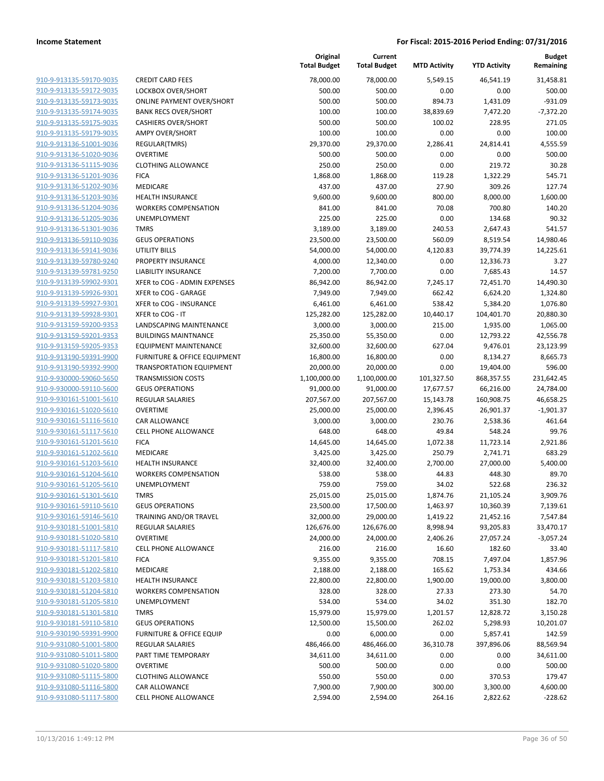|                         |                                     | Original<br><b>Total Budget</b> | Current<br><b>Total Budget</b> | <b>MTD Activity</b> | <b>YTD Activity</b> | Budget<br>Remaining |
|-------------------------|-------------------------------------|---------------------------------|--------------------------------|---------------------|---------------------|---------------------|
| 910-9-913135-59170-9035 | <b>CREDIT CARD FEES</b>             | 78,000.00                       | 78,000.00                      | 5,549.15            | 46,541.19           | 31,458.81           |
| 910-9-913135-59172-9035 | LOCKBOX OVER/SHORT                  | 500.00                          | 500.00                         | 0.00                | 0.00                | 500.00              |
| 910-9-913135-59173-9035 | <b>ONLINE PAYMENT OVER/SHORT</b>    | 500.00                          | 500.00                         | 894.73              | 1,431.09            | $-931.09$           |
| 910-9-913135-59174-9035 | <b>BANK RECS OVER/SHORT</b>         | 100.00                          | 100.00                         | 38,839.69           | 7,472.20            | $-7,372.20$         |
| 910-9-913135-59175-9035 | <b>CASHIERS OVER/SHORT</b>          | 500.00                          | 500.00                         | 100.02              | 228.95              | 271.05              |
| 910-9-913135-59179-9035 | <b>AMPY OVER/SHORT</b>              | 100.00                          | 100.00                         | 0.00                | 0.00                | 100.00              |
| 910-9-913136-51001-9036 | REGULAR(TMRS)                       | 29,370.00                       | 29,370.00                      | 2,286.41            | 24,814.41           | 4,555.59            |
| 910-9-913136-51020-9036 | <b>OVERTIME</b>                     | 500.00                          | 500.00                         | 0.00                | 0.00                | 500.00              |
| 910-9-913136-51115-9036 | <b>CLOTHING ALLOWANCE</b>           | 250.00                          | 250.00                         | 0.00                | 219.72              | 30.28               |
| 910-9-913136-51201-9036 | <b>FICA</b>                         | 1,868.00                        | 1,868.00                       | 119.28              | 1,322.29            | 545.71              |
| 910-9-913136-51202-9036 | MEDICARE                            | 437.00                          | 437.00                         | 27.90               | 309.26              | 127.74              |
| 910-9-913136-51203-9036 | <b>HEALTH INSURANCE</b>             | 9,600.00                        | 9,600.00                       | 800.00              | 8,000.00            | 1,600.00            |
| 910-9-913136-51204-9036 | <b>WORKERS COMPENSATION</b>         | 841.00                          | 841.00                         | 70.08               | 700.80              | 140.20              |
| 910-9-913136-51205-9036 | <b>UNEMPLOYMENT</b>                 | 225.00                          | 225.00                         | 0.00                | 134.68              | 90.32               |
| 910-9-913136-51301-9036 | <b>TMRS</b>                         | 3,189.00                        | 3,189.00                       | 240.53              | 2,647.43            | 541.57              |
| 910-9-913136-59110-9036 | <b>GEUS OPERATIONS</b>              | 23,500.00                       | 23,500.00                      | 560.09              | 8,519.54            | 14,980.46           |
| 910-9-913136-59141-9036 | <b>UTILITY BILLS</b>                | 54,000.00                       | 54,000.00                      | 4,120.83            | 39,774.39           | 14,225.61           |
| 910-9-913139-59780-9240 | PROPERTY INSURANCE                  | 4,000.00                        | 12,340.00                      | 0.00                | 12,336.73           | 3.27                |
| 910-9-913139-59781-9250 | <b>LIABILITY INSURANCE</b>          | 7,200.00                        | 7,700.00                       | 0.00                | 7,685.43            | 14.57               |
| 910-9-913139-59902-9301 | XFER to COG - ADMIN EXPENSES        | 86,942.00                       | 86,942.00                      | 7,245.17            | 72,451.70           | 14,490.30           |
| 910-9-913139-59926-9301 | XFER to COG - GARAGE                | 7,949.00                        | 7,949.00                       | 662.42              | 6,624.20            | 1,324.80            |
| 910-9-913139-59927-9301 | XFER to COG - INSURANCE             | 6,461.00                        | 6,461.00                       | 538.42              | 5,384.20            | 1,076.80            |
| 910-9-913139-59928-9301 | XFER to COG - IT                    | 125,282.00                      | 125,282.00                     | 10,440.17           | 104,401.70          | 20,880.30           |
| 910-9-913159-59200-9353 | <b>LANDSCAPING MAINTENANCE</b>      | 3,000.00                        | 3,000.00                       | 215.00              | 1,935.00            | 1,065.00            |
| 910-9-913159-59201-9353 | <b>BUILDINGS MAINTNANCE</b>         | 25,350.00                       | 55,350.00                      | 0.00                | 12,793.22           | 42,556.78           |
| 910-9-913159-59205-9353 | EQUIPMENT MAINTENANCE               | 32,600.00                       | 32,600.00                      | 627.04              | 9,476.01            | 23,123.99           |
| 910-9-913190-59391-9900 | FURNITURE & OFFICE EQUIPMENT        | 16,800.00                       | 16,800.00                      | 0.00                | 8,134.27            | 8,665.73            |
| 910-9-913190-59392-9900 | <b>TRANSPORTATION EQUIPMENT</b>     | 20,000.00                       | 20,000.00                      | 0.00                | 19,404.00           | 596.00              |
| 910-9-930000-59060-5650 | <b>TRANSMISSION COSTS</b>           | 1,100,000.00                    | 1,100,000.00                   | 101,327.50          | 868,357.55          | 231,642.45          |
| 910-9-930000-59110-5600 | <b>GEUS OPERATIONS</b>              | 91,000.00                       | 91,000.00                      | 17,677.57           | 66,216.00           | 24,784.00           |
| 910-9-930161-51001-5610 | <b>REGULAR SALARIES</b>             | 207,567.00                      | 207,567.00                     | 15,143.78           | 160,908.75          | 46,658.25           |
| 910-9-930161-51020-5610 | <b>OVERTIME</b>                     | 25,000.00                       | 25,000.00                      | 2,396.45            | 26,901.37           | $-1,901.37$         |
| 910-9-930161-51116-5610 | CAR ALLOWANCE                       | 3,000.00                        | 3,000.00                       | 230.76              | 2,538.36            | 461.64              |
| 910-9-930161-51117-5610 | <b>CELL PHONE ALLOWANCE</b>         | 648.00                          | 648.00                         | 49.84               | 548.24              | 99.76               |
| 910-9-930161-51201-5610 | <b>FICA</b>                         | 14,645.00                       | 14,645.00                      | 1,072.38            | 11,723.14           | 2,921.86            |
| 910-9-930161-51202-5610 | MEDICARE                            | 3,425.00                        | 3,425.00                       | 250.79              | 2,741.71            | 683.29              |
| 910-9-930161-51203-5610 | <b>HEALTH INSURANCE</b>             | 32,400.00                       | 32,400.00                      | 2,700.00            | 27,000.00           | 5,400.00            |
| 910-9-930161-51204-5610 | <b>WORKERS COMPENSATION</b>         | 538.00                          | 538.00                         | 44.83               | 448.30              | 89.70               |
| 910-9-930161-51205-5610 | <b>UNEMPLOYMENT</b>                 | 759.00                          | 759.00                         | 34.02               | 522.68              | 236.32              |
| 910-9-930161-51301-5610 | TMRS                                | 25,015.00                       | 25,015.00                      | 1,874.76            | 21,105.24           | 3,909.76            |
| 910-9-930161-59110-5610 | <b>GEUS OPERATIONS</b>              | 23,500.00                       | 17,500.00                      | 1,463.97            | 10,360.39           | 7,139.61            |
| 910-9-930161-59146-5610 | TRAINING AND/OR TRAVEL              | 32,000.00                       | 29,000.00                      | 1,419.22            | 21,452.16           | 7,547.84            |
| 910-9-930181-51001-5810 | <b>REGULAR SALARIES</b>             | 126,676.00                      | 126,676.00                     | 8,998.94            | 93,205.83           | 33,470.17           |
| 910-9-930181-51020-5810 | <b>OVERTIME</b>                     | 24,000.00                       | 24,000.00                      | 2,406.26            | 27,057.24           | $-3,057.24$         |
| 910-9-930181-51117-5810 | <b>CELL PHONE ALLOWANCE</b>         | 216.00                          | 216.00                         | 16.60               | 182.60              | 33.40               |
| 910-9-930181-51201-5810 | <b>FICA</b>                         | 9,355.00                        | 9,355.00                       | 708.15              | 7,497.04            | 1,857.96            |
| 910-9-930181-51202-5810 | MEDICARE                            | 2,188.00                        | 2,188.00                       | 165.62              | 1,753.34            | 434.66              |
| 910-9-930181-51203-5810 | <b>HEALTH INSURANCE</b>             | 22,800.00                       | 22,800.00                      | 1,900.00            | 19,000.00           | 3,800.00            |
| 910-9-930181-51204-5810 | <b>WORKERS COMPENSATION</b>         | 328.00                          | 328.00                         | 27.33               | 273.30              | 54.70               |
| 910-9-930181-51205-5810 | <b>UNEMPLOYMENT</b>                 | 534.00                          | 534.00                         | 34.02               | 351.30              | 182.70              |
| 910-9-930181-51301-5810 | <b>TMRS</b>                         | 15,979.00                       | 15,979.00                      | 1,201.57            | 12,828.72           | 3,150.28            |
| 910-9-930181-59110-5810 | <b>GEUS OPERATIONS</b>              | 12,500.00                       | 15,500.00                      | 262.02              | 5,298.93            | 10,201.07           |
| 910-9-930190-59391-9900 | <b>FURNITURE &amp; OFFICE EQUIP</b> | 0.00                            | 6,000.00                       | 0.00                | 5,857.41            | 142.59              |
| 910-9-931080-51001-5800 | <b>REGULAR SALARIES</b>             | 486,466.00                      | 486,466.00                     | 36,310.78           | 397,896.06          | 88,569.94           |
| 910-9-931080-51011-5800 | PART TIME TEMPORARY                 | 34,611.00                       | 34,611.00                      | 0.00                | 0.00                | 34,611.00           |
| 910-9-931080-51020-5800 | <b>OVERTIME</b>                     | 500.00                          | 500.00                         | 0.00                | 0.00                | 500.00              |
| 910-9-931080-51115-5800 | <b>CLOTHING ALLOWANCE</b>           | 550.00                          | 550.00                         | 0.00                | 370.53              | 179.47              |
| 910-9-931080-51116-5800 | CAR ALLOWANCE                       | 7,900.00                        | 7,900.00                       | 300.00              | 3,300.00            | 4,600.00            |
| 910-9-931080-51117-5800 | CELL PHONE ALLOWANCE                | 2,594.00                        | 2,594.00                       | 264.16              | 2,822.62            | $-228.62$           |
|                         |                                     |                                 |                                |                     |                     |                     |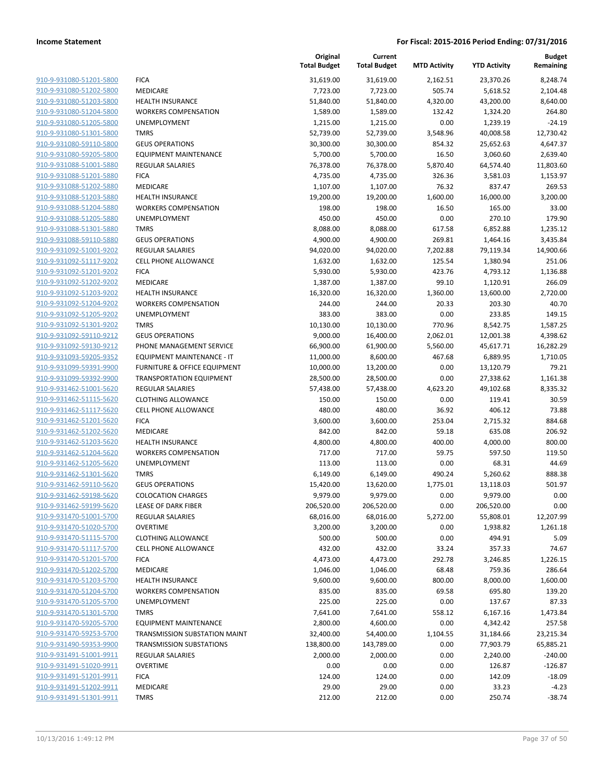|                         |                                         | Original<br><b>Total Budget</b> | Current<br><b>Total Budget</b> | <b>MTD Activity</b> | <b>YTD Activity</b> | Budget<br>Remaining |
|-------------------------|-----------------------------------------|---------------------------------|--------------------------------|---------------------|---------------------|---------------------|
| 910-9-931080-51201-5800 | <b>FICA</b>                             | 31,619.00                       | 31,619.00                      | 2,162.51            | 23,370.26           | 8,248.74            |
| 910-9-931080-51202-5800 | MEDICARE                                | 7,723.00                        | 7,723.00                       | 505.74              | 5,618.52            | 2,104.48            |
| 910-9-931080-51203-5800 | <b>HEALTH INSURANCE</b>                 | 51,840.00                       | 51,840.00                      | 4,320.00            | 43,200.00           | 8,640.00            |
| 910-9-931080-51204-5800 | <b>WORKERS COMPENSATION</b>             | 1,589.00                        | 1,589.00                       | 132.42              | 1,324.20            | 264.80              |
| 910-9-931080-51205-5800 | <b>UNEMPLOYMENT</b>                     | 1,215.00                        | 1,215.00                       | 0.00                | 1,239.19            | $-24.19$            |
| 910-9-931080-51301-5800 | <b>TMRS</b>                             | 52,739.00                       | 52,739.00                      | 3,548.96            | 40,008.58           | 12,730.42           |
| 910-9-931080-59110-5800 | <b>GEUS OPERATIONS</b>                  | 30,300.00                       | 30,300.00                      | 854.32              | 25,652.63           | 4,647.37            |
| 910-9-931080-59205-5800 | <b>EQUIPMENT MAINTENANCE</b>            | 5,700.00                        | 5,700.00                       | 16.50               | 3,060.60            | 2,639.40            |
| 910-9-931088-51001-5880 | <b>REGULAR SALARIES</b>                 | 76,378.00                       | 76,378.00                      | 5,870.40            | 64,574.40           | 11,803.60           |
| 910-9-931088-51201-5880 | <b>FICA</b>                             | 4,735.00                        | 4,735.00                       | 326.36              | 3,581.03            | 1,153.97            |
| 910-9-931088-51202-5880 | MEDICARE                                | 1,107.00                        | 1,107.00                       | 76.32               | 837.47              | 269.53              |
| 910-9-931088-51203-5880 | <b>HEALTH INSURANCE</b>                 | 19,200.00                       | 19,200.00                      | 1,600.00            | 16,000.00           | 3,200.00            |
| 910-9-931088-51204-5880 | <b>WORKERS COMPENSATION</b>             | 198.00                          | 198.00                         | 16.50               | 165.00              | 33.00               |
| 910-9-931088-51205-5880 | <b>UNEMPLOYMENT</b>                     | 450.00                          | 450.00                         | 0.00                | 270.10              | 179.90              |
| 910-9-931088-51301-5880 | <b>TMRS</b>                             | 8,088.00                        | 8,088.00                       | 617.58              | 6,852.88            | 1,235.12            |
| 910-9-931088-59110-5880 | <b>GEUS OPERATIONS</b>                  | 4,900.00                        | 4,900.00                       | 269.81              | 1,464.16            | 3,435.84            |
| 910-9-931092-51001-9202 | <b>REGULAR SALARIES</b>                 | 94,020.00                       | 94,020.00                      | 7,202.88            | 79,119.34           | 14,900.66           |
| 910-9-931092-51117-9202 | <b>CELL PHONE ALLOWANCE</b>             | 1,632.00                        | 1,632.00                       | 125.54              | 1,380.94            | 251.06              |
| 910-9-931092-51201-9202 | <b>FICA</b>                             | 5,930.00                        | 5,930.00                       | 423.76              | 4,793.12            | 1,136.88            |
| 910-9-931092-51202-9202 | <b>MEDICARE</b>                         | 1,387.00                        | 1,387.00                       | 99.10               | 1,120.91            | 266.09              |
| 910-9-931092-51203-9202 | <b>HEALTH INSURANCE</b>                 | 16,320.00                       | 16,320.00                      | 1,360.00            | 13,600.00           | 2,720.00            |
| 910-9-931092-51204-9202 | <b>WORKERS COMPENSATION</b>             | 244.00                          | 244.00                         | 20.33               | 203.30              | 40.70               |
| 910-9-931092-51205-9202 | <b>UNEMPLOYMENT</b>                     | 383.00                          | 383.00                         | 0.00                | 233.85              | 149.15              |
| 910-9-931092-51301-9202 | <b>TMRS</b>                             | 10,130.00                       | 10,130.00                      | 770.96              | 8,542.75            | 1,587.25            |
| 910-9-931092-59110-9212 | <b>GEUS OPERATIONS</b>                  | 9,000.00                        | 16,400.00                      | 2,062.01            | 12,001.38           | 4,398.62            |
| 910-9-931092-59130-9212 | PHONE MANAGEMENT SERVICE                | 66,900.00                       | 61,900.00                      | 5,560.00            | 45,617.71           | 16,282.29           |
| 910-9-931093-59205-9352 | EQUIPMENT MAINTENANCE - IT              | 11,000.00                       | 8,600.00                       | 467.68              | 6,889.95            | 1,710.05            |
| 910-9-931099-59391-9900 | <b>FURNITURE &amp; OFFICE EQUIPMENT</b> | 10,000.00                       | 13,200.00                      | 0.00                | 13,120.79           | 79.21               |
| 910-9-931099-59392-9900 | <b>TRANSPORTATION EQUIPMENT</b>         | 28,500.00                       | 28,500.00                      | 0.00                | 27,338.62           | 1,161.38            |
| 910-9-931462-51001-5620 | <b>REGULAR SALARIES</b>                 | 57,438.00                       | 57,438.00                      | 4,623.20            | 49,102.68           | 8,335.32            |
| 910-9-931462-51115-5620 | <b>CLOTHING ALLOWANCE</b>               | 150.00                          | 150.00                         | 0.00                | 119.41              | 30.59               |
| 910-9-931462-51117-5620 | <b>CELL PHONE ALLOWANCE</b>             | 480.00                          | 480.00                         | 36.92               | 406.12              | 73.88               |
| 910-9-931462-51201-5620 | <b>FICA</b>                             | 3,600.00                        | 3,600.00                       | 253.04              | 2,715.32            | 884.68              |
| 910-9-931462-51202-5620 | MEDICARE                                | 842.00                          | 842.00                         | 59.18               | 635.08              | 206.92              |
| 910-9-931462-51203-5620 | <b>HEALTH INSURANCE</b>                 | 4,800.00                        | 4,800.00                       | 400.00              | 4,000.00            | 800.00              |
| 910-9-931462-51204-5620 | <b>WORKERS COMPENSATION</b>             | 717.00                          | 717.00                         | 59.75               | 597.50              | 119.50              |
| 910-9-931462-51205-5620 | <b>UNEMPLOYMENT</b>                     | 113.00                          | 113.00                         | 0.00                | 68.31               | 44.69               |
| 910-9-931462-51301-5620 | <b>TMRS</b>                             | 6,149.00                        | 6,149.00                       | 490.24              | 5,260.62            | 888.38              |
| 910-9-931462-59110-5620 | <b>GEUS OPERATIONS</b>                  | 15,420.00                       | 13,620.00                      | 1,775.01            | 13,118.03           | 501.97              |
| 910-9-931462-59198-5620 | <b>COLOCATION CHARGES</b>               | 9,979.00                        | 9,979.00                       | 0.00                | 9,979.00            | 0.00                |
| 910-9-931462-59199-5620 | LEASE OF DARK FIBER                     | 206,520.00                      | 206,520.00                     | 0.00                | 206,520.00          | 0.00                |
| 910-9-931470-51001-5700 | <b>REGULAR SALARIES</b>                 | 68,016.00                       | 68,016.00                      | 5,272.00            | 55,808.01           | 12,207.99           |
| 910-9-931470-51020-5700 | <b>OVERTIME</b>                         | 3,200.00                        | 3,200.00                       | 0.00                | 1,938.82            | 1,261.18            |
| 910-9-931470-51115-5700 | <b>CLOTHING ALLOWANCE</b>               | 500.00                          | 500.00                         | 0.00                | 494.91              | 5.09                |
| 910-9-931470-51117-5700 | <b>CELL PHONE ALLOWANCE</b>             | 432.00                          | 432.00                         | 33.24               | 357.33              | 74.67               |
| 910-9-931470-51201-5700 | <b>FICA</b>                             | 4,473.00                        | 4,473.00                       | 292.78              | 3,246.85            | 1,226.15            |
| 910-9-931470-51202-5700 | MEDICARE                                | 1,046.00                        | 1,046.00                       | 68.48               | 759.36              | 286.64              |
| 910-9-931470-51203-5700 | <b>HEALTH INSURANCE</b>                 | 9,600.00                        | 9,600.00                       | 800.00              | 8,000.00            | 1,600.00            |
| 910-9-931470-51204-5700 | <b>WORKERS COMPENSATION</b>             | 835.00                          | 835.00                         | 69.58               | 695.80              | 139.20              |
| 910-9-931470-51205-5700 | <b>UNEMPLOYMENT</b>                     | 225.00                          | 225.00                         | 0.00                | 137.67              | 87.33               |
| 910-9-931470-51301-5700 | <b>TMRS</b>                             | 7,641.00                        | 7,641.00                       | 558.12              | 6,167.16            | 1,473.84            |
| 910-9-931470-59205-5700 | <b>EQUIPMENT MAINTENANCE</b>            | 2,800.00                        | 4,600.00                       | 0.00                | 4,342.42            | 257.58              |
| 910-9-931470-59253-5700 | TRANSMISSION SUBSTATION MAINT           | 32,400.00                       | 54,400.00                      | 1,104.55            | 31,184.66           | 23,215.34           |
| 910-9-931490-59353-9900 | <b>TRANSMISSION SUBSTATIONS</b>         | 138,800.00                      | 143,789.00                     | 0.00                | 77,903.79           | 65,885.21           |
| 910-9-931491-51001-9911 | <b>REGULAR SALARIES</b>                 | 2,000.00                        | 2,000.00                       | 0.00                | 2,240.00            | $-240.00$           |
| 910-9-931491-51020-9911 | <b>OVERTIME</b>                         | 0.00                            | 0.00                           | 0.00                | 126.87              | $-126.87$           |
| 910-9-931491-51201-9911 | <b>FICA</b>                             | 124.00                          | 124.00                         | 0.00                | 142.09              | $-18.09$            |
| 910-9-931491-51202-9911 | MEDICARE                                | 29.00                           | 29.00                          | 0.00                | 33.23               | $-4.23$             |
| 910-9-931491-51301-9911 | <b>TMRS</b>                             | 212.00                          | 212.00                         | 0.00                | 250.74              | $-38.74$            |
|                         |                                         |                                 |                                |                     |                     |                     |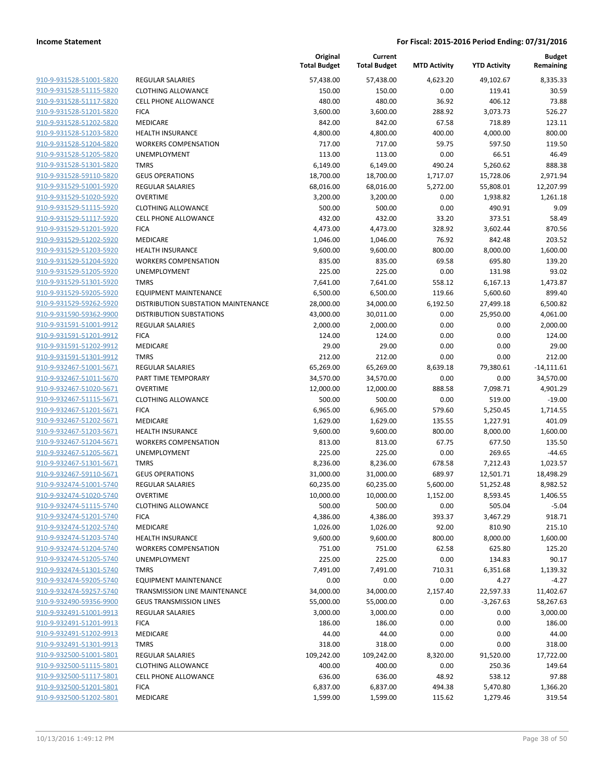|                                                    |                                     | Original<br><b>Total Budget</b> | Current<br><b>Total Budget</b> | <b>MTD Activity</b> | <b>YTD Activity</b>      | <b>Budget</b><br>Remaining |
|----------------------------------------------------|-------------------------------------|---------------------------------|--------------------------------|---------------------|--------------------------|----------------------------|
| 910-9-931528-51001-5820                            | <b>REGULAR SALARIES</b>             | 57,438.00                       | 57,438.00                      | 4,623.20            | 49,102.67                | 8,335.33                   |
| 910-9-931528-51115-5820                            | <b>CLOTHING ALLOWANCE</b>           | 150.00                          | 150.00                         | 0.00                | 119.41                   | 30.59                      |
| 910-9-931528-51117-5820                            | <b>CELL PHONE ALLOWANCE</b>         | 480.00                          | 480.00                         | 36.92               | 406.12                   | 73.88                      |
| 910-9-931528-51201-5820                            | <b>FICA</b>                         | 3,600.00                        | 3,600.00                       | 288.92              | 3,073.73                 | 526.27                     |
| 910-9-931528-51202-5820                            | MEDICARE                            | 842.00                          | 842.00                         | 67.58               | 718.89                   | 123.11                     |
| 910-9-931528-51203-5820                            | <b>HEALTH INSURANCE</b>             | 4,800.00                        | 4,800.00                       | 400.00              | 4,000.00                 | 800.00                     |
| 910-9-931528-51204-5820                            | <b>WORKERS COMPENSATION</b>         | 717.00                          | 717.00                         | 59.75               | 597.50                   | 119.50                     |
| 910-9-931528-51205-5820                            | <b>UNEMPLOYMENT</b>                 | 113.00                          | 113.00                         | 0.00                | 66.51                    | 46.49                      |
| 910-9-931528-51301-5820                            | <b>TMRS</b>                         | 6,149.00                        | 6,149.00                       | 490.24              | 5,260.62                 | 888.38                     |
| 910-9-931528-59110-5820                            | <b>GEUS OPERATIONS</b>              | 18,700.00                       | 18,700.00                      | 1,717.07            | 15,728.06                | 2,971.94                   |
| 910-9-931529-51001-5920                            | REGULAR SALARIES                    | 68,016.00                       | 68,016.00                      | 5,272.00            | 55,808.01                | 12,207.99                  |
| 910-9-931529-51020-5920                            | <b>OVERTIME</b>                     | 3,200.00                        | 3,200.00                       | 0.00                | 1,938.82                 | 1,261.18                   |
| 910-9-931529-51115-5920                            | <b>CLOTHING ALLOWANCE</b>           | 500.00                          | 500.00                         | 0.00                | 490.91                   | 9.09                       |
| 910-9-931529-51117-5920                            | <b>CELL PHONE ALLOWANCE</b>         | 432.00                          | 432.00                         | 33.20               | 373.51                   | 58.49                      |
| 910-9-931529-51201-5920                            | <b>FICA</b>                         | 4,473.00                        | 4,473.00                       | 328.92              | 3,602.44                 | 870.56                     |
| 910-9-931529-51202-5920                            | MEDICARE                            | 1,046.00                        | 1,046.00                       | 76.92               | 842.48                   | 203.52                     |
| 910-9-931529-51203-5920                            | <b>HEALTH INSURANCE</b>             | 9,600.00                        | 9,600.00                       | 800.00              | 8,000.00                 | 1,600.00                   |
| 910-9-931529-51204-5920                            | <b>WORKERS COMPENSATION</b>         | 835.00                          | 835.00                         | 69.58               | 695.80                   | 139.20                     |
| 910-9-931529-51205-5920                            | <b>UNEMPLOYMENT</b>                 | 225.00                          | 225.00                         | 0.00                | 131.98                   | 93.02                      |
| 910-9-931529-51301-5920                            | <b>TMRS</b>                         | 7,641.00                        | 7,641.00                       | 558.12              | 6,167.13                 | 1,473.87                   |
| 910-9-931529-59205-5920                            | EQUIPMENT MAINTENANCE               | 6,500.00                        | 6,500.00                       | 119.66              | 5,600.60                 | 899.40                     |
| 910-9-931529-59262-5920                            | DISTRIBUTION SUBSTATION MAINTENANCE | 28,000.00                       | 34,000.00                      | 6,192.50            | 27,499.18                | 6,500.82                   |
| 910-9-931590-59362-9900                            | <b>DISTRIBUTION SUBSTATIONS</b>     | 43,000.00                       | 30,011.00                      | 0.00                | 25,950.00                | 4,061.00                   |
| 910-9-931591-51001-9912                            | <b>REGULAR SALARIES</b>             | 2,000.00                        | 2,000.00                       | 0.00                | 0.00                     | 2,000.00                   |
| 910-9-931591-51201-9912                            | <b>FICA</b>                         | 124.00                          | 124.00                         | 0.00                | 0.00                     | 124.00                     |
| 910-9-931591-51202-9912                            | MEDICARE                            | 29.00                           | 29.00                          | 0.00                | 0.00                     | 29.00                      |
| 910-9-931591-51301-9912                            | <b>TMRS</b>                         | 212.00                          | 212.00                         | 0.00                | 0.00                     | 212.00                     |
| 910-9-932467-51001-5671                            | <b>REGULAR SALARIES</b>             | 65,269.00                       | 65,269.00                      | 8,639.18            | 79,380.61                | $-14,111.61$               |
| 910-9-932467-51011-5670                            | PART TIME TEMPORARY                 | 34,570.00                       | 34,570.00                      | 0.00                | 0.00                     | 34,570.00                  |
| 910-9-932467-51020-5671                            | <b>OVERTIME</b>                     | 12,000.00                       | 12,000.00                      | 888.58              | 7,098.71                 | 4,901.29                   |
| 910-9-932467-51115-5671                            | <b>CLOTHING ALLOWANCE</b>           | 500.00                          | 500.00                         | 0.00                | 519.00                   | $-19.00$                   |
| 910-9-932467-51201-5671                            | <b>FICA</b>                         | 6,965.00                        | 6,965.00                       | 579.60              | 5,250.45                 | 1,714.55                   |
| 910-9-932467-51202-5671                            | MEDICARE                            | 1,629.00                        | 1,629.00                       | 135.55              | 1,227.91                 | 401.09                     |
| 910-9-932467-51203-5671                            | <b>HEALTH INSURANCE</b>             | 9,600.00                        | 9,600.00                       | 800.00              | 8,000.00                 | 1,600.00                   |
| 910-9-932467-51204-5671                            | <b>WORKERS COMPENSATION</b>         | 813.00                          | 813.00                         | 67.75               | 677.50                   | 135.50                     |
| 910-9-932467-51205-5671                            | UNEMPLOYMENT                        | 225.00                          | 225.00                         | 0.00                | 269.65                   | $-44.65$                   |
| 910-9-932467-51301-5671                            | <b>TMRS</b>                         | 8,236.00                        | 8,236.00                       | 678.58              | 7,212.43                 | 1,023.57                   |
| 910-9-932467-59110-5671                            | <b>GEUS OPERATIONS</b>              | 31,000.00                       | 31,000.00                      | 689.97              | 12,501.71                | 18,498.29                  |
| 910-9-932474-51001-5740                            | <b>REGULAR SALARIES</b>             | 60,235.00                       | 60,235.00                      | 5,600.00            | 51,252.48                | 8,982.52                   |
| 910-9-932474-51020-5740                            | OVERTIME                            | 10,000.00                       | 10,000.00                      | 1,152.00            | 8,593.45                 | 1,406.55                   |
| 910-9-932474-51115-5740                            | <b>CLOTHING ALLOWANCE</b>           | 500.00                          | 500.00                         | 0.00                | 505.04                   | $-5.04$                    |
| 910-9-932474-51201-5740                            | <b>FICA</b>                         | 4,386.00                        | 4,386.00                       | 393.37              | 3,467.29                 | 918.71                     |
| 910-9-932474-51202-5740                            | MEDICARE                            | 1,026.00                        | 1,026.00                       | 92.00               | 810.90                   | 215.10                     |
| 910-9-932474-51203-5740<br>910-9-932474-51204-5740 | <b>HEALTH INSURANCE</b>             | 9,600.00                        | 9,600.00                       | 800.00              | 8,000.00                 | 1,600.00                   |
|                                                    | <b>WORKERS COMPENSATION</b>         | 751.00                          | 751.00                         | 62.58               | 625.80                   | 125.20                     |
| 910-9-932474-51205-5740<br>910-9-932474-51301-5740 | <b>UNEMPLOYMENT</b><br><b>TMRS</b>  | 225.00                          | 225.00<br>7,491.00             | 0.00                | 134.83                   | 90.17<br>1,139.32          |
| 910-9-932474-59205-5740                            | <b>EQUIPMENT MAINTENANCE</b>        | 7,491.00                        |                                | 710.31              | 6,351.68                 | $-4.27$                    |
| 910-9-932474-59257-5740                            | TRANSMISSION LINE MAINTENANCE       | 0.00                            | 0.00                           | 0.00                | 4.27                     |                            |
| 910-9-932490-59356-9900                            | <b>GEUS TRANSMISSION LINES</b>      | 34,000.00<br>55,000.00          | 34,000.00<br>55,000.00         | 2,157.40<br>0.00    | 22,597.33<br>$-3,267.63$ | 11,402.67<br>58,267.63     |
| 910-9-932491-51001-9913                            | <b>REGULAR SALARIES</b>             | 3,000.00                        | 3,000.00                       | 0.00                | 0.00                     | 3,000.00                   |
| 910-9-932491-51201-9913                            |                                     |                                 |                                |                     |                          |                            |
| 910-9-932491-51202-9913                            | <b>FICA</b><br>MEDICARE             | 186.00<br>44.00                 | 186.00<br>44.00                | 0.00<br>0.00        | 0.00<br>0.00             | 186.00<br>44.00            |
| 910-9-932491-51301-9913                            | <b>TMRS</b>                         | 318.00                          | 318.00                         | 0.00                | 0.00                     | 318.00                     |
| 910-9-932500-51001-5801                            | REGULAR SALARIES                    | 109,242.00                      | 109,242.00                     | 8,320.00            | 91,520.00                | 17,722.00                  |
| 910-9-932500-51115-5801                            | <b>CLOTHING ALLOWANCE</b>           | 400.00                          | 400.00                         | 0.00                | 250.36                   | 149.64                     |
| 910-9-932500-51117-5801                            | <b>CELL PHONE ALLOWANCE</b>         | 636.00                          | 636.00                         | 48.92               | 538.12                   | 97.88                      |
| 910-9-932500-51201-5801                            | <b>FICA</b>                         | 6,837.00                        | 6,837.00                       | 494.38              |                          | 1,366.20                   |
| 910-9-932500-51202-5801                            |                                     |                                 |                                |                     | 5,470.80                 | 319.54                     |
|                                                    | MEDICARE                            | 1,599.00                        | 1,599.00                       | 115.62              | 1,279.46                 |                            |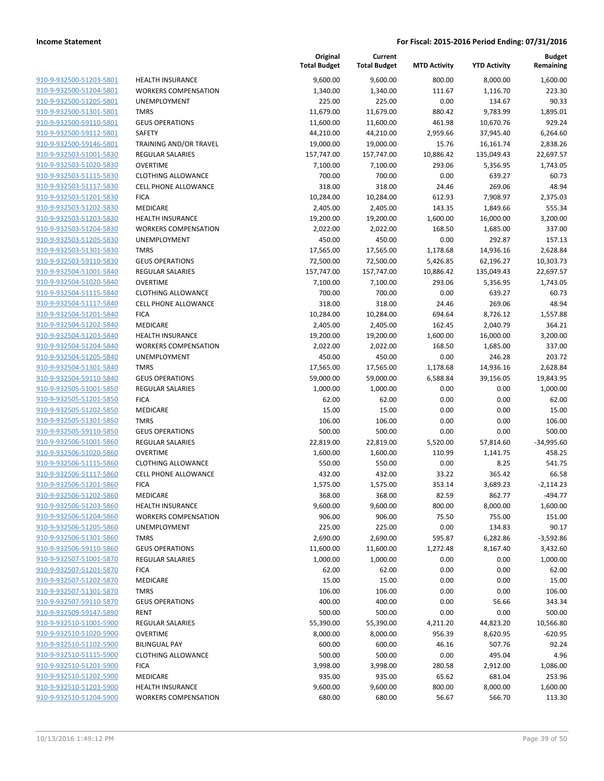| 910-9-932500-51203-5801        |
|--------------------------------|
| 910-9-932500-51204-5801        |
| 910-9-932500-51205-5801        |
| 910-9-932500-51301-5801        |
| 910-9-932500-59110-5801        |
| 910-9-932500-59112-5801        |
| 910-9-932500-59146-5801        |
| 910-9-932503-51001-5830        |
| 910-9-932503-51020-5830        |
| 910-9-932503-51115-5830        |
| 910-9-932503-51117-5830        |
| 910-9-932503-51201-5830        |
|                                |
| 910-9-932503-51202-5830        |
| <u>910-9-932503-51203-5830</u> |
| <u>910-9-932503-51204-5830</u> |
| 910-9-932503-51205-5830        |
| 910-9-932503-51301-5830        |
| 910-9-932503-59110-5830        |
| 910-9-932504-51001-5840        |
| 910-9-932504-51020-5840        |
| 910-9-932504-51115-5840        |
| 910-9-932504-51117-5840        |
| 910-9-932504-51201-5840        |
| 910-9-932504-51202-5840        |
| 910-9-932504-51203-5840        |
| 910-9-932504-51204-5840        |
| 910-9-932504-51205-5840        |
| 910-9-932504-51301-5840        |
| 910-9-932504-59110-5840        |
| <u>910-9-932505-51001-5850</u> |
| 910-9-932505-51201-5850        |
| 910-9-932505-51202-5850        |
|                                |
| 910-9-932505-51301-5850        |
| 910-9-932505-59110-5850        |
| <u>910-9-932506-51001-5860</u> |
| 910-9-932506-51020-5860        |
| 910-9-932506-51115-5860        |
| 910-9-932506-51117-5860        |
| 910-9-932506-51201-5860        |
| 910-9-932506-51202-5860        |
| 910-9-932506-51203-5860        |
| 910-9-932506-51204-5860        |
| 910-9-932506-51205-5860        |
| 910-9-932506-51301-5860        |
| 910-9-932506-59110-5860        |
| 910-9-932507-51001-5870        |
| 910-9-932507-51201-5870        |
| 910-9-932507-51202-5870        |
| 910-9-932507-51301-5870        |
| <u>910-9-932507-59110-5870</u> |
| 910-9-932509-59147-5890        |
|                                |
| 910-9-932510-51001-5900        |
| 910-9-932510-51020-5900        |
| 910-9-932510-51102-5900        |
| <u>910-9-932510-51115-5900</u> |
| 910-9-932510-51201-5900        |
| 910-9-932510-51202-5900        |
| 910-9-932510-51203-5900        |
| 910-9-932510-51204-5900        |
|                                |

| <b>HEALTH INSURANCE</b>     |
|-----------------------------|
| <b>WORKERS COMPENSATION</b> |
| <b>UNEMPLOYMENT</b>         |
| <b>TMRS</b>                 |
| <b>GEUS OPERATIONS</b>      |
| SAFETY                      |
| TRAINING AND/OR TRAVEL      |
| <b>REGULAR SALARIES</b>     |
| <b>OVERTIME</b>             |
| <b>CLOTHING ALLOWANCE</b>   |
| CELL PHONE ALLOWANCE        |
| <b>FICA</b>                 |
| <b>MEDICARE</b>             |
| <b>HEALTH INSURANCE</b>     |
| <b>WORKERS COMPENSATION</b> |
| <b>UNEMPLOYMENT</b>         |
| <b>TMRS</b>                 |
| <b>GEUS OPERATIONS</b>      |
| <b>REGULAR SALARIES</b>     |
| <b>OVERTIME</b>             |
| <b>CLOTHING ALLOWANCE</b>   |
| <b>CELL PHONE ALLOWANCE</b> |
| <b>FICA</b>                 |
| <b>MEDICARE</b>             |
| <b>HEALTH INSURANCE</b>     |
| <b>WORKERS COMPENSATION</b> |
| UNEMPLOYMENT                |
| <b>TMRS</b>                 |
| <b>GEUS OPERATIONS</b>      |
| <b>REGULAR SALARIES</b>     |
| <b>FICA</b>                 |
| <b>MEDICARE</b>             |
| <b>TMRS</b>                 |
| <b>GEUS OPERATIONS</b>      |
| <b>REGULAR SALARIES</b>     |
| <b>OVERTIME</b>             |
| <b>CLOTHING ALLOWANCE</b>   |
| <b>CELL PHONE ALLOWANCE</b> |
| <b>FICA</b>                 |
| <b>MEDICARE</b>             |
| <b>HEALTH INSURANCE</b>     |
| <b>WORKERS COMPENSATION</b> |
| <b>UNEMPLOYMENT</b>         |
| <b>TMRS</b>                 |
| <b>GEUS OPERATIONS</b>      |
| <b>REGULAR SALARIES</b>     |
| <b>FICA</b>                 |
| <b>MEDICARE</b>             |
| <b>TMRS</b>                 |
| <b>GEUS OPERATIONS</b>      |
| <b>RENT</b>                 |
| <b>REGULAR SALARIES</b>     |
| <b>OVERTIME</b>             |
| <b>BILINGUAL PAY</b>        |
| <b>CLOTHING ALLOWANCE</b>   |
| <b>FICA</b>                 |
| <b>MEDICARE</b>             |
| <b>HEALTH INSURANCE</b>     |

|                         |                             | Original<br><b>Total Budget</b> | Current<br><b>Total Budget</b> | <b>MTD Activity</b> | <b>YTD Activity</b> | <b>Budget</b><br>Remaining |
|-------------------------|-----------------------------|---------------------------------|--------------------------------|---------------------|---------------------|----------------------------|
| 910-9-932500-51203-5801 | <b>HEALTH INSURANCE</b>     | 9,600.00                        | 9,600.00                       | 800.00              | 8,000.00            | 1,600.00                   |
| 910-9-932500-51204-5801 | <b>WORKERS COMPENSATION</b> | 1,340.00                        | 1,340.00                       | 111.67              | 1,116.70            | 223.30                     |
| 910-9-932500-51205-5801 | <b>UNEMPLOYMENT</b>         | 225.00                          | 225.00                         | 0.00                | 134.67              | 90.33                      |
| 910-9-932500-51301-5801 | <b>TMRS</b>                 | 11,679.00                       | 11,679.00                      | 880.42              | 9,783.99            | 1,895.01                   |
| 910-9-932500-59110-5801 | <b>GEUS OPERATIONS</b>      | 11,600.00                       | 11,600.00                      | 461.98              | 10,670.76           | 929.24                     |
| 910-9-932500-59112-5801 | <b>SAFETY</b>               | 44,210.00                       | 44,210.00                      | 2,959.66            | 37,945.40           | 6,264.60                   |
| 910-9-932500-59146-5801 | TRAINING AND/OR TRAVEL      | 19,000.00                       | 19,000.00                      | 15.76               | 16,161.74           | 2,838.26                   |
| 910-9-932503-51001-5830 | REGULAR SALARIES            | 157,747.00                      | 157,747.00                     | 10,886.42           | 135,049.43          | 22,697.57                  |
| 910-9-932503-51020-5830 | <b>OVERTIME</b>             | 7,100.00                        | 7,100.00                       | 293.06              | 5,356.95            | 1,743.05                   |
| 910-9-932503-51115-5830 | <b>CLOTHING ALLOWANCE</b>   | 700.00                          | 700.00                         | 0.00                | 639.27              | 60.73                      |
| 910-9-932503-51117-5830 | CELL PHONE ALLOWANCE        | 318.00                          | 318.00                         | 24.46               | 269.06              | 48.94                      |
| 910-9-932503-51201-5830 | <b>FICA</b>                 | 10,284.00                       | 10,284.00                      | 612.93              | 7,908.97            | 2,375.03                   |
| 910-9-932503-51202-5830 | MEDICARE                    | 2,405.00                        | 2,405.00                       | 143.35              | 1,849.66            | 555.34                     |
| 910-9-932503-51203-5830 | <b>HEALTH INSURANCE</b>     | 19,200.00                       | 19,200.00                      | 1,600.00            | 16,000.00           | 3,200.00                   |
| 910-9-932503-51204-5830 | <b>WORKERS COMPENSATION</b> | 2,022.00                        | 2,022.00                       | 168.50              | 1,685.00            | 337.00                     |
| 910-9-932503-51205-5830 | <b>UNEMPLOYMENT</b>         | 450.00                          | 450.00                         | 0.00                | 292.87              | 157.13                     |
| 910-9-932503-51301-5830 | <b>TMRS</b>                 | 17,565.00                       | 17,565.00                      | 1,178.68            | 14,936.16           | 2,628.84                   |
| 910-9-932503-59110-5830 | <b>GEUS OPERATIONS</b>      | 72,500.00                       | 72,500.00                      | 5,426.85            | 62,196.27           | 10,303.73                  |
| 910-9-932504-51001-5840 | <b>REGULAR SALARIES</b>     | 157,747.00                      | 157,747.00                     | 10,886.42           | 135,049.43          | 22,697.57                  |
| 910-9-932504-51020-5840 | <b>OVERTIME</b>             | 7,100.00                        | 7,100.00                       | 293.06              | 5,356.95            | 1,743.05                   |
| 910-9-932504-51115-5840 | <b>CLOTHING ALLOWANCE</b>   | 700.00                          | 700.00                         | 0.00                | 639.27              | 60.73                      |
| 910-9-932504-51117-5840 | CELL PHONE ALLOWANCE        | 318.00                          | 318.00                         | 24.46               | 269.06              | 48.94                      |
| 910-9-932504-51201-5840 | <b>FICA</b>                 | 10,284.00                       | 10,284.00                      | 694.64              | 8,726.12            | 1,557.88                   |
| 910-9-932504-51202-5840 | <b>MEDICARE</b>             | 2,405.00                        | 2,405.00                       | 162.45              | 2,040.79            | 364.21                     |
| 910-9-932504-51203-5840 | <b>HEALTH INSURANCE</b>     | 19,200.00                       | 19,200.00                      | 1,600.00            | 16,000.00           | 3,200.00                   |
| 910-9-932504-51204-5840 | <b>WORKERS COMPENSATION</b> | 2,022.00                        | 2,022.00                       | 168.50              | 1,685.00            | 337.00                     |
| 910-9-932504-51205-5840 | UNEMPLOYMENT                | 450.00                          | 450.00                         | 0.00                | 246.28              | 203.72                     |
| 910-9-932504-51301-5840 | <b>TMRS</b>                 | 17,565.00                       | 17,565.00                      | 1,178.68            | 14,936.16           | 2,628.84                   |
| 910-9-932504-59110-5840 | <b>GEUS OPERATIONS</b>      | 59,000.00                       | 59,000.00                      | 6,588.84            | 39,156.05           | 19,843.95                  |
| 910-9-932505-51001-5850 | <b>REGULAR SALARIES</b>     | 1,000.00                        | 1,000.00                       | 0.00                | 0.00                | 1,000.00                   |
| 910-9-932505-51201-5850 | <b>FICA</b>                 | 62.00                           | 62.00                          | 0.00                | 0.00                | 62.00                      |
| 910-9-932505-51202-5850 | MEDICARE                    | 15.00                           | 15.00                          | 0.00                | 0.00                | 15.00                      |
| 910-9-932505-51301-5850 | <b>TMRS</b>                 | 106.00                          | 106.00                         | 0.00                | 0.00                | 106.00                     |
| 910-9-932505-59110-5850 | <b>GEUS OPERATIONS</b>      | 500.00                          | 500.00                         | 0.00                | 0.00                | 500.00                     |
| 910-9-932506-51001-5860 | REGULAR SALARIES            | 22,819.00                       | 22,819.00                      | 5,520.00            | 57,814.60           | $-34,995.60$               |
| 910-9-932506-51020-5860 | <b>OVERTIME</b>             | 1,600.00                        | 1,600.00                       | 110.99              | 1,141.75            | 458.25                     |
| 910-9-932506-51115-5860 | <b>CLOTHING ALLOWANCE</b>   | 550.00                          | 550.00                         | 0.00                | 8.25                | 541.75                     |
| 910-9-932506-51117-5860 | <b>CELL PHONE ALLOWANCE</b> | 432.00                          | 432.00                         | 33.22               | 365.42              | 66.58                      |
| 910-9-932506-51201-5860 | <b>FICA</b>                 | 1,575.00                        | 1,575.00                       | 353.14              | 3,689.23            | $-2,114.23$                |
| 910-9-932506-51202-5860 | <b>MEDICARE</b>             | 368.00                          | 368.00                         | 82.59               | 862.77              | $-494.77$                  |
| 910-9-932506-51203-5860 | <b>HEALTH INSURANCE</b>     | 9,600.00                        | 9,600.00                       | 800.00              | 8,000.00            | 1,600.00                   |
| 910-9-932506-51204-5860 | <b>WORKERS COMPENSATION</b> | 906.00                          | 906.00                         | 75.50               | 755.00              | 151.00                     |
| 910-9-932506-51205-5860 | <b>UNEMPLOYMENT</b>         | 225.00                          | 225.00                         | 0.00                | 134.83              | 90.17                      |
| 910-9-932506-51301-5860 | <b>TMRS</b>                 | 2,690.00                        | 2,690.00                       | 595.87              | 6,282.86            | $-3,592.86$                |
| 910-9-932506-59110-5860 | <b>GEUS OPERATIONS</b>      | 11,600.00                       | 11,600.00                      | 1,272.48            | 8,167.40            | 3,432.60                   |
| 910-9-932507-51001-5870 | REGULAR SALARIES            | 1,000.00                        | 1,000.00                       | 0.00                | 0.00                | 1,000.00                   |
| 910-9-932507-51201-5870 | <b>FICA</b>                 | 62.00                           | 62.00                          | 0.00                | 0.00                | 62.00                      |
| 910-9-932507-51202-5870 | MEDICARE                    | 15.00                           | 15.00                          | 0.00                | 0.00                | 15.00                      |
| 910-9-932507-51301-5870 | <b>TMRS</b>                 | 106.00                          | 106.00                         | 0.00                | 0.00                | 106.00                     |
| 910-9-932507-59110-5870 | <b>GEUS OPERATIONS</b>      | 400.00                          | 400.00                         | 0.00                | 56.66               | 343.34                     |
| 910-9-932509-59147-5890 | RENT                        | 500.00                          | 500.00                         | 0.00                | 0.00                | 500.00                     |
| 910-9-932510-51001-5900 | REGULAR SALARIES            | 55,390.00                       | 55,390.00                      | 4,211.20            | 44,823.20           | 10,566.80                  |
| 910-9-932510-51020-5900 | <b>OVERTIME</b>             | 8,000.00                        | 8,000.00                       | 956.39              | 8,620.95            | $-620.95$                  |
| 910-9-932510-51102-5900 | <b>BILINGUAL PAY</b>        | 600.00                          | 600.00                         | 46.16               | 507.76              | 92.24                      |
| 910-9-932510-51115-5900 | <b>CLOTHING ALLOWANCE</b>   | 500.00                          | 500.00                         | 0.00                | 495.04              | 4.96                       |
| 910-9-932510-51201-5900 | <b>FICA</b>                 | 3,998.00                        | 3,998.00                       | 280.58              | 2,912.00            | 1,086.00                   |
| 910-9-932510-51202-5900 | MEDICARE                    | 935.00                          | 935.00                         | 65.62               | 681.04              | 253.96                     |
| 910-9-932510-51203-5900 | <b>HEALTH INSURANCE</b>     | 9,600.00                        | 9,600.00                       | 800.00              | 8,000.00            | 1,600.00                   |
| 910-9-932510-51204-5900 | <b>WORKERS COMPENSATION</b> | 680.00                          | 680.00                         | 56.67               | 566.70              | 113.30                     |
|                         |                             |                                 |                                |                     |                     |                            |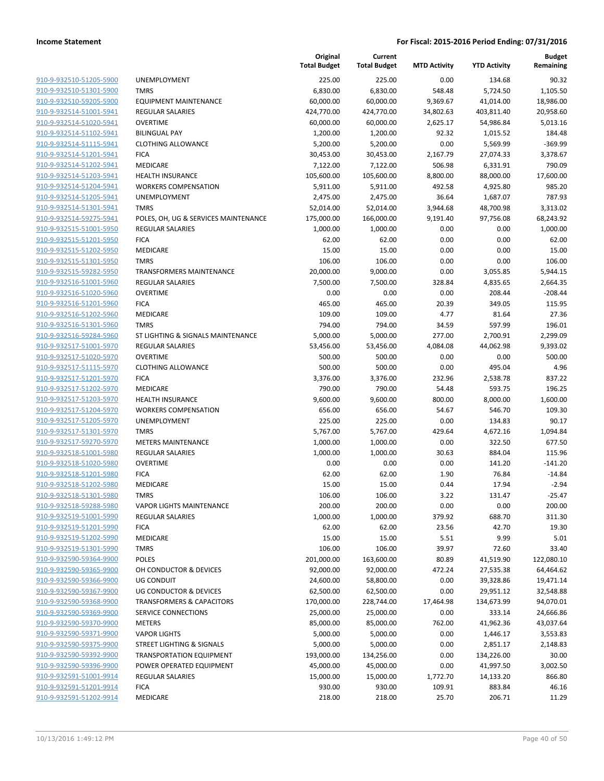| 910-9-932510-51205-5900<br><b>UNEMPLOYMENT</b><br>225.00<br>225.00<br>0.00<br>910-9-932510-51301-5900<br><b>TMRS</b><br>6,830.00<br>6,830.00<br>548.48<br>910-9-932510-59205-5900<br><b>EQUIPMENT MAINTENANCE</b><br>60,000.00<br>60,000.00<br>9,369.67<br>910-9-932514-51001-5941<br><b>REGULAR SALARIES</b><br>424,770.00<br>424,770.00<br>34,802.63<br>403,811.40<br>910-9-932514-51020-5941<br><b>OVERTIME</b><br>60,000.00<br>60,000.00<br>2,625.17<br>910-9-932514-51102-5941<br><b>BILINGUAL PAY</b><br>1,200.00<br>1,200.00<br>92.32<br>910-9-932514-51115-5941<br><b>CLOTHING ALLOWANCE</b><br>5,200.00<br>5,200.00<br>0.00<br>910-9-932514-51201-5941<br><b>FICA</b><br>30,453.00<br>30,453.00<br>2,167.79<br>910-9-932514-51202-5941<br><b>MEDICARE</b><br>7,122.00<br>7,122.00<br>506.98<br>910-9-932514-51203-5941<br><b>HEALTH INSURANCE</b><br>105,600.00<br>105,600.00<br>8,800.00<br>910-9-932514-51204-5941<br><b>WORKERS COMPENSATION</b><br>5,911.00<br>5,911.00<br>492.58<br>36.64<br>910-9-932514-51205-5941<br>UNEMPLOYMENT<br>2,475.00<br>2,475.00<br>910-9-932514-51301-5941<br><b>TMRS</b><br>52,014.00<br>52,014.00<br>3,944.68<br>910-9-932514-59275-5941<br>POLES, OH, UG & SERVICES MAINTENANCE<br>175,000.00<br>166,000.00<br>9,191.40<br>910-9-932515-51001-5950<br><b>REGULAR SALARIES</b><br>1,000.00<br>1,000.00<br>0.00<br>910-9-932515-51201-5950<br><b>FICA</b><br>62.00<br>62.00<br>0.00<br>15.00<br>15.00<br>910-9-932515-51202-5950<br>MEDICARE<br>0.00<br>910-9-932515-51301-5950<br><b>TMRS</b><br>106.00<br>106.00<br>0.00<br>910-9-932515-59282-5950<br>20,000.00<br>0.00<br><b>TRANSFORMERS MAINTENANCE</b><br>9,000.00<br>910-9-932516-51001-5960<br><b>REGULAR SALARIES</b><br>7,500.00<br>7,500.00<br>328.84<br>910-9-932516-51020-5960<br><b>OVERTIME</b><br>0.00<br>0.00<br>0.00<br>465.00<br>20.39<br>910-9-932516-51201-5960<br><b>FICA</b><br>465.00 | 134.68<br>90.32                |
|------------------------------------------------------------------------------------------------------------------------------------------------------------------------------------------------------------------------------------------------------------------------------------------------------------------------------------------------------------------------------------------------------------------------------------------------------------------------------------------------------------------------------------------------------------------------------------------------------------------------------------------------------------------------------------------------------------------------------------------------------------------------------------------------------------------------------------------------------------------------------------------------------------------------------------------------------------------------------------------------------------------------------------------------------------------------------------------------------------------------------------------------------------------------------------------------------------------------------------------------------------------------------------------------------------------------------------------------------------------------------------------------------------------------------------------------------------------------------------------------------------------------------------------------------------------------------------------------------------------------------------------------------------------------------------------------------------------------------------------------------------------------------------------------------------------------------------------------------------------------------------------------------------|--------------------------------|
|                                                                                                                                                                                                                                                                                                                                                                                                                                                                                                                                                                                                                                                                                                                                                                                                                                                                                                                                                                                                                                                                                                                                                                                                                                                                                                                                                                                                                                                                                                                                                                                                                                                                                                                                                                                                                                                                                                            |                                |
|                                                                                                                                                                                                                                                                                                                                                                                                                                                                                                                                                                                                                                                                                                                                                                                                                                                                                                                                                                                                                                                                                                                                                                                                                                                                                                                                                                                                                                                                                                                                                                                                                                                                                                                                                                                                                                                                                                            | 5,724.50<br>1,105.50           |
|                                                                                                                                                                                                                                                                                                                                                                                                                                                                                                                                                                                                                                                                                                                                                                                                                                                                                                                                                                                                                                                                                                                                                                                                                                                                                                                                                                                                                                                                                                                                                                                                                                                                                                                                                                                                                                                                                                            | 41,014.00<br>18,986.00         |
|                                                                                                                                                                                                                                                                                                                                                                                                                                                                                                                                                                                                                                                                                                                                                                                                                                                                                                                                                                                                                                                                                                                                                                                                                                                                                                                                                                                                                                                                                                                                                                                                                                                                                                                                                                                                                                                                                                            | 20,958.60                      |
|                                                                                                                                                                                                                                                                                                                                                                                                                                                                                                                                                                                                                                                                                                                                                                                                                                                                                                                                                                                                                                                                                                                                                                                                                                                                                                                                                                                                                                                                                                                                                                                                                                                                                                                                                                                                                                                                                                            | 54,986.84<br>5,013.16          |
|                                                                                                                                                                                                                                                                                                                                                                                                                                                                                                                                                                                                                                                                                                                                                                                                                                                                                                                                                                                                                                                                                                                                                                                                                                                                                                                                                                                                                                                                                                                                                                                                                                                                                                                                                                                                                                                                                                            | 1,015.52<br>184.48             |
|                                                                                                                                                                                                                                                                                                                                                                                                                                                                                                                                                                                                                                                                                                                                                                                                                                                                                                                                                                                                                                                                                                                                                                                                                                                                                                                                                                                                                                                                                                                                                                                                                                                                                                                                                                                                                                                                                                            | $-369.99$<br>5,569.99          |
|                                                                                                                                                                                                                                                                                                                                                                                                                                                                                                                                                                                                                                                                                                                                                                                                                                                                                                                                                                                                                                                                                                                                                                                                                                                                                                                                                                                                                                                                                                                                                                                                                                                                                                                                                                                                                                                                                                            | 27,074.33<br>3,378.67          |
|                                                                                                                                                                                                                                                                                                                                                                                                                                                                                                                                                                                                                                                                                                                                                                                                                                                                                                                                                                                                                                                                                                                                                                                                                                                                                                                                                                                                                                                                                                                                                                                                                                                                                                                                                                                                                                                                                                            | 6,331.91<br>790.09             |
|                                                                                                                                                                                                                                                                                                                                                                                                                                                                                                                                                                                                                                                                                                                                                                                                                                                                                                                                                                                                                                                                                                                                                                                                                                                                                                                                                                                                                                                                                                                                                                                                                                                                                                                                                                                                                                                                                                            | 17,600.00<br>88,000.00         |
|                                                                                                                                                                                                                                                                                                                                                                                                                                                                                                                                                                                                                                                                                                                                                                                                                                                                                                                                                                                                                                                                                                                                                                                                                                                                                                                                                                                                                                                                                                                                                                                                                                                                                                                                                                                                                                                                                                            | 985.20<br>4,925.80             |
|                                                                                                                                                                                                                                                                                                                                                                                                                                                                                                                                                                                                                                                                                                                                                                                                                                                                                                                                                                                                                                                                                                                                                                                                                                                                                                                                                                                                                                                                                                                                                                                                                                                                                                                                                                                                                                                                                                            | 787.93<br>1,687.07             |
|                                                                                                                                                                                                                                                                                                                                                                                                                                                                                                                                                                                                                                                                                                                                                                                                                                                                                                                                                                                                                                                                                                                                                                                                                                                                                                                                                                                                                                                                                                                                                                                                                                                                                                                                                                                                                                                                                                            | 48,700.98<br>3,313.02          |
|                                                                                                                                                                                                                                                                                                                                                                                                                                                                                                                                                                                                                                                                                                                                                                                                                                                                                                                                                                                                                                                                                                                                                                                                                                                                                                                                                                                                                                                                                                                                                                                                                                                                                                                                                                                                                                                                                                            | 97,756.08<br>68,243.92         |
|                                                                                                                                                                                                                                                                                                                                                                                                                                                                                                                                                                                                                                                                                                                                                                                                                                                                                                                                                                                                                                                                                                                                                                                                                                                                                                                                                                                                                                                                                                                                                                                                                                                                                                                                                                                                                                                                                                            | 0.00<br>1,000.00               |
|                                                                                                                                                                                                                                                                                                                                                                                                                                                                                                                                                                                                                                                                                                                                                                                                                                                                                                                                                                                                                                                                                                                                                                                                                                                                                                                                                                                                                                                                                                                                                                                                                                                                                                                                                                                                                                                                                                            | 0.00<br>62.00                  |
|                                                                                                                                                                                                                                                                                                                                                                                                                                                                                                                                                                                                                                                                                                                                                                                                                                                                                                                                                                                                                                                                                                                                                                                                                                                                                                                                                                                                                                                                                                                                                                                                                                                                                                                                                                                                                                                                                                            | 15.00<br>0.00                  |
|                                                                                                                                                                                                                                                                                                                                                                                                                                                                                                                                                                                                                                                                                                                                                                                                                                                                                                                                                                                                                                                                                                                                                                                                                                                                                                                                                                                                                                                                                                                                                                                                                                                                                                                                                                                                                                                                                                            | 0.00<br>106.00                 |
|                                                                                                                                                                                                                                                                                                                                                                                                                                                                                                                                                                                                                                                                                                                                                                                                                                                                                                                                                                                                                                                                                                                                                                                                                                                                                                                                                                                                                                                                                                                                                                                                                                                                                                                                                                                                                                                                                                            | 3,055.85<br>5,944.15           |
|                                                                                                                                                                                                                                                                                                                                                                                                                                                                                                                                                                                                                                                                                                                                                                                                                                                                                                                                                                                                                                                                                                                                                                                                                                                                                                                                                                                                                                                                                                                                                                                                                                                                                                                                                                                                                                                                                                            | 4,835.65<br>2,664.35           |
|                                                                                                                                                                                                                                                                                                                                                                                                                                                                                                                                                                                                                                                                                                                                                                                                                                                                                                                                                                                                                                                                                                                                                                                                                                                                                                                                                                                                                                                                                                                                                                                                                                                                                                                                                                                                                                                                                                            | $-208.44$<br>208.44            |
|                                                                                                                                                                                                                                                                                                                                                                                                                                                                                                                                                                                                                                                                                                                                                                                                                                                                                                                                                                                                                                                                                                                                                                                                                                                                                                                                                                                                                                                                                                                                                                                                                                                                                                                                                                                                                                                                                                            | 349.05<br>115.95               |
| 910-9-932516-51202-5960<br><b>MEDICARE</b><br>109.00<br>109.00<br>4.77                                                                                                                                                                                                                                                                                                                                                                                                                                                                                                                                                                                                                                                                                                                                                                                                                                                                                                                                                                                                                                                                                                                                                                                                                                                                                                                                                                                                                                                                                                                                                                                                                                                                                                                                                                                                                                     | 81.64<br>27.36                 |
| 910-9-932516-51301-5960<br><b>TMRS</b><br>794.00<br>794.00<br>34.59                                                                                                                                                                                                                                                                                                                                                                                                                                                                                                                                                                                                                                                                                                                                                                                                                                                                                                                                                                                                                                                                                                                                                                                                                                                                                                                                                                                                                                                                                                                                                                                                                                                                                                                                                                                                                                        | 597.99<br>196.01               |
| 910-9-932516-59284-5960<br>ST LIGHTING & SIGNALS MAINTENANCE<br>5,000.00<br>5,000.00<br>277.00                                                                                                                                                                                                                                                                                                                                                                                                                                                                                                                                                                                                                                                                                                                                                                                                                                                                                                                                                                                                                                                                                                                                                                                                                                                                                                                                                                                                                                                                                                                                                                                                                                                                                                                                                                                                             | 2,700.91<br>2,299.09           |
| 910-9-932517-51001-5970<br><b>REGULAR SALARIES</b><br>53,456.00<br>53,456.00<br>4,084.08                                                                                                                                                                                                                                                                                                                                                                                                                                                                                                                                                                                                                                                                                                                                                                                                                                                                                                                                                                                                                                                                                                                                                                                                                                                                                                                                                                                                                                                                                                                                                                                                                                                                                                                                                                                                                   | 44,062.98<br>9,393.02          |
| <b>OVERTIME</b><br>910-9-932517-51020-5970<br>500.00<br>500.00<br>0.00                                                                                                                                                                                                                                                                                                                                                                                                                                                                                                                                                                                                                                                                                                                                                                                                                                                                                                                                                                                                                                                                                                                                                                                                                                                                                                                                                                                                                                                                                                                                                                                                                                                                                                                                                                                                                                     | 0.00<br>500.00                 |
| 910-9-932517-51115-5970<br><b>CLOTHING ALLOWANCE</b><br>500.00<br>500.00<br>0.00                                                                                                                                                                                                                                                                                                                                                                                                                                                                                                                                                                                                                                                                                                                                                                                                                                                                                                                                                                                                                                                                                                                                                                                                                                                                                                                                                                                                                                                                                                                                                                                                                                                                                                                                                                                                                           | 495.04<br>4.96                 |
| 910-9-932517-51201-5970<br><b>FICA</b><br>3,376.00<br>3,376.00<br>232.96                                                                                                                                                                                                                                                                                                                                                                                                                                                                                                                                                                                                                                                                                                                                                                                                                                                                                                                                                                                                                                                                                                                                                                                                                                                                                                                                                                                                                                                                                                                                                                                                                                                                                                                                                                                                                                   | 2,538.78<br>837.22<br>196.25   |
| 910-9-932517-51202-5970<br>MEDICARE<br>790.00<br>790.00<br>54.48<br>910-9-932517-51203-5970<br><b>HEALTH INSURANCE</b><br>9,600.00<br>9,600.00<br>800.00                                                                                                                                                                                                                                                                                                                                                                                                                                                                                                                                                                                                                                                                                                                                                                                                                                                                                                                                                                                                                                                                                                                                                                                                                                                                                                                                                                                                                                                                                                                                                                                                                                                                                                                                                   | 593.75<br>8,000.00<br>1,600.00 |
| 656.00<br>54.67<br>910-9-932517-51204-5970<br><b>WORKERS COMPENSATION</b><br>656.00                                                                                                                                                                                                                                                                                                                                                                                                                                                                                                                                                                                                                                                                                                                                                                                                                                                                                                                                                                                                                                                                                                                                                                                                                                                                                                                                                                                                                                                                                                                                                                                                                                                                                                                                                                                                                        | 109.30<br>546.70               |
| 910-9-932517-51205-5970<br>UNEMPLOYMENT<br>225.00<br>225.00<br>0.00                                                                                                                                                                                                                                                                                                                                                                                                                                                                                                                                                                                                                                                                                                                                                                                                                                                                                                                                                                                                                                                                                                                                                                                                                                                                                                                                                                                                                                                                                                                                                                                                                                                                                                                                                                                                                                        | 134.83<br>90.17                |
| 910-9-932517-51301-5970<br><b>TMRS</b><br>5,767.00<br>5,767.00<br>429.64                                                                                                                                                                                                                                                                                                                                                                                                                                                                                                                                                                                                                                                                                                                                                                                                                                                                                                                                                                                                                                                                                                                                                                                                                                                                                                                                                                                                                                                                                                                                                                                                                                                                                                                                                                                                                                   | 4,672.16<br>1,094.84           |
| 910-9-932517-59270-5970<br><b>METERS MAINTENANCE</b><br>1,000.00<br>1,000.00<br>0.00                                                                                                                                                                                                                                                                                                                                                                                                                                                                                                                                                                                                                                                                                                                                                                                                                                                                                                                                                                                                                                                                                                                                                                                                                                                                                                                                                                                                                                                                                                                                                                                                                                                                                                                                                                                                                       | 322.50<br>677.50               |
| 910-9-932518-51001-5980<br><b>REGULAR SALARIES</b><br>1,000.00<br>1,000.00<br>30.63                                                                                                                                                                                                                                                                                                                                                                                                                                                                                                                                                                                                                                                                                                                                                                                                                                                                                                                                                                                                                                                                                                                                                                                                                                                                                                                                                                                                                                                                                                                                                                                                                                                                                                                                                                                                                        | 884.04<br>115.96               |
| <b>OVERTIME</b><br>910-9-932518-51020-5980<br>0.00<br>0.00<br>0.00                                                                                                                                                                                                                                                                                                                                                                                                                                                                                                                                                                                                                                                                                                                                                                                                                                                                                                                                                                                                                                                                                                                                                                                                                                                                                                                                                                                                                                                                                                                                                                                                                                                                                                                                                                                                                                         | 141.20<br>$-141.20$            |
| 910-9-932518-51201-5980<br><b>FICA</b><br>62.00<br>62.00<br>1.90                                                                                                                                                                                                                                                                                                                                                                                                                                                                                                                                                                                                                                                                                                                                                                                                                                                                                                                                                                                                                                                                                                                                                                                                                                                                                                                                                                                                                                                                                                                                                                                                                                                                                                                                                                                                                                           | 76.84<br>$-14.84$              |
| 910-9-932518-51202-5980<br>MEDICARE<br>15.00<br>15.00<br>0.44                                                                                                                                                                                                                                                                                                                                                                                                                                                                                                                                                                                                                                                                                                                                                                                                                                                                                                                                                                                                                                                                                                                                                                                                                                                                                                                                                                                                                                                                                                                                                                                                                                                                                                                                                                                                                                              | 17.94<br>$-2.94$               |
| 3.22<br>910-9-932518-51301-5980<br><b>TMRS</b><br>106.00<br>106.00                                                                                                                                                                                                                                                                                                                                                                                                                                                                                                                                                                                                                                                                                                                                                                                                                                                                                                                                                                                                                                                                                                                                                                                                                                                                                                                                                                                                                                                                                                                                                                                                                                                                                                                                                                                                                                         | $-25.47$<br>131.47             |
| 910-9-932518-59288-5980<br>200.00<br>200.00<br>0.00<br><b>VAPOR LIGHTS MAINTENANCE</b>                                                                                                                                                                                                                                                                                                                                                                                                                                                                                                                                                                                                                                                                                                                                                                                                                                                                                                                                                                                                                                                                                                                                                                                                                                                                                                                                                                                                                                                                                                                                                                                                                                                                                                                                                                                                                     | 0.00<br>200.00                 |
| 1,000.00<br>1,000.00<br>379.92<br>910-9-932519-51001-5990<br>REGULAR SALARIES                                                                                                                                                                                                                                                                                                                                                                                                                                                                                                                                                                                                                                                                                                                                                                                                                                                                                                                                                                                                                                                                                                                                                                                                                                                                                                                                                                                                                                                                                                                                                                                                                                                                                                                                                                                                                              | 688.70<br>311.30               |
| 910-9-932519-51201-5990<br>62.00<br>62.00<br>23.56<br><b>FICA</b>                                                                                                                                                                                                                                                                                                                                                                                                                                                                                                                                                                                                                                                                                                                                                                                                                                                                                                                                                                                                                                                                                                                                                                                                                                                                                                                                                                                                                                                                                                                                                                                                                                                                                                                                                                                                                                          | 42.70<br>19.30                 |
| 910-9-932519-51202-5990<br>MEDICARE<br>15.00<br>15.00<br>5.51                                                                                                                                                                                                                                                                                                                                                                                                                                                                                                                                                                                                                                                                                                                                                                                                                                                                                                                                                                                                                                                                                                                                                                                                                                                                                                                                                                                                                                                                                                                                                                                                                                                                                                                                                                                                                                              | 9.99<br>5.01                   |
| 910-9-932519-51301-5990<br><b>TMRS</b><br>106.00<br>106.00<br>39.97                                                                                                                                                                                                                                                                                                                                                                                                                                                                                                                                                                                                                                                                                                                                                                                                                                                                                                                                                                                                                                                                                                                                                                                                                                                                                                                                                                                                                                                                                                                                                                                                                                                                                                                                                                                                                                        | 72.60<br>33.40                 |
| 910-9-932590-59364-9900<br>POLES<br>201,000.00<br>163,600.00<br>80.89                                                                                                                                                                                                                                                                                                                                                                                                                                                                                                                                                                                                                                                                                                                                                                                                                                                                                                                                                                                                                                                                                                                                                                                                                                                                                                                                                                                                                                                                                                                                                                                                                                                                                                                                                                                                                                      | 41,519.90<br>122,080.10        |
| 910-9-932590-59365-9900<br>OH CONDUCTOR & DEVICES<br>92,000.00<br>92,000.00<br>472.24                                                                                                                                                                                                                                                                                                                                                                                                                                                                                                                                                                                                                                                                                                                                                                                                                                                                                                                                                                                                                                                                                                                                                                                                                                                                                                                                                                                                                                                                                                                                                                                                                                                                                                                                                                                                                      | 27,535.38<br>64,464.62         |
| 910-9-932590-59366-9900<br>UG CONDUIT<br>24,600.00<br>58,800.00<br>0.00                                                                                                                                                                                                                                                                                                                                                                                                                                                                                                                                                                                                                                                                                                                                                                                                                                                                                                                                                                                                                                                                                                                                                                                                                                                                                                                                                                                                                                                                                                                                                                                                                                                                                                                                                                                                                                    | 19,471.14<br>39,328.86         |
| 910-9-932590-59367-9900<br><b>UG CONDUCTOR &amp; DEVICES</b><br>62,500.00<br>62,500.00<br>0.00                                                                                                                                                                                                                                                                                                                                                                                                                                                                                                                                                                                                                                                                                                                                                                                                                                                                                                                                                                                                                                                                                                                                                                                                                                                                                                                                                                                                                                                                                                                                                                                                                                                                                                                                                                                                             | 29,951.12<br>32,548.88         |
| 910-9-932590-59368-9900<br><b>TRANSFORMERS &amp; CAPACITORS</b><br>170,000.00<br>228,744.00<br>17,464.98<br>134,673.99                                                                                                                                                                                                                                                                                                                                                                                                                                                                                                                                                                                                                                                                                                                                                                                                                                                                                                                                                                                                                                                                                                                                                                                                                                                                                                                                                                                                                                                                                                                                                                                                                                                                                                                                                                                     | 94,070.01                      |
| 910-9-932590-59369-9900<br>SERVICE CONNECTIONS<br>25,000.00<br>25,000.00<br>0.00                                                                                                                                                                                                                                                                                                                                                                                                                                                                                                                                                                                                                                                                                                                                                                                                                                                                                                                                                                                                                                                                                                                                                                                                                                                                                                                                                                                                                                                                                                                                                                                                                                                                                                                                                                                                                           | 333.14<br>24,666.86            |
| 910-9-932590-59370-9900<br><b>METERS</b><br>85,000.00<br>85,000.00<br>762.00                                                                                                                                                                                                                                                                                                                                                                                                                                                                                                                                                                                                                                                                                                                                                                                                                                                                                                                                                                                                                                                                                                                                                                                                                                                                                                                                                                                                                                                                                                                                                                                                                                                                                                                                                                                                                               | 41,962.36<br>43,037.64         |
| 910-9-932590-59371-9900<br><b>VAPOR LIGHTS</b><br>5,000.00<br>5,000.00<br>0.00                                                                                                                                                                                                                                                                                                                                                                                                                                                                                                                                                                                                                                                                                                                                                                                                                                                                                                                                                                                                                                                                                                                                                                                                                                                                                                                                                                                                                                                                                                                                                                                                                                                                                                                                                                                                                             | 1,446.17<br>3,553.83           |
| 910-9-932590-59375-9900<br>STREET LIGHTING & SIGNALS<br>5,000.00<br>5,000.00<br>0.00                                                                                                                                                                                                                                                                                                                                                                                                                                                                                                                                                                                                                                                                                                                                                                                                                                                                                                                                                                                                                                                                                                                                                                                                                                                                                                                                                                                                                                                                                                                                                                                                                                                                                                                                                                                                                       | 2,851.17<br>2,148.83           |
| 910-9-932590-59392-9900<br>193,000.00<br>134,256.00<br>0.00<br>134,226.00<br><b>TRANSPORTATION EQUIPMENT</b>                                                                                                                                                                                                                                                                                                                                                                                                                                                                                                                                                                                                                                                                                                                                                                                                                                                                                                                                                                                                                                                                                                                                                                                                                                                                                                                                                                                                                                                                                                                                                                                                                                                                                                                                                                                               | 30.00                          |
| 910-9-932590-59396-9900<br>POWER OPERATED EQUIPMENT<br>45,000.00<br>45,000.00<br>0.00                                                                                                                                                                                                                                                                                                                                                                                                                                                                                                                                                                                                                                                                                                                                                                                                                                                                                                                                                                                                                                                                                                                                                                                                                                                                                                                                                                                                                                                                                                                                                                                                                                                                                                                                                                                                                      | 41,997.50<br>3,002.50          |
| 910-9-932591-51001-9914<br>REGULAR SALARIES<br>15,000.00<br>15,000.00<br>1,772.70                                                                                                                                                                                                                                                                                                                                                                                                                                                                                                                                                                                                                                                                                                                                                                                                                                                                                                                                                                                                                                                                                                                                                                                                                                                                                                                                                                                                                                                                                                                                                                                                                                                                                                                                                                                                                          | 14,133.20<br>866.80            |
| 910-9-932591-51201-9914<br>930.00<br>930.00<br>109.91<br><b>FICA</b>                                                                                                                                                                                                                                                                                                                                                                                                                                                                                                                                                                                                                                                                                                                                                                                                                                                                                                                                                                                                                                                                                                                                                                                                                                                                                                                                                                                                                                                                                                                                                                                                                                                                                                                                                                                                                                       | 46.16<br>883.84                |
| 910-9-932591-51202-9914<br>MEDICARE<br>218.00<br>218.00<br>25.70                                                                                                                                                                                                                                                                                                                                                                                                                                                                                                                                                                                                                                                                                                                                                                                                                                                                                                                                                                                                                                                                                                                                                                                                                                                                                                                                                                                                                                                                                                                                                                                                                                                                                                                                                                                                                                           | 206.71<br>11.29                |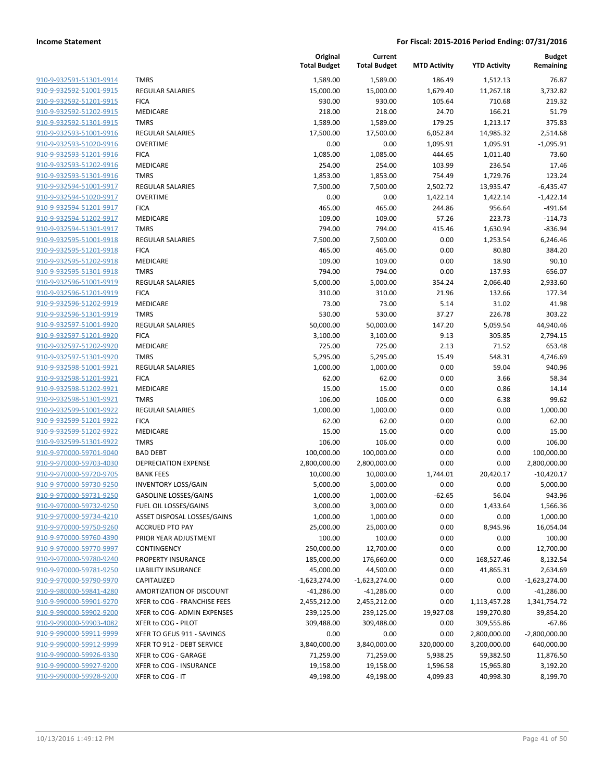| 910-9-932591-51301-9914        |
|--------------------------------|
| 910-9-932592-51001-9915        |
| 910-9-932592-51201-9915        |
| 910-9-932592-51202-9915        |
| 910-9-932592-51301-9915        |
| <u>910-9-932593-51001-9916</u> |
| 910-9-932593-51020-9916        |
| 910-9-932593-51201-9916        |
| 910-9-932593-51202-9916        |
| 910-9-932593-51301-9916        |
| 910-9-932594-51001-9917        |
| 910-9-932594-51020-9917        |
| 910-9-932594-51201-9917        |
| 910-9-932594-51202-9917        |
| 910-9-932594-51301-9917        |
| 910-9-932595-51001-9918        |
| 910-9-932595-51201-9918        |
| 910-9-932595-51202-9918        |
| 910-9-932595-51301-9918        |
| 910-9-932596-51001-9919        |
| 910-9-932596-51201-9919        |
| 910-9-932596-51202-9919        |
| 910-9-932596-51301-9919        |
| 910-9-932597-51001-9920        |
| 910-9-932597-51201-9920        |
| 910-9-932597-51202-9920        |
| 910-9-932597-51301-9920        |
| 910-9-932598-51001-9921        |
| 910-9-932598-51201-9921        |
| 910-9-932598-51202-9921        |
| 910-9-932598-51301-9921        |
|                                |
| 910-9-932599-51001-9922        |
| 910-9-932599-51201-9922        |
| 910-9-932599-51202-9922        |
| 910-9-932599-51301-9922        |
| <u>910-9-970000-59701-9040</u> |
| 910-9-970000-59703-4030        |
| 910-9-970000-59720-9705        |
| 910-9-970000-59730-9250        |
| 910-9-970000-59731-9250        |
| 910-9-970000-59732-9250        |
| <u>910-9-970000-59734-4210</u> |
| <u>910-9-970000-59750-9260</u> |
| 910-9-970000-59760-4390        |
| 910-9-970000-59770-9997        |
| <u>910-9-970000-59780-9240</u> |
| 910-9-970000-59781-9250        |
| <u>910-9-970000-59790-9970</u> |
| 910-9-980000-59841-4280        |
| <u>910-9-990000-59901-9270</u> |
| <u>910-9-990000-59902-9200</u> |
| 910-9-990000-59903-4082        |
| 910-9-990000-59911-9999        |
| 910-9-990000-59912-9999        |
| 910-9-990000-59926-9330        |
| <u>910-9-990000-59927-9200</u> |
| <u>910-9-990000-59928-9200</u> |
|                                |

|                         |                              | Original<br><b>Total Budget</b> | Current<br><b>Total Budget</b> | <b>MTD Activity</b> | <b>YTD Activity</b> | <b>Budget</b><br>Remaining |
|-------------------------|------------------------------|---------------------------------|--------------------------------|---------------------|---------------------|----------------------------|
| 910-9-932591-51301-9914 | <b>TMRS</b>                  | 1,589.00                        | 1,589.00                       | 186.49              | 1,512.13            | 76.87                      |
| 910-9-932592-51001-9915 | <b>REGULAR SALARIES</b>      | 15,000.00                       | 15,000.00                      | 1,679.40            | 11,267.18           | 3,732.82                   |
| 910-9-932592-51201-9915 | <b>FICA</b>                  | 930.00                          | 930.00                         | 105.64              | 710.68              | 219.32                     |
| 910-9-932592-51202-9915 | <b>MEDICARE</b>              | 218.00                          | 218.00                         | 24.70               | 166.21              | 51.79                      |
| 910-9-932592-51301-9915 | <b>TMRS</b>                  | 1,589.00                        | 1,589.00                       | 179.25              | 1,213.17            | 375.83                     |
| 910-9-932593-51001-9916 | <b>REGULAR SALARIES</b>      | 17,500.00                       | 17,500.00                      | 6,052.84            | 14,985.32           | 2,514.68                   |
| 910-9-932593-51020-9916 | <b>OVERTIME</b>              | 0.00                            | 0.00                           | 1,095.91            | 1,095.91            | $-1,095.91$                |
| 910-9-932593-51201-9916 | <b>FICA</b>                  | 1,085.00                        | 1,085.00                       | 444.65              | 1,011.40            | 73.60                      |
| 910-9-932593-51202-9916 | MEDICARE                     | 254.00                          | 254.00                         | 103.99              | 236.54              | 17.46                      |
| 910-9-932593-51301-9916 | <b>TMRS</b>                  | 1,853.00                        | 1,853.00                       | 754.49              | 1,729.76            | 123.24                     |
| 910-9-932594-51001-9917 | <b>REGULAR SALARIES</b>      | 7,500.00                        | 7,500.00                       | 2,502.72            | 13,935.47           | $-6,435.47$                |
| 910-9-932594-51020-9917 | <b>OVERTIME</b>              | 0.00                            | 0.00                           | 1,422.14            | 1,422.14            | $-1,422.14$                |
| 910-9-932594-51201-9917 | <b>FICA</b>                  | 465.00                          | 465.00                         | 244.86              | 956.64              | $-491.64$                  |
| 910-9-932594-51202-9917 | <b>MEDICARE</b>              | 109.00                          | 109.00                         | 57.26               | 223.73              | $-114.73$                  |
| 910-9-932594-51301-9917 | <b>TMRS</b>                  | 794.00                          | 794.00                         | 415.46              | 1,630.94            | $-836.94$                  |
| 910-9-932595-51001-9918 | <b>REGULAR SALARIES</b>      | 7,500.00                        | 7,500.00                       | 0.00                | 1,253.54            | 6,246.46                   |
| 910-9-932595-51201-9918 | <b>FICA</b>                  | 465.00                          | 465.00                         | 0.00                | 80.80               | 384.20                     |
| 910-9-932595-51202-9918 | MEDICARE                     | 109.00                          | 109.00                         | 0.00                | 18.90               | 90.10                      |
| 910-9-932595-51301-9918 | <b>TMRS</b>                  | 794.00                          | 794.00                         | 0.00                | 137.93              | 656.07                     |
| 910-9-932596-51001-9919 | <b>REGULAR SALARIES</b>      | 5,000.00                        | 5,000.00                       | 354.24              | 2,066.40            | 2,933.60                   |
| 910-9-932596-51201-9919 | <b>FICA</b>                  | 310.00                          | 310.00                         | 21.96               | 132.66              | 177.34                     |
| 910-9-932596-51202-9919 | MEDICARE                     | 73.00                           | 73.00                          | 5.14                | 31.02               | 41.98                      |
| 910-9-932596-51301-9919 | <b>TMRS</b>                  | 530.00                          | 530.00                         | 37.27               | 226.78              | 303.22                     |
| 910-9-932597-51001-9920 | <b>REGULAR SALARIES</b>      | 50,000.00                       | 50,000.00                      | 147.20              | 5,059.54            | 44,940.46                  |
| 910-9-932597-51201-9920 | <b>FICA</b>                  | 3,100.00                        | 3,100.00                       | 9.13                | 305.85              | 2,794.15                   |
| 910-9-932597-51202-9920 | <b>MEDICARE</b>              | 725.00                          | 725.00                         | 2.13                | 71.52               | 653.48                     |
| 910-9-932597-51301-9920 | <b>TMRS</b>                  | 5,295.00                        | 5,295.00                       | 15.49               | 548.31              | 4,746.69                   |
| 910-9-932598-51001-9921 | <b>REGULAR SALARIES</b>      | 1,000.00                        | 1,000.00                       | 0.00                | 59.04               | 940.96                     |
| 910-9-932598-51201-9921 | <b>FICA</b>                  | 62.00                           | 62.00                          | 0.00                | 3.66                | 58.34                      |
| 910-9-932598-51202-9921 | MEDICARE                     | 15.00                           | 15.00                          | 0.00                | 0.86                | 14.14                      |
| 910-9-932598-51301-9921 | <b>TMRS</b>                  | 106.00                          | 106.00                         | 0.00                | 6.38                | 99.62                      |
| 910-9-932599-51001-9922 | <b>REGULAR SALARIES</b>      | 1,000.00                        | 1,000.00                       | 0.00                | 0.00                | 1,000.00                   |
| 910-9-932599-51201-9922 | <b>FICA</b>                  | 62.00                           | 62.00                          | 0.00                | 0.00                | 62.00                      |
| 910-9-932599-51202-9922 | <b>MEDICARE</b>              | 15.00                           | 15.00                          | 0.00                | 0.00                | 15.00                      |
| 910-9-932599-51301-9922 | <b>TMRS</b>                  | 106.00                          | 106.00                         | 0.00                | 0.00                | 106.00                     |
| 910-9-970000-59701-9040 | <b>BAD DEBT</b>              | 100,000.00                      | 100,000.00                     | 0.00                | 0.00                | 100,000.00                 |
| 910-9-970000-59703-4030 | DEPRECIATION EXPENSE         | 2,800,000.00                    | 2,800,000.00                   | 0.00                | 0.00                | 2,800,000.00               |
| 910-9-970000-59720-9705 | <b>BANK FEES</b>             | 10,000.00                       | 10,000.00                      | 1,744.01            | 20,420.17           | $-10,420.17$               |
| 910-9-970000-59730-9250 | <b>INVENTORY LOSS/GAIN</b>   | 5,000.00                        | 5,000.00                       | 0.00                | 0.00                | 5,000.00                   |
| 910-9-970000-59731-9250 | GASOLINE LOSSES/GAINS        | 1,000.00                        | 1,000.00                       | $-62.65$            | 56.04               | 943.96                     |
| 910-9-970000-59732-9250 | FUEL OIL LOSSES/GAINS        | 3,000.00                        | 3,000.00                       | 0.00                | 1,433.64            | 1,566.36                   |
| 910-9-970000-59734-4210 | ASSET DISPOSAL LOSSES/GAINS  | 1,000.00                        | 1,000.00                       | 0.00                | 0.00                | 1,000.00                   |
| 910-9-970000-59750-9260 | <b>ACCRUED PTO PAY</b>       | 25,000.00                       | 25,000.00                      | 0.00                | 8,945.96            | 16,054.04                  |
| 910-9-970000-59760-4390 | PRIOR YEAR ADJUSTMENT        | 100.00                          | 100.00                         | 0.00                | 0.00                | 100.00                     |
| 910-9-970000-59770-9997 | CONTINGENCY                  | 250,000.00                      | 12,700.00                      | 0.00                | 0.00                | 12,700.00                  |
| 910-9-970000-59780-9240 | PROPERTY INSURANCE           | 185,000.00                      | 176,660.00                     | 0.00                | 168,527.46          | 8,132.54                   |
| 910-9-970000-59781-9250 | LIABILITY INSURANCE          | 45,000.00                       | 44,500.00                      | 0.00                | 41,865.31           | 2,634.69                   |
| 910-9-970000-59790-9970 | CAPITALIZED                  | $-1,623,274.00$                 | $-1,623,274.00$                | 0.00                | 0.00                | $-1,623,274.00$            |
| 910-9-980000-59841-4280 | AMORTIZATION OF DISCOUNT     | $-41,286.00$                    | $-41,286.00$                   | 0.00                | 0.00                | $-41,286.00$               |
| 910-9-990000-59901-9270 | XFER to COG - FRANCHISE FEES | 2,455,212.00                    | 2,455,212.00                   | 0.00                | 1,113,457.28        | 1,341,754.72               |
| 910-9-990000-59902-9200 | XFER to COG- ADMIN EXPENSES  | 239,125.00                      | 239,125.00                     | 19,927.08           | 199,270.80          | 39,854.20                  |
| 910-9-990000-59903-4082 | XFER to COG - PILOT          | 309,488.00                      | 309,488.00                     | 0.00                | 309,555.86          | $-67.86$                   |
| 910-9-990000-59911-9999 | XFER TO GEUS 911 - SAVINGS   | 0.00                            | 0.00                           | 0.00                | 2,800,000.00        | $-2,800,000.00$            |
| 910-9-990000-59912-9999 | XFER TO 912 - DEBT SERVICE   | 3,840,000.00                    | 3,840,000.00                   | 320,000.00          | 3,200,000.00        | 640,000.00                 |
| 910-9-990000-59926-9330 | XFER to COG - GARAGE         | 71,259.00                       | 71,259.00                      | 5,938.25            | 59,382.50           | 11,876.50                  |
| 910-9-990000-59927-9200 | XFER to COG - INSURANCE      | 19,158.00                       | 19,158.00                      | 1,596.58            | 15,965.80           | 3,192.20                   |
| 910-9-990000-59928-9200 | XFER to COG - IT             | 49,198.00                       | 49,198.00                      | 4,099.83            | 40,998.30           | 8,199.70                   |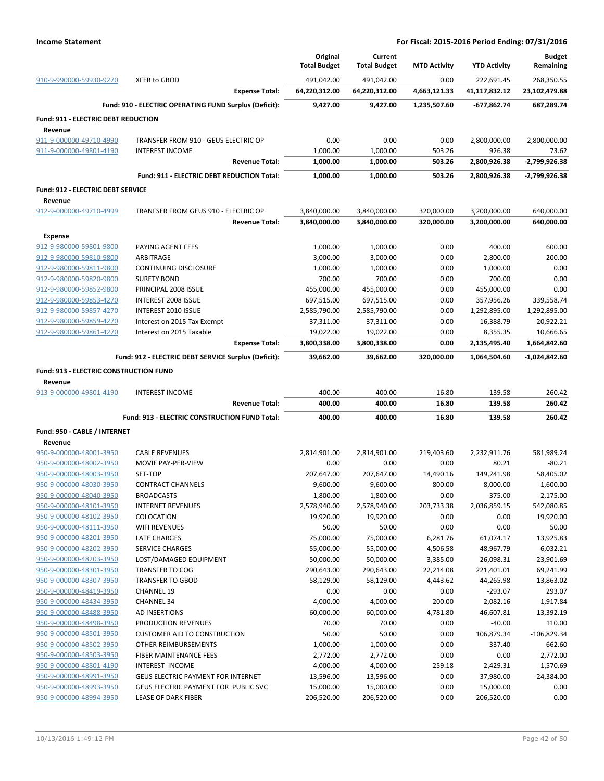|                                                    |                                                             |                       | Original                | Current                 |                     |                         | <b>Budget</b>       |
|----------------------------------------------------|-------------------------------------------------------------|-----------------------|-------------------------|-------------------------|---------------------|-------------------------|---------------------|
|                                                    |                                                             |                       | <b>Total Budget</b>     | <b>Total Budget</b>     | <b>MTD Activity</b> | <b>YTD Activity</b>     | Remaining           |
| 910-9-990000-59930-9270                            | XFER to GBOD                                                |                       | 491,042.00              | 491,042.00              | 0.00                | 222,691.45              | 268,350.55          |
|                                                    |                                                             | <b>Expense Total:</b> | 64,220,312.00           | 64,220,312.00           | 4,663,121.33        | 41,117,832.12           | 23,102,479.88       |
|                                                    | Fund: 910 - ELECTRIC OPERATING FUND Surplus (Deficit):      |                       | 9,427.00                | 9,427.00                | 1,235,507.60        | -677,862.74             | 687,289.74          |
| <b>Fund: 911 - ELECTRIC DEBT REDUCTION</b>         |                                                             |                       |                         |                         |                     |                         |                     |
| Revenue                                            |                                                             |                       |                         |                         |                     |                         |                     |
| 911-9-000000-49710-4990                            | TRANSFER FROM 910 - GEUS ELECTRIC OP                        |                       | 0.00                    | 0.00                    | 0.00                | 2,800,000.00            | $-2,800,000.00$     |
| 911-9-000000-49801-4190                            | <b>INTEREST INCOME</b>                                      | <b>Revenue Total:</b> | 1,000.00<br>1,000.00    | 1,000.00                | 503.26<br>503.26    | 926.38                  | 73.62               |
|                                                    |                                                             |                       |                         | 1,000.00                |                     | 2,800,926.38            | -2,799,926.38       |
|                                                    | Fund: 911 - ELECTRIC DEBT REDUCTION Total:                  |                       | 1,000.00                | 1,000.00                | 503.26              | 2,800,926.38            | -2,799,926.38       |
| Fund: 912 - ELECTRIC DEBT SERVICE                  |                                                             |                       |                         |                         |                     |                         |                     |
| Revenue<br>912-9-000000-49710-4999                 | TRANFSER FROM GEUS 910 - ELECTRIC OP                        |                       | 3,840,000.00            | 3,840,000.00            | 320,000.00          | 3,200,000.00            | 640,000.00          |
|                                                    |                                                             | <b>Revenue Total:</b> | 3,840,000.00            | 3,840,000.00            | 320,000.00          | 3,200,000.00            | 640,000.00          |
|                                                    |                                                             |                       |                         |                         |                     |                         |                     |
| <b>Expense</b><br>912-9-980000-59801-9800          | PAYING AGENT FEES                                           |                       | 1,000.00                | 1,000.00                | 0.00                | 400.00                  | 600.00              |
| 912-9-980000-59810-9800                            | ARBITRAGE                                                   |                       | 3,000.00                | 3,000.00                | 0.00                | 2,800.00                | 200.00              |
| 912-9-980000-59811-9800                            | <b>CONTINUING DISCLOSURE</b>                                |                       | 1,000.00                | 1,000.00                | 0.00                | 1,000.00                | 0.00                |
| 912-9-980000-59820-9800                            | <b>SURETY BOND</b>                                          |                       | 700.00                  | 700.00                  | 0.00                | 700.00                  | 0.00                |
| 912-9-980000-59852-9800                            | PRINCIPAL 2008 ISSUE                                        |                       | 455,000.00              | 455,000.00              | 0.00                | 455,000.00              | 0.00                |
| 912-9-980000-59853-4270                            | INTEREST 2008 ISSUE                                         |                       | 697,515.00              | 697,515.00              | 0.00                | 357,956.26              | 339,558.74          |
| 912-9-980000-59857-4270                            | INTEREST 2010 ISSUE                                         |                       | 2,585,790.00            | 2,585,790.00            | 0.00                | 1,292,895.00            | 1,292,895.00        |
| 912-9-980000-59859-4270                            | Interest on 2015 Tax Exempt                                 |                       | 37,311.00               | 37,311.00               | 0.00                | 16,388.79               | 20,922.21           |
| 912-9-980000-59861-4270                            | Interest on 2015 Taxable                                    |                       | 19,022.00               | 19,022.00               | 0.00                | 8,355.35                | 10,666.65           |
|                                                    |                                                             | <b>Expense Total:</b> | 3,800,338.00            | 3,800,338.00            | 0.00                | 2,135,495.40            | 1,664,842.60        |
|                                                    | Fund: 912 - ELECTRIC DEBT SERVICE Surplus (Deficit):        |                       | 39,662.00               | 39,662.00               | 320,000.00          | 1,064,504.60            | -1,024,842.60       |
| <b>Fund: 913 - ELECTRIC CONSTRUCTION FUND</b>      |                                                             |                       |                         |                         |                     |                         |                     |
|                                                    |                                                             |                       |                         |                         |                     |                         |                     |
| Revenue                                            |                                                             |                       |                         |                         |                     |                         |                     |
| 913-9-000000-49801-4190                            | <b>INTEREST INCOME</b>                                      |                       | 400.00                  | 400.00                  | 16.80               | 139.58                  | 260.42              |
|                                                    |                                                             | <b>Revenue Total:</b> | 400.00                  | 400.00                  | 16.80               | 139.58                  | 260.42              |
|                                                    | Fund: 913 - ELECTRIC CONSTRUCTION FUND Total:               |                       | 400.00                  | 400.00                  | 16.80               | 139.58                  | 260.42              |
| Fund: 950 - CABLE / INTERNET                       |                                                             |                       |                         |                         |                     |                         |                     |
| Revenue                                            |                                                             |                       |                         |                         |                     |                         |                     |
| 950-9-000000-48001-3950                            | <b>CABLE REVENUES</b>                                       |                       | 2,814,901.00            | 2,814,901.00            | 219,403.60          | 2,232,911.76            | 581,989.24          |
| 950-9-000000-48002-3950                            | MOVIE PAY-PER-VIEW                                          |                       | 0.00                    | 0.00                    | 0.00                | 80.21                   | $-80.21$            |
| 950-9-000000-48003-3950                            | SET-TOP                                                     |                       | 207,647.00              | 207,647.00              | 14,490.16           | 149,241.98              | 58,405.02           |
| 950-9-000000-48030-3950                            | <b>CONTRACT CHANNELS</b>                                    |                       | 9,600.00                | 9,600.00                | 800.00              | 8,000.00                | 1,600.00            |
| 950-9-000000-48040-3950                            | <b>BROADCASTS</b>                                           |                       | 1,800.00                | 1,800.00                | 0.00                | $-375.00$               | 2,175.00            |
| 950-9-000000-48101-3950                            | <b>INTERNET REVENUES</b>                                    |                       | 2,578,940.00            | 2,578,940.00            | 203,733.38          | 2,036,859.15            | 542,080.85          |
| 950-9-000000-48102-3950                            | COLOCATION                                                  |                       | 19,920.00               | 19,920.00               | 0.00                | 0.00                    | 19,920.00           |
| 950-9-000000-48111-3950                            | <b>WIFI REVENUES</b>                                        |                       | 50.00                   | 50.00                   | 0.00                | 0.00                    | 50.00               |
| 950-9-000000-48201-3950                            | <b>LATE CHARGES</b>                                         |                       | 75,000.00               | 75,000.00               | 6,281.76            | 61,074.17               | 13,925.83           |
| 950-9-000000-48202-3950                            | <b>SERVICE CHARGES</b>                                      |                       | 55,000.00               | 55,000.00               | 4,506.58            | 48,967.79               | 6,032.21            |
| 950-9-000000-48203-3950                            | LOST/DAMAGED EQUIPMENT                                      |                       | 50,000.00               | 50,000.00               | 3,385.00            | 26,098.31               | 23,901.69           |
| 950-9-000000-48301-3950                            | <b>TRANSFER TO COG</b>                                      |                       | 290,643.00              | 290,643.00              | 22,214.08           | 221,401.01              | 69,241.99           |
| 950-9-000000-48307-3950<br>950-9-000000-48419-3950 | <b>TRANSFER TO GBOD</b><br><b>CHANNEL 19</b>                |                       | 58,129.00<br>0.00       | 58,129.00<br>0.00       | 4,443.62<br>0.00    | 44,265.98<br>$-293.07$  | 13,863.02<br>293.07 |
| 950-9-000000-48434-3950                            | <b>CHANNEL 34</b>                                           |                       | 4,000.00                | 4,000.00                | 200.00              | 2,082.16                | 1,917.84            |
| 950-9-000000-48488-3950                            | AD INSERTIONS                                               |                       | 60,000.00               | 60,000.00               | 4,781.80            | 46,607.81               | 13,392.19           |
| 950-9-000000-48498-3950                            | PRODUCTION REVENUES                                         |                       | 70.00                   | 70.00                   | 0.00                | $-40.00$                | 110.00              |
| 950-9-000000-48501-3950                            | <b>CUSTOMER AID TO CONSTRUCTION</b>                         |                       | 50.00                   | 50.00                   | 0.00                | 106,879.34              | $-106,829.34$       |
| 950-9-000000-48502-3950                            | OTHER REIMBURSEMENTS                                        |                       | 1,000.00                | 1,000.00                | 0.00                | 337.40                  | 662.60              |
| 950-9-000000-48503-3950                            | FIBER MAINTENANCE FEES                                      |                       | 2,772.00                | 2,772.00                | 0.00                | 0.00                    | 2,772.00            |
| 950-9-000000-48801-4190                            | INTEREST INCOME                                             |                       | 4,000.00                | 4,000.00                | 259.18              | 2,429.31                | 1,570.69            |
| 950-9-000000-48991-3950                            | GEUS ELECTRIC PAYMENT FOR INTERNET                          |                       | 13,596.00               | 13,596.00               | 0.00                | 37,980.00               | $-24,384.00$        |
| 950-9-000000-48993-3950<br>950-9-000000-48994-3950 | GEUS ELECTRIC PAYMENT FOR PUBLIC SVC<br>LEASE OF DARK FIBER |                       | 15,000.00<br>206,520.00 | 15,000.00<br>206,520.00 | 0.00<br>0.00        | 15,000.00<br>206,520.00 | 0.00<br>0.00        |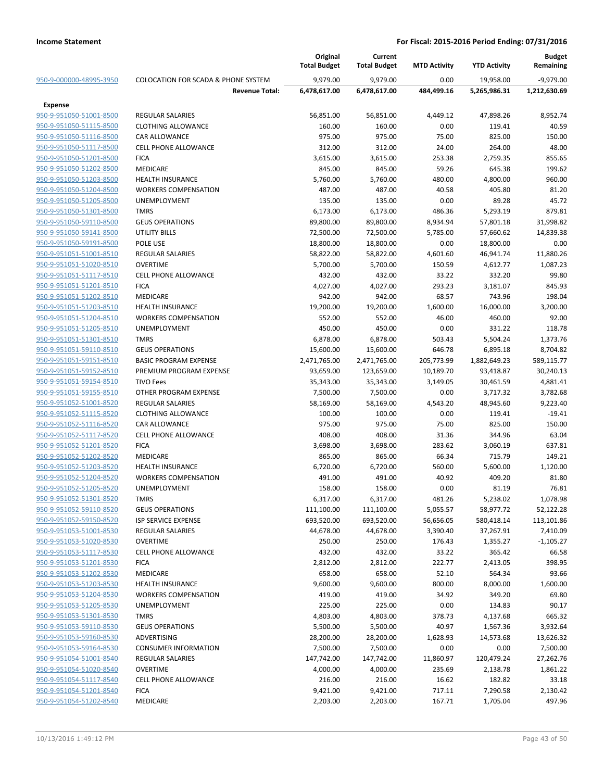|                         |                                                | Original<br><b>Total Budget</b> | Current<br><b>Total Budget</b> | <b>MTD Activity</b> | <b>YTD Activity</b> | <b>Budget</b><br>Remaining |
|-------------------------|------------------------------------------------|---------------------------------|--------------------------------|---------------------|---------------------|----------------------------|
| 950-9-000000-48995-3950 | <b>COLOCATION FOR SCADA &amp; PHONE SYSTEM</b> | 9,979.00                        | 9,979.00                       | 0.00                | 19.958.00           | $-9,979.00$                |
|                         | <b>Revenue Total:</b>                          | 6,478,617.00                    | 6,478,617.00                   | 484,499.16          | 5,265,986.31        | 1,212,630.69               |
| <b>Expense</b>          |                                                |                                 |                                |                     |                     |                            |
| 950-9-951050-51001-8500 | <b>REGULAR SALARIES</b>                        | 56,851.00                       | 56,851.00                      | 4,449.12            | 47,898.26           | 8,952.74                   |
| 950-9-951050-51115-8500 | <b>CLOTHING ALLOWANCE</b>                      | 160.00                          | 160.00                         | 0.00                | 119.41              | 40.59                      |
| 950-9-951050-51116-8500 | <b>CAR ALLOWANCE</b>                           | 975.00                          | 975.00                         | 75.00               | 825.00              | 150.00                     |
| 950-9-951050-51117-8500 | <b>CELL PHONE ALLOWANCE</b>                    | 312.00                          | 312.00                         | 24.00               | 264.00              | 48.00                      |
| 950-9-951050-51201-8500 | <b>FICA</b>                                    | 3,615.00                        | 3,615.00                       | 253.38              | 2,759.35            | 855.65                     |
| 950-9-951050-51202-8500 | <b>MEDICARE</b>                                | 845.00                          | 845.00                         | 59.26               | 645.38              | 199.62                     |
| 950-9-951050-51203-8500 | <b>HEALTH INSURANCE</b>                        | 5,760.00                        | 5,760.00                       | 480.00              | 4,800.00            | 960.00                     |
| 950-9-951050-51204-8500 | <b>WORKERS COMPENSATION</b>                    | 487.00                          | 487.00                         | 40.58               | 405.80              | 81.20                      |
| 950-9-951050-51205-8500 | UNEMPLOYMENT                                   | 135.00                          | 135.00                         | 0.00                | 89.28               | 45.72                      |
| 950-9-951050-51301-8500 | <b>TMRS</b>                                    | 6,173.00                        | 6,173.00                       | 486.36              | 5,293.19            | 879.81                     |
| 950-9-951050-59110-8500 | <b>GEUS OPERATIONS</b>                         | 89,800.00                       | 89,800.00                      | 8,934.94            | 57,801.18           | 31,998.82                  |
| 950-9-951050-59141-8500 | <b>UTILITY BILLS</b>                           | 72,500.00                       | 72,500.00                      | 5,785.00            | 57,660.62           | 14,839.38                  |
| 950-9-951050-59191-8500 | POLE USE                                       | 18,800.00                       | 18,800.00                      | 0.00                | 18,800.00           | 0.00                       |
| 950-9-951051-51001-8510 | <b>REGULAR SALARIES</b>                        | 58,822.00                       | 58,822.00                      | 4,601.60            | 46,941.74           | 11,880.26                  |
| 950-9-951051-51020-8510 | <b>OVERTIME</b>                                | 5,700.00                        | 5,700.00                       | 150.59              | 4,612.77            | 1,087.23                   |
| 950-9-951051-51117-8510 | <b>CELL PHONE ALLOWANCE</b>                    | 432.00                          | 432.00                         | 33.22               | 332.20              | 99.80                      |
| 950-9-951051-51201-8510 | <b>FICA</b>                                    | 4,027.00                        | 4,027.00                       | 293.23              | 3,181.07            | 845.93                     |
| 950-9-951051-51202-8510 | MEDICARE                                       | 942.00                          | 942.00                         | 68.57               | 743.96              | 198.04                     |
| 950-9-951051-51203-8510 | <b>HEALTH INSURANCE</b>                        | 19,200.00                       | 19,200.00                      | 1,600.00            | 16,000.00           | 3,200.00                   |
| 950-9-951051-51204-8510 | <b>WORKERS COMPENSATION</b>                    | 552.00                          | 552.00                         | 46.00               | 460.00              | 92.00                      |
| 950-9-951051-51205-8510 | <b>UNEMPLOYMENT</b>                            | 450.00                          | 450.00                         | 0.00                | 331.22              | 118.78                     |
| 950-9-951051-51301-8510 | <b>TMRS</b>                                    | 6,878.00                        | 6,878.00                       | 503.43              | 5,504.24            | 1,373.76                   |
| 950-9-951051-59110-8510 | <b>GEUS OPERATIONS</b>                         | 15,600.00                       | 15,600.00                      | 646.78              | 6,895.18            | 8,704.82                   |
| 950-9-951051-59151-8510 | <b>BASIC PROGRAM EXPENSE</b>                   | 2,471,765.00                    | 2,471,765.00                   | 205,773.99          | 1,882,649.23        | 589,115.77                 |
| 950-9-951051-59152-8510 | PREMIUM PROGRAM EXPENSE                        | 93,659.00                       | 123,659.00                     | 10,189.70           | 93,418.87           | 30,240.13                  |
| 950-9-951051-59154-8510 | <b>TIVO Fees</b>                               | 35,343.00                       | 35,343.00                      | 3,149.05            | 30,461.59           | 4,881.41                   |
| 950-9-951051-59155-8510 | OTHER PROGRAM EXPENSE                          | 7,500.00                        | 7,500.00                       | 0.00                | 3,717.32            | 3,782.68                   |
| 950-9-951052-51001-8520 | <b>REGULAR SALARIES</b>                        | 58,169.00                       | 58,169.00                      | 4,543.20            | 48,945.60           | 9,223.40                   |
| 950-9-951052-51115-8520 | <b>CLOTHING ALLOWANCE</b>                      | 100.00                          | 100.00                         | 0.00                | 119.41              | $-19.41$                   |
| 950-9-951052-51116-8520 | CAR ALLOWANCE                                  | 975.00                          | 975.00                         | 75.00               | 825.00              | 150.00                     |
| 950-9-951052-51117-8520 | <b>CELL PHONE ALLOWANCE</b>                    | 408.00                          | 408.00                         | 31.36               | 344.96              | 63.04                      |
| 950-9-951052-51201-8520 | <b>FICA</b>                                    | 3,698.00                        | 3,698.00                       | 283.62              | 3,060.19            | 637.81                     |
| 950-9-951052-51202-8520 | MEDICARE                                       | 865.00                          | 865.00                         | 66.34               | 715.79              | 149.21                     |
| 950-9-951052-51203-8520 | <b>HEALTH INSURANCE</b>                        | 6,720.00                        | 6,720.00                       | 560.00              | 5,600.00            | 1,120.00                   |
| 950-9-951052-51204-8520 | <b>WORKERS COMPENSATION</b>                    | 491.00                          | 491.00                         | 40.92               | 409.20              | 81.80                      |
| 950-9-951052-51205-8520 | UNEMPLOYMENT                                   | 158.00                          | 158.00                         | 0.00                | 81.19               | 76.81                      |
| 950-9-951052-51301-8520 | <b>TMRS</b>                                    | 6,317.00                        | 6,317.00                       | 481.26              | 5,238.02            | 1,078.98                   |
| 950-9-951052-59110-8520 | <b>GEUS OPERATIONS</b>                         | 111,100.00                      | 111,100.00                     | 5,055.57            | 58,977.72           | 52,122.28                  |
| 950-9-951052-59150-8520 | ISP SERVICE EXPENSE                            | 693,520.00                      | 693,520.00                     | 56,656.05           | 580,418.14          | 113,101.86                 |
| 950-9-951053-51001-8530 | REGULAR SALARIES                               | 44,678.00                       | 44,678.00                      | 3,390.40            | 37,267.91           | 7,410.09                   |
| 950-9-951053-51020-8530 | <b>OVERTIME</b>                                | 250.00                          | 250.00                         | 176.43              | 1,355.27            | $-1,105.27$                |
| 950-9-951053-51117-8530 | <b>CELL PHONE ALLOWANCE</b>                    | 432.00                          | 432.00                         | 33.22               | 365.42              | 66.58                      |
| 950-9-951053-51201-8530 | <b>FICA</b>                                    | 2,812.00                        | 2,812.00                       | 222.77              | 2,413.05            | 398.95                     |
| 950-9-951053-51202-8530 | MEDICARE                                       | 658.00                          | 658.00                         | 52.10               | 564.34              | 93.66                      |
| 950-9-951053-51203-8530 | <b>HEALTH INSURANCE</b>                        | 9,600.00                        | 9,600.00                       | 800.00              | 8,000.00            | 1,600.00                   |
| 950-9-951053-51204-8530 | <b>WORKERS COMPENSATION</b>                    | 419.00                          | 419.00                         | 34.92               | 349.20              | 69.80                      |
| 950-9-951053-51205-8530 | UNEMPLOYMENT                                   | 225.00                          | 225.00                         | 0.00                | 134.83              | 90.17                      |
| 950-9-951053-51301-8530 | <b>TMRS</b>                                    | 4,803.00                        | 4,803.00                       | 378.73              | 4,137.68            | 665.32                     |
| 950-9-951053-59110-8530 | <b>GEUS OPERATIONS</b>                         | 5,500.00                        | 5,500.00                       | 40.97               | 1,567.36            | 3,932.64                   |
| 950-9-951053-59160-8530 | ADVERTISING                                    | 28,200.00                       | 28,200.00                      | 1,628.93            | 14,573.68           | 13,626.32                  |
| 950-9-951053-59164-8530 | <b>CONSUMER INFORMATION</b>                    | 7,500.00                        | 7,500.00                       | 0.00                | 0.00                | 7,500.00                   |
| 950-9-951054-51001-8540 | <b>REGULAR SALARIES</b>                        | 147,742.00                      | 147,742.00                     | 11,860.97           | 120,479.24          | 27,262.76                  |
| 950-9-951054-51020-8540 | <b>OVERTIME</b>                                | 4,000.00                        | 4,000.00                       | 235.69              | 2,138.78            | 1,861.22                   |
| 950-9-951054-51117-8540 | <b>CELL PHONE ALLOWANCE</b>                    | 216.00                          | 216.00                         | 16.62               | 182.82              | 33.18                      |
| 950-9-951054-51201-8540 | <b>FICA</b>                                    | 9,421.00                        | 9,421.00                       | 717.11              | 7,290.58            | 2,130.42                   |
| 950-9-951054-51202-8540 | MEDICARE                                       | 2,203.00                        | 2,203.00                       | 167.71              | 1,705.04            | 497.96                     |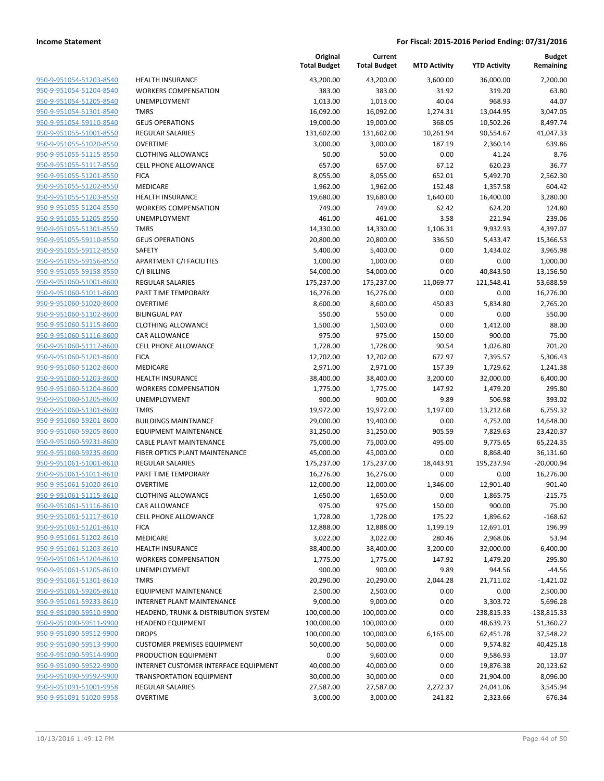| 950-9-951054-51203-8540        |
|--------------------------------|
| 950-9-951054-51204-8540        |
| 950-9-951054-51205-8540        |
| <u>950-9-951054-51301-8540</u> |
| 950-9-951054-59110-8540        |
| 950-9-951055-51001-8550        |
| 950-9-951055-51020-8550        |
| 950-9-951055-51115-8550        |
| 950-9-951055-51117-8550        |
| 950-9-951055-51201-8550        |
| 950-9-951055-51202-8550        |
| 950-9-951055-51203-8550        |
| 950-9-951055-51204-8550        |
| <u>950-9-951055-51205-8550</u> |
| 950-9-951055-51301-8550        |
| 950-9-951055-59110-8550        |
| 950-9-951055-59112-8550        |
| 950-9-951055-59156-8550        |
| 950-9-951055-59158-8550        |
| 950-9-951060-51001-8600        |
| 950-9-951060-51011-8600        |
| 950-9-951060-51020-8600        |
| 950-9-951060-51102-8600        |
| <u>950-9-951060-51115-8600</u> |
| 950-9-951060-51116-8600        |
| 950-9-951060-51117-8600        |
| 950-9-951060-51201-8600        |
| 950-9-951060-51202-8600        |
| <u>950-9-951060-51203-8600</u> |
| 950-9-951060-51204-8600        |
| 950-9-951060-51205-8600        |
| 950-9-951060-51301-8600        |
| 950-9-951060-59201-8600        |
| <u>950-9-951060-59205-8600</u> |
| 950-9-951060-59231-8600        |
| 950-9-951060-59235-8600        |
| 950-9-951061-51001-8610        |
| 950-9-951061-51011-8610        |
| <u>950-9-951061-51020-8610</u> |
| 950-9-951061-51115-8610        |
| 950-9-951061-51116-8610        |
| 950-9-951061-51117-8610        |
| 950-9-951061-51201-8610        |
|                                |
| <u>950-9-951061-51202-8610</u> |
| 950-9-951061-51203-8610        |
| 950-9-951061-51204-8610        |
| 950-9-951061-51205-8610        |
| 950-9-951061-51301-8610        |
| <u>950-9-951061-59205-8610</u> |
| 950-9-951061-59233-8610        |
| 950-9-951090-59510-9900        |
| 950-9-951090-59511-9900        |
| 950-9-951090-59512-9900        |
| 950-9-951090-59513-9900        |
| 950-9-951090-59514-9900        |
| 950-9-951090-59522-9900        |
| 950-9-951090-59592-9900        |
| 950-9-951091-51001-9958        |
| <u>950-9-951091-51020-9958</u> |
|                                |

|                         |                                       | Original<br><b>Total Budget</b> | Current<br><b>Total Budget</b> | <b>MTD Activity</b> | <b>YTD Activity</b> | <b>Budget</b><br>Remaining |
|-------------------------|---------------------------------------|---------------------------------|--------------------------------|---------------------|---------------------|----------------------------|
| 950-9-951054-51203-8540 | <b>HEALTH INSURANCE</b>               | 43,200.00                       | 43,200.00                      | 3,600.00            | 36,000.00           | 7,200.00                   |
| 950-9-951054-51204-8540 | <b>WORKERS COMPENSATION</b>           | 383.00                          | 383.00                         | 31.92               | 319.20              | 63.80                      |
| 950-9-951054-51205-8540 | <b>UNEMPLOYMENT</b>                   | 1,013.00                        | 1,013.00                       | 40.04               | 968.93              | 44.07                      |
| 950-9-951054-51301-8540 | <b>TMRS</b>                           | 16,092.00                       | 16,092.00                      | 1,274.31            | 13,044.95           | 3,047.05                   |
| 950-9-951054-59110-8540 | <b>GEUS OPERATIONS</b>                | 19,000.00                       | 19,000.00                      | 368.05              | 10,502.26           | 8,497.74                   |
| 950-9-951055-51001-8550 | <b>REGULAR SALARIES</b>               | 131,602.00                      | 131,602.00                     | 10,261.94           | 90,554.67           | 41,047.33                  |
| 950-9-951055-51020-8550 | <b>OVERTIME</b>                       | 3,000.00                        | 3,000.00                       | 187.19              | 2,360.14            | 639.86                     |
| 950-9-951055-51115-8550 | <b>CLOTHING ALLOWANCE</b>             | 50.00                           | 50.00                          | 0.00                | 41.24               | 8.76                       |
| 950-9-951055-51117-8550 | <b>CELL PHONE ALLOWANCE</b>           | 657.00                          | 657.00                         | 67.12               | 620.23              | 36.77                      |
| 950-9-951055-51201-8550 | <b>FICA</b>                           | 8,055.00                        | 8,055.00                       | 652.01              | 5,492.70            | 2,562.30                   |
| 950-9-951055-51202-8550 | MEDICARE                              | 1,962.00                        | 1,962.00                       | 152.48              | 1,357.58            | 604.42                     |
| 950-9-951055-51203-8550 | <b>HEALTH INSURANCE</b>               | 19,680.00                       | 19,680.00                      | 1,640.00            | 16,400.00           | 3,280.00                   |
| 950-9-951055-51204-8550 | <b>WORKERS COMPENSATION</b>           | 749.00                          | 749.00                         | 62.42               | 624.20              | 124.80                     |
| 950-9-951055-51205-8550 | UNEMPLOYMENT                          | 461.00                          | 461.00                         | 3.58                | 221.94              | 239.06                     |
| 950-9-951055-51301-8550 | <b>TMRS</b>                           | 14,330.00                       | 14,330.00                      | 1,106.31            | 9,932.93            | 4,397.07                   |
| 950-9-951055-59110-8550 | <b>GEUS OPERATIONS</b>                | 20,800.00                       | 20,800.00                      | 336.50              | 5,433.47            | 15,366.53                  |
| 950-9-951055-59112-8550 | SAFETY                                | 5,400.00                        | 5,400.00                       | 0.00                | 1,434.02            | 3,965.98                   |
| 950-9-951055-59156-8550 | <b>APARTMENT C/I FACILITIES</b>       | 1,000.00                        | 1,000.00                       | 0.00                | 0.00                | 1,000.00                   |
| 950-9-951055-59158-8550 | C/I BILLING                           | 54,000.00                       | 54,000.00                      | 0.00                | 40,843.50           | 13,156.50                  |
| 950-9-951060-51001-8600 | <b>REGULAR SALARIES</b>               | 175,237.00                      | 175,237.00                     | 11,069.77           | 121,548.41          | 53,688.59                  |
| 950-9-951060-51011-8600 | PART TIME TEMPORARY                   | 16,276.00                       | 16,276.00                      | 0.00                | 0.00                | 16,276.00                  |
| 950-9-951060-51020-8600 | <b>OVERTIME</b>                       | 8,600.00                        | 8,600.00                       | 450.83              | 5,834.80            | 2,765.20                   |
| 950-9-951060-51102-8600 | <b>BILINGUAL PAY</b>                  | 550.00                          | 550.00                         | 0.00                | 0.00                | 550.00                     |
| 950-9-951060-51115-8600 | <b>CLOTHING ALLOWANCE</b>             | 1,500.00                        | 1,500.00                       | 0.00                | 1,412.00            | 88.00                      |
| 950-9-951060-51116-8600 | CAR ALLOWANCE                         | 975.00                          | 975.00                         | 150.00              | 900.00              | 75.00                      |
| 950-9-951060-51117-8600 | <b>CELL PHONE ALLOWANCE</b>           | 1,728.00                        | 1,728.00                       | 90.54               | 1,026.80            | 701.20                     |
| 950-9-951060-51201-8600 | <b>FICA</b>                           | 12,702.00                       | 12,702.00                      | 672.97              | 7,395.57            | 5,306.43                   |
| 950-9-951060-51202-8600 | MEDICARE                              | 2,971.00                        | 2,971.00                       | 157.39              | 1,729.62            | 1,241.38                   |
| 950-9-951060-51203-8600 | <b>HEALTH INSURANCE</b>               | 38,400.00                       | 38,400.00                      | 3,200.00            | 32,000.00           | 6,400.00                   |
| 950-9-951060-51204-8600 | <b>WORKERS COMPENSATION</b>           | 1,775.00                        | 1,775.00                       | 147.92              | 1,479.20            | 295.80                     |
| 950-9-951060-51205-8600 | UNEMPLOYMENT                          | 900.00                          | 900.00                         | 9.89                | 506.98              | 393.02                     |
| 950-9-951060-51301-8600 | <b>TMRS</b>                           | 19,972.00                       | 19,972.00                      | 1,197.00            | 13,212.68           | 6,759.32                   |
| 950-9-951060-59201-8600 | <b>BUILDINGS MAINTNANCE</b>           | 29,000.00                       | 19,400.00                      | 0.00                | 4,752.00            | 14,648.00                  |
| 950-9-951060-59205-8600 | <b>EQUIPMENT MAINTENANCE</b>          | 31,250.00                       | 31,250.00                      | 905.59              | 7,829.63            | 23,420.37                  |
| 950-9-951060-59231-8600 | CABLE PLANT MAINTENANCE               | 75,000.00                       | 75,000.00                      | 495.00              | 9,775.65            | 65,224.35                  |
| 950-9-951060-59235-8600 | FIBER OPTICS PLANT MAINTENANCE        | 45,000.00                       | 45,000.00                      | 0.00                | 8,868.40            | 36,131.60                  |
| 950-9-951061-51001-8610 | <b>REGULAR SALARIES</b>               | 175,237.00                      | 175,237.00                     | 18,443.91           | 195,237.94          | $-20,000.94$               |
| 950-9-951061-51011-8610 | PART TIME TEMPORARY                   | 16,276.00                       | 16,276.00                      | 0.00                | 0.00                | 16,276.00                  |
| 950-9-951061-51020-8610 | <b>OVERTIME</b>                       | 12,000.00                       | 12,000.00                      | 1,346.00            | 12,901.40           | $-901.40$                  |
| 950-9-951061-51115-8610 | <b>CLOTHING ALLOWANCE</b>             | 1,650.00                        | 1,650.00                       | 0.00                | 1,865.75            | $-215.75$                  |
| 950-9-951061-51116-8610 | CAR ALLOWANCE                         | 975.00                          | 975.00                         | 150.00              | 900.00              | 75.00                      |
| 950-9-951061-51117-8610 | <b>CELL PHONE ALLOWANCE</b>           | 1,728.00                        | 1,728.00                       | 175.22              | 1,896.62            | $-168.62$                  |
| 950-9-951061-51201-8610 | <b>FICA</b>                           | 12,888.00                       | 12,888.00                      | 1,199.19            | 12,691.01           | 196.99                     |
| 950-9-951061-51202-8610 | MEDICARE                              | 3,022.00                        | 3,022.00                       | 280.46              | 2,968.06            | 53.94                      |
| 950-9-951061-51203-8610 | <b>HEALTH INSURANCE</b>               | 38,400.00                       | 38,400.00                      | 3,200.00            | 32,000.00           | 6,400.00                   |
| 950-9-951061-51204-8610 | <b>WORKERS COMPENSATION</b>           | 1,775.00                        | 1,775.00                       | 147.92              | 1,479.20            | 295.80                     |
| 950-9-951061-51205-8610 | <b>UNEMPLOYMENT</b>                   | 900.00                          | 900.00                         | 9.89                | 944.56              | -44.56                     |
| 950-9-951061-51301-8610 | <b>TMRS</b>                           | 20,290.00                       | 20,290.00                      | 2,044.28            | 21,711.02           | $-1,421.02$                |
| 950-9-951061-59205-8610 | <b>EQUIPMENT MAINTENANCE</b>          | 2,500.00                        | 2,500.00                       | 0.00                | 0.00                | 2,500.00                   |
| 950-9-951061-59233-8610 | INTERNET PLANT MAINTENANCE            | 9,000.00                        | 9,000.00                       | 0.00                | 3,303.72            | 5,696.28                   |
| 950-9-951090-59510-9900 | HEADEND, TRUNK & DISTRIBUTION SYSTEM  | 100,000.00                      | 100,000.00                     | 0.00                | 238,815.33          | $-138,815.33$              |
| 950-9-951090-59511-9900 | <b>HEADEND EQUIPMENT</b>              | 100,000.00                      | 100,000.00                     | 0.00                | 48,639.73           | 51,360.27                  |
| 950-9-951090-59512-9900 | <b>DROPS</b>                          | 100,000.00                      | 100,000.00                     | 6,165.00            | 62,451.78           | 37,548.22                  |
| 950-9-951090-59513-9900 | <b>CUSTOMER PREMISES EQUIPMENT</b>    | 50,000.00                       | 50,000.00                      | 0.00                | 9,574.82            | 40,425.18                  |
| 950-9-951090-59514-9900 | PRODUCTION EQUIPMENT                  | 0.00                            | 9,600.00                       | 0.00                | 9,586.93            | 13.07                      |
| 950-9-951090-59522-9900 | INTERNET CUSTOMER INTERFACE EQUIPMENT | 40,000.00                       | 40,000.00                      | 0.00                | 19,876.38           | 20,123.62                  |
| 950-9-951090-59592-9900 | <b>TRANSPORTATION EQUIPMENT</b>       | 30,000.00                       | 30,000.00                      | 0.00                | 21,904.00           | 8,096.00                   |
| 950-9-951091-51001-9958 | <b>REGULAR SALARIES</b>               | 27,587.00                       | 27,587.00                      | 2,272.37            | 24,041.06           | 3,545.94                   |
| 950-9-951091-51020-9958 | <b>OVERTIME</b>                       | 3,000.00                        | 3,000.00                       | 241.82              | 2,323.66            | 676.34                     |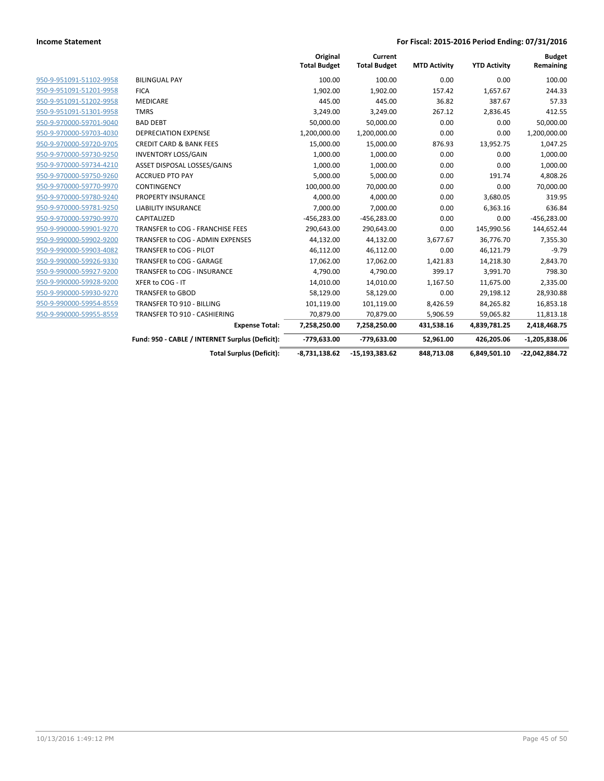|                         |                                                 | Original<br><b>Total Budget</b> | Current<br><b>Total Budget</b> | <b>MTD Activity</b> | <b>YTD Activity</b> | <b>Budget</b><br>Remaining |
|-------------------------|-------------------------------------------------|---------------------------------|--------------------------------|---------------------|---------------------|----------------------------|
| 950-9-951091-51102-9958 | <b>BILINGUAL PAY</b>                            | 100.00                          | 100.00                         | 0.00                | 0.00                | 100.00                     |
| 950-9-951091-51201-9958 | <b>FICA</b>                                     | 1,902.00                        | 1,902.00                       | 157.42              | 1,657.67            | 244.33                     |
| 950-9-951091-51202-9958 | <b>MEDICARE</b>                                 | 445.00                          | 445.00                         | 36.82               | 387.67              | 57.33                      |
| 950-9-951091-51301-9958 | <b>TMRS</b>                                     | 3,249.00                        | 3,249.00                       | 267.12              | 2,836.45            | 412.55                     |
| 950-9-970000-59701-9040 | <b>BAD DEBT</b>                                 | 50,000.00                       | 50,000.00                      | 0.00                | 0.00                | 50,000.00                  |
| 950-9-970000-59703-4030 | <b>DEPRECIATION EXPENSE</b>                     | 1,200,000.00                    | 1,200,000.00                   | 0.00                | 0.00                | 1,200,000.00               |
| 950-9-970000-59720-9705 | <b>CREDIT CARD &amp; BANK FEES</b>              | 15,000.00                       | 15,000.00                      | 876.93              | 13,952.75           | 1,047.25                   |
| 950-9-970000-59730-9250 | <b>INVENTORY LOSS/GAIN</b>                      | 1,000.00                        | 1,000.00                       | 0.00                | 0.00                | 1,000.00                   |
| 950-9-970000-59734-4210 | ASSET DISPOSAL LOSSES/GAINS                     | 1,000.00                        | 1,000.00                       | 0.00                | 0.00                | 1,000.00                   |
| 950-9-970000-59750-9260 | <b>ACCRUED PTO PAY</b>                          | 5,000.00                        | 5,000.00                       | 0.00                | 191.74              | 4,808.26                   |
| 950-9-970000-59770-9970 | <b>CONTINGENCY</b>                              | 100,000.00                      | 70,000.00                      | 0.00                | 0.00                | 70,000.00                  |
| 950-9-970000-59780-9240 | PROPERTY INSURANCE                              | 4,000.00                        | 4,000.00                       | 0.00                | 3,680.05            | 319.95                     |
| 950-9-970000-59781-9250 | <b>LIABILITY INSURANCE</b>                      | 7,000.00                        | 7,000.00                       | 0.00                | 6,363.16            | 636.84                     |
| 950-9-970000-59790-9970 | CAPITALIZED                                     | $-456,283.00$                   | $-456,283.00$                  | 0.00                | 0.00                | $-456,283.00$              |
| 950-9-990000-59901-9270 | TRANSFER to COG - FRANCHISE FEES                | 290,643.00                      | 290,643.00                     | 0.00                | 145,990.56          | 144,652.44                 |
| 950-9-990000-59902-9200 | TRANSFER to COG - ADMIN EXPENSES                | 44,132.00                       | 44,132.00                      | 3,677.67            | 36,776.70           | 7,355.30                   |
| 950-9-990000-59903-4082 | TRANSFER to COG - PILOT                         | 46,112.00                       | 46,112.00                      | 0.00                | 46,121.79           | $-9.79$                    |
| 950-9-990000-59926-9330 | TRANSFER to COG - GARAGE                        | 17,062.00                       | 17,062.00                      | 1,421.83            | 14,218.30           | 2,843.70                   |
| 950-9-990000-59927-9200 | TRANSFER to COG - INSURANCE                     | 4,790.00                        | 4,790.00                       | 399.17              | 3,991.70            | 798.30                     |
| 950-9-990000-59928-9200 | XFER to COG - IT                                | 14,010.00                       | 14,010.00                      | 1,167.50            | 11,675.00           | 2,335.00                   |
| 950-9-990000-59930-9270 | <b>TRANSFER to GBOD</b>                         | 58,129.00                       | 58,129.00                      | 0.00                | 29,198.12           | 28,930.88                  |
| 950-9-990000-59954-8559 | TRANSFER TO 910 - BILLING                       | 101,119.00                      | 101,119.00                     | 8,426.59            | 84,265.82           | 16,853.18                  |
| 950-9-990000-59955-8559 | TRANSFER TO 910 - CASHIERING                    | 70,879.00                       | 70,879.00                      | 5,906.59            | 59,065.82           | 11,813.18                  |
|                         | <b>Expense Total:</b>                           | 7,258,250.00                    | 7,258,250.00                   | 431,538.16          | 4,839,781.25        | 2,418,468.75               |
|                         | Fund: 950 - CABLE / INTERNET Surplus (Deficit): | -779,633.00                     | -779,633.00                    | 52,961.00           | 426,205.06          | $-1,205,838.06$            |
|                         | <b>Total Surplus (Deficit):</b>                 | $-8,731,138.62$                 | $-15.193.383.62$               | 848,713.08          | 6,849,501.10        | -22,042,884.72             |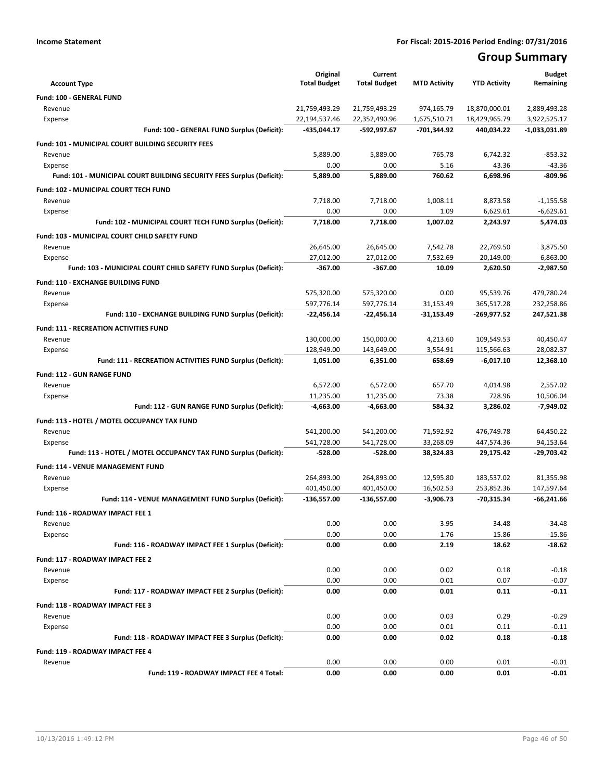# **Group Summary**

| <b>Account Type</b>                                                   | Original<br><b>Total Budget</b> | Current<br><b>Total Budget</b> | <b>MTD Activity</b> | <b>YTD Activity</b> | <b>Budget</b><br>Remaining |
|-----------------------------------------------------------------------|---------------------------------|--------------------------------|---------------------|---------------------|----------------------------|
| Fund: 100 - GENERAL FUND                                              |                                 |                                |                     |                     |                            |
| Revenue                                                               | 21,759,493.29                   | 21,759,493.29                  | 974,165.79          | 18,870,000.01       | 2,889,493.28               |
| Expense                                                               | 22,194,537.46                   | 22,352,490.96                  | 1,675,510.71        | 18,429,965.79       | 3,922,525.17               |
| Fund: 100 - GENERAL FUND Surplus (Deficit):                           | -435,044.17                     | -592,997.67                    | -701,344.92         | 440,034.22          | -1,033,031.89              |
| <b>Fund: 101 - MUNICIPAL COURT BUILDING SECURITY FEES</b>             |                                 |                                |                     |                     |                            |
| Revenue                                                               | 5,889.00                        | 5,889.00                       | 765.78              | 6,742.32            | $-853.32$                  |
| Expense                                                               | 0.00                            | 0.00                           | 5.16                | 43.36               | $-43.36$                   |
| Fund: 101 - MUNICIPAL COURT BUILDING SECURITY FEES Surplus (Deficit): | 5,889.00                        | 5,889.00                       | 760.62              | 6,698.96            | $-809.96$                  |
| Fund: 102 - MUNICIPAL COURT TECH FUND                                 |                                 |                                |                     |                     |                            |
| Revenue                                                               | 7,718.00                        | 7,718.00                       | 1,008.11            | 8,873.58            | $-1,155.58$                |
| Expense                                                               | 0.00                            | 0.00                           | 1.09                | 6,629.61            | $-6,629.61$                |
| Fund: 102 - MUNICIPAL COURT TECH FUND Surplus (Deficit):              | 7,718.00                        | 7,718.00                       | 1,007.02            | 2,243.97            | 5,474.03                   |
| Fund: 103 - MUNICIPAL COURT CHILD SAFETY FUND                         |                                 |                                |                     |                     |                            |
| Revenue                                                               | 26,645.00                       | 26,645.00                      | 7,542.78            | 22,769.50           | 3,875.50                   |
| Expense                                                               | 27,012.00                       | 27,012.00                      | 7,532.69            | 20,149.00           | 6,863.00                   |
| Fund: 103 - MUNICIPAL COURT CHILD SAFETY FUND Surplus (Deficit):      | $-367.00$                       | $-367.00$                      | 10.09               | 2,620.50            | $-2,987.50$                |
| Fund: 110 - EXCHANGE BUILDING FUND                                    |                                 |                                |                     |                     |                            |
| Revenue                                                               | 575,320.00                      | 575,320.00                     | 0.00                | 95,539.76           | 479,780.24                 |
| Expense                                                               | 597,776.14                      | 597,776.14                     | 31.153.49           | 365,517.28          | 232,258.86                 |
| Fund: 110 - EXCHANGE BUILDING FUND Surplus (Deficit):                 | -22,456.14                      | -22,456.14                     | -31,153.49          | -269,977.52         | 247,521.38                 |
| Fund: 111 - RECREATION ACTIVITIES FUND                                |                                 |                                |                     |                     |                            |
| Revenue                                                               | 130,000.00                      | 150,000.00                     | 4,213.60            | 109,549.53          | 40,450.47                  |
| Expense                                                               | 128,949.00                      | 143,649.00                     | 3,554.91            | 115,566.63          | 28,082.37                  |
| Fund: 111 - RECREATION ACTIVITIES FUND Surplus (Deficit):             | 1,051.00                        | 6,351.00                       | 658.69              | $-6,017.10$         | 12,368.10                  |
| <b>Fund: 112 - GUN RANGE FUND</b>                                     |                                 |                                |                     |                     |                            |
| Revenue                                                               | 6,572.00                        | 6,572.00                       | 657.70              | 4,014.98            | 2,557.02                   |
| Expense                                                               | 11,235.00                       | 11,235.00                      | 73.38               | 728.96              | 10,506.04                  |
| Fund: 112 - GUN RANGE FUND Surplus (Deficit):                         | -4,663.00                       | -4,663.00                      | 584.32              | 3,286.02            | $-7,949.02$                |
| Fund: 113 - HOTEL / MOTEL OCCUPANCY TAX FUND                          |                                 |                                |                     |                     |                            |
| Revenue                                                               | 541,200.00                      | 541,200.00                     | 71,592.92           | 476,749.78          | 64,450.22                  |
| Expense                                                               | 541,728.00                      | 541,728.00                     | 33,268.09           | 447,574.36          | 94,153.64                  |
| Fund: 113 - HOTEL / MOTEL OCCUPANCY TAX FUND Surplus (Deficit):       | $-528.00$                       | $-528.00$                      | 38,324.83           | 29,175.42           | $-29,703.42$               |
| Fund: 114 - VENUE MANAGEMENT FUND                                     |                                 |                                |                     |                     |                            |
| Revenue                                                               | 264,893.00                      | 264,893.00                     | 12,595.80           | 183,537.02          | 81,355.98                  |
| Expense                                                               | 401,450.00                      | 401,450.00                     | 16,502.53           | 253,852.36          | 147,597.64                 |
| Fund: 114 - VENUE MANAGEMENT FUND Surplus (Deficit):                  | -136,557.00                     | -136,557.00                    | $-3,906.73$         | $-70,315.34$        | $-66.241.66$               |
| Fund: 116 - ROADWAY IMPACT FEE 1                                      |                                 |                                |                     |                     |                            |
| Revenue                                                               | 0.00                            | 0.00                           | 3.95                | 34.48               | $-34.48$                   |
| Expense                                                               | 0.00                            | 0.00                           | 1.76                | 15.86               | $-15.86$                   |
| Fund: 116 - ROADWAY IMPACT FEE 1 Surplus (Deficit):                   | 0.00                            | 0.00                           | 2.19                | 18.62               | $-18.62$                   |
| Fund: 117 - ROADWAY IMPACT FEE 2                                      |                                 |                                |                     |                     |                            |
| Revenue                                                               | 0.00                            | 0.00                           | 0.02                | 0.18                | $-0.18$                    |
| Expense                                                               | 0.00                            | 0.00                           | 0.01                | 0.07                | $-0.07$                    |
| Fund: 117 - ROADWAY IMPACT FEE 2 Surplus (Deficit):                   | 0.00                            | 0.00                           | 0.01                | 0.11                | $-0.11$                    |
|                                                                       |                                 |                                |                     |                     |                            |
| Fund: 118 - ROADWAY IMPACT FEE 3                                      |                                 |                                |                     |                     |                            |
| Revenue<br>Expense                                                    | 0.00<br>0.00                    | 0.00<br>0.00                   | 0.03<br>0.01        | 0.29<br>0.11        | $-0.29$<br>$-0.11$         |
| Fund: 118 - ROADWAY IMPACT FEE 3 Surplus (Deficit):                   | 0.00                            | 0.00                           | 0.02                | 0.18                | $-0.18$                    |
|                                                                       |                                 |                                |                     |                     |                            |
| Fund: 119 - ROADWAY IMPACT FEE 4                                      |                                 |                                |                     |                     |                            |
| Revenue<br>Fund: 119 - ROADWAY IMPACT FEE 4 Total:                    | 0.00<br>0.00                    | 0.00<br>0.00                   | 0.00<br>0.00        | 0.01<br>0.01        | $-0.01$<br>$-0.01$         |
|                                                                       |                                 |                                |                     |                     |                            |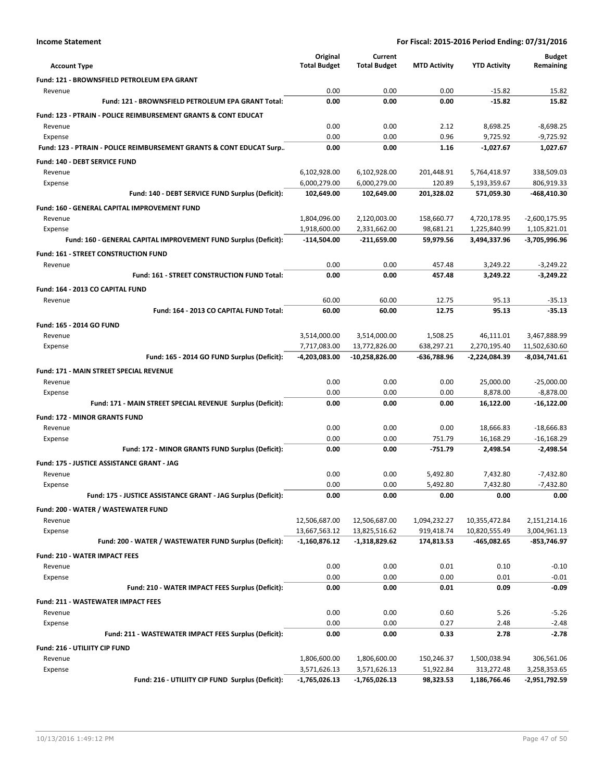| <b>Account Type</b>                                                        | Original<br><b>Total Budget</b> | Current<br><b>Total Budget</b> | <b>MTD Activity</b>    | <b>YTD Activity</b>          | <b>Budget</b><br>Remaining    |
|----------------------------------------------------------------------------|---------------------------------|--------------------------------|------------------------|------------------------------|-------------------------------|
| Fund: 121 - BROWNSFIELD PETROLEUM EPA GRANT                                |                                 |                                |                        |                              |                               |
| Revenue                                                                    | 0.00                            | 0.00                           | 0.00                   | $-15.82$                     | 15.82                         |
| Fund: 121 - BROWNSFIELD PETROLEUM EPA GRANT Total:                         | 0.00                            | 0.00                           | 0.00                   | $-15.82$                     | 15.82                         |
| <b>Fund: 123 - PTRAIN - POLICE REIMBURSEMENT GRANTS &amp; CONT EDUCAT</b>  |                                 |                                |                        |                              |                               |
| Revenue                                                                    | 0.00                            | 0.00                           | 2.12                   | 8,698.25                     | $-8,698.25$                   |
| Expense                                                                    | 0.00                            | 0.00                           | 0.96                   | 9,725.92                     | $-9,725.92$                   |
| Fund: 123 - PTRAIN - POLICE REIMBURSEMENT GRANTS & CONT EDUCAT Surp        | 0.00                            | 0.00                           | 1.16                   | $-1,027.67$                  | 1,027.67                      |
| Fund: 140 - DEBT SERVICE FUND                                              |                                 |                                |                        |                              |                               |
| Revenue                                                                    | 6,102,928.00                    | 6,102,928.00                   | 201,448.91             | 5,764,418.97                 | 338,509.03                    |
| Expense                                                                    | 6,000,279.00                    | 6,000,279.00                   | 120.89                 | 5,193,359.67                 | 806,919.33                    |
| Fund: 140 - DEBT SERVICE FUND Surplus (Deficit):                           | 102,649.00                      | 102,649.00                     | 201,328.02             | 571,059.30                   | -468,410.30                   |
| <b>Fund: 160 - GENERAL CAPITAL IMPROVEMENT FUND</b>                        |                                 |                                |                        |                              |                               |
| Revenue                                                                    | 1,804,096.00                    | 2,120,003.00                   | 158,660.77             | 4,720,178.95                 | $-2,600,175.95$               |
| Expense<br>Fund: 160 - GENERAL CAPITAL IMPROVEMENT FUND Surplus (Deficit): | 1,918,600.00<br>-114,504.00     | 2,331,662.00<br>$-211,659.00$  | 98,681.21<br>59,979.56 | 1,225,840.99<br>3,494,337.96 | 1,105,821.01<br>-3,705,996.96 |
|                                                                            |                                 |                                |                        |                              |                               |
| Fund: 161 - STREET CONSTRUCTION FUND<br>Revenue                            | 0.00                            | 0.00                           | 457.48                 | 3,249.22                     | $-3,249.22$                   |
| Fund: 161 - STREET CONSTRUCTION FUND Total:                                | 0.00                            | 0.00                           | 457.48                 | 3,249.22                     | $-3.249.22$                   |
|                                                                            |                                 |                                |                        |                              |                               |
| Fund: 164 - 2013 CO CAPITAL FUND<br>Revenue                                | 60.00                           | 60.00                          | 12.75                  | 95.13                        | $-35.13$                      |
| Fund: 164 - 2013 CO CAPITAL FUND Total:                                    | 60.00                           | 60.00                          | 12.75                  | 95.13                        | $-35.13$                      |
|                                                                            |                                 |                                |                        |                              |                               |
| Fund: 165 - 2014 GO FUND<br>Revenue                                        | 3,514,000.00                    | 3,514,000.00                   | 1,508.25               | 46,111.01                    | 3,467,888.99                  |
| Expense                                                                    | 7,717,083.00                    | 13,772,826.00                  | 638,297.21             | 2,270,195.40                 | 11,502,630.60                 |
| Fund: 165 - 2014 GO FUND Surplus (Deficit):                                | -4,203,083.00                   | -10,258,826.00                 | -636,788.96            | -2,224,084.39                | $-8,034,741.61$               |
| <b>Fund: 171 - MAIN STREET SPECIAL REVENUE</b>                             |                                 |                                |                        |                              |                               |
| Revenue                                                                    | 0.00                            | 0.00                           | 0.00                   | 25,000.00                    | $-25,000.00$                  |
| Expense                                                                    | 0.00                            | 0.00                           | 0.00                   | 8,878.00                     | $-8,878.00$                   |
| Fund: 171 - MAIN STREET SPECIAL REVENUE Surplus (Deficit):                 | 0.00                            | 0.00                           | 0.00                   | 16,122.00                    | $-16,122.00$                  |
| <b>Fund: 172 - MINOR GRANTS FUND</b>                                       |                                 |                                |                        |                              |                               |
| Revenue                                                                    | 0.00                            | 0.00                           | 0.00                   | 18,666.83                    | $-18,666.83$                  |
| Expense                                                                    | 0.00                            | 0.00                           | 751.79                 | 16,168.29                    | $-16,168.29$                  |
| Fund: 172 - MINOR GRANTS FUND Surplus (Deficit):                           | 0.00                            | 0.00                           | -751.79                | 2,498.54                     | $-2,498.54$                   |
| Fund: 175 - JUSTICE ASSISTANCE GRANT - JAG                                 |                                 |                                |                        |                              |                               |
| Revenue                                                                    | 0.00                            | 0.00                           | 5,492.80               | 7,432.80                     | $-7,432.80$                   |
| Expense                                                                    | 0.00                            | 0.00                           | 5,492.80               | 7.432.80                     | $-7,432.80$                   |
| Fund: 175 - JUSTICE ASSISTANCE GRANT - JAG Surplus (Deficit):              | 0.00                            | 0.00                           | 0.00                   | 0.00                         | 0.00                          |
| Fund: 200 - WATER / WASTEWATER FUND                                        |                                 |                                |                        |                              |                               |
| Revenue                                                                    | 12,506,687.00                   | 12,506,687.00                  | 1,094,232.27           | 10,355,472.84                | 2,151,214.16                  |
| Expense                                                                    | 13,667,563.12                   | 13,825,516.62                  | 919,418.74             | 10,820,555.49                | 3,004,961.13                  |
| Fund: 200 - WATER / WASTEWATER FUND Surplus (Deficit):                     | $-1,160,876.12$                 | -1,318,829.62                  | 174,813.53             | -465,082.65                  | -853,746.97                   |
| <b>Fund: 210 - WATER IMPACT FEES</b>                                       |                                 |                                |                        |                              |                               |
| Revenue                                                                    | 0.00                            | 0.00                           | 0.01                   | 0.10                         | $-0.10$                       |
| Expense<br>Fund: 210 - WATER IMPACT FEES Surplus (Deficit):                | 0.00<br>0.00                    | 0.00<br>0.00                   | 0.00<br>0.01           | 0.01<br>0.09                 | $-0.01$<br>$-0.09$            |
|                                                                            |                                 |                                |                        |                              |                               |
| <b>Fund: 211 - WASTEWATER IMPACT FEES</b>                                  |                                 |                                |                        |                              |                               |
| Revenue                                                                    | 0.00<br>0.00                    | 0.00<br>0.00                   | 0.60<br>0.27           | 5.26<br>2.48                 | $-5.26$<br>$-2.48$            |
| Expense<br>Fund: 211 - WASTEWATER IMPACT FEES Surplus (Deficit):           | 0.00                            | 0.00                           | 0.33                   | 2.78                         | $-2.78$                       |
|                                                                            |                                 |                                |                        |                              |                               |
| Fund: 216 - UTILIITY CIP FUND<br>Revenue                                   | 1,806,600.00                    | 1,806,600.00                   | 150,246.37             | 1,500,038.94                 | 306,561.06                    |
| Expense                                                                    | 3,571,626.13                    | 3,571,626.13                   | 51,922.84              | 313,272.48                   | 3,258,353.65                  |
| Fund: 216 - UTILIITY CIP FUND Surplus (Deficit):                           | -1,765,026.13                   | $-1,765,026.13$                | 98,323.53              | 1,186,766.46                 | -2,951,792.59                 |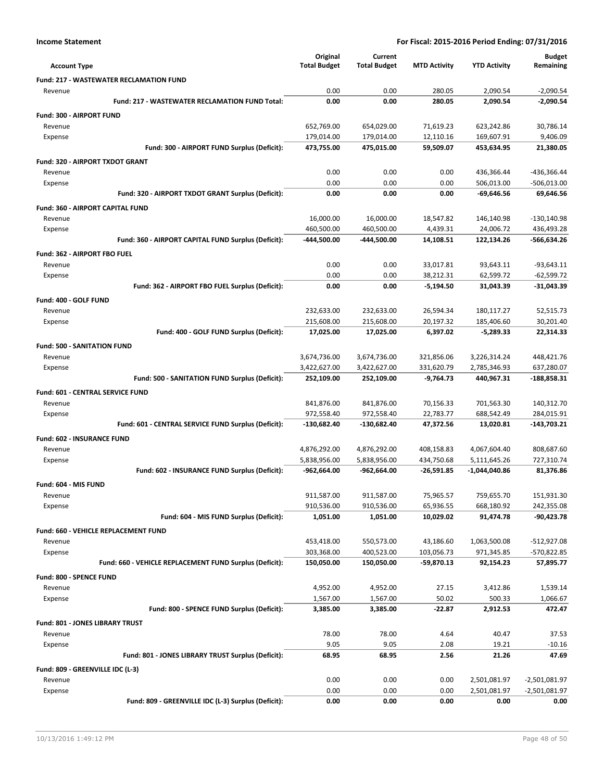|                                                         | Original            | Current             |                     |                     | <b>Budget</b>   |
|---------------------------------------------------------|---------------------|---------------------|---------------------|---------------------|-----------------|
| <b>Account Type</b>                                     | <b>Total Budget</b> | <b>Total Budget</b> | <b>MTD Activity</b> | <b>YTD Activity</b> | Remaining       |
| <b>Fund: 217 - WASTEWATER RECLAMATION FUND</b>          |                     |                     |                     |                     |                 |
| Revenue                                                 | 0.00                | 0.00                | 280.05              | 2,090.54            | $-2,090.54$     |
| Fund: 217 - WASTEWATER RECLAMATION FUND Total:          | 0.00                | 0.00                | 280.05              | 2.090.54            | $-2,090.54$     |
| Fund: 300 - AIRPORT FUND                                |                     |                     |                     |                     |                 |
| Revenue                                                 | 652,769.00          | 654,029.00          | 71,619.23           | 623,242.86          | 30,786.14       |
| Expense                                                 | 179,014.00          | 179,014.00          | 12,110.16           | 169,607.91          | 9,406.09        |
| Fund: 300 - AIRPORT FUND Surplus (Deficit):             | 473,755.00          | 475,015.00          | 59,509.07           | 453,634.95          | 21,380.05       |
| Fund: 320 - AIRPORT TXDOT GRANT                         |                     |                     |                     |                     |                 |
| Revenue                                                 | 0.00                | 0.00                | 0.00                | 436,366.44          | -436,366.44     |
| Expense                                                 | 0.00                | 0.00                | 0.00                | 506,013.00          | $-506,013.00$   |
| Fund: 320 - AIRPORT TXDOT GRANT Surplus (Deficit):      | 0.00                | 0.00                | 0.00                | $-69,646.56$        | 69,646.56       |
| Fund: 360 - AIRPORT CAPITAL FUND                        |                     |                     |                     |                     |                 |
| Revenue                                                 | 16,000.00           | 16,000.00           | 18,547.82           | 146,140.98          | $-130,140.98$   |
| Expense                                                 | 460,500.00          | 460,500.00          | 4,439.31            | 24,006.72           | 436,493.28      |
| Fund: 360 - AIRPORT CAPITAL FUND Surplus (Deficit):     | -444,500.00         | -444,500.00         | 14,108.51           | 122,134.26          | -566,634.26     |
| Fund: 362 - AIRPORT FBO FUEL                            |                     |                     |                     |                     |                 |
| Revenue                                                 | 0.00                | 0.00                | 33,017.81           | 93,643.11           | $-93,643.11$    |
| Expense                                                 | 0.00                | 0.00                | 38,212.31           | 62,599.72           | $-62,599.72$    |
| Fund: 362 - AIRPORT FBO FUEL Surplus (Deficit):         | 0.00                | 0.00                | $-5,194.50$         | 31,043.39           | $-31,043.39$    |
| Fund: 400 - GOLF FUND                                   |                     |                     |                     |                     |                 |
| Revenue                                                 | 232,633.00          | 232,633.00          | 26,594.34           | 180,117.27          | 52,515.73       |
| Expense                                                 | 215,608.00          | 215,608.00          | 20,197.32           | 185,406.60          | 30,201.40       |
| Fund: 400 - GOLF FUND Surplus (Deficit):                | 17,025.00           | 17,025.00           | 6,397.02            | $-5,289.33$         | 22,314.33       |
| <b>Fund: 500 - SANITATION FUND</b>                      |                     |                     |                     |                     |                 |
| Revenue                                                 | 3,674,736.00        | 3,674,736.00        | 321,856.06          | 3,226,314.24        | 448,421.76      |
| Expense                                                 | 3,422,627.00        | 3,422,627.00        | 331,620.79          | 2,785,346.93        | 637,280.07      |
| Fund: 500 - SANITATION FUND Surplus (Deficit):          | 252,109.00          | 252,109.00          | $-9,764.73$         | 440,967.31          | -188,858.31     |
| Fund: 601 - CENTRAL SERVICE FUND                        |                     |                     |                     |                     |                 |
| Revenue                                                 | 841,876.00          | 841,876.00          | 70,156.33           | 701,563.30          | 140,312.70      |
| Expense                                                 | 972,558.40          | 972,558.40          | 22,783.77           | 688,542.49          | 284,015.91      |
| Fund: 601 - CENTRAL SERVICE FUND Surplus (Deficit):     | -130,682.40         | -130,682.40         | 47,372.56           | 13,020.81           | $-143,703.21$   |
| <b>Fund: 602 - INSURANCE FUND</b>                       |                     |                     |                     |                     |                 |
| Revenue                                                 | 4,876,292.00        | 4,876,292.00        | 408,158.83          | 4,067,604.40        | 808,687.60      |
| Expense                                                 | 5,838,956.00        | 5,838,956.00        | 434,750.68          | 5,111,645.26        | 727,310.74      |
| Fund: 602 - INSURANCE FUND Surplus (Deficit):           | $-962,664.00$       | -962,664.00         | $-26,591.85$        | $-1,044,040.86$     | 81,376.86       |
| Fund: 604 - MIS FUND                                    |                     |                     |                     |                     |                 |
| Revenue                                                 | 911,587.00          | 911,587.00          | 75,965.57           | 759,655.70          | 151,931.30      |
| Expense                                                 | 910,536.00          | 910,536.00          | 65,936.55           | 668,180.92          | 242,355.08      |
| Fund: 604 - MIS FUND Surplus (Deficit):                 | 1,051.00            | 1,051.00            | 10,029.02           | 91,474.78           | $-90,423.78$    |
| Fund: 660 - VEHICLE REPLACEMENT FUND                    |                     |                     |                     |                     |                 |
| Revenue                                                 | 453,418.00          | 550,573.00          | 43,186.60           | 1,063,500.08        | $-512,927.08$   |
| Expense                                                 | 303,368.00          | 400,523.00          | 103,056.73          | 971,345.85          | -570,822.85     |
| Fund: 660 - VEHICLE REPLACEMENT FUND Surplus (Deficit): | 150,050.00          | 150,050.00          | -59,870.13          | 92,154.23           | 57,895.77       |
| Fund: 800 - SPENCE FUND                                 |                     |                     |                     |                     |                 |
| Revenue                                                 | 4,952.00            | 4,952.00            | 27.15               | 3,412.86            | 1,539.14        |
| Expense                                                 | 1,567.00            | 1,567.00            | 50.02               | 500.33              | 1,066.67        |
| Fund: 800 - SPENCE FUND Surplus (Deficit):              | 3,385.00            | 3,385.00            | -22.87              | 2,912.53            | 472.47          |
| Fund: 801 - JONES LIBRARY TRUST                         |                     |                     |                     |                     |                 |
| Revenue                                                 | 78.00               | 78.00               | 4.64                | 40.47               | 37.53           |
| Expense                                                 | 9.05                | 9.05                | 2.08                | 19.21               | $-10.16$        |
| Fund: 801 - JONES LIBRARY TRUST Surplus (Deficit):      | 68.95               | 68.95               | 2.56                | 21.26               | 47.69           |
| Fund: 809 - GREENVILLE IDC (L-3)                        |                     |                     |                     |                     |                 |
| Revenue                                                 | 0.00                | 0.00                | 0.00                | 2,501,081.97        | $-2,501,081.97$ |
| Expense                                                 | 0.00                | 0.00                | 0.00                | 2,501,081.97        | $-2,501,081.97$ |
| Fund: 809 - GREENVILLE IDC (L-3) Surplus (Deficit):     | 0.00                | 0.00                | 0.00                | 0.00                | 0.00            |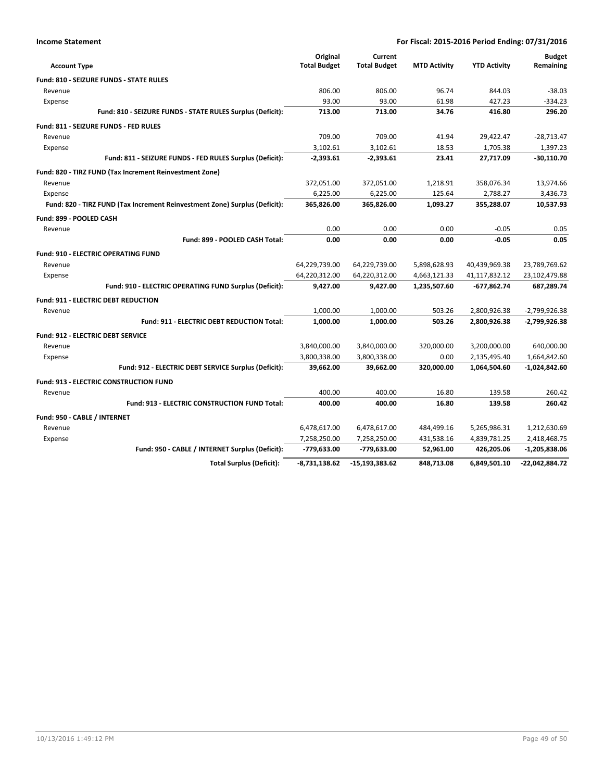| <b>Account Type</b>                                                        | Original<br><b>Total Budget</b> | Current<br><b>Total Budget</b> | <b>MTD Activity</b> | <b>YTD Activity</b> | <b>Budget</b><br>Remaining |
|----------------------------------------------------------------------------|---------------------------------|--------------------------------|---------------------|---------------------|----------------------------|
| <b>Fund: 810 - SEIZURE FUNDS - STATE RULES</b>                             |                                 |                                |                     |                     |                            |
| Revenue                                                                    | 806.00                          | 806.00                         | 96.74               | 844.03              | $-38.03$                   |
| Expense                                                                    | 93.00                           | 93.00                          | 61.98               | 427.23              | $-334.23$                  |
| Fund: 810 - SEIZURE FUNDS - STATE RULES Surplus (Deficit):                 | 713.00                          | 713.00                         | 34.76               | 416.80              | 296.20                     |
| Fund: 811 - SEIZURE FUNDS - FED RULES                                      |                                 |                                |                     |                     |                            |
| Revenue                                                                    | 709.00                          | 709.00                         | 41.94               | 29,422.47           | $-28,713.47$               |
| Expense                                                                    | 3,102.61                        | 3,102.61                       | 18.53               | 1,705.38            | 1,397.23                   |
| Fund: 811 - SEIZURE FUNDS - FED RULES Surplus (Deficit):                   | $-2,393.61$                     | $-2,393.61$                    | 23.41               | 27,717.09           | $-30,110.70$               |
| Fund: 820 - TIRZ FUND (Tax Increment Reinvestment Zone)                    |                                 |                                |                     |                     |                            |
| Revenue                                                                    | 372,051.00                      | 372,051.00                     | 1,218.91            | 358,076.34          | 13,974.66                  |
| Expense                                                                    | 6,225.00                        | 6,225.00                       | 125.64              | 2,788.27            | 3,436.73                   |
| Fund: 820 - TIRZ FUND (Tax Increment Reinvestment Zone) Surplus (Deficit): | 365,826.00                      | 365,826.00                     | 1,093.27            | 355,288.07          | 10,537.93                  |
| Fund: 899 - POOLED CASH                                                    |                                 |                                |                     |                     |                            |
| Revenue                                                                    | 0.00                            | 0.00                           | 0.00                | $-0.05$             | 0.05                       |
| Fund: 899 - POOLED CASH Total:                                             | 0.00                            | 0.00                           | 0.00                | $-0.05$             | 0.05                       |
| <b>Fund: 910 - ELECTRIC OPERATING FUND</b>                                 |                                 |                                |                     |                     |                            |
| Revenue                                                                    | 64,229,739.00                   | 64,229,739.00                  | 5,898,628.93        | 40,439,969.38       | 23,789,769.62              |
| Expense                                                                    | 64,220,312.00                   | 64,220,312.00                  | 4,663,121.33        | 41,117,832.12       | 23,102,479.88              |
| Fund: 910 - ELECTRIC OPERATING FUND Surplus (Deficit):                     | 9,427.00                        | 9,427.00                       | 1,235,507.60        | -677,862.74         | 687,289.74                 |
| <b>Fund: 911 - ELECTRIC DEBT REDUCTION</b>                                 |                                 |                                |                     |                     |                            |
| Revenue                                                                    | 1,000.00                        | 1,000.00                       | 503.26              | 2,800,926.38        | $-2,799,926.38$            |
| <b>Fund: 911 - ELECTRIC DEBT REDUCTION Total:</b>                          | 1,000.00                        | 1,000.00                       | 503.26              | 2,800,926.38        | $-2,799,926.38$            |
| <b>Fund: 912 - ELECTRIC DEBT SERVICE</b>                                   |                                 |                                |                     |                     |                            |
| Revenue                                                                    | 3,840,000.00                    | 3,840,000.00                   | 320,000.00          | 3,200,000.00        | 640,000.00                 |
| Expense                                                                    | 3,800,338.00                    | 3,800,338.00                   | 0.00                | 2,135,495.40        | 1,664,842.60               |
| Fund: 912 - ELECTRIC DEBT SERVICE Surplus (Deficit):                       | 39,662.00                       | 39,662.00                      | 320,000.00          | 1,064,504.60        | $-1,024,842.60$            |
| <b>Fund: 913 - ELECTRIC CONSTRUCTION FUND</b>                              |                                 |                                |                     |                     |                            |
| Revenue                                                                    | 400.00                          | 400.00                         | 16.80               | 139.58              | 260.42                     |
| Fund: 913 - ELECTRIC CONSTRUCTION FUND Total:                              | 400.00                          | 400.00                         | 16.80               | 139.58              | 260.42                     |
| Fund: 950 - CABLE / INTERNET                                               |                                 |                                |                     |                     |                            |
| Revenue                                                                    | 6,478,617.00                    | 6,478,617.00                   | 484,499.16          | 5,265,986.31        | 1,212,630.69               |
| Expense                                                                    | 7,258,250.00                    | 7,258,250.00                   | 431,538.16          | 4,839,781.25        | 2,418,468.75               |
| Fund: 950 - CABLE / INTERNET Surplus (Deficit):                            | -779,633.00                     | -779,633.00                    | 52,961.00           | 426,205.06          | $-1,205,838.06$            |
| <b>Total Surplus (Deficit):</b>                                            | $-8,731,138.62$                 | $-15,193,383.62$               | 848.713.08          | 6.849.501.10        | -22,042,884.72             |